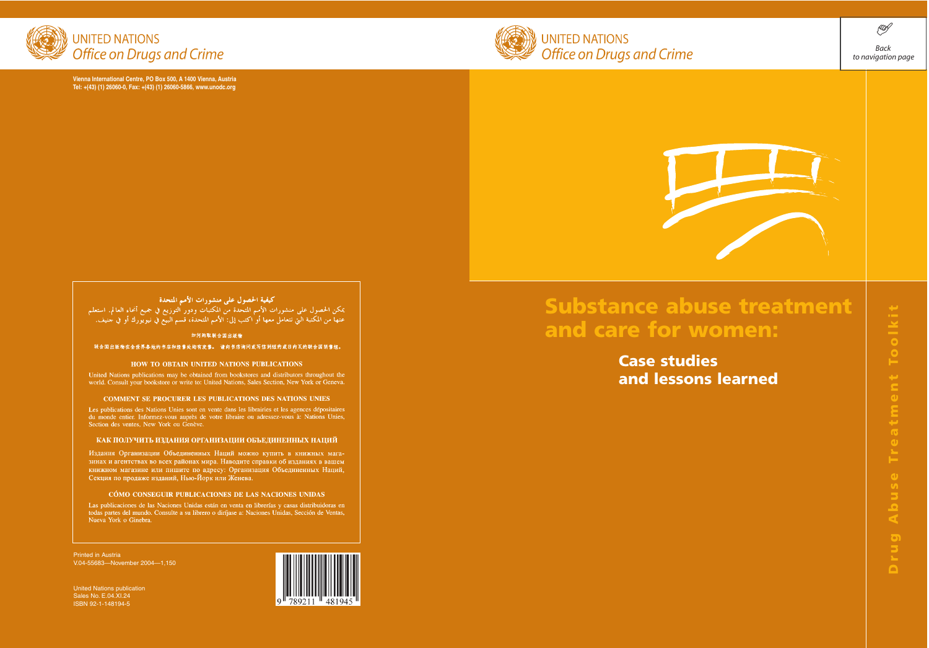



*to navigation page Back*



# **Substance abuse treatment and care for women:**

**Case studies and lessons learned** Drug Abuse Treatment Toolkit **Drug Abuse Treatment Toolkit**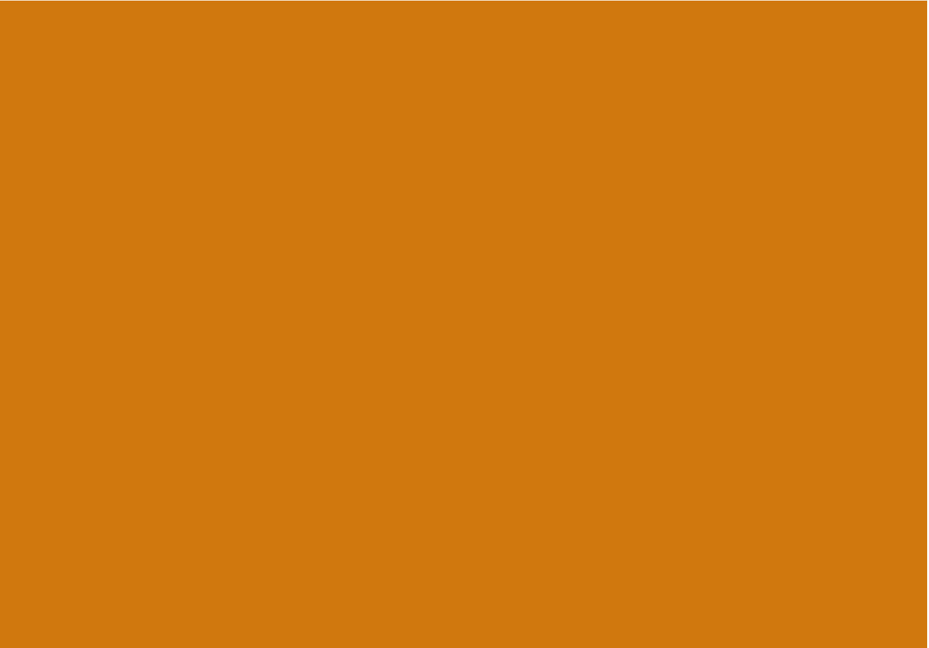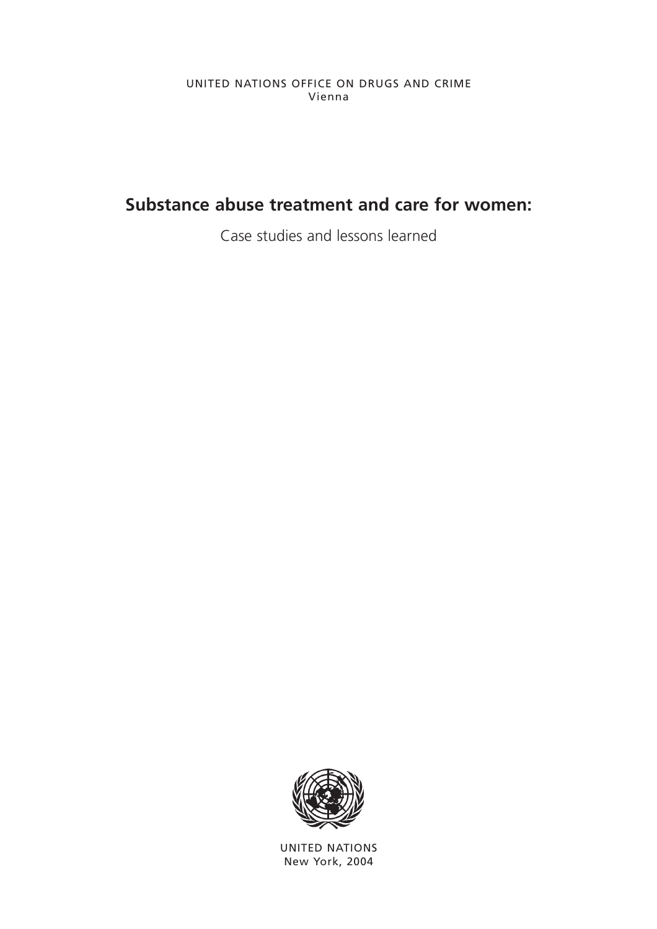UNITED NATIONS OFFICE ON DRUGS AND CRIME Vienna

# **Substance abuse treatment and care for women:**

Case studies and lessons learned



UNITED NATIONS New York, 2004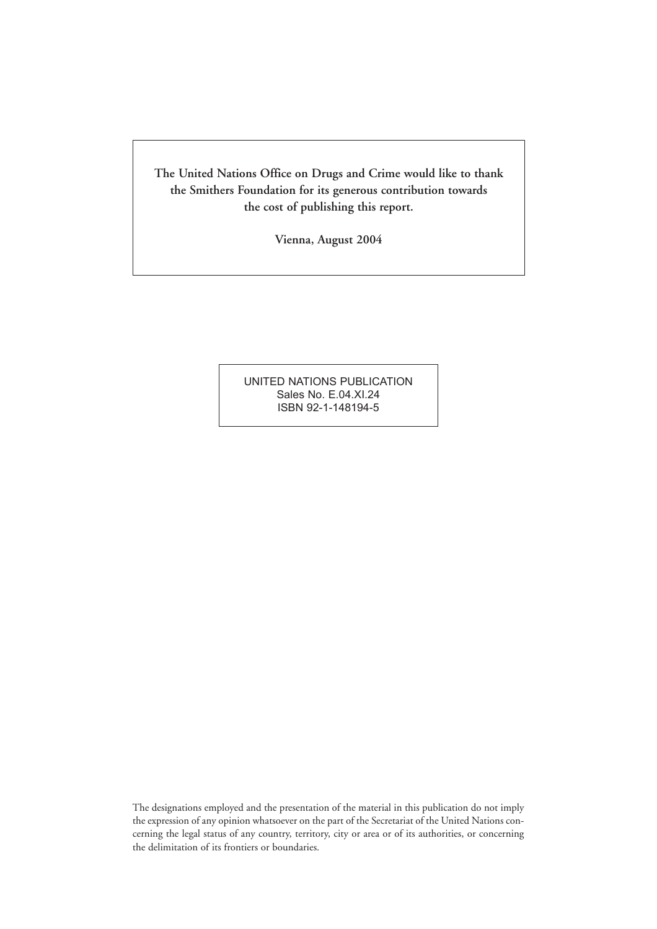# **The United Nations Office on Drugs and Crime would like to thank the Smithers Foundation for its generous contribution towards the cost of publishing this report.**

**Vienna, August 2004**

UNITED NATIONS PUBLICATION Sales No. E.04.XI.24 ISBN 92-1-148194-5

The designations employed and the presentation of the material in this publication do not imply the expression of any opinion whatsoever on the part of the Secretariat of the United Nations concerning the legal status of any country, territory, city or area or of its authorities, or concerning the delimitation of its frontiers or boundaries.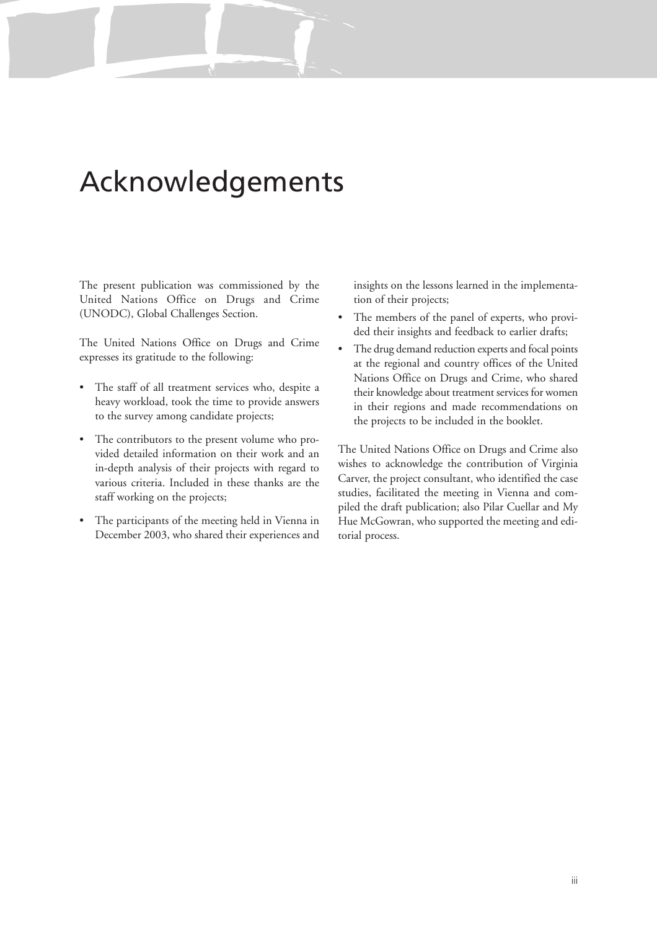# Acknowledgements

The present publication was commissioned by the United Nations Office on Drugs and Crime (UNODC), Global Challenges Section.

The United Nations Office on Drugs and Crime expresses its gratitude to the following:

- The staff of all treatment services who, despite a heavy workload, took the time to provide answers to the survey among candidate projects;
- The contributors to the present volume who provided detailed information on their work and an in-depth analysis of their projects with regard to various criteria. Included in these thanks are the staff working on the projects;
- The participants of the meeting held in Vienna in December 2003, who shared their experiences and

insights on the lessons learned in the implementation of their projects;

- The members of the panel of experts, who provided their insights and feedback to earlier drafts;
- The drug demand reduction experts and focal points at the regional and country offices of the United Nations Office on Drugs and Crime, who shared their knowledge about treatment services for women in their regions and made recommendations on the projects to be included in the booklet.

The United Nations Office on Drugs and Crime also wishes to acknowledge the contribution of Virginia Carver, the project consultant, who identified the case studies, facilitated the meeting in Vienna and compiled the draft publication; also Pilar Cuellar and My Hue McGowran, who supported the meeting and editorial process.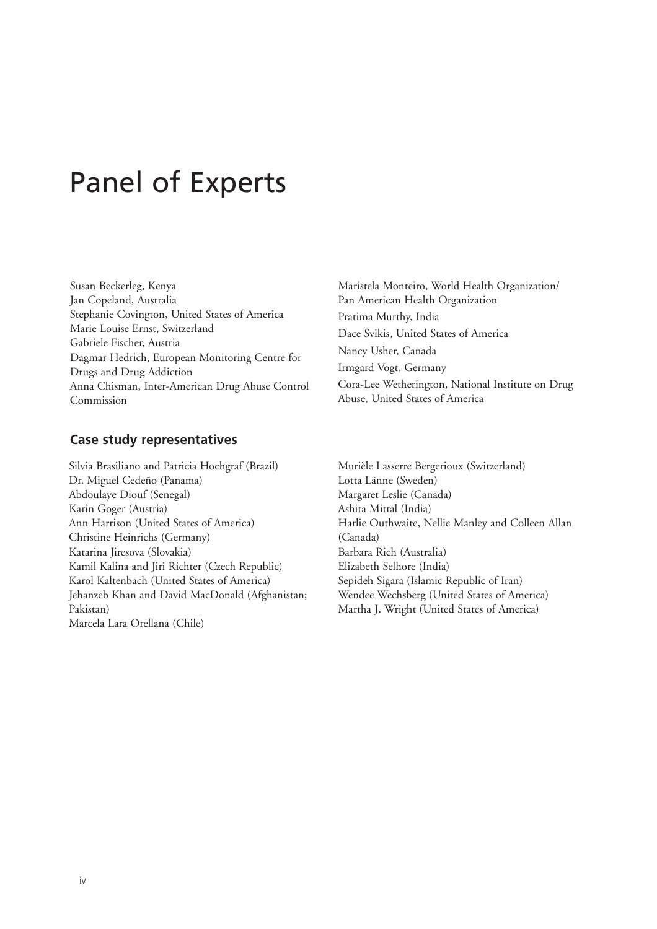# Panel of Experts

Susan Beckerleg, Kenya Jan Copeland, Australia Stephanie Covington, United States of America Marie Louise Ernst, Switzerland Gabriele Fischer, Austria Dagmar Hedrich, European Monitoring Centre for Drugs and Drug Addiction Anna Chisman, Inter-American Drug Abuse Control Commission

### **Case study representatives**

Silvia Brasiliano and Patricia Hochgraf (Brazil) Dr. Miguel Cedeño (Panama) Abdoulaye Diouf (Senegal) Karin Goger (Austria) Ann Harrison (United States of America) Christine Heinrichs (Germany) Katarina Jiresova (Slovakia) Kamil Kalina and Jiri Richter (Czech Republic) Karol Kaltenbach (United States of America) Jehanzeb Khan and David MacDonald (Afghanistan; Pakistan) Marcela Lara Orellana (Chile)

Maristela Monteiro, World Health Organization/ Pan American Health Organization Pratima Murthy, India Dace Svikis, United States of America Nancy Usher, Canada Irmgard Vogt, Germany Cora-Lee Wetherington, National Institute on Drug Abuse, United States of America

Murièle Lasserre Bergerioux (Switzerland) Lotta Länne (Sweden) Margaret Leslie (Canada) Ashita Mittal (India) Harlie Outhwaite, Nellie Manley and Colleen Allan (Canada) Barbara Rich (Australia) Elizabeth Selhore (India) Sepideh Sigara (Islamic Republic of Iran) Wendee Wechsberg (United States of America) Martha J. Wright (United States of America)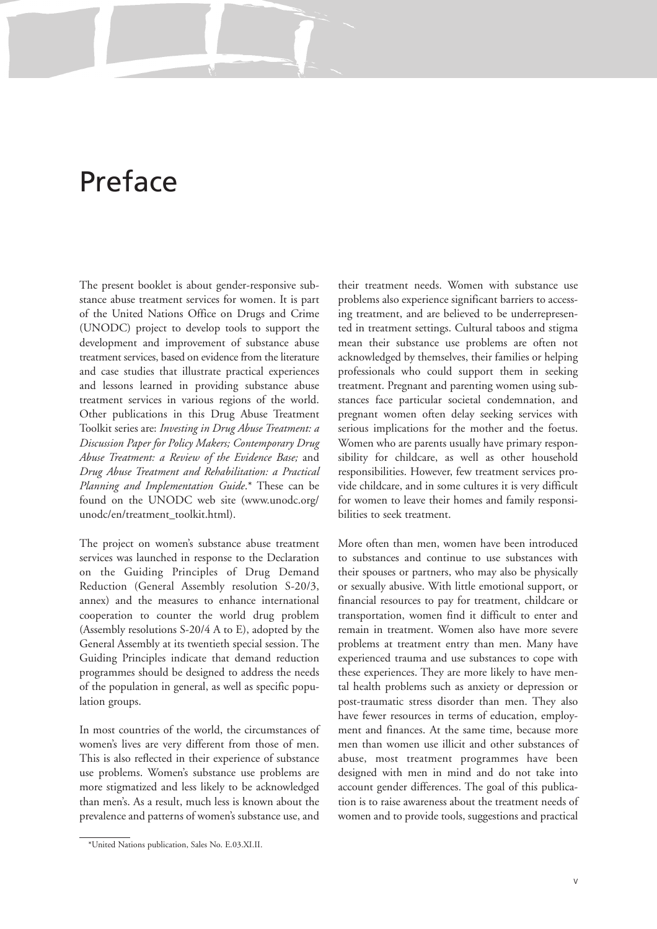# Preface

The present booklet is about gender-responsive substance abuse treatment services for women. It is part of the United Nations Office on Drugs and Crime (UNODC) project to develop tools to support the development and improvement of substance abuse treatment services, based on evidence from the literature and case studies that illustrate practical experiences and lessons learned in providing substance abuse treatment services in various regions of the world. Other publications in this Drug Abuse Treatment Toolkit series are: *Investing in Drug Abuse Treatment: a Discussion Paper for Policy Makers; Contemporary Drug Abuse Treatment: a Review of the Evidence Base;* and *Drug Abuse Treatment and Rehabilitation: a Practical Planning and Implementation Guide*.\* These can be found on the UNODC web site (www.unodc.org/ unodc/en/treatment\_toolkit.html).

The project on women's substance abuse treatment services was launched in response to the Declaration on the Guiding Principles of Drug Demand Reduction (General Assembly resolution S-20/3, annex) and the measures to enhance international cooperation to counter the world drug problem (Assembly resolutions S-20/4 A to E), adopted by the General Assembly at its twentieth special session. The Guiding Principles indicate that demand reduction programmes should be designed to address the needs of the population in general, as well as specific population groups.

In most countries of the world, the circumstances of women's lives are very different from those of men. This is also reflected in their experience of substance use problems. Women's substance use problems are more stigmatized and less likely to be acknowledged than men's. As a result, much less is known about the prevalence and patterns of women's substance use, and

their treatment needs. Women with substance use problems also experience significant barriers to accessing treatment, and are believed to be underrepresented in treatment settings. Cultural taboos and stigma mean their substance use problems are often not acknowledged by themselves, their families or helping professionals who could support them in seeking treatment. Pregnant and parenting women using substances face particular societal condemnation, and pregnant women often delay seeking services with serious implications for the mother and the foetus. Women who are parents usually have primary responsibility for childcare, as well as other household responsibilities. However, few treatment services provide childcare, and in some cultures it is very difficult for women to leave their homes and family responsibilities to seek treatment.

More often than men, women have been introduced to substances and continue to use substances with their spouses or partners, who may also be physically or sexually abusive. With little emotional support, or financial resources to pay for treatment, childcare or transportation, women find it difficult to enter and remain in treatment. Women also have more severe problems at treatment entry than men. Many have experienced trauma and use substances to cope with these experiences. They are more likely to have mental health problems such as anxiety or depression or post-traumatic stress disorder than men. They also have fewer resources in terms of education, employment and finances. At the same time, because more men than women use illicit and other substances of abuse, most treatment programmes have been designed with men in mind and do not take into account gender differences. The goal of this publication is to raise awareness about the treatment needs of women and to provide tools, suggestions and practical

<sup>\*</sup>United Nations publication, Sales No. E.03.XI.II.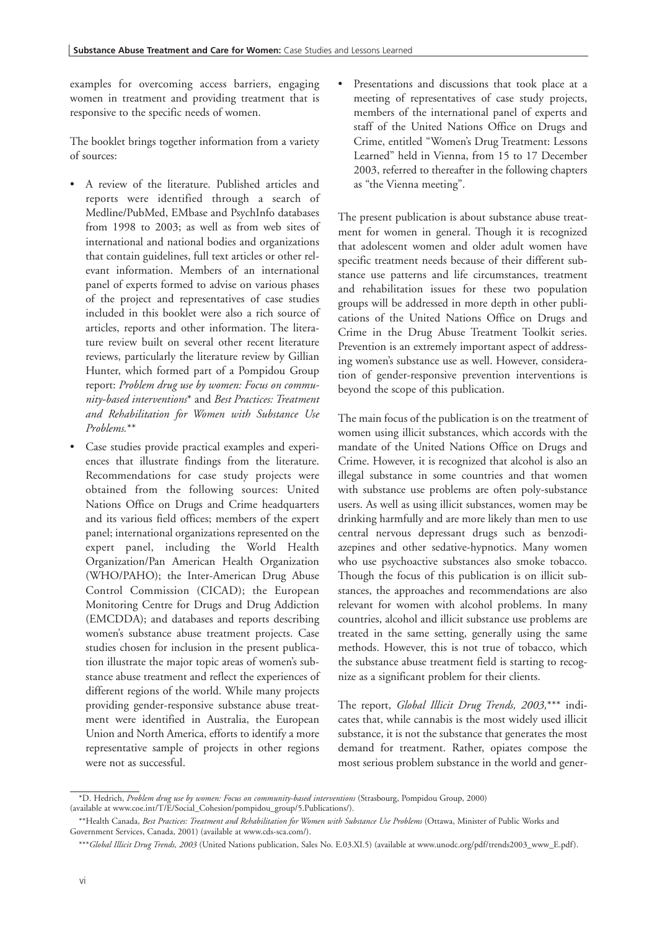examples for overcoming access barriers, engaging women in treatment and providing treatment that is responsive to the specific needs of women.

The booklet brings together information from a variety of sources:

- A review of the literature. Published articles and reports were identified through a search of Medline/PubMed, EMbase and PsychInfo databases from 1998 to 2003; as well as from web sites of international and national bodies and organizations that contain guidelines, full text articles or other relevant information. Members of an international panel of experts formed to advise on various phases of the project and representatives of case studies included in this booklet were also a rich source of articles, reports and other information. The literature review built on several other recent literature reviews, particularly the literature review by Gillian Hunter, which formed part of a Pompidou Group report: *Problem drug use by women: Focus on community-based interventions*\* and *Best Practices: Treatment and Rehabilitation for Women with Substance Use Problems.*\*\*
- Case studies provide practical examples and experiences that illustrate findings from the literature. Recommendations for case study projects were obtained from the following sources: United Nations Office on Drugs and Crime headquarters and its various field offices; members of the expert panel; international organizations represented on the expert panel, including the World Health Organization/Pan American Health Organization (WHO/PAHO); the Inter-American Drug Abuse Control Commission (CICAD); the European Monitoring Centre for Drugs and Drug Addiction (EMCDDA); and databases and reports describing women's substance abuse treatment projects. Case studies chosen for inclusion in the present publication illustrate the major topic areas of women's substance abuse treatment and reflect the experiences of different regions of the world. While many projects providing gender-responsive substance abuse treatment were identified in Australia, the European Union and North America, efforts to identify a more representative sample of projects in other regions were not as successful.

Presentations and discussions that took place at a meeting of representatives of case study projects, members of the international panel of experts and staff of the United Nations Office on Drugs and Crime, entitled "Women's Drug Treatment: Lessons Learned" held in Vienna, from 15 to 17 December 2003, referred to thereafter in the following chapters as "the Vienna meeting".

The present publication is about substance abuse treatment for women in general. Though it is recognized that adolescent women and older adult women have specific treatment needs because of their different substance use patterns and life circumstances, treatment and rehabilitation issues for these two population groups will be addressed in more depth in other publications of the United Nations Office on Drugs and Crime in the Drug Abuse Treatment Toolkit series. Prevention is an extremely important aspect of addressing women's substance use as well. However, consideration of gender-responsive prevention interventions is beyond the scope of this publication.

The main focus of the publication is on the treatment of women using illicit substances, which accords with the mandate of the United Nations Office on Drugs and Crime. However, it is recognized that alcohol is also an illegal substance in some countries and that women with substance use problems are often poly-substance users. As well as using illicit substances, women may be drinking harmfully and are more likely than men to use central nervous depressant drugs such as benzodiazepines and other sedative-hypnotics. Many women who use psychoactive substances also smoke tobacco. Though the focus of this publication is on illicit substances, the approaches and recommendations are also relevant for women with alcohol problems. In many countries, alcohol and illicit substance use problems are treated in the same setting, generally using the same methods. However, this is not true of tobacco, which the substance abuse treatment field is starting to recognize as a significant problem for their clients.

The report, *Global Illicit Drug Trends, 2003,*\*\*\* indicates that, while cannabis is the most widely used illicit substance, it is not the substance that generates the most demand for treatment. Rather, opiates compose the most serious problem substance in the world and gener-

<sup>\*</sup>D. Hedrich, *Problem drug use by women: Focus on community-based interventions* (Strasbourg, Pompidou Group, 2000) (available at www.coe.int/T/E/Social\_Cohesion/pompidou\_group/5.Publications/).

<sup>\*\*</sup>Health Canada, *Best Practices: Treatment and Rehabilitation for Women with Substance Use Problems* (Ottawa, Minister of Public Works and Government Services, Canada, 2001) (available at www.cds-sca.com/).

<sup>\*\*\*</sup>*Global Illicit Drug Trends, 2003* (United Nations publication, Sales No. E.03.XI.5) (available at www.unodc.org/pdf/trends2003\_www\_E.pdf).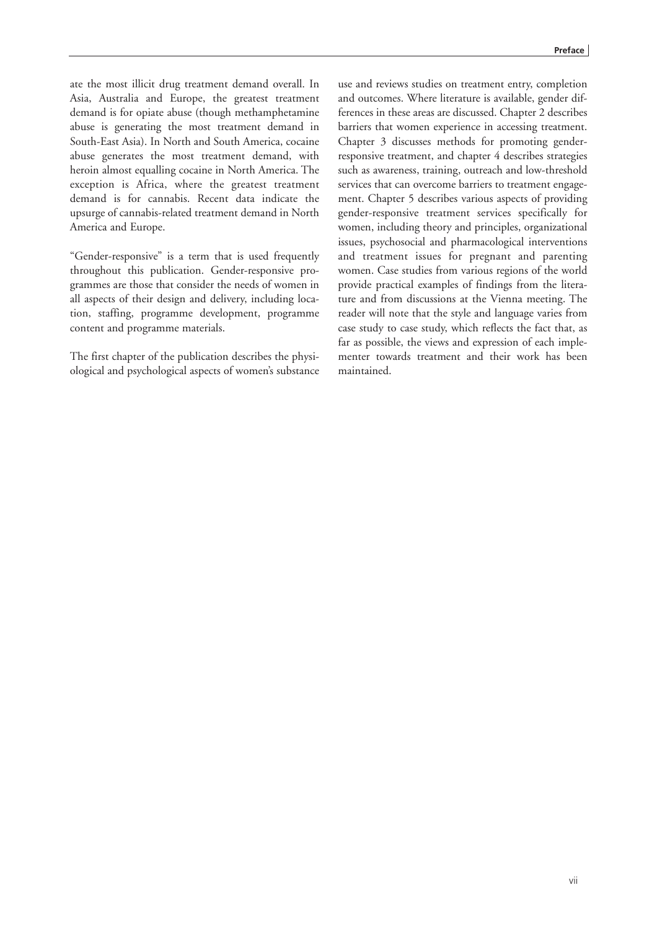ate the most illicit drug treatment demand overall. In Asia, Australia and Europe, the greatest treatment demand is for opiate abuse (though methamphetamine abuse is generating the most treatment demand in South-East Asia). In North and South America, cocaine abuse generates the most treatment demand, with heroin almost equalling cocaine in North America. The exception is Africa, where the greatest treatment demand is for cannabis. Recent data indicate the upsurge of cannabis-related treatment demand in North America and Europe.

"Gender-responsive" is a term that is used frequently throughout this publication. Gender-responsive programmes are those that consider the needs of women in all aspects of their design and delivery, including location, staffing, programme development, programme content and programme materials.

The first chapter of the publication describes the physiological and psychological aspects of women's substance use and reviews studies on treatment entry, completion and outcomes. Where literature is available, gender differences in these areas are discussed. Chapter 2 describes barriers that women experience in accessing treatment. Chapter 3 discusses methods for promoting genderresponsive treatment, and chapter 4 describes strategies such as awareness, training, outreach and low-threshold services that can overcome barriers to treatment engagement. Chapter 5 describes various aspects of providing gender-responsive treatment services specifically for women, including theory and principles, organizational issues, psychosocial and pharmacological interventions and treatment issues for pregnant and parenting women. Case studies from various regions of the world provide practical examples of findings from the literature and from discussions at the Vienna meeting. The reader will note that the style and language varies from case study to case study, which reflects the fact that, as far as possible, the views and expression of each implementer towards treatment and their work has been maintained.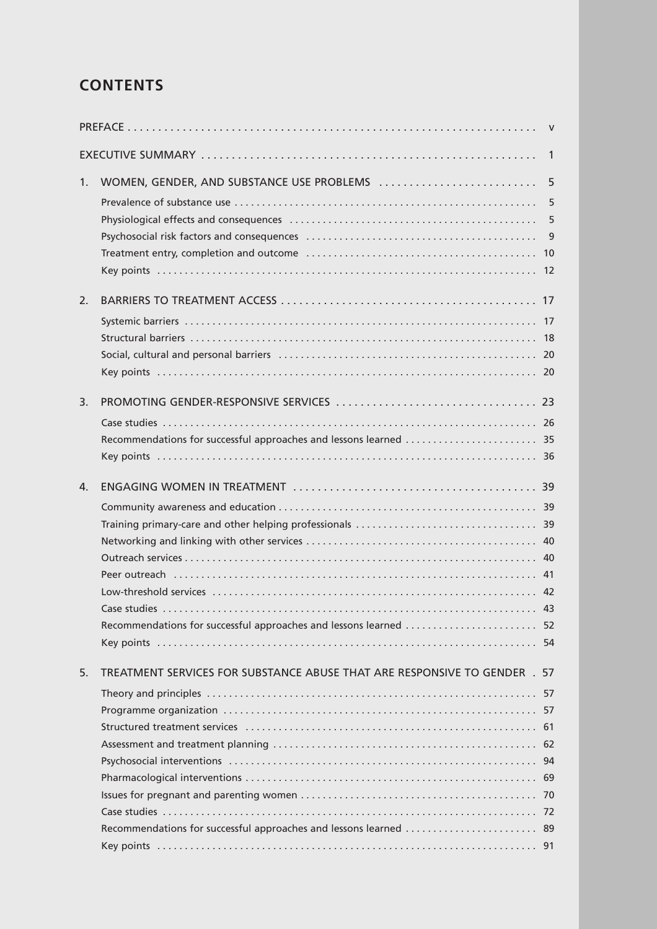# **CONTENTS**

| 1 <sub>1</sub> | WOMEN, GENDER, AND SUBSTANCE USE PROBLEMS                                                                                                      | 5<br>5 |
|----------------|------------------------------------------------------------------------------------------------------------------------------------------------|--------|
| 2.             |                                                                                                                                                |        |
| 3.             |                                                                                                                                                |        |
| 4.             |                                                                                                                                                |        |
| 5.             | TREATMENT SERVICES FOR SUBSTANCE ABUSE THAT ARE RESPONSIVE TO GENDER . 57<br>Recommendations for successful approaches and lessons learned  89 |        |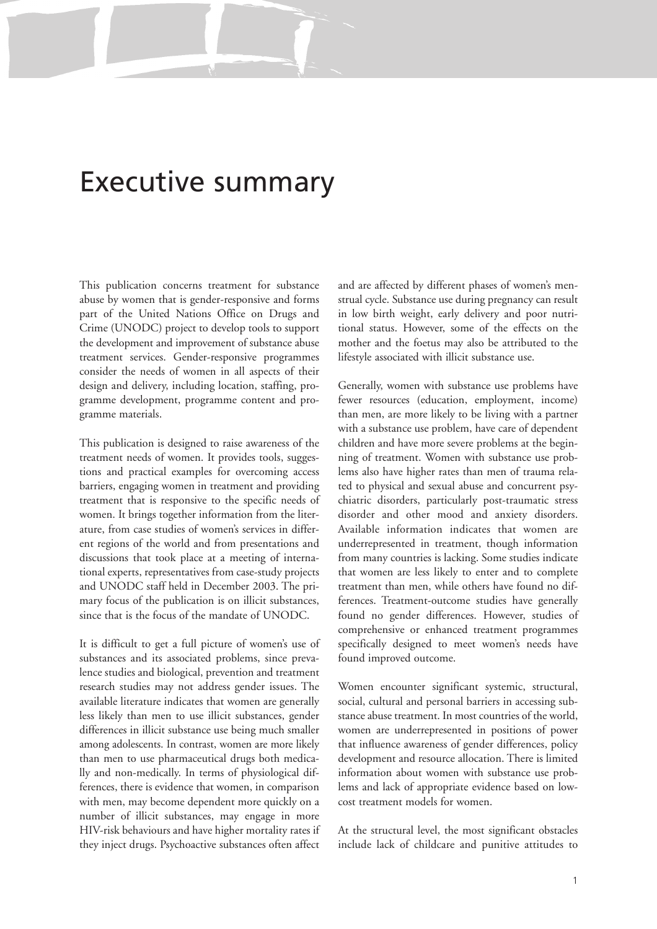# Executive summary

This publication concerns treatment for substance abuse by women that is gender-responsive and forms part of the United Nations Office on Drugs and Crime (UNODC) project to develop tools to support the development and improvement of substance abuse treatment services. Gender-responsive programmes consider the needs of women in all aspects of their design and delivery, including location, staffing, programme development, programme content and programme materials.

This publication is designed to raise awareness of the treatment needs of women. It provides tools, suggestions and practical examples for overcoming access barriers, engaging women in treatment and providing treatment that is responsive to the specific needs of women. It brings together information from the literature, from case studies of women's services in different regions of the world and from presentations and discussions that took place at a meeting of international experts, representatives from case-study projects and UNODC staff held in December 2003. The primary focus of the publication is on illicit substances, since that is the focus of the mandate of UNODC.

It is difficult to get a full picture of women's use of substances and its associated problems, since prevalence studies and biological, prevention and treatment research studies may not address gender issues. The available literature indicates that women are generally less likely than men to use illicit substances, gender differences in illicit substance use being much smaller among adolescents. In contrast, women are more likely than men to use pharmaceutical drugs both medically and non-medically. In terms of physiological differences, there is evidence that women, in comparison with men, may become dependent more quickly on a number of illicit substances, may engage in more HIV-risk behaviours and have higher mortality rates if they inject drugs. Psychoactive substances often affect

and are affected by different phases of women's menstrual cycle. Substance use during pregnancy can result in low birth weight, early delivery and poor nutritional status. However, some of the effects on the mother and the foetus may also be attributed to the lifestyle associated with illicit substance use.

Generally, women with substance use problems have fewer resources (education, employment, income) than men, are more likely to be living with a partner with a substance use problem, have care of dependent children and have more severe problems at the beginning of treatment. Women with substance use problems also have higher rates than men of trauma related to physical and sexual abuse and concurrent psychiatric disorders, particularly post-traumatic stress disorder and other mood and anxiety disorders. Available information indicates that women are underrepresented in treatment, though information from many countries is lacking. Some studies indicate that women are less likely to enter and to complete treatment than men, while others have found no differences. Treatment-outcome studies have generally found no gender differences. However, studies of comprehensive or enhanced treatment programmes specifically designed to meet women's needs have found improved outcome.

Women encounter significant systemic, structural, social, cultural and personal barriers in accessing substance abuse treatment. In most countries of the world, women are underrepresented in positions of power that influence awareness of gender differences, policy development and resource allocation. There is limited information about women with substance use problems and lack of appropriate evidence based on lowcost treatment models for women.

At the structural level, the most significant obstacles include lack of childcare and punitive attitudes to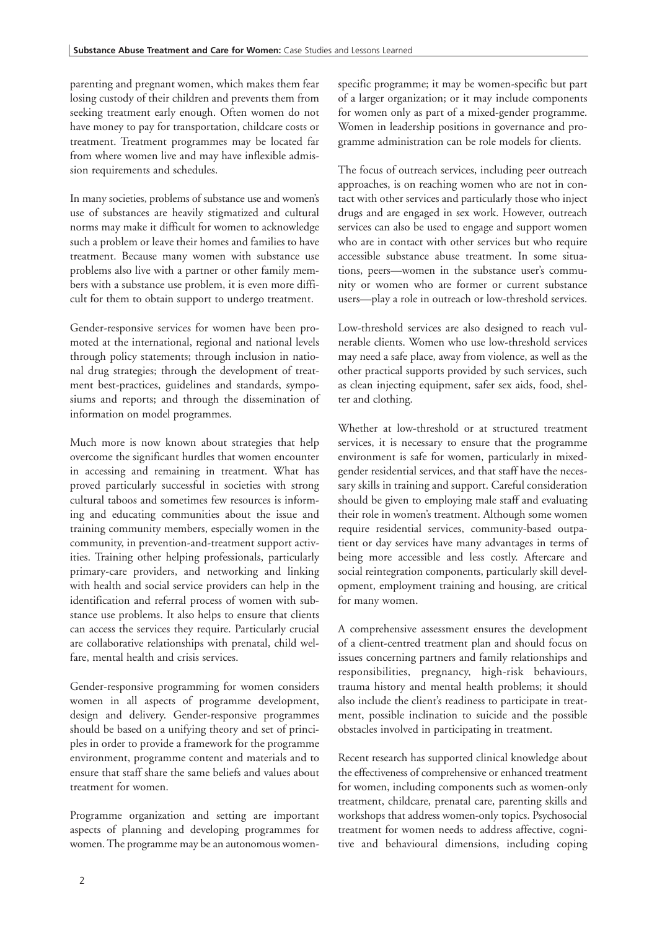parenting and pregnant women, which makes them fear losing custody of their children and prevents them from seeking treatment early enough. Often women do not have money to pay for transportation, childcare costs or treatment. Treatment programmes may be located far from where women live and may have inflexible admission requirements and schedules.

In many societies, problems of substance use and women's use of substances are heavily stigmatized and cultural norms may make it difficult for women to acknowledge such a problem or leave their homes and families to have treatment. Because many women with substance use problems also live with a partner or other family members with a substance use problem, it is even more difficult for them to obtain support to undergo treatment.

Gender-responsive services for women have been promoted at the international, regional and national levels through policy statements; through inclusion in national drug strategies; through the development of treatment best-practices, guidelines and standards, symposiums and reports; and through the dissemination of information on model programmes.

Much more is now known about strategies that help overcome the significant hurdles that women encounter in accessing and remaining in treatment. What has proved particularly successful in societies with strong cultural taboos and sometimes few resources is informing and educating communities about the issue and training community members, especially women in the community, in prevention-and-treatment support activities. Training other helping professionals, particularly primary-care providers, and networking and linking with health and social service providers can help in the identification and referral process of women with substance use problems. It also helps to ensure that clients can access the services they require. Particularly crucial are collaborative relationships with prenatal, child welfare, mental health and crisis services.

Gender-responsive programming for women considers women in all aspects of programme development, design and delivery. Gender-responsive programmes should be based on a unifying theory and set of principles in order to provide a framework for the programme environment, programme content and materials and to ensure that staff share the same beliefs and values about treatment for women.

Programme organization and setting are important aspects of planning and developing programmes for women. The programme may be an autonomous womenspecific programme; it may be women-specific but part of a larger organization; or it may include components for women only as part of a mixed-gender programme. Women in leadership positions in governance and programme administration can be role models for clients.

The focus of outreach services, including peer outreach approaches, is on reaching women who are not in contact with other services and particularly those who inject drugs and are engaged in sex work. However, outreach services can also be used to engage and support women who are in contact with other services but who require accessible substance abuse treatment. In some situations, peers—women in the substance user's community or women who are former or current substance users—play a role in outreach or low-threshold services.

Low-threshold services are also designed to reach vulnerable clients. Women who use low-threshold services may need a safe place, away from violence, as well as the other practical supports provided by such services, such as clean injecting equipment, safer sex aids, food, shelter and clothing.

Whether at low-threshold or at structured treatment services, it is necessary to ensure that the programme environment is safe for women, particularly in mixedgender residential services, and that staff have the necessary skills in training and support. Careful consideration should be given to employing male staff and evaluating their role in women's treatment. Although some women require residential services, community-based outpatient or day services have many advantages in terms of being more accessible and less costly. Aftercare and social reintegration components, particularly skill development, employment training and housing, are critical for many women.

A comprehensive assessment ensures the development of a client-centred treatment plan and should focus on issues concerning partners and family relationships and responsibilities, pregnancy, high-risk behaviours, trauma history and mental health problems; it should also include the client's readiness to participate in treatment, possible inclination to suicide and the possible obstacles involved in participating in treatment.

Recent research has supported clinical knowledge about the effectiveness of comprehensive or enhanced treatment for women, including components such as women-only treatment, childcare, prenatal care, parenting skills and workshops that address women-only topics. Psychosocial treatment for women needs to address affective, cognitive and behavioural dimensions, including coping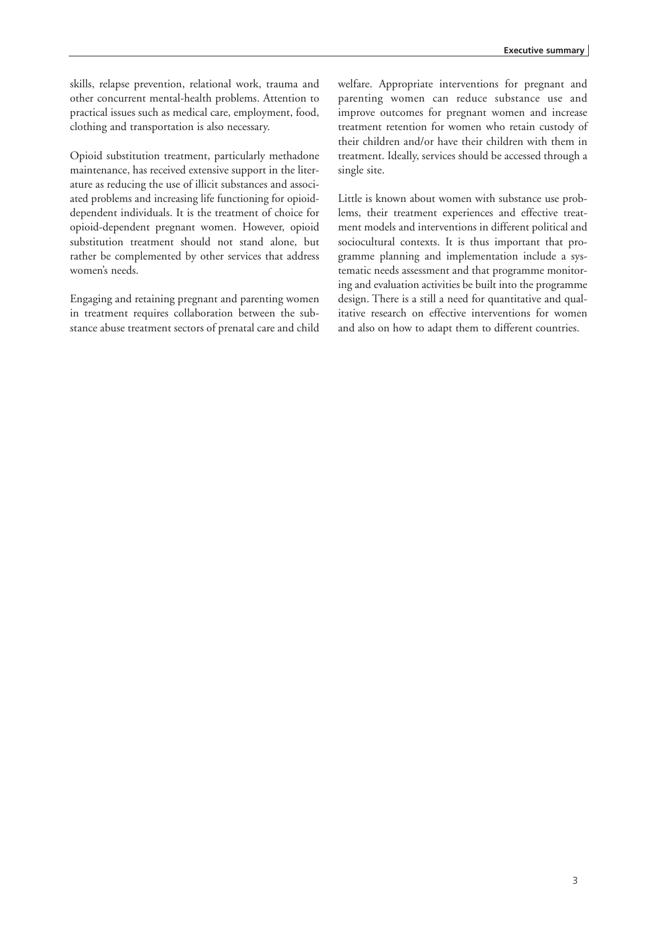skills, relapse prevention, relational work, trauma and other concurrent mental-health problems. Attention to practical issues such as medical care, employment, food, clothing and transportation is also necessary.

Opioid substitution treatment, particularly methadone maintenance, has received extensive support in the literature as reducing the use of illicit substances and associated problems and increasing life functioning for opioiddependent individuals. It is the treatment of choice for opioid-dependent pregnant women. However, opioid substitution treatment should not stand alone, but rather be complemented by other services that address women's needs.

Engaging and retaining pregnant and parenting women in treatment requires collaboration between the substance abuse treatment sectors of prenatal care and child welfare. Appropriate interventions for pregnant and parenting women can reduce substance use and improve outcomes for pregnant women and increase treatment retention for women who retain custody of their children and/or have their children with them in treatment. Ideally, services should be accessed through a single site.

Little is known about women with substance use problems, their treatment experiences and effective treatment models and interventions in different political and sociocultural contexts. It is thus important that programme planning and implementation include a systematic needs assessment and that programme monitoring and evaluation activities be built into the programme design. There is a still a need for quantitative and qualitative research on effective interventions for women and also on how to adapt them to different countries.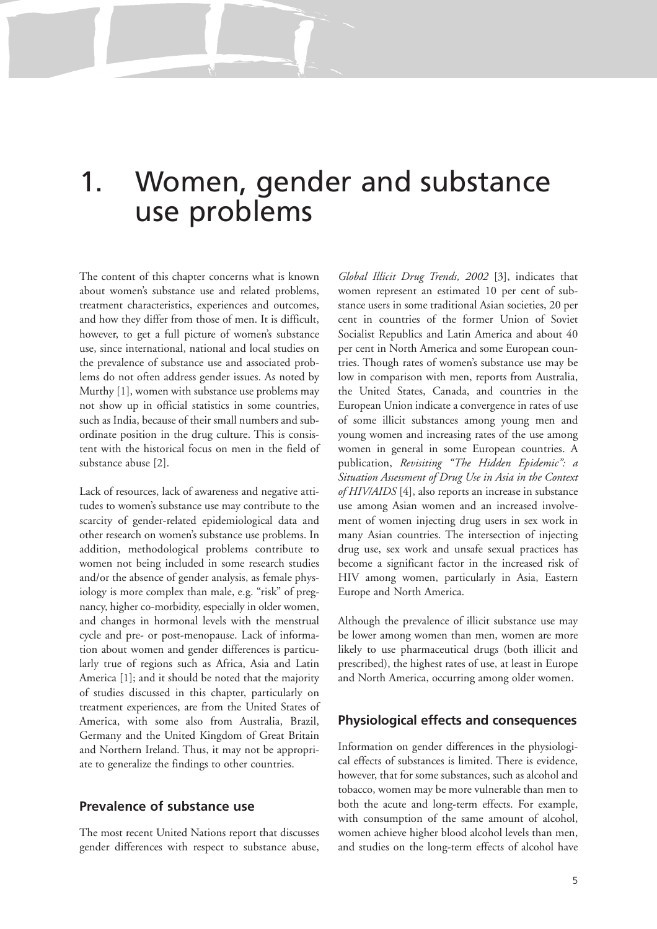# 1. Women, gender and substance use problems

The content of this chapter concerns what is known about women's substance use and related problems, treatment characteristics, experiences and outcomes, and how they differ from those of men. It is difficult, however, to get a full picture of women's substance use, since international, national and local studies on the prevalence of substance use and associated problems do not often address gender issues. As noted by Murthy [1], women with substance use problems may not show up in official statistics in some countries, such as India, because of their small numbers and subordinate position in the drug culture. This is consistent with the historical focus on men in the field of substance abuse [2].

Lack of resources, lack of awareness and negative attitudes to women's substance use may contribute to the scarcity of gender-related epidemiological data and other research on women's substance use problems. In addition, methodological problems contribute to women not being included in some research studies and/or the absence of gender analysis, as female physiology is more complex than male, e.g. "risk" of pregnancy, higher co-morbidity, especially in older women, and changes in hormonal levels with the menstrual cycle and pre- or post-menopause. Lack of information about women and gender differences is particularly true of regions such as Africa, Asia and Latin America [1]; and it should be noted that the majority of studies discussed in this chapter, particularly on treatment experiences, are from the United States of America, with some also from Australia, Brazil, Germany and the United Kingdom of Great Britain and Northern Ireland. Thus, it may not be appropriate to generalize the findings to other countries.

## **Prevalence of substance use**

The most recent United Nations report that discusses gender differences with respect to substance abuse,

*Global Illicit Drug Trends, 2002* [3], indicates that women represent an estimated 10 per cent of substance users in some traditional Asian societies, 20 per cent in countries of the former Union of Soviet Socialist Republics and Latin America and about 40 per cent in North America and some European countries. Though rates of women's substance use may be low in comparison with men, reports from Australia, the United States, Canada, and countries in the European Union indicate a convergence in rates of use of some illicit substances among young men and young women and increasing rates of the use among women in general in some European countries. A publication, *Revisiting "The Hidden Epidemic": a Situation Assessment of Drug Use in Asia in the Context of HIV/AIDS* [4], also reports an increase in substance use among Asian women and an increased involvement of women injecting drug users in sex work in many Asian countries. The intersection of injecting drug use, sex work and unsafe sexual practices has become a significant factor in the increased risk of HIV among women, particularly in Asia, Eastern Europe and North America.

Although the prevalence of illicit substance use may be lower among women than men, women are more likely to use pharmaceutical drugs (both illicit and prescribed), the highest rates of use, at least in Europe and North America, occurring among older women.

#### **Physiological effects and consequences**

Information on gender differences in the physiological effects of substances is limited. There is evidence, however, that for some substances, such as alcohol and tobacco, women may be more vulnerable than men to both the acute and long-term effects. For example, with consumption of the same amount of alcohol, women achieve higher blood alcohol levels than men, and studies on the long-term effects of alcohol have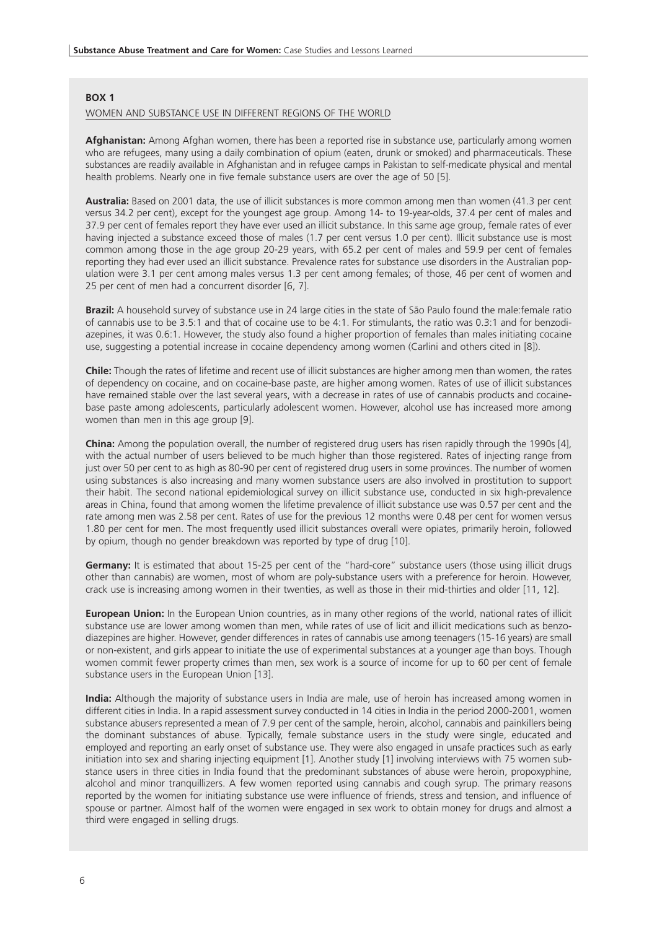#### **BOX 1**

#### WOMEN AND SUBSTANCE USE IN DIFFERENT REGIONS OF THE WORLD

**Afghanistan:** Among Afghan women, there has been a reported rise in substance use, particularly among women who are refugees, many using a daily combination of opium (eaten, drunk or smoked) and pharmaceuticals. These substances are readily available in Afghanistan and in refugee camps in Pakistan to self-medicate physical and mental health problems. Nearly one in five female substance users are over the age of 50 [5].

**Australia:** Based on 2001 data, the use of illicit substances is more common among men than women (41.3 per cent versus 34.2 per cent), except for the youngest age group. Among 14- to 19-year-olds, 37.4 per cent of males and 37.9 per cent of females report they have ever used an illicit substance. In this same age group, female rates of ever having injected a substance exceed those of males (1.7 per cent versus 1.0 per cent). Illicit substance use is most common among those in the age group 20-29 years, with 65.2 per cent of males and 59.9 per cent of females reporting they had ever used an illicit substance. Prevalence rates for substance use disorders in the Australian population were 3.1 per cent among males versus 1.3 per cent among females; of those, 46 per cent of women and 25 per cent of men had a concurrent disorder [6, 7].

**Brazil:** A household survey of substance use in 24 large cities in the state of São Paulo found the male:female ratio of cannabis use to be 3.5:1 and that of cocaine use to be 4:1. For stimulants, the ratio was 0.3:1 and for benzodiazepines, it was 0.6:1. However, the study also found a higher proportion of females than males initiating cocaine use, suggesting a potential increase in cocaine dependency among women (Carlini and others cited in [8]).

**Chile:** Though the rates of lifetime and recent use of illicit substances are higher among men than women, the rates of dependency on cocaine, and on cocaine-base paste, are higher among women. Rates of use of illicit substances have remained stable over the last several years, with a decrease in rates of use of cannabis products and cocainebase paste among adolescents, particularly adolescent women. However, alcohol use has increased more among women than men in this age group [9].

**China:** Among the population overall, the number of registered drug users has risen rapidly through the 1990s [4], with the actual number of users believed to be much higher than those registered. Rates of injecting range from just over 50 per cent to as high as 80-90 per cent of registered drug users in some provinces. The number of women using substances is also increasing and many women substance users are also involved in prostitution to support their habit. The second national epidemiological survey on illicit substance use, conducted in six high-prevalence areas in China, found that among women the lifetime prevalence of illicit substance use was 0.57 per cent and the rate among men was 2.58 per cent. Rates of use for the previous 12 months were 0.48 per cent for women versus 1.80 per cent for men. The most frequently used illicit substances overall were opiates, primarily heroin, followed by opium, though no gender breakdown was reported by type of drug [10].

Germany: It is estimated that about 15-25 per cent of the "hard-core" substance users (those using illicit drugs other than cannabis) are women, most of whom are poly-substance users with a preference for heroin. However, crack use is increasing among women in their twenties, as well as those in their mid-thirties and older [11, 12].

**European Union:** In the European Union countries, as in many other regions of the world, national rates of illicit substance use are lower among women than men, while rates of use of licit and illicit medications such as benzodiazepines are higher. However, gender differences in rates of cannabis use among teenagers (15-16 years) are small or non-existent, and girls appear to initiate the use of experimental substances at a younger age than boys. Though women commit fewer property crimes than men, sex work is a source of income for up to 60 per cent of female substance users in the European Union [13].

**India:** Although the majority of substance users in India are male, use of heroin has increased among women in different cities in India. In a rapid assessment survey conducted in 14 cities in India in the period 2000-2001, women substance abusers represented a mean of 7.9 per cent of the sample, heroin, alcohol, cannabis and painkillers being the dominant substances of abuse. Typically, female substance users in the study were single, educated and employed and reporting an early onset of substance use. They were also engaged in unsafe practices such as early initiation into sex and sharing injecting equipment [1]. Another study [1] involving interviews with 75 women substance users in three cities in India found that the predominant substances of abuse were heroin, propoxyphine, alcohol and minor tranquillizers. A few women reported using cannabis and cough syrup. The primary reasons reported by the women for initiating substance use were influence of friends, stress and tension, and influence of spouse or partner. Almost half of the women were engaged in sex work to obtain money for drugs and almost a third were engaged in selling drugs.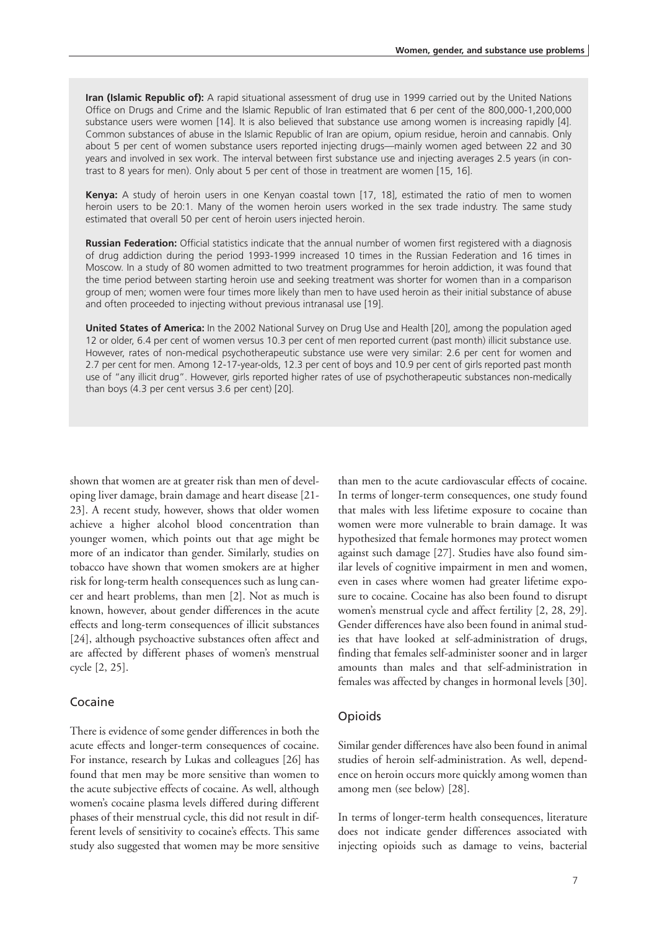**Iran (Islamic Republic of):** A rapid situational assessment of drug use in 1999 carried out by the United Nations Office on Drugs and Crime and the Islamic Republic of Iran estimated that 6 per cent of the 800,000-1,200,000 substance users were women [14]. It is also believed that substance use among women is increasing rapidly [4]. Common substances of abuse in the Islamic Republic of Iran are opium, opium residue, heroin and cannabis. Only about 5 per cent of women substance users reported injecting drugs—mainly women aged between 22 and 30 years and involved in sex work. The interval between first substance use and injecting averages 2.5 years (in contrast to 8 years for men). Only about 5 per cent of those in treatment are women [15, 16].

**Kenya:** A study of heroin users in one Kenyan coastal town [17, 18], estimated the ratio of men to women heroin users to be 20:1. Many of the women heroin users worked in the sex trade industry. The same study estimated that overall 50 per cent of heroin users injected heroin.

**Russian Federation:** Official statistics indicate that the annual number of women first registered with a diagnosis of drug addiction during the period 1993-1999 increased 10 times in the Russian Federation and 16 times in Moscow. In a study of 80 women admitted to two treatment programmes for heroin addiction, it was found that the time period between starting heroin use and seeking treatment was shorter for women than in a comparison group of men; women were four times more likely than men to have used heroin as their initial substance of abuse and often proceeded to injecting without previous intranasal use [19].

**United States of America:** In the 2002 National Survey on Drug Use and Health [20], among the population aged 12 or older, 6.4 per cent of women versus 10.3 per cent of men reported current (past month) illicit substance use. However, rates of non-medical psychotherapeutic substance use were very similar: 2.6 per cent for women and 2.7 per cent for men. Among 12-17-year-olds, 12.3 per cent of boys and 10.9 per cent of girls reported past month use of "any illicit drug". However, girls reported higher rates of use of psychotherapeutic substances non-medically than boys (4.3 per cent versus 3.6 per cent) [20].

shown that women are at greater risk than men of developing liver damage, brain damage and heart disease [21- 23]. A recent study, however, shows that older women achieve a higher alcohol blood concentration than younger women, which points out that age might be more of an indicator than gender. Similarly, studies on tobacco have shown that women smokers are at higher risk for long-term health consequences such as lung cancer and heart problems, than men [2]. Not as much is known, however, about gender differences in the acute effects and long-term consequences of illicit substances [24], although psychoactive substances often affect and are affected by different phases of women's menstrual cycle [2, 25].

#### Cocaine

There is evidence of some gender differences in both the acute effects and longer-term consequences of cocaine. For instance, research by Lukas and colleagues [26] has found that men may be more sensitive than women to the acute subjective effects of cocaine. As well, although women's cocaine plasma levels differed during different phases of their menstrual cycle, this did not result in different levels of sensitivity to cocaine's effects. This same study also suggested that women may be more sensitive than men to the acute cardiovascular effects of cocaine. In terms of longer-term consequences, one study found that males with less lifetime exposure to cocaine than women were more vulnerable to brain damage. It was hypothesized that female hormones may protect women against such damage [27]. Studies have also found similar levels of cognitive impairment in men and women, even in cases where women had greater lifetime exposure to cocaine. Cocaine has also been found to disrupt women's menstrual cycle and affect fertility [2, 28, 29]. Gender differences have also been found in animal studies that have looked at self-administration of drugs, finding that females self-administer sooner and in larger amounts than males and that self-administration in females was affected by changes in hormonal levels [30].

#### Opioids

Similar gender differences have also been found in animal studies of heroin self-administration. As well, dependence on heroin occurs more quickly among women than among men (see below) [28].

In terms of longer-term health consequences, literature does not indicate gender differences associated with injecting opioids such as damage to veins, bacterial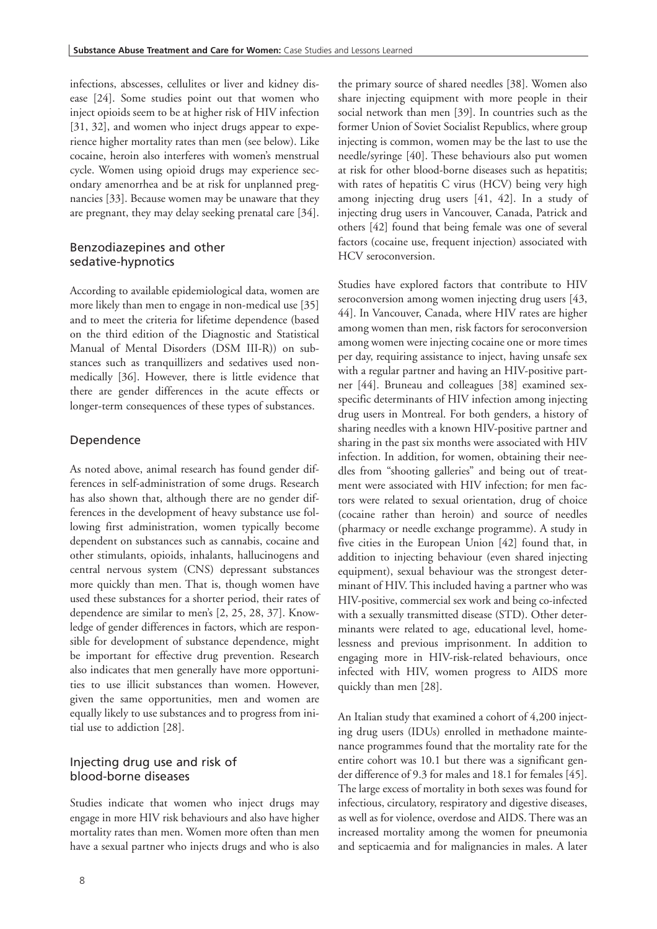infections, abscesses, cellulites or liver and kidney disease [24]. Some studies point out that women who inject opioids seem to be at higher risk of HIV infection [31, 32], and women who inject drugs appear to experience higher mortality rates than men (see below). Like cocaine, heroin also interferes with women's menstrual cycle. Women using opioid drugs may experience secondary amenorrhea and be at risk for unplanned pregnancies [33]. Because women may be unaware that they are pregnant, they may delay seeking prenatal care [34].

#### Benzodiazepines and other sedative-hypnotics

According to available epidemiological data, women are more likely than men to engage in non-medical use [35] and to meet the criteria for lifetime dependence (based on the third edition of the Diagnostic and Statistical Manual of Mental Disorders (DSM III-R)) on substances such as tranquillizers and sedatives used nonmedically [36]. However, there is little evidence that there are gender differences in the acute effects or longer-term consequences of these types of substances.

#### Dependence

As noted above, animal research has found gender differences in self-administration of some drugs. Research has also shown that, although there are no gender differences in the development of heavy substance use following first administration, women typically become dependent on substances such as cannabis, cocaine and other stimulants, opioids, inhalants, hallucinogens and central nervous system (CNS) depressant substances more quickly than men. That is, though women have used these substances for a shorter period, their rates of dependence are similar to men's [2, 25, 28, 37]. Knowledge of gender differences in factors, which are responsible for development of substance dependence, might be important for effective drug prevention. Research also indicates that men generally have more opportunities to use illicit substances than women. However, given the same opportunities, men and women are equally likely to use substances and to progress from initial use to addiction [28].

#### Injecting drug use and risk of blood-borne diseases

Studies indicate that women who inject drugs may engage in more HIV risk behaviours and also have higher mortality rates than men. Women more often than men have a sexual partner who injects drugs and who is also the primary source of shared needles [38]. Women also share injecting equipment with more people in their social network than men [39]. In countries such as the former Union of Soviet Socialist Republics, where group injecting is common, women may be the last to use the needle/syringe [40]. These behaviours also put women at risk for other blood-borne diseases such as hepatitis; with rates of hepatitis C virus (HCV) being very high among injecting drug users [41, 42]. In a study of injecting drug users in Vancouver, Canada, Patrick and others [42] found that being female was one of several factors (cocaine use, frequent injection) associated with HCV seroconversion.

Studies have explored factors that contribute to HIV seroconversion among women injecting drug users [43, 44]. In Vancouver, Canada, where HIV rates are higher among women than men, risk factors for seroconversion among women were injecting cocaine one or more times per day, requiring assistance to inject, having unsafe sex with a regular partner and having an HIV-positive partner [44]. Bruneau and colleagues [38] examined sexspecific determinants of HIV infection among injecting drug users in Montreal. For both genders, a history of sharing needles with a known HIV-positive partner and sharing in the past six months were associated with HIV infection. In addition, for women, obtaining their needles from "shooting galleries" and being out of treatment were associated with HIV infection; for men factors were related to sexual orientation, drug of choice (cocaine rather than heroin) and source of needles (pharmacy or needle exchange programme). A study in five cities in the European Union [42] found that, in addition to injecting behaviour (even shared injecting equipment), sexual behaviour was the strongest determinant of HIV. This included having a partner who was HIV-positive, commercial sex work and being co-infected with a sexually transmitted disease (STD). Other determinants were related to age, educational level, homelessness and previous imprisonment. In addition to engaging more in HIV-risk-related behaviours, once infected with HIV, women progress to AIDS more quickly than men [28].

An Italian study that examined a cohort of 4,200 injecting drug users (IDUs) enrolled in methadone maintenance programmes found that the mortality rate for the entire cohort was 10.1 but there was a significant gender difference of 9.3 for males and 18.1 for females [45]. The large excess of mortality in both sexes was found for infectious, circulatory, respiratory and digestive diseases, as well as for violence, overdose and AIDS. There was an increased mortality among the women for pneumonia and septicaemia and for malignancies in males. A later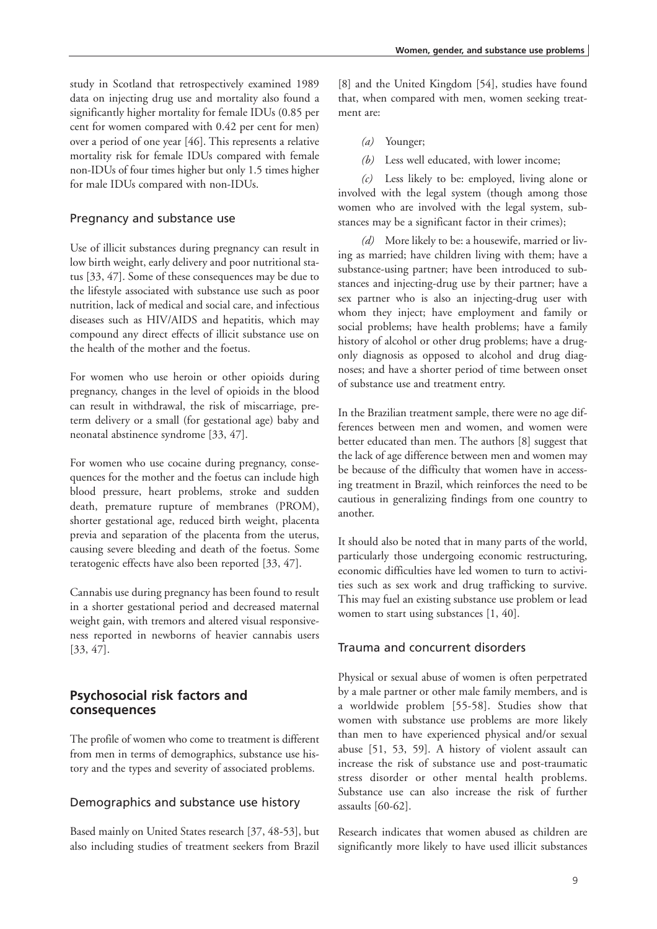study in Scotland that retrospectively examined 1989 data on injecting drug use and mortality also found a significantly higher mortality for female IDUs (0.85 per cent for women compared with 0.42 per cent for men) over a period of one year [46]. This represents a relative mortality risk for female IDUs compared with female non-IDUs of four times higher but only 1.5 times higher for male IDUs compared with non-IDUs.

#### Pregnancy and substance use

Use of illicit substances during pregnancy can result in low birth weight, early delivery and poor nutritional status [33, 47]. Some of these consequences may be due to the lifestyle associated with substance use such as poor nutrition, lack of medical and social care, and infectious diseases such as HIV/AIDS and hepatitis, which may compound any direct effects of illicit substance use on the health of the mother and the foetus.

For women who use heroin or other opioids during pregnancy, changes in the level of opioids in the blood can result in withdrawal, the risk of miscarriage, preterm delivery or a small (for gestational age) baby and neonatal abstinence syndrome [33, 47].

For women who use cocaine during pregnancy, consequences for the mother and the foetus can include high blood pressure, heart problems, stroke and sudden death, premature rupture of membranes (PROM), shorter gestational age, reduced birth weight, placenta previa and separation of the placenta from the uterus, causing severe bleeding and death of the foetus. Some teratogenic effects have also been reported [33, 47].

Cannabis use during pregnancy has been found to result in a shorter gestational period and decreased maternal weight gain, with tremors and altered visual responsiveness reported in newborns of heavier cannabis users [33, 47].

# **Psychosocial risk factors and consequences**

The profile of women who come to treatment is different from men in terms of demographics, substance use history and the types and severity of associated problems.

### Demographics and substance use history

Based mainly on United States research [37, 48-53], but also including studies of treatment seekers from Brazil [8] and the United Kingdom [54], studies have found that, when compared with men, women seeking treatment are:

- *(a)* Younger;
- *(b)* Less well educated, with lower income;

*(c)* Less likely to be: employed, living alone or involved with the legal system (though among those women who are involved with the legal system, substances may be a significant factor in their crimes);

*(d)* More likely to be: a housewife, married or living as married; have children living with them; have a substance-using partner; have been introduced to substances and injecting-drug use by their partner; have a sex partner who is also an injecting-drug user with whom they inject; have employment and family or social problems; have health problems; have a family history of alcohol or other drug problems; have a drugonly diagnosis as opposed to alcohol and drug diagnoses; and have a shorter period of time between onset of substance use and treatment entry.

In the Brazilian treatment sample, there were no age differences between men and women, and women were better educated than men. The authors [8] suggest that the lack of age difference between men and women may be because of the difficulty that women have in accessing treatment in Brazil, which reinforces the need to be cautious in generalizing findings from one country to another.

It should also be noted that in many parts of the world, particularly those undergoing economic restructuring, economic difficulties have led women to turn to activities such as sex work and drug trafficking to survive. This may fuel an existing substance use problem or lead women to start using substances [1, 40].

#### Trauma and concurrent disorders

Physical or sexual abuse of women is often perpetrated by a male partner or other male family members, and is a worldwide problem [55-58]. Studies show that women with substance use problems are more likely than men to have experienced physical and/or sexual abuse [51, 53, 59]. A history of violent assault can increase the risk of substance use and post-traumatic stress disorder or other mental health problems. Substance use can also increase the risk of further assaults [60-62].

Research indicates that women abused as children are significantly more likely to have used illicit substances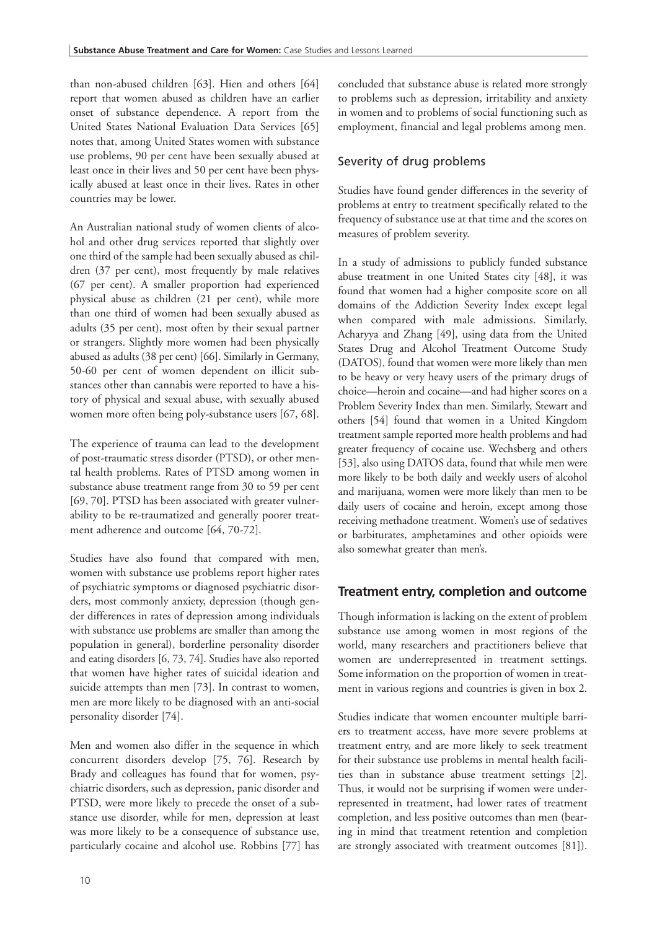than non-abused children [63]. Hien and others [64] report that women abused as children have an earlier onset of substance dependence. A report from the United States National Evaluation Data Services [65] notes that, among United States women with substance use problems, 90 per cent have been sexually abused at least once in their lives and 50 per cent have been physically abused at least once in their lives. Rates in other countries may be lower.

An Australian national study of women clients of alcohol and other drug services reported that slightly over one third of the sample had been sexually abused as children (37 per cent), most frequently by male relatives (67 per cent). A smaller proportion had experienced physical abuse as children (21 per cent), while more than one third of women had been sexually abused as adults (35 per cent), most often by their sexual partner or strangers. Slightly more women had been physically abused as adults (38 per cent) [66]. Similarly in Germany, 50-60 per cent of women dependent on illicit substances other than cannabis were reported to have a history of physical and sexual abuse, with sexually abused women more often being poly-substance users [67, 68].

The experience of trauma can lead to the development of post-traumatic stress disorder (PTSD), or other mental health problems. Rates of PTSD among women in substance abuse treatment range from 30 to 59 per cent [69, 70]. PTSD has been associated with greater vulnerability to be re-traumatized and generally poorer treatment adherence and outcome [64, 70-72].

Studies have also found that compared with men, women with substance use problems report higher rates of psychiatric symptoms or diagnosed psychiatric disorders, most commonly anxiety, depression (though gender differences in rates of depression among individuals with substance use problems are smaller than among the population in general), borderline personality disorder and eating disorders [6, 73, 74]. Studies have also reported that women have higher rates of suicidal ideation and suicide attempts than men [73]. In contrast to women, men are more likely to be diagnosed with an anti-social personality disorder [74].

Men and women also differ in the sequence in which concurrent disorders develop [75, 76]. Research by Brady and colleagues has found that for women, psychiatric disorders, such as depression, panic disorder and PTSD, were more likely to precede the onset of a substance use disorder, while for men, depression at least was more likely to be a consequence of substance use, particularly cocaine and alcohol use. Robbins [77] has concluded that substance abuse is related more strongly to problems such as depression, irritability and anxiety in women and to problems of social functioning such as employment, financial and legal problems among men.

# Severity of drug problems

Studies have found gender differences in the severity of problems at entry to treatment specifically related to the frequency of substance use at that time and the scores on measures of problem severity.

In a study of admissions to publicly funded substance abuse treatment in one United States city [48], it was found that women had a higher composite score on all domains of the Addiction Severity Index except legal when compared with male admissions. Similarly, Acharyya and Zhang [49], using data from the United States Drug and Alcohol Treatment Outcome Study (DATOS), found that women were more likely than men to be heavy or very heavy users of the primary drugs of choice—heroin and cocaine—and had higher scores on a Problem Severity Index than men. Similarly, Stewart and others [54] found that women in a United Kingdom treatment sample reported more health problems and had greater frequency of cocaine use. Wechsberg and others [53], also using DATOS data, found that while men were more likely to be both daily and weekly users of alcohol and marijuana, women were more likely than men to be daily users of cocaine and heroin, except among those receiving methadone treatment. Women's use of sedatives or barbiturates, amphetamines and other opioids were also somewhat greater than men's.

## **Treatment entry, completion and outcome**

Though information is lacking on the extent of problem substance use among women in most regions of the world, many researchers and practitioners believe that women are underrepresented in treatment settings. Some information on the proportion of women in treatment in various regions and countries is given in box 2.

Studies indicate that women encounter multiple barriers to treatment access, have more severe problems at treatment entry, and are more likely to seek treatment for their substance use problems in mental health facilities than in substance abuse treatment settings [2]. Thus, it would not be surprising if women were underrepresented in treatment, had lower rates of treatment completion, and less positive outcomes than men (bearing in mind that treatment retention and completion are strongly associated with treatment outcomes [81]).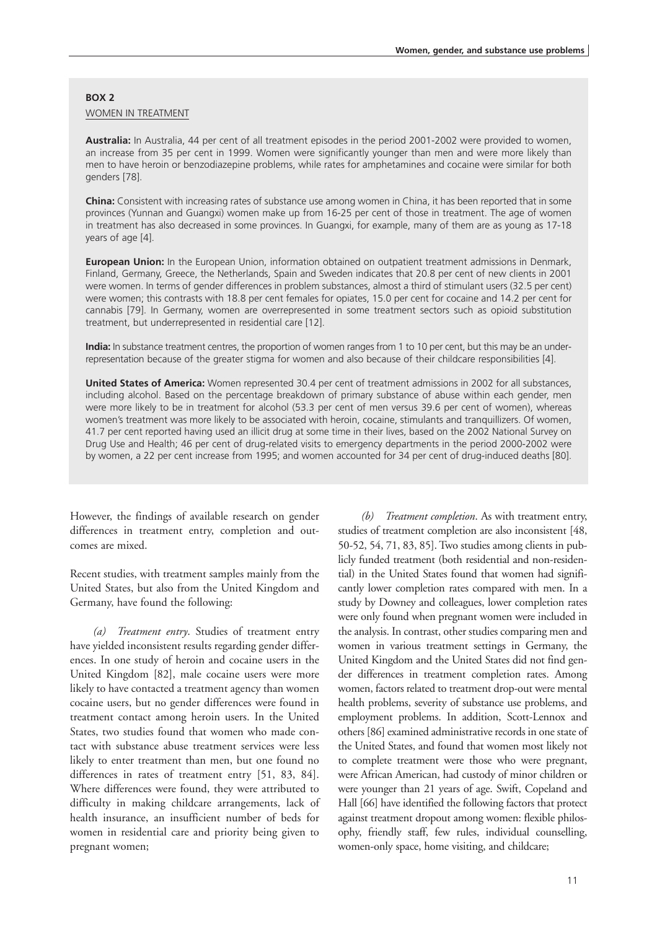#### **BOX 2**

#### WOMEN IN TREATMENT

**Australia:** In Australia, 44 per cent of all treatment episodes in the period 2001-2002 were provided to women, an increase from 35 per cent in 1999. Women were significantly younger than men and were more likely than men to have heroin or benzodiazepine problems, while rates for amphetamines and cocaine were similar for both genders [78].

**China:** Consistent with increasing rates of substance use among women in China, it has been reported that in some provinces (Yunnan and Guangxi) women make up from 16-25 per cent of those in treatment. The age of women in treatment has also decreased in some provinces. In Guangxi, for example, many of them are as young as 17-18 years of age [4].

**European Union:** In the European Union, information obtained on outpatient treatment admissions in Denmark, Finland, Germany, Greece, the Netherlands, Spain and Sweden indicates that 20.8 per cent of new clients in 2001 were women. In terms of gender differences in problem substances, almost a third of stimulant users (32.5 per cent) were women; this contrasts with 18.8 per cent females for opiates, 15.0 per cent for cocaine and 14.2 per cent for cannabis [79]. In Germany, women are overrepresented in some treatment sectors such as opioid substitution treatment, but underrepresented in residential care [12].

**India:** In substance treatment centres, the proportion of women ranges from 1 to 10 per cent, but this may be an underrepresentation because of the greater stigma for women and also because of their childcare responsibilities [4].

**United States of America:** Women represented 30.4 per cent of treatment admissions in 2002 for all substances, including alcohol. Based on the percentage breakdown of primary substance of abuse within each gender, men were more likely to be in treatment for alcohol (53.3 per cent of men versus 39.6 per cent of women), whereas women's treatment was more likely to be associated with heroin, cocaine, stimulants and tranquillizers. Of women, 41.7 per cent reported having used an illicit drug at some time in their lives, based on the 2002 National Survey on Drug Use and Health; 46 per cent of drug-related visits to emergency departments in the period 2000-2002 were by women, a 22 per cent increase from 1995; and women accounted for 34 per cent of drug-induced deaths [80].

However, the findings of available research on gender differences in treatment entry, completion and outcomes are mixed.

Recent studies, with treatment samples mainly from the United States, but also from the United Kingdom and Germany, have found the following:

*(a) Treatment entry*. Studies of treatment entry have yielded inconsistent results regarding gender differences. In one study of heroin and cocaine users in the United Kingdom [82], male cocaine users were more likely to have contacted a treatment agency than women cocaine users, but no gender differences were found in treatment contact among heroin users. In the United States, two studies found that women who made contact with substance abuse treatment services were less likely to enter treatment than men, but one found no differences in rates of treatment entry [51, 83, 84]. Where differences were found, they were attributed to difficulty in making childcare arrangements, lack of health insurance, an insufficient number of beds for women in residential care and priority being given to pregnant women;

*(b) Treatment completion*. As with treatment entry, studies of treatment completion are also inconsistent [48, 50-52, 54, 71, 83, 85]. Two studies among clients in publicly funded treatment (both residential and non-residential) in the United States found that women had significantly lower completion rates compared with men. In a study by Downey and colleagues, lower completion rates were only found when pregnant women were included in the analysis. In contrast, other studies comparing men and women in various treatment settings in Germany, the United Kingdom and the United States did not find gender differences in treatment completion rates. Among women, factors related to treatment drop-out were mental health problems, severity of substance use problems, and employment problems. In addition, Scott-Lennox and others [86] examined administrative records in one state of the United States, and found that women most likely not to complete treatment were those who were pregnant, were African American, had custody of minor children or were younger than 21 years of age. Swift, Copeland and Hall [66] have identified the following factors that protect against treatment dropout among women: flexible philosophy, friendly staff, few rules, individual counselling, women-only space, home visiting, and childcare;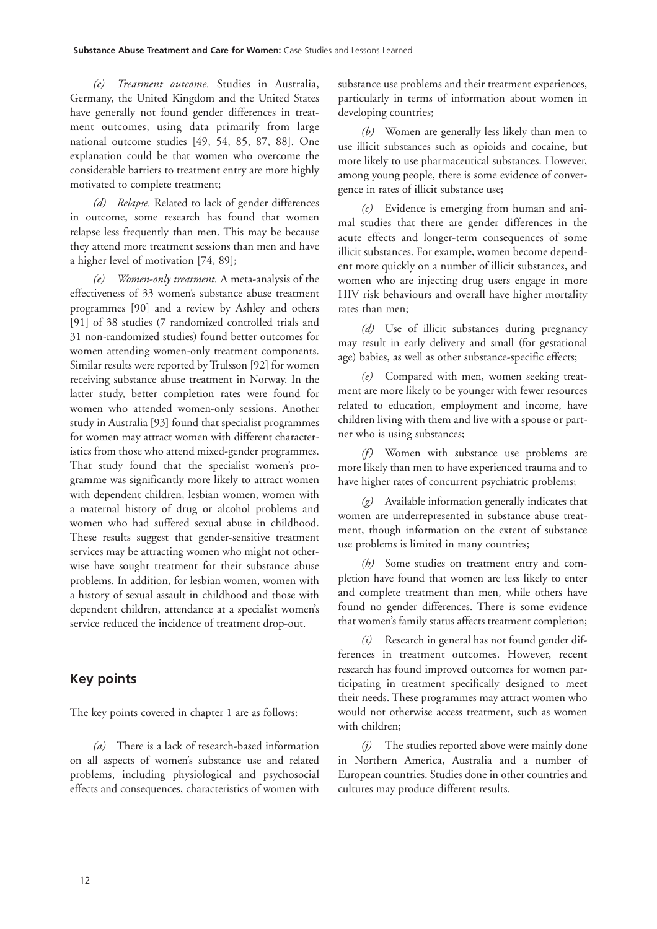*(c) Treatment outcome.* Studies in Australia, Germany, the United Kingdom and the United States have generally not found gender differences in treatment outcomes, using data primarily from large national outcome studies [49, 54, 85, 87, 88]. One explanation could be that women who overcome the considerable barriers to treatment entry are more highly motivated to complete treatment;

*(d) Relapse.* Related to lack of gender differences in outcome, some research has found that women relapse less frequently than men. This may be because they attend more treatment sessions than men and have a higher level of motivation [74, 89];

*(e) Women-only treatment.* A meta-analysis of the effectiveness of 33 women's substance abuse treatment programmes [90] and a review by Ashley and others [91] of 38 studies (7 randomized controlled trials and 31 non-randomized studies) found better outcomes for women attending women-only treatment components. Similar results were reported by Trulsson [92] for women receiving substance abuse treatment in Norway. In the latter study, better completion rates were found for women who attended women-only sessions. Another study in Australia [93] found that specialist programmes for women may attract women with different characteristics from those who attend mixed-gender programmes. That study found that the specialist women's programme was significantly more likely to attract women with dependent children, lesbian women, women with a maternal history of drug or alcohol problems and women who had suffered sexual abuse in childhood. These results suggest that gender-sensitive treatment services may be attracting women who might not otherwise have sought treatment for their substance abuse problems. In addition, for lesbian women, women with a history of sexual assault in childhood and those with dependent children, attendance at a specialist women's service reduced the incidence of treatment drop-out.

# **Key points**

The key points covered in chapter 1 are as follows:

*(a)* There is a lack of research-based information on all aspects of women's substance use and related problems, including physiological and psychosocial effects and consequences, characteristics of women with substance use problems and their treatment experiences, particularly in terms of information about women in developing countries;

*(b)* Women are generally less likely than men to use illicit substances such as opioids and cocaine, but more likely to use pharmaceutical substances. However, among young people, there is some evidence of convergence in rates of illicit substance use;

*(c)* Evidence is emerging from human and animal studies that there are gender differences in the acute effects and longer-term consequences of some illicit substances. For example, women become dependent more quickly on a number of illicit substances, and women who are injecting drug users engage in more HIV risk behaviours and overall have higher mortality rates than men;

*(d)* Use of illicit substances during pregnancy may result in early delivery and small (for gestational age) babies, as well as other substance-specific effects;

*(e)* Compared with men, women seeking treatment are more likely to be younger with fewer resources related to education, employment and income, have children living with them and live with a spouse or partner who is using substances;

*(f)* Women with substance use problems are more likely than men to have experienced trauma and to have higher rates of concurrent psychiatric problems;

*(g)* Available information generally indicates that women are underrepresented in substance abuse treatment, though information on the extent of substance use problems is limited in many countries;

*(h)* Some studies on treatment entry and completion have found that women are less likely to enter and complete treatment than men, while others have found no gender differences. There is some evidence that women's family status affects treatment completion;

*(i)* Research in general has not found gender differences in treatment outcomes. However, recent research has found improved outcomes for women participating in treatment specifically designed to meet their needs. These programmes may attract women who would not otherwise access treatment, such as women with children;

*(j)* The studies reported above were mainly done in Northern America, Australia and a number of European countries. Studies done in other countries and cultures may produce different results.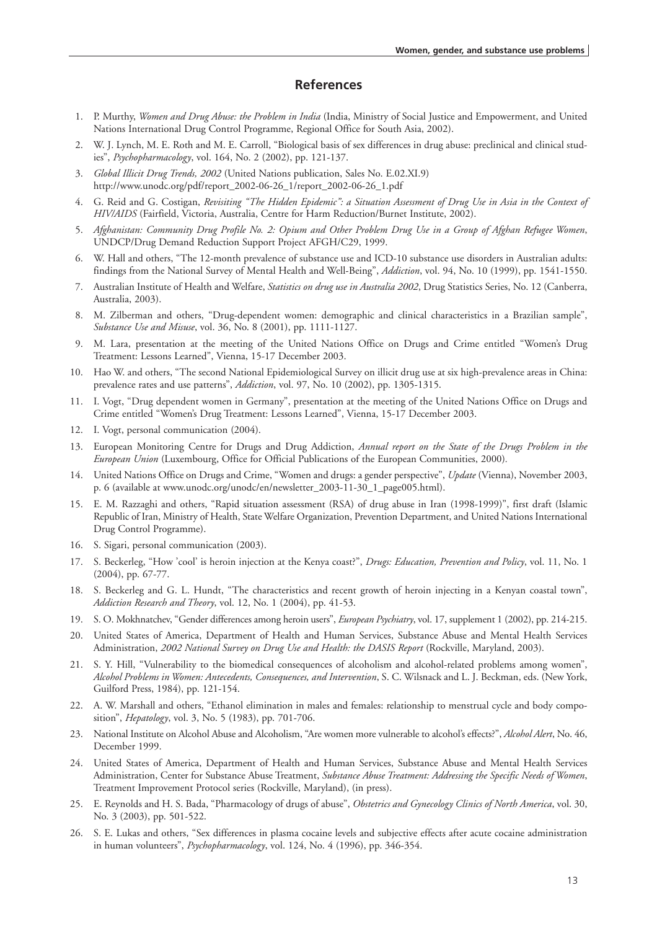# **References**

- 1. P. Murthy, *Women and Drug Abuse: the Problem in India* (India, Ministry of Social Justice and Empowerment, and United Nations International Drug Control Programme, Regional Office for South Asia, 2002).
- 2. W. J. Lynch, M. E. Roth and M. E. Carroll, "Biological basis of sex differences in drug abuse: preclinical and clinical studies", *Psychopharmacology*, vol. 164, No. 2 (2002), pp. 121-137.
- 3. *Global Illicit Drug Trends, 2002* (United Nations publication, Sales No. E.02.XI.9) http://www.unodc.org/pdf/report\_2002-06-26\_1/report\_2002-06-26\_1.pdf
- 4. G. Reid and G. Costigan, *Revisiting "The Hidden Epidemic": a Situation Assessment of Drug Use in Asia in the Context of HIV/AIDS* (Fairfield, Victoria, Australia, Centre for Harm Reduction/Burnet Institute, 2002).
- 5. *Afghanistan: Community Drug Profile No. 2: Opium and Other Problem Drug Use in a Group of Afghan Refugee Women*, UNDCP/Drug Demand Reduction Support Project AFGH/C29, 1999.
- 6. W. Hall and others, "The 12-month prevalence of substance use and ICD-10 substance use disorders in Australian adults: findings from the National Survey of Mental Health and Well-Being", *Addiction*, vol. 94, No. 10 (1999), pp. 1541-1550.
- 7. Australian Institute of Health and Welfare, *Statistics on drug use in Australia 2002*, Drug Statistics Series, No. 12 (Canberra, Australia, 2003).
- 8. M. Zilberman and others, "Drug-dependent women: demographic and clinical characteristics in a Brazilian sample", *Substance Use and Misuse*, vol. 36, No. 8 (2001), pp. 1111-1127.
- 9. M. Lara, presentation at the meeting of the United Nations Office on Drugs and Crime entitled "Women's Drug Treatment: Lessons Learned", Vienna, 15-17 December 2003.
- 10. Hao W. and others, "The second National Epidemiological Survey on illicit drug use at six high-prevalence areas in China: prevalence rates and use patterns", *Addiction*, vol. 97, No. 10 (2002), pp. 1305-1315.
- 11. I. Vogt, "Drug dependent women in Germany", presentation at the meeting of the United Nations Office on Drugs and Crime entitled "Women's Drug Treatment: Lessons Learned", Vienna, 15-17 December 2003.
- 12. I. Vogt, personal communication (2004).
- 13. European Monitoring Centre for Drugs and Drug Addiction, *Annual report on the State of the Drugs Problem in the European Union* (Luxembourg, Office for Official Publications of the European Communities, 2000)*.*
- 14. United Nations Office on Drugs and Crime, "Women and drugs: a gender perspective", *Update* (Vienna), November 2003, p. 6 (available at www.unodc.org/unodc/en/newsletter\_2003-11-30\_1\_page005.html).
- 15. E. M. Razzaghi and others, "Rapid situation assessment (RSA) of drug abuse in Iran (1998-1999)", first draft (Islamic Republic of Iran, Ministry of Health, State Welfare Organization, Prevention Department, and United Nations International Drug Control Programme).
- 16. S. Sigari, personal communication (2003).
- 17. S. Beckerleg, "How 'cool' is heroin injection at the Kenya coast?", *Drugs: Education, Prevention and Policy*, vol. 11, No. 1 (2004), pp. 67-77.
- 18. S. Beckerleg and G. L. Hundt, "The characteristics and recent growth of heroin injecting in a Kenyan coastal town", *Addiction Research and Theory*, vol. 12, No. 1 (2004), pp. 41-53.
- 19. S. O. Mokhnatchev, "Gender differences among heroin users", *European Psychiatry*, vol. 17, supplement 1 (2002), pp. 214-215.
- 20. United States of America, Department of Health and Human Services, Substance Abuse and Mental Health Services Administration, *2002 National Survey on Drug Use and Health: the DASIS Report* (Rockville, Maryland, 2003).
- 21. S. Y. Hill, "Vulnerability to the biomedical consequences of alcoholism and alcohol-related problems among women", *Alcohol Problems in Women: Antecedents, Consequences, and Intervention*, S. C. Wilsnack and L. J. Beckman, eds. (New York, Guilford Press, 1984), pp. 121-154.
- 22. A. W. Marshall and others, "Ethanol elimination in males and females: relationship to menstrual cycle and body composition", *Hepatology*, vol. 3, No. 5 (1983), pp. 701-706.
- 23. National Institute on Alcohol Abuse and Alcoholism, "Are women more vulnerable to alcohol's effects?", *Alcohol Alert*, No. 46, December 1999.
- 24. United States of America, Department of Health and Human Services, Substance Abuse and Mental Health Services Administration, Center for Substance Abuse Treatment, *Substance Abuse Treatment: Addressing the Specific Needs of Women*, Treatment Improvement Protocol series (Rockville, Maryland), (in press).
- 25. E. Reynolds and H. S. Bada, "Pharmacology of drugs of abuse", *Obstetrics and Gynecology Clinics of North America*, vol. 30, No. 3 (2003), pp. 501-522.
- 26. S. E. Lukas and others, "Sex differences in plasma cocaine levels and subjective effects after acute cocaine administration in human volunteers", *Psychopharmacology*, vol. 124, No. 4 (1996), pp. 346-354.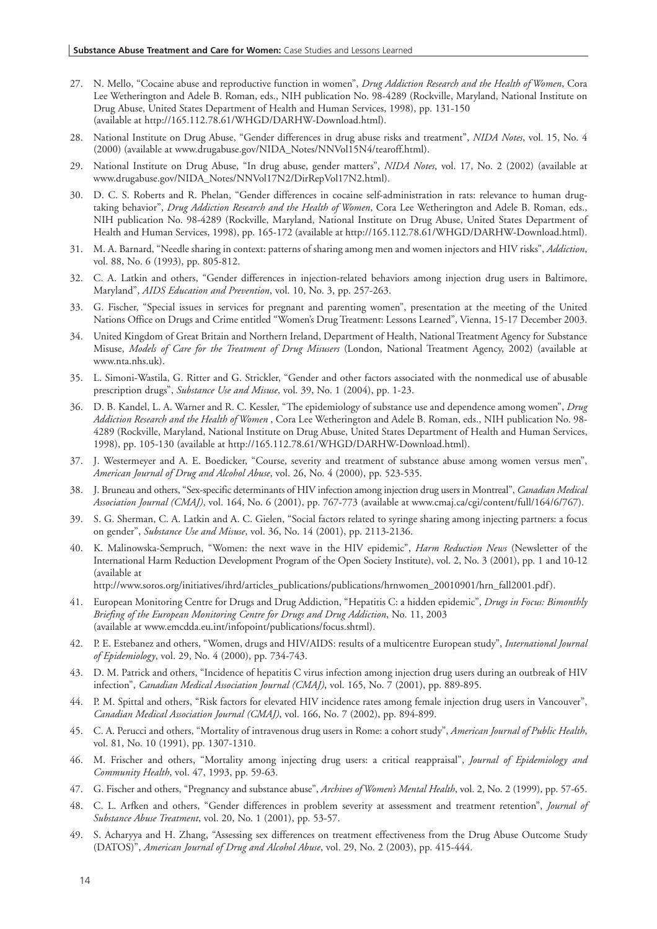- 27. N. Mello, "Cocaine abuse and reproductive function in women", *Drug Addiction Research and the Health of Women*, Cora Lee Wetherington and Adele B. Roman, eds., NIH publication No. 98-4289 (Rockville, Maryland, National Institute on Drug Abuse, United States Department of Health and Human Services, 1998), pp. 131-150 (available at http://165.112.78.61/WHGD/DARHW-Download.html).
- 28. National Institute on Drug Abuse, "Gender differences in drug abuse risks and treatment", *NIDA Notes*, vol. 15, No. 4 (2000) (available at www.drugabuse.gov/NIDA\_Notes/NNVol15N4/tearoff.html).
- 29. National Institute on Drug Abuse, "In drug abuse, gender matters", *NIDA Notes*, vol. 17, No. 2 (2002) (available at www.drugabuse.gov/NIDA\_Notes/NNVol17N2/DirRepVol17N2.html).
- 30. D. C. S. Roberts and R. Phelan, "Gender differences in cocaine self-administration in rats: relevance to human drugtaking behavior", *Drug Addiction Research and the Health of Women*, Cora Lee Wetherington and Adele B. Roman, eds., NIH publication No. 98-4289 (Rockville, Maryland, National Institute on Drug Abuse, United States Department of Health and Human Services, 1998), pp. 165-172 (available at http://165.112.78.61/WHGD/DARHW-Download.html).
- 31. M. A. Barnard, "Needle sharing in context: patterns of sharing among men and women injectors and HIV risks", *Addiction*, vol. 88, No. 6 (1993), pp. 805-812.
- 32. C. A. Latkin and others, "Gender differences in injection-related behaviors among injection drug users in Baltimore, Maryland", *AIDS Education and Prevention*, vol. 10, No. 3, pp. 257-263.
- 33. G. Fischer, "Special issues in services for pregnant and parenting women", presentation at the meeting of the United Nations Office on Drugs and Crime entitled "Women's Drug Treatment: Lessons Learned", Vienna, 15-17 December 2003.
- 34. United Kingdom of Great Britain and Northern Ireland, Department of Health, National Treatment Agency for Substance Misuse, *Models of Care for the Treatment of Drug Misusers* (London, National Treatment Agency, 2002) (available at www.nta.nhs.uk).
- 35. L. Simoni-Wastila, G. Ritter and G. Strickler, "Gender and other factors associated with the nonmedical use of abusable prescription drugs", *Substance Use and Misuse*, vol. 39, No. 1 (2004), pp. 1-23.
- 36. D. B. Kandel, L. A. Warner and R. C. Kessler, "The epidemiology of substance use and dependence among women", *Drug Addiction Research and the Health of Women* , Cora Lee Wetherington and Adele B. Roman, eds., NIH publication No. 98- 4289 (Rockville, Maryland, National Institute on Drug Abuse, United States Department of Health and Human Services, 1998), pp. 105-130 (available at http://165.112.78.61/WHGD/DARHW-Download.html).
- 37. J. Westermeyer and A. E. Boedicker, "Course, severity and treatment of substance abuse among women versus men", *American Journal of Drug and Alcohol Abuse*, vol. 26, No. 4 (2000), pp. 523-535.
- 38. J. Bruneau and others, "Sex-specific determinants of HIV infection among injection drug users in Montreal", *Canadian Medical Association Journal (CMAJ)*, vol. 164, No. 6 (2001), pp. 767-773 (available at www.cmaj.ca/cgi/content/full/164/6/767).
- 39. S. G. Sherman, C. A. Latkin and A. C. Gielen, "Social factors related to syringe sharing among injecting partners: a focus on gender", *Substance Use and Misuse*, vol. 36, No. 14 (2001), pp. 2113-2136.
- 40. K. Malinowska-Sempruch, "Women: the next wave in the HIV epidemic", *Harm Reduction News* (Newsletter of the International Harm Reduction Development Program of the Open Society Institute), vol. 2, No. 3 (2001), pp. 1 and 10-12 (available at

http://www.soros.org/initiatives/ihrd/articles\_publications/publications/hrnwomen\_20010901/hrn\_fall2001.pdf).

- 41. European Monitoring Centre for Drugs and Drug Addiction, "Hepatitis C: a hidden epidemic", *Drugs in Focus: Bimonthly Briefing of the European Monitoring Centre for Drugs and Drug Addiction*, No. 11, 2003 (available at www.emcdda.eu.int/infopoint/publications/focus.shtml).
- 42. P. E. Estebanez and others, "Women, drugs and HIV/AIDS: results of a multicentre European study", *International Journal of Epidemiology*, vol. 29, No. 4 (2000), pp. 734-743.
- 43. D. M. Patrick and others, "Incidence of hepatitis C virus infection among injection drug users during an outbreak of HIV infection", *Canadian Medical Association Journal (CMAJ)*, vol. 165, No. 7 (2001), pp. 889-895.
- 44. P. M. Spittal and others, "Risk factors for elevated HIV incidence rates among female injection drug users in Vancouver", *Canadian Medical Association Journal (CMAJ)*, vol. 166, No. 7 (2002), pp. 894-899.
- 45. C. A. Perucci and others, "Mortality of intravenous drug users in Rome: a cohort study", *American Journal of Public Health*, vol. 81, No. 10 (1991), pp. 1307-1310.
- 46. M. Frischer and others, "Mortality among injecting drug users: a critical reappraisal", *Journal of Epidemiology and Community Health*, vol. 47, 1993, pp. 59-63.
- 47. G. Fischer and others, "Pregnancy and substance abuse", *Archives of Women's Mental Health*, vol. 2, No. 2 (1999), pp. 57-65.
- 48. C. L. Arfken and others, "Gender differences in problem severity at assessment and treatment retention", *Journal of Substance Abuse Treatment*, vol. 20, No. 1 (2001), pp. 53-57.
- 49. S. Acharyya and H. Zhang, "Assessing sex differences on treatment effectiveness from the Drug Abuse Outcome Study (DATOS)", *American Journal of Drug and Alcohol Abuse*, vol. 29, No. 2 (2003), pp. 415-444.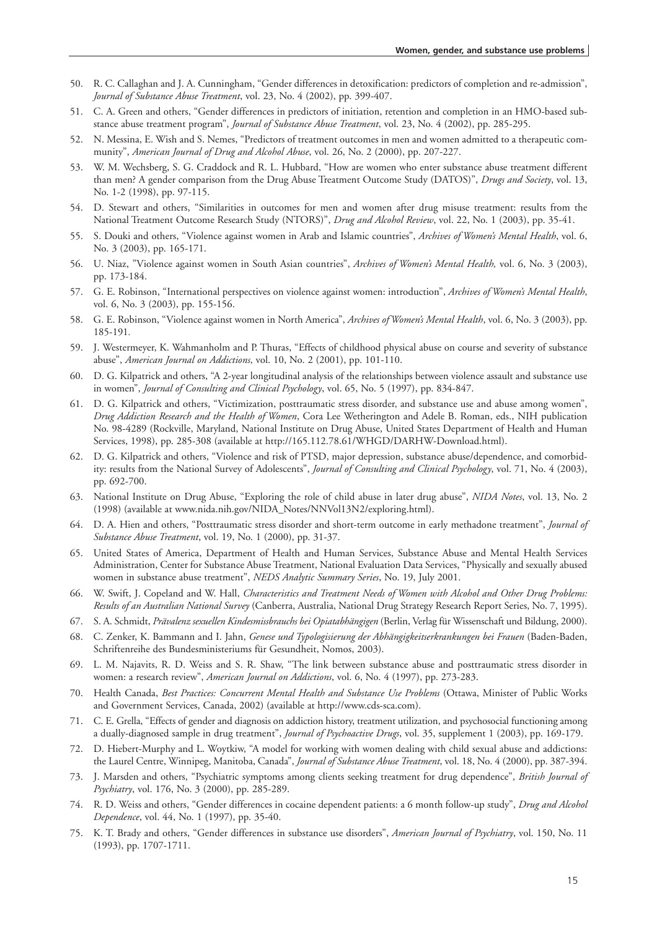- 50. R. C. Callaghan and J. A. Cunningham, "Gender differences in detoxification: predictors of completion and re-admission", *Journal of Substance Abuse Treatment*, vol. 23, No. 4 (2002), pp. 399-407.
- 51. C. A. Green and others, "Gender differences in predictors of initiation, retention and completion in an HMO-based substance abuse treatment program", *Journal of Substance Abuse Treatment*, vol. 23, No. 4 (2002), pp. 285-295.
- 52. N. Messina, E. Wish and S. Nemes, "Predictors of treatment outcomes in men and women admitted to a therapeutic community", *American Journal of Drug and Alcohol Abuse*, vol. 26, No. 2 (2000), pp. 207-227.
- 53. W. M. Wechsberg, S. G. Craddock and R. L. Hubbard, "How are women who enter substance abuse treatment different than men? A gender comparison from the Drug Abuse Treatment Outcome Study (DATOS)", *Drugs and Society*, vol. 13, No. 1-2 (1998), pp. 97-115.
- 54. D. Stewart and others, "Similarities in outcomes for men and women after drug misuse treatment: results from the National Treatment Outcome Research Study (NTORS)", *Drug and Alcohol Review*, vol. 22, No. 1 (2003), pp. 35-41.
- 55. S. Douki and others, "Violence against women in Arab and Islamic countries", *Archives of Women's Mental Health*, vol. 6, No. 3 (2003), pp. 165-171.
- 56. U. Niaz, "Violence against women in South Asian countries", *Archives of Women's Mental Health,* vol. 6, No. 3 (2003), pp. 173-184.
- 57. G. E. Robinson, "International perspectives on violence against women: introduction", *Archives of Women's Mental Health*, vol. 6, No. 3 (2003), pp. 155-156.
- 58. G. E. Robinson, "Violence against women in North America", *Archives of Women's Mental Health*, vol. 6, No. 3 (2003), pp. 185-191*.*
- 59. J. Westermeyer, K. Wahmanholm and P. Thuras, "Effects of childhood physical abuse on course and severity of substance abuse", *American Journal on Addictions*, vol. 10, No. 2 (2001), pp. 101-110.
- 60. D. G. Kilpatrick and others, "A 2-year longitudinal analysis of the relationships between violence assault and substance use in women", *Journal of Consulting and Clinical Psychology*, vol. 65, No. 5 (1997), pp. 834-847.
- 61. D. G. Kilpatrick and others, "Victimization, posttraumatic stress disorder, and substance use and abuse among women", *Drug Addiction Research and the Health of Women*, Cora Lee Wetherington and Adele B. Roman, eds., NIH publication No. 98-4289 (Rockville, Maryland, National Institute on Drug Abuse, United States Department of Health and Human Services, 1998), pp. 285-308 (available at http://165.112.78.61/WHGD/DARHW-Download.html).
- 62. D. G. Kilpatrick and others, "Violence and risk of PTSD, major depression, substance abuse/dependence, and comorbidity: results from the National Survey of Adolescents", *Journal of Consulting and Clinical Psychology*, vol. 71, No. 4 (2003), pp. 692-700.
- 63. National Institute on Drug Abuse, "Exploring the role of child abuse in later drug abuse", *NIDA Notes*, vol. 13, No. 2 (1998) (available at www.nida.nih.gov/NIDA\_Notes/NNVol13N2/exploring.html).
- 64. D. A. Hien and others, "Posttraumatic stress disorder and short-term outcome in early methadone treatment", *Journal of Substance Abuse Treatment*, vol. 19, No. 1 (2000), pp. 31-37.
- 65. United States of America, Department of Health and Human Services, Substance Abuse and Mental Health Services Administration, Center for Substance Abuse Treatment, National Evaluation Data Services, "Physically and sexually abused women in substance abuse treatment", *NEDS Analytic Summary Series*, No. 19, July 2001.
- 66. W. Swift, J. Copeland and W. Hall, *Characteristics and Treatment Needs of Women with Alcohol and Other Drug Problems: Results of an Australian National Survey* (Canberra, Australia, National Drug Strategy Research Report Series, No. 7, 1995).
- 67. S. A. Schmidt, *Prävalenz sexuellen Kindesmissbrauchs bei Opiatabhängigen* (Berlin, Verlag für Wissenschaft und Bildung, 2000).
- 68. C. Zenker, K. Bammann and I. Jahn, *Genese und Typologisierung der Abhängigkeitserkrankungen bei Frauen* (Baden-Baden, Schriftenreihe des Bundesministeriums für Gesundheit, Nomos, 2003).
- 69. L. M. Najavits, R. D. Weiss and S. R. Shaw, "The link between substance abuse and posttraumatic stress disorder in women: a research review", *American Journal on Addictions*, vol. 6, No. 4 (1997), pp. 273-283.
- 70. Health Canada, *Best Practices: Concurrent Mental Health and Substance Use Problems* (Ottawa, Minister of Public Works and Government Services, Canada, 2002) (available at http://www.cds-sca.com).
- 71. C. E. Grella, "Effects of gender and diagnosis on addiction history, treatment utilization, and psychosocial functioning among a dually-diagnosed sample in drug treatment", *Journal of Psychoactive Drugs*, vol. 35, supplement 1 (2003), pp. 169-179.
- 72. D. Hiebert-Murphy and L. Woytkiw, "A model for working with women dealing with child sexual abuse and addictions: the Laurel Centre, Winnipeg, Manitoba, Canada", *Journal of Substance Abuse Treatment*, vol. 18, No. 4 (2000), pp. 387-394.
- 73. J. Marsden and others, "Psychiatric symptoms among clients seeking treatment for drug dependence", *British Journal of Psychiatry*, vol. 176, No. 3 (2000), pp. 285-289.
- 74. R. D. Weiss and others, "Gender differences in cocaine dependent patients: a 6 month follow-up study", *Drug and Alcohol Dependence*, vol. 44, No. 1 (1997), pp. 35-40.
- 75. K. T. Brady and others, "Gender differences in substance use disorders", *American Journal of Psychiatry*, vol. 150, No. 11 (1993), pp. 1707-1711.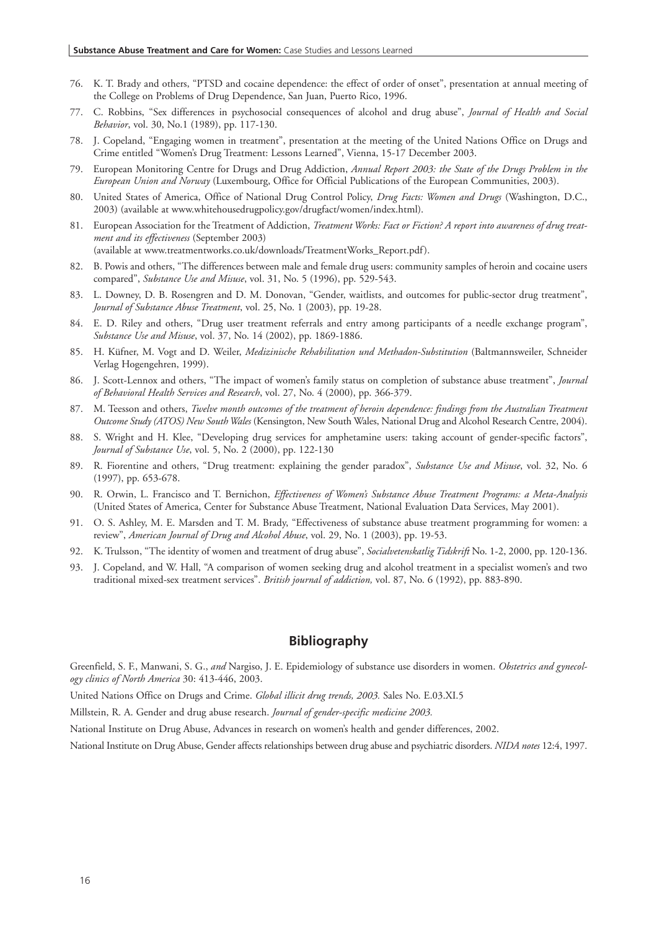compared", *Substance Use and Misuse*, vol. 31, No. 5 (1996), pp. 529-543.

- 76. K. T. Brady and others, "PTSD and cocaine dependence: the effect of order of onset", presentation at annual meeting of the College on Problems of Drug Dependence, San Juan, Puerto Rico, 1996.
- 77. C. Robbins, "Sex differences in psychosocial consequences of alcohol and drug abuse", *Journal of Health and Social Behavior*, vol. 30, No.1 (1989), pp. 117-130.
- 78. J. Copeland, "Engaging women in treatment", presentation at the meeting of the United Nations Office on Drugs and Crime entitled "Women's Drug Treatment: Lessons Learned", Vienna, 15-17 December 2003.
- 79. European Monitoring Centre for Drugs and Drug Addiction, *Annual Report 2003: the State of the Drugs Problem in the European Union and Norway* (Luxembourg, Office for Official Publications of the European Communities, 2003).
- 80. United States of America, Office of National Drug Control Policy, *Drug Facts: Women and Drugs* (Washington, D.C., 2003) (available at www.whitehousedrugpolicy.gov/drugfact/women/index.html).
- 81. European Association for the Treatment of Addiction, *Treatment Works: Fact or Fiction? A report into awareness of drug treatment and its effectiveness* (September 2003) (available at www.treatmentworks.co.uk/downloads/TreatmentWorks\_Report.pdf).
- 82. B. Powis and others, "The differences between male and female drug users: community samples of heroin and cocaine users
- 83. L. Downey, D. B. Rosengren and D. M. Donovan, "Gender, waitlists, and outcomes for public-sector drug treatment", *Journal of Substance Abuse Treatment*, vol. 25, No. 1 (2003), pp. 19-28.
- 84. E. D. Riley and others, "Drug user treatment referrals and entry among participants of a needle exchange program", *Substance Use and Misuse*, vol. 37, No. 14 (2002), pp. 1869-1886.
- 85. H. Küfner, M. Vogt and D. Weiler, *Medizinische Rehabilitation und Methadon-Substitution* (Baltmannsweiler, Schneider Verlag Hogengehren, 1999).
- 86. J. Scott-Lennox and others, "The impact of women's family status on completion of substance abuse treatment", *Journal of Behavioral Health Services and Research*, vol. 27, No. 4 (2000), pp. 366-379.
- 87. M. Teesson and others, *Twelve month outcomes of the treatment of heroin dependence: findings from the Australian Treatment Outcome Study (ATOS) New South Wales* (Kensington, New South Wales, National Drug and Alcohol Research Centre, 2004).
- 88. S. Wright and H. Klee, "Developing drug services for amphetamine users: taking account of gender-specific factors", *Journal of Substance Use*, vol. 5, No. 2 (2000), pp. 122-130
- 89. R. Fiorentine and others, "Drug treatment: explaining the gender paradox", *Substance Use and Misuse*, vol. 32, No. 6 (1997), pp. 653-678.
- 90. R. Orwin, L. Francisco and T. Bernichon, *Effectiveness of Women's Substance Abuse Treatment Programs: a Meta-Analysis* (United States of America, Center for Substance Abuse Treatment, National Evaluation Data Services, May 2001).
- 91. O. S. Ashley, M. E. Marsden and T. M. Brady, "Effectiveness of substance abuse treatment programming for women: a review", *American Journal of Drug and Alcohol Abuse*, vol. 29, No. 1 (2003), pp. 19-53.
- 92. K. Trulsson, "The identity of women and treatment of drug abuse", *Socialvetenskatlig Tidskrift* No. 1-2, 2000, pp. 120-136.
- 93. J. Copeland, and W. Hall, "A comparison of women seeking drug and alcohol treatment in a specialist women's and two traditional mixed-sex treatment services". *British journal of addiction,* vol. 87, No. 6 (1992), pp. 883-890.

#### **Bibliography**

Greenfield, S. F., Manwani, S. G., *and* Nargiso, J. E. Epidemiology of substance use disorders in women. *Obstetrics and gynecology clinics of North America* 30: 413-446, 2003.

United Nations Office on Drugs and Crime. *Global illicit drug trends, 2003.* Sales No. E.03.XI.5

Millstein, R. A. Gender and drug abuse research. *Journal of gender-specific medicine 2003.*

National Institute on Drug Abuse, Advances in research on women's health and gender differences, 2002.

National Institute on Drug Abuse, Gender affects relationships between drug abuse and psychiatric disorders. *NIDA notes* 12:4, 1997.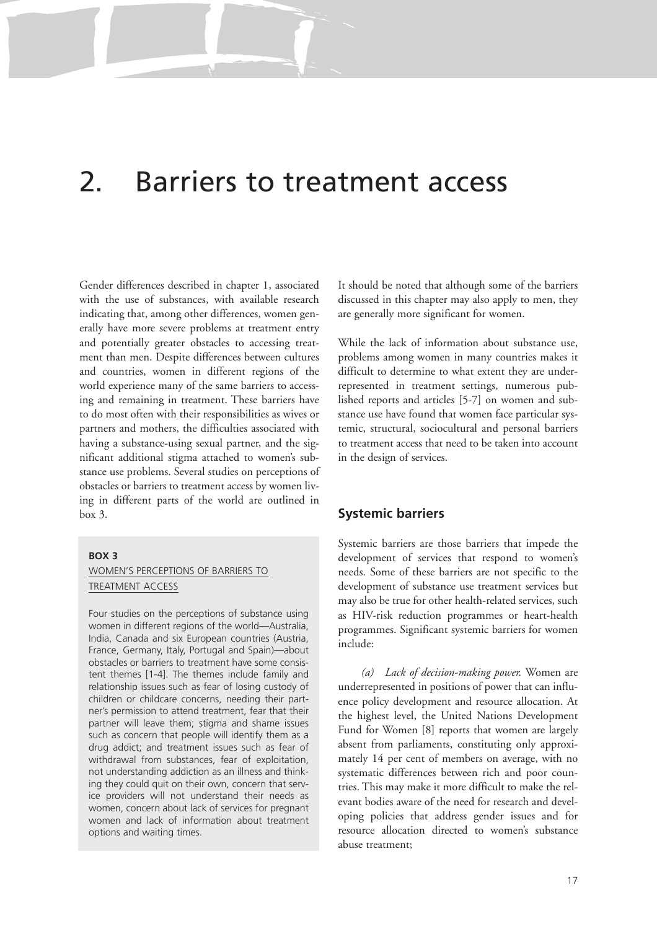# 2. Barriers to treatment access

Gender differences described in chapter 1, associated with the use of substances, with available research indicating that, among other differences, women generally have more severe problems at treatment entry and potentially greater obstacles to accessing treatment than men. Despite differences between cultures and countries, women in different regions of the world experience many of the same barriers to accessing and remaining in treatment. These barriers have to do most often with their responsibilities as wives or partners and mothers, the difficulties associated with having a substance-using sexual partner, and the significant additional stigma attached to women's substance use problems. Several studies on perceptions of obstacles or barriers to treatment access by women living in different parts of the world are outlined in box 3.

#### **BOX 3**

#### WOMEN'S PERCEPTIONS OF BARRIERS TO TREATMENT ACCESS

Four studies on the perceptions of substance using women in different regions of the world—Australia, India, Canada and six European countries (Austria, France, Germany, Italy, Portugal and Spain)—about obstacles or barriers to treatment have some consistent themes [1-4]. The themes include family and relationship issues such as fear of losing custody of children or childcare concerns, needing their partner's permission to attend treatment, fear that their partner will leave them; stigma and shame issues such as concern that people will identify them as a drug addict; and treatment issues such as fear of withdrawal from substances, fear of exploitation, not understanding addiction as an illness and thinking they could quit on their own, concern that service providers will not understand their needs as women, concern about lack of services for pregnant women and lack of information about treatment options and waiting times.

It should be noted that although some of the barriers discussed in this chapter may also apply to men, they are generally more significant for women.

While the lack of information about substance use, problems among women in many countries makes it difficult to determine to what extent they are underrepresented in treatment settings, numerous published reports and articles [5-7] on women and substance use have found that women face particular systemic, structural, sociocultural and personal barriers to treatment access that need to be taken into account in the design of services.

#### **Systemic barriers**

Systemic barriers are those barriers that impede the development of services that respond to women's needs. Some of these barriers are not specific to the development of substance use treatment services but may also be true for other health-related services, such as HIV-risk reduction programmes or heart-health programmes. Significant systemic barriers for women include:

*(a) Lack of decision-making power.* Women are underrepresented in positions of power that can influence policy development and resource allocation. At the highest level, the United Nations Development Fund for Women [8] reports that women are largely absent from parliaments, constituting only approximately 14 per cent of members on average, with no systematic differences between rich and poor countries. This may make it more difficult to make the relevant bodies aware of the need for research and developing policies that address gender issues and for resource allocation directed to women's substance abuse treatment;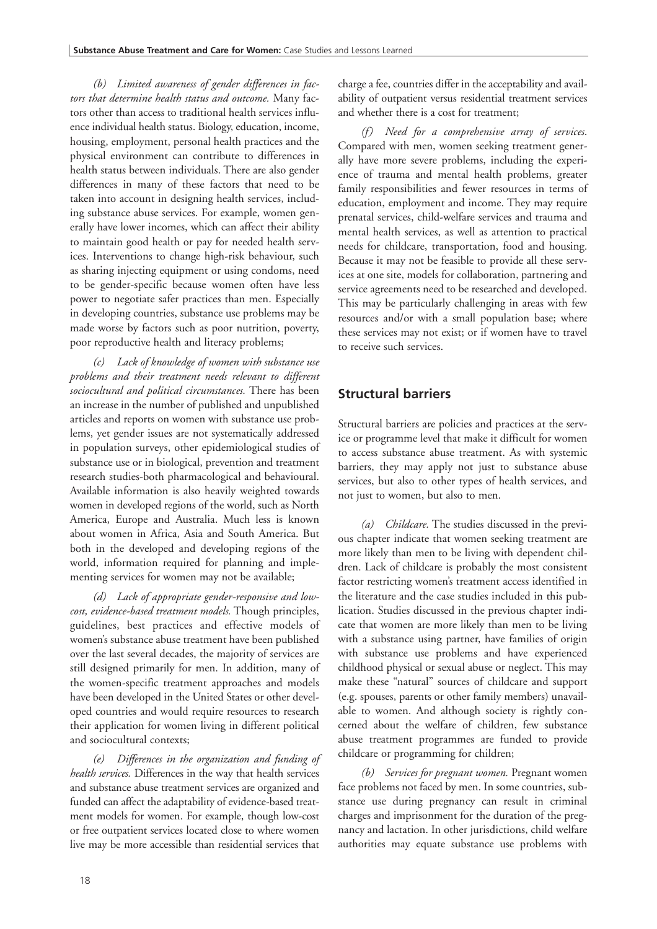*(b) Limited awareness of gender differences in factors that determine health status and outcome.* Many factors other than access to traditional health services influence individual health status. Biology, education, income, housing, employment, personal health practices and the physical environment can contribute to differences in health status between individuals. There are also gender differences in many of these factors that need to be taken into account in designing health services, including substance abuse services. For example, women generally have lower incomes, which can affect their ability to maintain good health or pay for needed health services. Interventions to change high-risk behaviour, such as sharing injecting equipment or using condoms, need to be gender-specific because women often have less power to negotiate safer practices than men. Especially in developing countries, substance use problems may be made worse by factors such as poor nutrition, poverty, poor reproductive health and literacy problems;

*(c) Lack of knowledge of women with substance use problems and their treatment needs relevant to different sociocultural and political circumstances.* There has been an increase in the number of published and unpublished articles and reports on women with substance use problems, yet gender issues are not systematically addressed in population surveys, other epidemiological studies of substance use or in biological, prevention and treatment research studies-both pharmacological and behavioural. Available information is also heavily weighted towards women in developed regions of the world, such as North America, Europe and Australia. Much less is known about women in Africa, Asia and South America. But both in the developed and developing regions of the world, information required for planning and implementing services for women may not be available;

*(d) Lack of appropriate gender-responsive and lowcost, evidence-based treatment models.* Though principles, guidelines, best practices and effective models of women's substance abuse treatment have been published over the last several decades, the majority of services are still designed primarily for men. In addition, many of the women-specific treatment approaches and models have been developed in the United States or other developed countries and would require resources to research their application for women living in different political and sociocultural contexts;

*(e) Differences in the organization and funding of health services.* Differences in the way that health services and substance abuse treatment services are organized and funded can affect the adaptability of evidence-based treatment models for women. For example, though low-cost or free outpatient services located close to where women live may be more accessible than residential services that

charge a fee, countries differ in the acceptability and availability of outpatient versus residential treatment services and whether there is a cost for treatment;

*(f) Need for a comprehensive array of services*. Compared with men, women seeking treatment generally have more severe problems, including the experience of trauma and mental health problems, greater family responsibilities and fewer resources in terms of education, employment and income. They may require prenatal services, child-welfare services and trauma and mental health services, as well as attention to practical needs for childcare, transportation, food and housing. Because it may not be feasible to provide all these services at one site, models for collaboration, partnering and service agreements need to be researched and developed. This may be particularly challenging in areas with few resources and/or with a small population base; where these services may not exist; or if women have to travel to receive such services.

# **Structural barriers**

Structural barriers are policies and practices at the service or programme level that make it difficult for women to access substance abuse treatment. As with systemic barriers, they may apply not just to substance abuse services, but also to other types of health services, and not just to women, but also to men.

*(a) Childcare.* The studies discussed in the previous chapter indicate that women seeking treatment are more likely than men to be living with dependent children. Lack of childcare is probably the most consistent factor restricting women's treatment access identified in the literature and the case studies included in this publication. Studies discussed in the previous chapter indicate that women are more likely than men to be living with a substance using partner, have families of origin with substance use problems and have experienced childhood physical or sexual abuse or neglect. This may make these "natural" sources of childcare and support (e.g. spouses, parents or other family members) unavailable to women. And although society is rightly concerned about the welfare of children, few substance abuse treatment programmes are funded to provide childcare or programming for children;

*(b) Services for pregnant women.* Pregnant women face problems not faced by men. In some countries, substance use during pregnancy can result in criminal charges and imprisonment for the duration of the pregnancy and lactation. In other jurisdictions, child welfare authorities may equate substance use problems with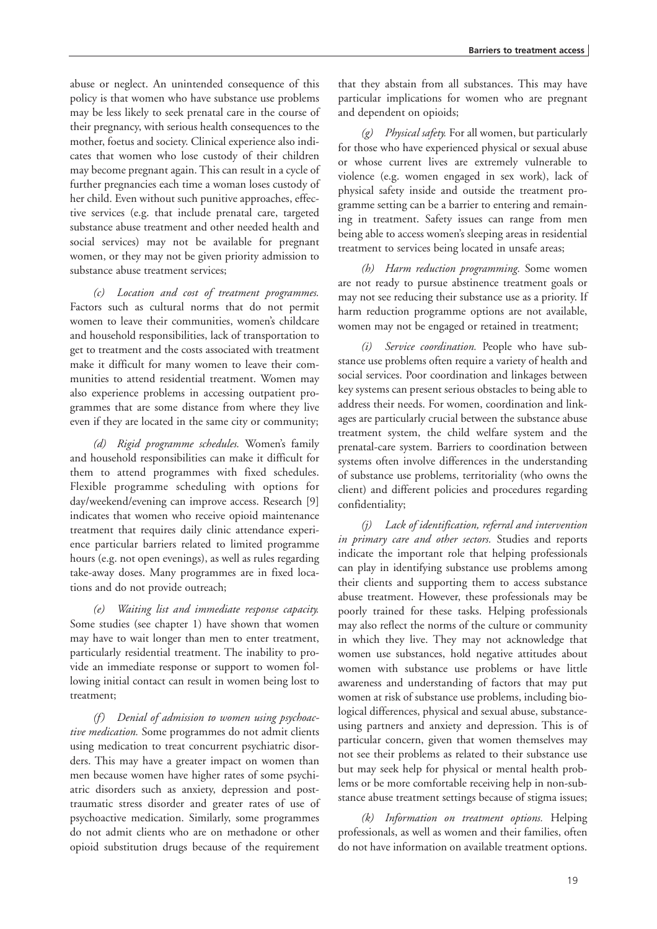abuse or neglect. An unintended consequence of this policy is that women who have substance use problems may be less likely to seek prenatal care in the course of their pregnancy, with serious health consequences to the mother, foetus and society. Clinical experience also indicates that women who lose custody of their children may become pregnant again. This can result in a cycle of further pregnancies each time a woman loses custody of her child. Even without such punitive approaches, effective services (e.g. that include prenatal care, targeted substance abuse treatment and other needed health and social services) may not be available for pregnant women, or they may not be given priority admission to substance abuse treatment services;

*(c) Location and cost of treatment programmes.* Factors such as cultural norms that do not permit women to leave their communities, women's childcare and household responsibilities, lack of transportation to get to treatment and the costs associated with treatment make it difficult for many women to leave their communities to attend residential treatment. Women may also experience problems in accessing outpatient programmes that are some distance from where they live even if they are located in the same city or community;

*(d) Rigid programme schedules.* Women's family and household responsibilities can make it difficult for them to attend programmes with fixed schedules. Flexible programme scheduling with options for day/weekend/evening can improve access. Research [9] indicates that women who receive opioid maintenance treatment that requires daily clinic attendance experience particular barriers related to limited programme hours (e.g. not open evenings), as well as rules regarding take-away doses. Many programmes are in fixed locations and do not provide outreach;

*(e) Waiting list and immediate response capacity.* Some studies (see chapter 1) have shown that women may have to wait longer than men to enter treatment, particularly residential treatment. The inability to provide an immediate response or support to women following initial contact can result in women being lost to treatment;

*(f) Denial of admission to women using psychoactive medication.* Some programmes do not admit clients using medication to treat concurrent psychiatric disorders. This may have a greater impact on women than men because women have higher rates of some psychiatric disorders such as anxiety, depression and posttraumatic stress disorder and greater rates of use of psychoactive medication. Similarly, some programmes do not admit clients who are on methadone or other opioid substitution drugs because of the requirement

that they abstain from all substances. This may have particular implications for women who are pregnant and dependent on opioids;

*(g) Physical safety.* For all women, but particularly for those who have experienced physical or sexual abuse or whose current lives are extremely vulnerable to violence (e.g. women engaged in sex work), lack of physical safety inside and outside the treatment programme setting can be a barrier to entering and remaining in treatment. Safety issues can range from men being able to access women's sleeping areas in residential treatment to services being located in unsafe areas;

*(h) Harm reduction programming.* Some women are not ready to pursue abstinence treatment goals or may not see reducing their substance use as a priority. If harm reduction programme options are not available, women may not be engaged or retained in treatment;

*(i) Service coordination.* People who have substance use problems often require a variety of health and social services. Poor coordination and linkages between key systems can present serious obstacles to being able to address their needs. For women, coordination and linkages are particularly crucial between the substance abuse treatment system, the child welfare system and the prenatal-care system. Barriers to coordination between systems often involve differences in the understanding of substance use problems, territoriality (who owns the client) and different policies and procedures regarding confidentiality;

*(j) Lack of identification, referral and intervention in primary care and other sectors.* Studies and reports indicate the important role that helping professionals can play in identifying substance use problems among their clients and supporting them to access substance abuse treatment. However, these professionals may be poorly trained for these tasks. Helping professionals may also reflect the norms of the culture or community in which they live. They may not acknowledge that women use substances, hold negative attitudes about women with substance use problems or have little awareness and understanding of factors that may put women at risk of substance use problems, including biological differences, physical and sexual abuse, substanceusing partners and anxiety and depression. This is of particular concern, given that women themselves may not see their problems as related to their substance use but may seek help for physical or mental health problems or be more comfortable receiving help in non-substance abuse treatment settings because of stigma issues;

*(k) Information on treatment options.* Helping professionals, as well as women and their families, often do not have information on available treatment options.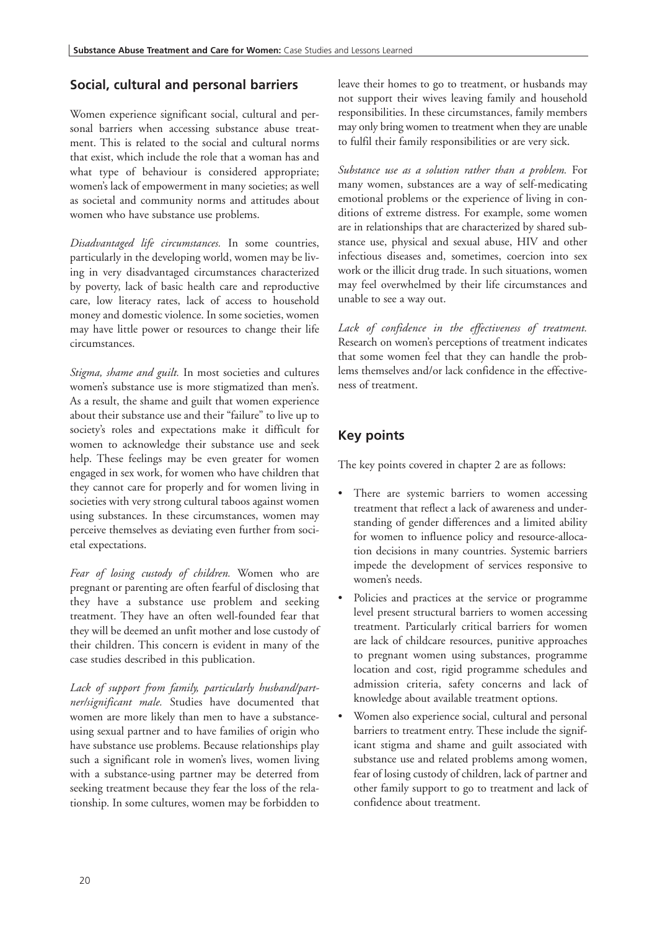# **Social, cultural and personal barriers**

Women experience significant social, cultural and personal barriers when accessing substance abuse treatment. This is related to the social and cultural norms that exist, which include the role that a woman has and what type of behaviour is considered appropriate; women's lack of empowerment in many societies; as well as societal and community norms and attitudes about women who have substance use problems.

*Disadvantaged life circumstances.* In some countries, particularly in the developing world, women may be living in very disadvantaged circumstances characterized by poverty, lack of basic health care and reproductive care, low literacy rates, lack of access to household money and domestic violence. In some societies, women may have little power or resources to change their life circumstances.

*Stigma, shame and guilt.* In most societies and cultures women's substance use is more stigmatized than men's. As a result, the shame and guilt that women experience about their substance use and their "failure" to live up to society's roles and expectations make it difficult for women to acknowledge their substance use and seek help. These feelings may be even greater for women engaged in sex work, for women who have children that they cannot care for properly and for women living in societies with very strong cultural taboos against women using substances. In these circumstances, women may perceive themselves as deviating even further from societal expectations.

*Fear of losing custody of children.* Women who are pregnant or parenting are often fearful of disclosing that they have a substance use problem and seeking treatment. They have an often well-founded fear that they will be deemed an unfit mother and lose custody of their children. This concern is evident in many of the case studies described in this publication.

*Lack of support from family, particularly husband/partner/significant male.* Studies have documented that women are more likely than men to have a substanceusing sexual partner and to have families of origin who have substance use problems. Because relationships play such a significant role in women's lives, women living with a substance-using partner may be deterred from seeking treatment because they fear the loss of the relationship. In some cultures, women may be forbidden to

leave their homes to go to treatment, or husbands may not support their wives leaving family and household responsibilities. In these circumstances, family members may only bring women to treatment when they are unable to fulfil their family responsibilities or are very sick.

*Substance use as a solution rather than a problem.* For many women, substances are a way of self-medicating emotional problems or the experience of living in conditions of extreme distress. For example, some women are in relationships that are characterized by shared substance use, physical and sexual abuse, HIV and other infectious diseases and, sometimes, coercion into sex work or the illicit drug trade. In such situations, women may feel overwhelmed by their life circumstances and unable to see a way out.

*Lack of confidence in the effectiveness of treatment.* Research on women's perceptions of treatment indicates that some women feel that they can handle the problems themselves and/or lack confidence in the effectiveness of treatment.

# **Key points**

The key points covered in chapter 2 are as follows:

- There are systemic barriers to women accessing treatment that reflect a lack of awareness and understanding of gender differences and a limited ability for women to influence policy and resource-allocation decisions in many countries. Systemic barriers impede the development of services responsive to women's needs.
- Policies and practices at the service or programme level present structural barriers to women accessing treatment. Particularly critical barriers for women are lack of childcare resources, punitive approaches to pregnant women using substances, programme location and cost, rigid programme schedules and admission criteria, safety concerns and lack of knowledge about available treatment options.
- Women also experience social, cultural and personal barriers to treatment entry. These include the significant stigma and shame and guilt associated with substance use and related problems among women, fear of losing custody of children, lack of partner and other family support to go to treatment and lack of confidence about treatment.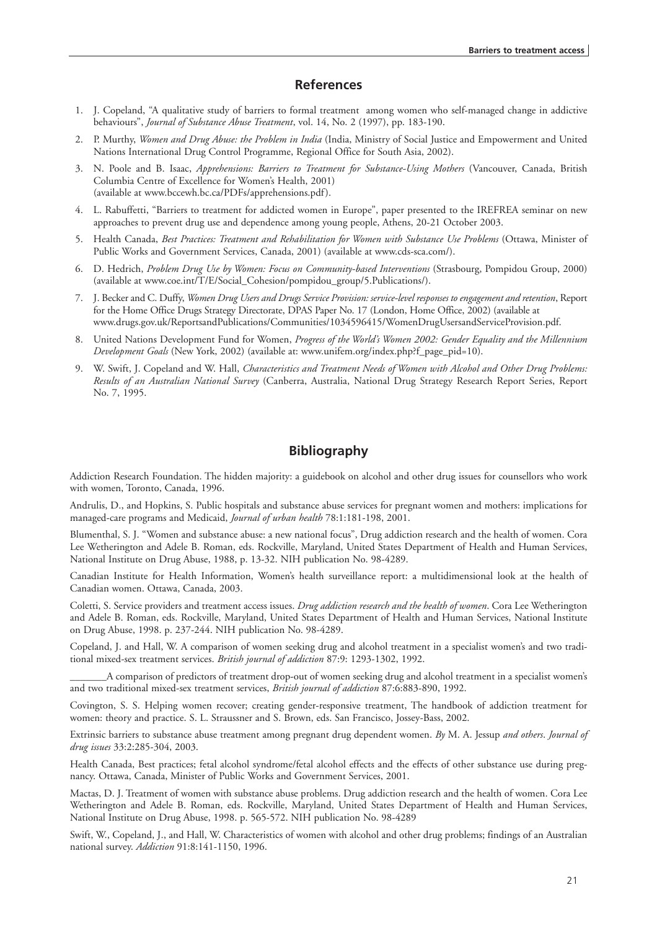### **References**

- 1. J. Copeland, "A qualitative study of barriers to formal treatment among women who self-managed change in addictive behaviours", *Journal of Substance Abuse Treatment*, vol. 14, No. 2 (1997), pp. 183-190.
- 2. P. Murthy, *Women and Drug Abuse: the Problem in India* (India, Ministry of Social Justice and Empowerment and United Nations International Drug Control Programme, Regional Office for South Asia, 2002).
- 3. N. Poole and B. Isaac, *Apprehensions: Barriers to Treatment for Substance-Using Mothers* (Vancouver, Canada, British Columbia Centre of Excellence for Women's Health, 2001) (available at www.bccewh.bc.ca/PDFs/apprehensions.pdf).
- 4. L. Rabuffetti, "Barriers to treatment for addicted women in Europe", paper presented to the IREFREA seminar on new approaches to prevent drug use and dependence among young people, Athens, 20-21 October 2003.
- 5. Health Canada, *Best Practices: Treatment and Rehabilitation for Women with Substance Use Problems* (Ottawa, Minister of Public Works and Government Services, Canada, 2001) (available at www.cds-sca.com/).
- 6. D. Hedrich, *Problem Drug Use by Women: Focus on Community-based Interventions* (Strasbourg, Pompidou Group, 2000) (available at www.coe.int/T/E/Social\_Cohesion/pompidou\_group/5.Publications/).
- 7. J. Becker and C. Duffy, *Women Drug Users and Drugs Service Provision: service-level responses to engagement and retention*, Report for the Home Office Drugs Strategy Directorate, DPAS Paper No. 17 (London, Home Office, 2002) (available at www.drugs.gov.uk/ReportsandPublications/Communities/1034596415/WomenDrugUsersandServiceProvision.pdf.
- 8. United Nations Development Fund for Women, *Progress of the World's Women 2002: Gender Equality and the Millennium Development Goals* (New York, 2002) (available at: www.unifem.org/index.php?f\_page\_pid=10).
- 9. W. Swift, J. Copeland and W. Hall, *Characteristics and Treatment Needs of Women with Alcohol and Other Drug Problems: Results of an Australian National Survey* (Canberra, Australia, National Drug Strategy Research Report Series, Report No. 7, 1995.

#### **Bibliography**

Addiction Research Foundation. The hidden majority: a guidebook on alcohol and other drug issues for counsellors who work with women, Toronto, Canada, 1996.

Andrulis, D., and Hopkins, S. Public hospitals and substance abuse services for pregnant women and mothers: implications for managed-care programs and Medicaid, *Journal of urban health* 78:1:181-198, 2001.

Blumenthal, S. J. "Women and substance abuse: a new national focus", Drug addiction research and the health of women. Cora Lee Wetherington and Adele B. Roman, eds. Rockville, Maryland, United States Department of Health and Human Services, National Institute on Drug Abuse, 1988, p. 13-32. NIH publication No. 98-4289.

Canadian Institute for Health Information, Women's health surveillance report: a multidimensional look at the health of Canadian women. Ottawa, Canada, 2003.

Coletti, S. Service providers and treatment access issues. *Drug addiction research and the health of women*. Cora Lee Wetherington and Adele B. Roman, eds. Rockville, Maryland, United States Department of Health and Human Services, National Institute on Drug Abuse, 1998. p. 237-244. NIH publication No. 98-4289.

Copeland, J. and Hall, W. A comparison of women seeking drug and alcohol treatment in a specialist women's and two traditional mixed-sex treatment services. *British journal of addiction* 87:9: 1293-1302, 1992.

\_\_\_\_\_\_\_A comparison of predictors of treatment drop-out of women seeking drug and alcohol treatment in a specialist women's and two traditional mixed-sex treatment services, *British journal of addiction* 87:6:883-890, 1992.

Covington, S. S. Helping women recover; creating gender-responsive treatment, The handbook of addiction treatment for women: theory and practice. S. L. Straussner and S. Brown, eds. San Francisco, Jossey-Bass, 2002.

Extrinsic barriers to substance abuse treatment among pregnant drug dependent women. *By* M. A. Jessup *and others*. *Journal of drug issues* 33:2:285-304, 2003.

Health Canada, Best practices; fetal alcohol syndrome/fetal alcohol effects and the effects of other substance use during pregnancy. Ottawa, Canada, Minister of Public Works and Government Services, 2001.

Mactas, D. J. Treatment of women with substance abuse problems. Drug addiction research and the health of women. Cora Lee Wetherington and Adele B. Roman, eds. Rockville, Maryland, United States Department of Health and Human Services, National Institute on Drug Abuse, 1998. p. 565-572. NIH publication No. 98-4289

Swift, W., Copeland, J., and Hall, W. Characteristics of women with alcohol and other drug problems; findings of an Australian national survey. *Addiction* 91:8:141-1150, 1996.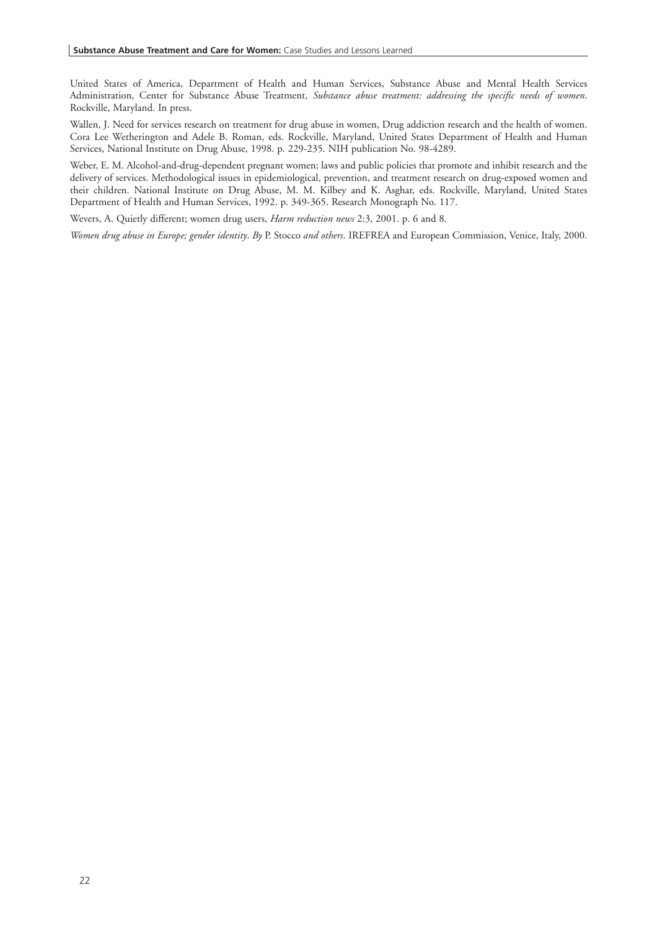United States of America, Department of Health and Human Services, Substance Abuse and Mental Health Services Administration, Center for Substance Abuse Treatment, *Substance abuse treatment: addressing the specific needs of women*. Rockville, Maryland. In press.

Wallen, J. Need for services research on treatment for drug abuse in women, Drug addiction research and the health of women. Cora Lee Wetherington and Adele B. Roman, eds. Rockville, Maryland, United States Department of Health and Human Services, National Institute on Drug Abuse, 1998. p. 229-235. NIH publication No. 98-4289.

Weber, E. M. Alcohol-and-drug-dependent pregnant women; laws and public policies that promote and inhibit research and the delivery of services. Methodological issues in epidemiological, prevention, and treatment research on drug-exposed women and their children. National Institute on Drug Abuse, M. M. Kilbey and K. Asghar, eds. Rockville, Maryland, United States Department of Health and Human Services, 1992. p. 349-365. Research Monograph No. 117.

Wevers, A. Quietly different; women drug users, *Harm reduction news* 2:3, 2001. p. 6 and 8.

*Women drug abuse in Europe; gender identity*. *By* P. Stocco *and others*. IREFREA and European Commission, Venice, Italy, 2000.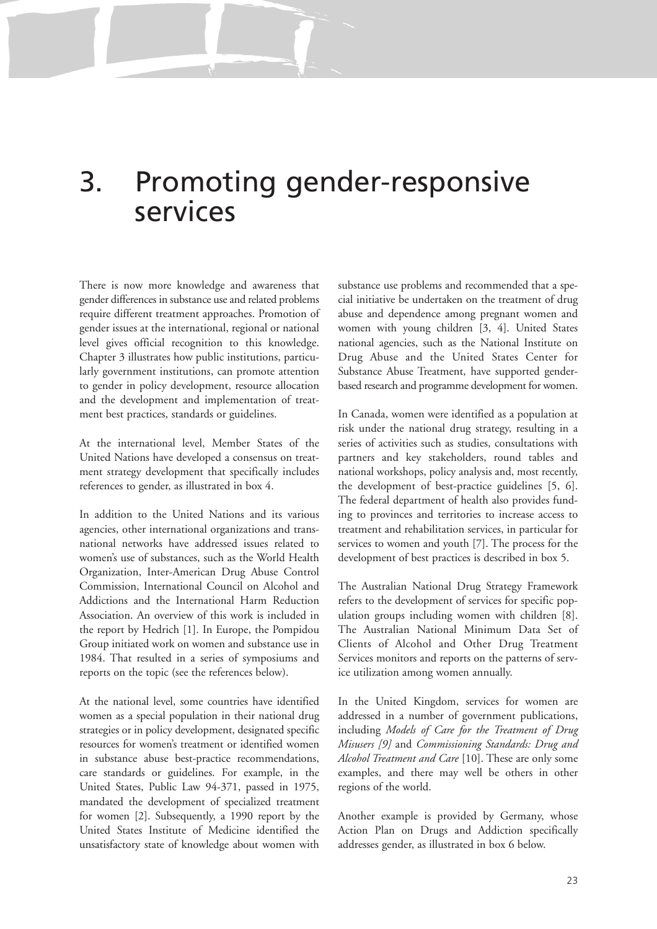# 3. Promoting gender-responsive services

There is now more knowledge and awareness that gender differences in substance use and related problems require different treatment approaches. Promotion of gender issues at the international, regional or national level gives official recognition to this knowledge. Chapter 3 illustrates how public institutions, particularly government institutions, can promote attention to gender in policy development, resource allocation and the development and implementation of treatment best practices, standards or guidelines.

At the international level, Member States of the United Nations have developed a consensus on treatment strategy development that specifically includes references to gender, as illustrated in box 4.

In addition to the United Nations and its various agencies, other international organizations and transnational networks have addressed issues related to women's use of substances, such as the World Health Organization, Inter-American Drug Abuse Control Commission, International Council on Alcohol and Addictions and the International Harm Reduction Association. An overview of this work is included in the report by Hedrich [1]. In Europe, the Pompidou Group initiated work on women and substance use in 1984. That resulted in a series of symposiums and reports on the topic (see the references below).

At the national level, some countries have identified women as a special population in their national drug strategies or in policy development, designated specific resources for women's treatment or identified women in substance abuse best-practice recommendations, care standards or guidelines. For example, in the United States, Public Law 94-371, passed in 1975, mandated the development of specialized treatment for women [2]. Subsequently, a 1990 report by the United States Institute of Medicine identified the unsatisfactory state of knowledge about women with

substance use problems and recommended that a special initiative be undertaken on the treatment of drug abuse and dependence among pregnant women and women with young children [3, 4]. United States national agencies, such as the National Institute on Drug Abuse and the United States Center for Substance Abuse Treatment, have supported genderbased research and programme development for women.

In Canada, women were identified as a population at risk under the national drug strategy, resulting in a series of activities such as studies, consultations with partners and key stakeholders, round tables and national workshops, policy analysis and, most recently, the development of best-practice guidelines [5, 6]. The federal department of health also provides funding to provinces and territories to increase access to treatment and rehabilitation services, in particular for services to women and youth [7]. The process for the development of best practices is described in box 5.

The Australian National Drug Strategy Framework refers to the development of services for specific population groups including women with children [8]. The Australian National Minimum Data Set of Clients of Alcohol and Other Drug Treatment Services monitors and reports on the patterns of service utilization among women annually.

In the United Kingdom, services for women are addressed in a number of government publications, including *Models of Care for the Treatment of Drug Misusers [9]* and *Commissioning Standards: Drug and Alcohol Treatment and Care* [10]. These are only some examples, and there may well be others in other regions of the world.

Another example is provided by Germany, whose Action Plan on Drugs and Addiction specifically addresses gender, as illustrated in box 6 below.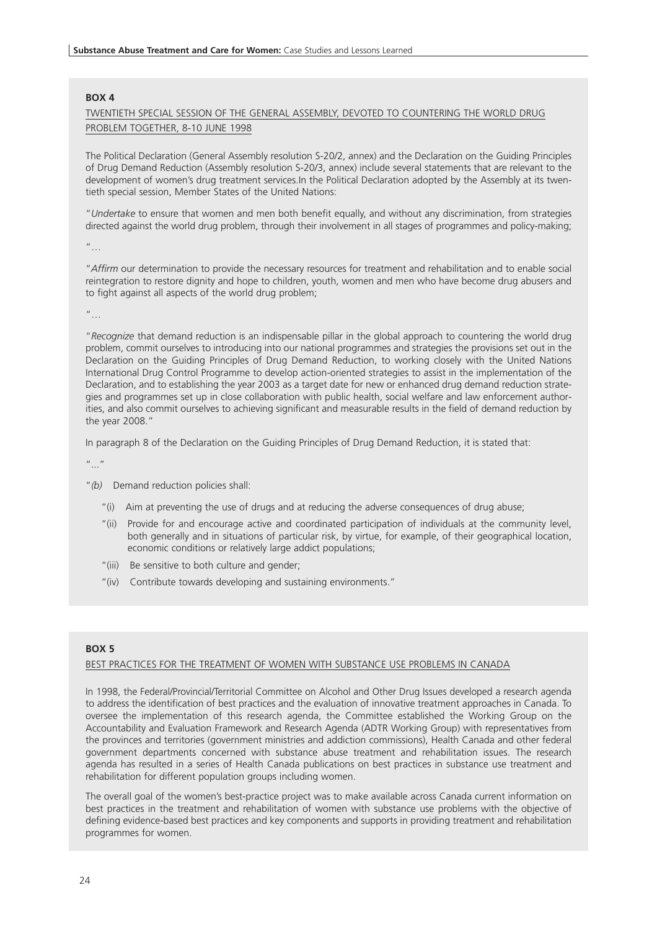#### **BOX 4**

### TWENTIETH SPECIAL SESSION OF THE GENERAL ASSEMBLY, DEVOTED TO COUNTERING THE WORLD DRUG PROBLEM TOGETHER, 8-10 JUNE 1998

The Political Declaration (General Assembly resolution S-20/2, annex) and the Declaration on the Guiding Principles of Drug Demand Reduction (Assembly resolution S-20/3, annex) include several statements that are relevant to the development of women's drug treatment services.In the Political Declaration adopted by the Assembly at its twentieth special session, Member States of the United Nations:

"*Undertake* to ensure that women and men both benefit equally, and without any discrimination, from strategies directed against the world drug problem, through their involvement in all stages of programmes and policy-making;

 $^{\prime\prime}$ …

"*Affirm* our determination to provide the necessary resources for treatment and rehabilitation and to enable social reintegration to restore dignity and hope to children, youth, women and men who have become drug abusers and to fight against all aspects of the world drug problem;

 $^{\prime\prime}$  …

"*Recognize* that demand reduction is an indispensable pillar in the global approach to countering the world drug problem, commit ourselves to introducing into our national programmes and strategies the provisions set out in the Declaration on the Guiding Principles of Drug Demand Reduction, to working closely with the United Nations International Drug Control Programme to develop action-oriented strategies to assist in the implementation of the Declaration, and to establishing the year 2003 as a target date for new or enhanced drug demand reduction strategies and programmes set up in close collaboration with public health, social welfare and law enforcement authorities, and also commit ourselves to achieving significant and measurable results in the field of demand reduction by the year 2008."

In paragraph 8 of the Declaration on the Guiding Principles of Drug Demand Reduction, it is stated that:

 $\overline{n}$  ...  $\overline{n}$ 

"*(b)* Demand reduction policies shall:

- "(i) Aim at preventing the use of drugs and at reducing the adverse consequences of drug abuse;
- "(ii) Provide for and encourage active and coordinated participation of individuals at the community level, both generally and in situations of particular risk, by virtue, for example, of their geographical location, economic conditions or relatively large addict populations;
- "(iii) Be sensitive to both culture and gender;
- "(iv) Contribute towards developing and sustaining environments."

#### **BOX 5**

#### BEST PRACTICES FOR THE TREATMENT OF WOMEN WITH SUBSTANCE USE PROBLEMS IN CANADA

In 1998, the Federal/Provincial/Territorial Committee on Alcohol and Other Drug Issues developed a research agenda to address the identification of best practices and the evaluation of innovative treatment approaches in Canada. To oversee the implementation of this research agenda, the Committee established the Working Group on the Accountability and Evaluation Framework and Research Agenda (ADTR Working Group) with representatives from the provinces and territories (government ministries and addiction commissions), Health Canada and other federal government departments concerned with substance abuse treatment and rehabilitation issues. The research agenda has resulted in a series of Health Canada publications on best practices in substance use treatment and rehabilitation for different population groups including women.

The overall goal of the women's best-practice project was to make available across Canada current information on best practices in the treatment and rehabilitation of women with substance use problems with the objective of defining evidence-based best practices and key components and supports in providing treatment and rehabilitation programmes for women.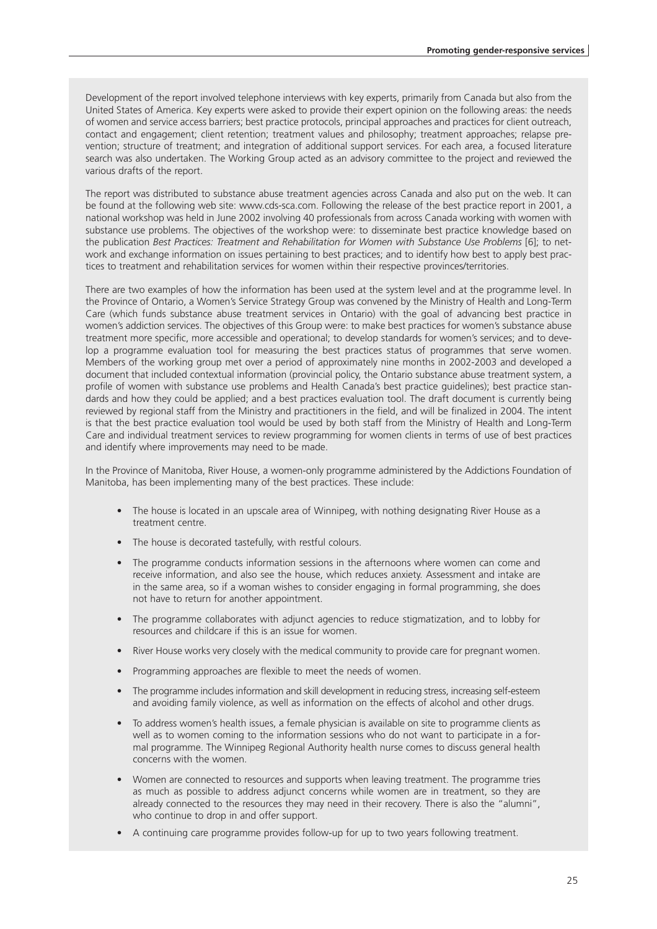Development of the report involved telephone interviews with key experts, primarily from Canada but also from the United States of America. Key experts were asked to provide their expert opinion on the following areas: the needs of women and service access barriers; best practice protocols, principal approaches and practices for client outreach, contact and engagement; client retention; treatment values and philosophy; treatment approaches; relapse prevention; structure of treatment; and integration of additional support services. For each area, a focused literature search was also undertaken. The Working Group acted as an advisory committee to the project and reviewed the various drafts of the report.

The report was distributed to substance abuse treatment agencies across Canada and also put on the web. It can be found at the following web site: www.cds-sca.com. Following the release of the best practice report in 2001, a national workshop was held in June 2002 involving 40 professionals from across Canada working with women with substance use problems. The objectives of the workshop were: to disseminate best practice knowledge based on the publication *Best Practices: Treatment and Rehabilitation for Women with Substance Use Problems* [6]; to network and exchange information on issues pertaining to best practices; and to identify how best to apply best practices to treatment and rehabilitation services for women within their respective provinces/territories.

There are two examples of how the information has been used at the system level and at the programme level. In the Province of Ontario, a Women's Service Strategy Group was convened by the Ministry of Health and Long-Term Care (which funds substance abuse treatment services in Ontario) with the goal of advancing best practice in women's addiction services. The objectives of this Group were: to make best practices for women's substance abuse treatment more specific, more accessible and operational; to develop standards for women's services; and to develop a programme evaluation tool for measuring the best practices status of programmes that serve women. Members of the working group met over a period of approximately nine months in 2002-2003 and developed a document that included contextual information (provincial policy, the Ontario substance abuse treatment system, a profile of women with substance use problems and Health Canada's best practice guidelines); best practice standards and how they could be applied; and a best practices evaluation tool. The draft document is currently being reviewed by regional staff from the Ministry and practitioners in the field, and will be finalized in 2004. The intent is that the best practice evaluation tool would be used by both staff from the Ministry of Health and Long-Term Care and individual treatment services to review programming for women clients in terms of use of best practices and identify where improvements may need to be made.

In the Province of Manitoba, River House, a women-only programme administered by the Addictions Foundation of Manitoba, has been implementing many of the best practices. These include:

- The house is located in an upscale area of Winnipeg, with nothing designating River House as a treatment centre.
- The house is decorated tastefully, with restful colours.
- The programme conducts information sessions in the afternoons where women can come and receive information, and also see the house, which reduces anxiety. Assessment and intake are in the same area, so if a woman wishes to consider engaging in formal programming, she does not have to return for another appointment.
- The programme collaborates with adjunct agencies to reduce stigmatization, and to lobby for resources and childcare if this is an issue for women.
- River House works very closely with the medical community to provide care for pregnant women.
- Programming approaches are flexible to meet the needs of women.
- The programme includes information and skill development in reducing stress, increasing self-esteem and avoiding family violence, as well as information on the effects of alcohol and other drugs.
- To address women's health issues, a female physician is available on site to programme clients as well as to women coming to the information sessions who do not want to participate in a formal programme. The Winnipeg Regional Authority health nurse comes to discuss general health concerns with the women.
- Women are connected to resources and supports when leaving treatment. The programme tries as much as possible to address adjunct concerns while women are in treatment, so they are already connected to the resources they may need in their recovery. There is also the "alumni", who continue to drop in and offer support.
- A continuing care programme provides follow-up for up to two years following treatment.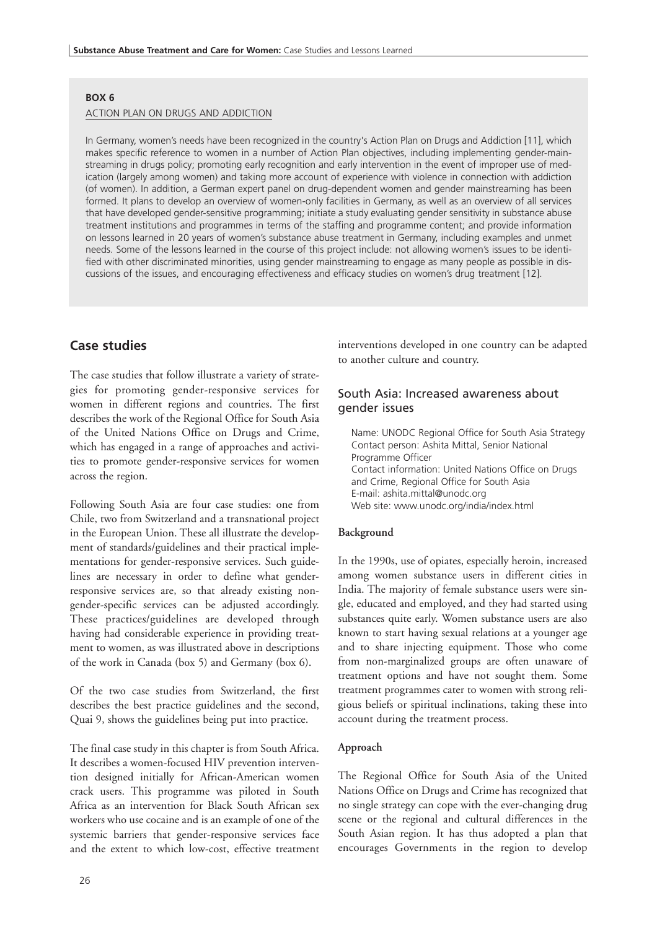#### **BOX 6**

#### ACTION PLAN ON DRUGS AND ADDICTION

In Germany, women's needs have been recognized in the country's Action Plan on Drugs and Addiction [11], which makes specific reference to women in a number of Action Plan objectives, including implementing gender-mainstreaming in drugs policy; promoting early recognition and early intervention in the event of improper use of medication (largely among women) and taking more account of experience with violence in connection with addiction (of women). In addition, a German expert panel on drug-dependent women and gender mainstreaming has been formed. It plans to develop an overview of women-only facilities in Germany, as well as an overview of all services that have developed gender-sensitive programming; initiate a study evaluating gender sensitivity in substance abuse treatment institutions and programmes in terms of the staffing and programme content; and provide information on lessons learned in 20 years of women's substance abuse treatment in Germany, including examples and unmet needs. Some of the lessons learned in the course of this project include: not allowing women's issues to be identified with other discriminated minorities, using gender mainstreaming to engage as many people as possible in discussions of the issues, and encouraging effectiveness and efficacy studies on women's drug treatment [12].

### **Case studies**

The case studies that follow illustrate a variety of strategies for promoting gender-responsive services for women in different regions and countries. The first describes the work of the Regional Office for South Asia of the United Nations Office on Drugs and Crime, which has engaged in a range of approaches and activities to promote gender-responsive services for women across the region.

Following South Asia are four case studies: one from Chile, two from Switzerland and a transnational project in the European Union. These all illustrate the development of standards/guidelines and their practical implementations for gender-responsive services. Such guidelines are necessary in order to define what genderresponsive services are, so that already existing nongender-specific services can be adjusted accordingly. These practices/guidelines are developed through having had considerable experience in providing treatment to women, as was illustrated above in descriptions of the work in Canada (box 5) and Germany (box 6).

Of the two case studies from Switzerland, the first describes the best practice guidelines and the second, Quai 9, shows the guidelines being put into practice.

The final case study in this chapter is from South Africa. It describes a women-focused HIV prevention intervention designed initially for African-American women crack users. This programme was piloted in South Africa as an intervention for Black South African sex workers who use cocaine and is an example of one of the systemic barriers that gender-responsive services face and the extent to which low-cost, effective treatment interventions developed in one country can be adapted to another culture and country.

### South Asia: Increased awareness about gender issues

Name: UNODC Regional Office for South Asia Strategy Contact person: Ashita Mittal, Senior National Programme Officer Contact information: United Nations Office on Drugs and Crime, Regional Office for South Asia E-mail: ashita.mittal@unodc.org Web site: www.unodc.org/india/index.html

#### **Background**

In the 1990s, use of opiates, especially heroin, increased among women substance users in different cities in India. The majority of female substance users were single, educated and employed, and they had started using substances quite early. Women substance users are also known to start having sexual relations at a younger age and to share injecting equipment. Those who come from non-marginalized groups are often unaware of treatment options and have not sought them. Some treatment programmes cater to women with strong religious beliefs or spiritual inclinations, taking these into account during the treatment process.

#### **Approach**

The Regional Office for South Asia of the United Nations Office on Drugs and Crime has recognized that no single strategy can cope with the ever-changing drug scene or the regional and cultural differences in the South Asian region. It has thus adopted a plan that encourages Governments in the region to develop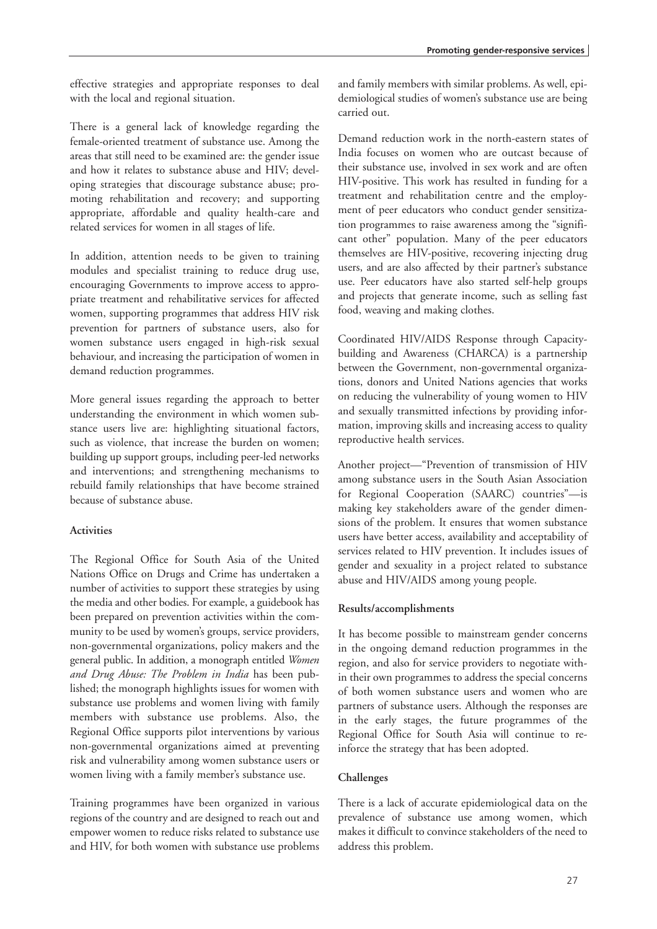effective strategies and appropriate responses to deal with the local and regional situation.

There is a general lack of knowledge regarding the female-oriented treatment of substance use. Among the areas that still need to be examined are: the gender issue and how it relates to substance abuse and HIV; developing strategies that discourage substance abuse; promoting rehabilitation and recovery; and supporting appropriate, affordable and quality health-care and related services for women in all stages of life.

In addition, attention needs to be given to training modules and specialist training to reduce drug use, encouraging Governments to improve access to appropriate treatment and rehabilitative services for affected women, supporting programmes that address HIV risk prevention for partners of substance users, also for women substance users engaged in high-risk sexual behaviour, and increasing the participation of women in demand reduction programmes.

More general issues regarding the approach to better understanding the environment in which women substance users live are: highlighting situational factors, such as violence, that increase the burden on women; building up support groups, including peer-led networks and interventions; and strengthening mechanisms to rebuild family relationships that have become strained because of substance abuse.

#### **Activities**

The Regional Office for South Asia of the United Nations Office on Drugs and Crime has undertaken a number of activities to support these strategies by using the media and other bodies. For example, a guidebook has been prepared on prevention activities within the community to be used by women's groups, service providers, non-governmental organizations, policy makers and the general public. In addition, a monograph entitled *Women and Drug Abuse: The Problem in India* has been published; the monograph highlights issues for women with substance use problems and women living with family members with substance use problems. Also, the Regional Office supports pilot interventions by various non-governmental organizations aimed at preventing risk and vulnerability among women substance users or women living with a family member's substance use.

Training programmes have been organized in various regions of the country and are designed to reach out and empower women to reduce risks related to substance use and HIV, for both women with substance use problems and family members with similar problems. As well, epidemiological studies of women's substance use are being carried out.

Demand reduction work in the north-eastern states of India focuses on women who are outcast because of their substance use, involved in sex work and are often HIV-positive. This work has resulted in funding for a treatment and rehabilitation centre and the employment of peer educators who conduct gender sensitization programmes to raise awareness among the "significant other" population. Many of the peer educators themselves are HIV-positive, recovering injecting drug users, and are also affected by their partner's substance use. Peer educators have also started self-help groups and projects that generate income, such as selling fast food, weaving and making clothes.

Coordinated HIV/AIDS Response through Capacitybuilding and Awareness (CHARCA) is a partnership between the Government, non-governmental organizations, donors and United Nations agencies that works on reducing the vulnerability of young women to HIV and sexually transmitted infections by providing information, improving skills and increasing access to quality reproductive health services.

Another project—"Prevention of transmission of HIV among substance users in the South Asian Association for Regional Cooperation (SAARC) countries"—is making key stakeholders aware of the gender dimensions of the problem. It ensures that women substance users have better access, availability and acceptability of services related to HIV prevention. It includes issues of gender and sexuality in a project related to substance abuse and HIV/AIDS among young people.

## **Results/accomplishments**

It has become possible to mainstream gender concerns in the ongoing demand reduction programmes in the region, and also for service providers to negotiate within their own programmes to address the special concerns of both women substance users and women who are partners of substance users. Although the responses are in the early stages, the future programmes of the Regional Office for South Asia will continue to reinforce the strategy that has been adopted.

#### **Challenges**

There is a lack of accurate epidemiological data on the prevalence of substance use among women, which makes it difficult to convince stakeholders of the need to address this problem.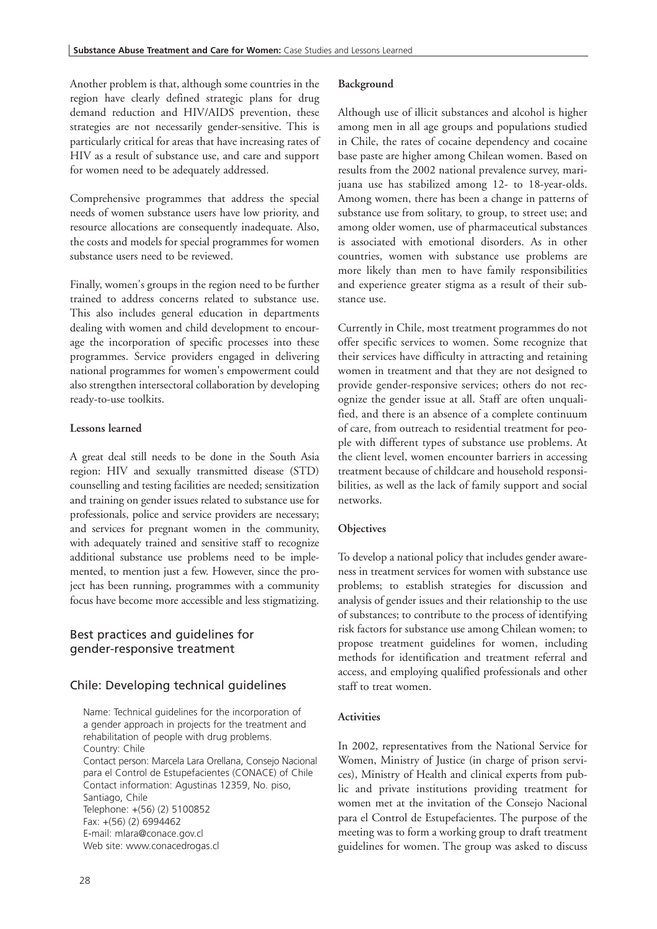Another problem is that, although some countries in the region have clearly defined strategic plans for drug demand reduction and HIV/AIDS prevention, these strategies are not necessarily gender-sensitive. This is particularly critical for areas that have increasing rates of HIV as a result of substance use, and care and support for women need to be adequately addressed.

Comprehensive programmes that address the special needs of women substance users have low priority, and resource allocations are consequently inadequate. Also, the costs and models for special programmes for women substance users need to be reviewed.

Finally, women's groups in the region need to be further trained to address concerns related to substance use. This also includes general education in departments dealing with women and child development to encourage the incorporation of specific processes into these programmes. Service providers engaged in delivering national programmes for women's empowerment could also strengthen intersectoral collaboration by developing ready-to-use toolkits.

## **Lessons learned**

A great deal still needs to be done in the South Asia region: HIV and sexually transmitted disease (STD) counselling and testing facilities are needed; sensitization and training on gender issues related to substance use for professionals, police and service providers are necessary; and services for pregnant women in the community, with adequately trained and sensitive staff to recognize additional substance use problems need to be implemented, to mention just a few. However, since the project has been running, programmes with a community focus have become more accessible and less stigmatizing.

# Best practices and guidelines for gender-responsive treatment

# Chile: Developing technical guidelines

Name: Technical guidelines for the incorporation of a gender approach in projects for the treatment and rehabilitation of people with drug problems. Country: Chile Contact person: Marcela Lara Orellana, Consejo Nacional para el Control de Estupefacientes (CONACE) of Chile Contact information: Agustinas 12359, No. piso, Santiago, Chile Telephone: +(56) (2) 5100852 Fax: +(56) (2) 6994462 E-mail: mlara@conace.gov.cl Web site: www.conacedrogas.cl

#### **Background**

Although use of illicit substances and alcohol is higher among men in all age groups and populations studied in Chile, the rates of cocaine dependency and cocaine base paste are higher among Chilean women. Based on results from the 2002 national prevalence survey, marijuana use has stabilized among 12- to 18-year-olds. Among women, there has been a change in patterns of substance use from solitary, to group, to street use; and among older women, use of pharmaceutical substances is associated with emotional disorders. As in other countries, women with substance use problems are more likely than men to have family responsibilities and experience greater stigma as a result of their substance use.

Currently in Chile, most treatment programmes do not offer specific services to women. Some recognize that their services have difficulty in attracting and retaining women in treatment and that they are not designed to provide gender-responsive services; others do not recognize the gender issue at all. Staff are often unqualified, and there is an absence of a complete continuum of care, from outreach to residential treatment for people with different types of substance use problems. At the client level, women encounter barriers in accessing treatment because of childcare and household responsibilities, as well as the lack of family support and social networks.

## **Objectives**

To develop a national policy that includes gender awareness in treatment services for women with substance use problems; to establish strategies for discussion and analysis of gender issues and their relationship to the use of substances; to contribute to the process of identifying risk factors for substance use among Chilean women; to propose treatment guidelines for women, including methods for identification and treatment referral and access, and employing qualified professionals and other staff to treat women.

#### **Activities**

In 2002, representatives from the National Service for Women, Ministry of Justice (in charge of prison services), Ministry of Health and clinical experts from public and private institutions providing treatment for women met at the invitation of the Consejo Nacional para el Control de Estupefacientes. The purpose of the meeting was to form a working group to draft treatment guidelines for women. The group was asked to discuss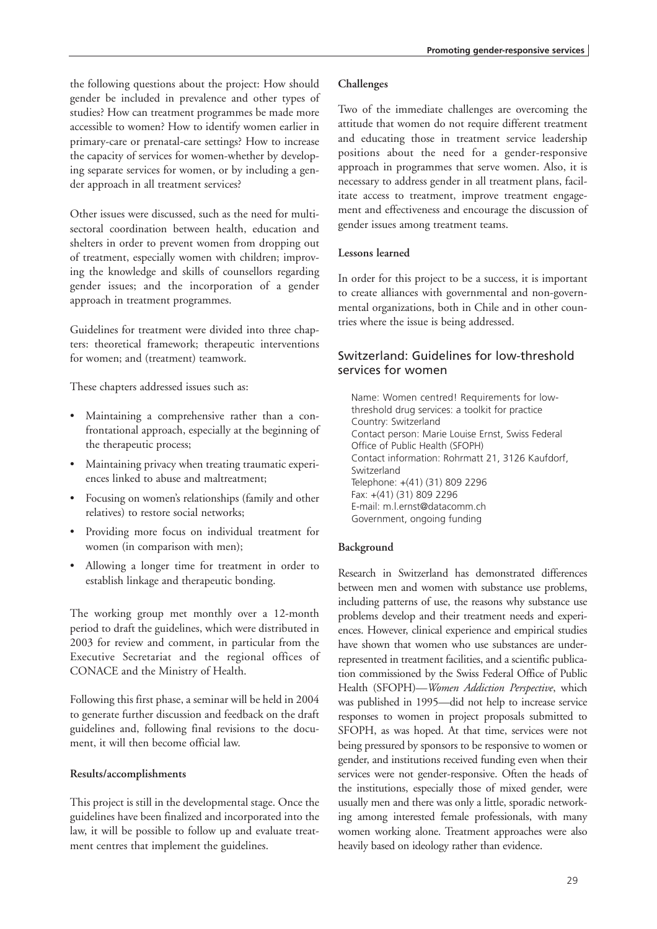the following questions about the project: How should gender be included in prevalence and other types of studies? How can treatment programmes be made more accessible to women? How to identify women earlier in primary-care or prenatal-care settings? How to increase the capacity of services for women-whether by developing separate services for women, or by including a gender approach in all treatment services?

Other issues were discussed, such as the need for multisectoral coordination between health, education and shelters in order to prevent women from dropping out of treatment, especially women with children; improving the knowledge and skills of counsellors regarding gender issues; and the incorporation of a gender approach in treatment programmes.

Guidelines for treatment were divided into three chapters: theoretical framework; therapeutic interventions for women; and (treatment) teamwork.

These chapters addressed issues such as:

- Maintaining a comprehensive rather than a confrontational approach, especially at the beginning of the therapeutic process;
- Maintaining privacy when treating traumatic experiences linked to abuse and maltreatment;
- Focusing on women's relationships (family and other relatives) to restore social networks;
- Providing more focus on individual treatment for women (in comparison with men);
- Allowing a longer time for treatment in order to establish linkage and therapeutic bonding.

The working group met monthly over a 12-month period to draft the guidelines, which were distributed in 2003 for review and comment, in particular from the Executive Secretariat and the regional offices of CONACE and the Ministry of Health.

Following this first phase, a seminar will be held in 2004 to generate further discussion and feedback on the draft guidelines and, following final revisions to the document, it will then become official law.

## **Results/accomplishments**

This project is still in the developmental stage. Once the guidelines have been finalized and incorporated into the law, it will be possible to follow up and evaluate treatment centres that implement the guidelines.

#### **Challenges**

Two of the immediate challenges are overcoming the attitude that women do not require different treatment and educating those in treatment service leadership positions about the need for a gender-responsive approach in programmes that serve women. Also, it is necessary to address gender in all treatment plans, facilitate access to treatment, improve treatment engagement and effectiveness and encourage the discussion of gender issues among treatment teams.

#### **Lessons learned**

In order for this project to be a success, it is important to create alliances with governmental and non-governmental organizations, both in Chile and in other countries where the issue is being addressed.

# Switzerland: Guidelines for low-threshold services for women

Name: Women centred! Requirements for lowthreshold drug services: a toolkit for practice Country: Switzerland Contact person: Marie Louise Ernst, Swiss Federal Office of Public Health (SFOPH) Contact information: Rohrmatt 21, 3126 Kaufdorf, Switzerland Telephone: +(41) (31) 809 2296 Fax: +(41) (31) 809 2296 E-mail: m.l.ernst@datacomm.ch Government, ongoing funding

#### **Background**

Research in Switzerland has demonstrated differences between men and women with substance use problems, including patterns of use, the reasons why substance use problems develop and their treatment needs and experiences. However, clinical experience and empirical studies have shown that women who use substances are underrepresented in treatment facilities, and a scientific publication commissioned by the Swiss Federal Office of Public Health (SFOPH)—*Women Addiction Perspective*, which was published in 1995—did not help to increase service responses to women in project proposals submitted to SFOPH, as was hoped. At that time, services were not being pressured by sponsors to be responsive to women or gender, and institutions received funding even when their services were not gender-responsive. Often the heads of the institutions, especially those of mixed gender, were usually men and there was only a little, sporadic networking among interested female professionals, with many women working alone. Treatment approaches were also heavily based on ideology rather than evidence.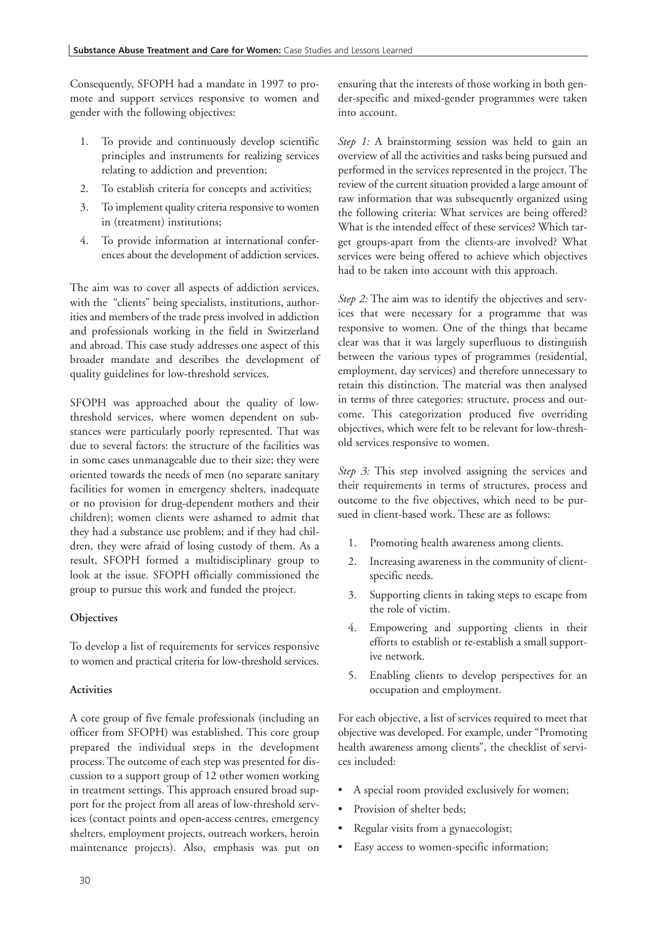Consequently, SFOPH had a mandate in 1997 to promote and support services responsive to women and gender with the following objectives:

- 1. To provide and continuously develop scientific principles and instruments for realizing services relating to addiction and prevention;
- 2. To establish criteria for concepts and activities;
- 3. To implement quality criteria responsive to women in (treatment) institutions;
- 4. To provide information at international conferences about the development of addiction services.

The aim was to cover all aspects of addiction services, with the "clients" being specialists, institutions, authorities and members of the trade press involved in addiction and professionals working in the field in Switzerland and abroad. This case study addresses one aspect of this broader mandate and describes the development of quality guidelines for low-threshold services.

SFOPH was approached about the quality of lowthreshold services, where women dependent on substances were particularly poorly represented. That was due to several factors: the structure of the facilities was in some cases unmanageable due to their size; they were oriented towards the needs of men (no separate sanitary facilities for women in emergency shelters, inadequate or no provision for drug-dependent mothers and their children); women clients were ashamed to admit that they had a substance use problem; and if they had children, they were afraid of losing custody of them. As a result, SFOPH formed a multidisciplinary group to look at the issue. SFOPH officially commissioned the group to pursue this work and funded the project.

## **Objectives**

To develop a list of requirements for services responsive to women and practical criteria for low-threshold services.

## **Activities**

A core group of five female professionals (including an officer from SFOPH) was established. This core group prepared the individual steps in the development process. The outcome of each step was presented for discussion to a support group of 12 other women working in treatment settings. This approach ensured broad support for the project from all areas of low-threshold services (contact points and open-access centres, emergency shelters, employment projects, outreach workers, heroin maintenance projects). Also, emphasis was put on ensuring that the interests of those working in both gender-specific and mixed-gender programmes were taken into account.

*Step 1:* A brainstorming session was held to gain an overview of all the activities and tasks being pursued and performed in the services represented in the project. The review of the current situation provided a large amount of raw information that was subsequently organized using the following criteria: What services are being offered? What is the intended effect of these services? Which target groups-apart from the clients-are involved? What services were being offered to achieve which objectives had to be taken into account with this approach.

*Step 2:* The aim was to identify the objectives and services that were necessary for a programme that was responsive to women. One of the things that became clear was that it was largely superfluous to distinguish between the various types of programmes (residential, employment, day services) and therefore unnecessary to retain this distinction. The material was then analysed in terms of three categories: structure, process and outcome. This categorization produced five overriding objectives, which were felt to be relevant for low-threshold services responsive to women.

*Step 3:* This step involved assigning the services and their requirements in terms of structures, process and outcome to the five objectives, which need to be pursued in client-based work. These are as follows:

- 1. Promoting health awareness among clients.
- 2. Increasing awareness in the community of clientspecific needs.
- 3. Supporting clients in taking steps to escape from the role of victim.
- 4. Empowering and supporting clients in their efforts to establish or re-establish a small supportive network.
- 5. Enabling clients to develop perspectives for an occupation and employment.

For each objective, a list of services required to meet that objective was developed. For example, under "Promoting health awareness among clients", the checklist of services included:

- A special room provided exclusively for women;
- Provision of shelter beds;
- Regular visits from a gynaecologist;
- Easy access to women-specific information;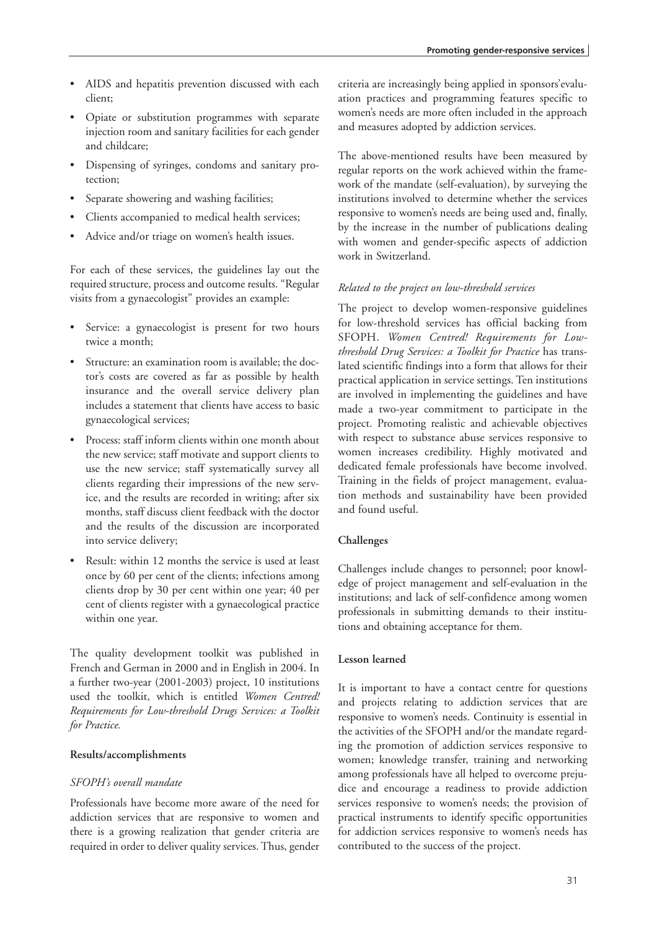- AIDS and hepatitis prevention discussed with each client;
- Opiate or substitution programmes with separate injection room and sanitary facilities for each gender and childcare;
- Dispensing of syringes, condoms and sanitary protection;
- Separate showering and washing facilities;
- Clients accompanied to medical health services;
- Advice and/or triage on women's health issues.

For each of these services, the guidelines lay out the required structure, process and outcome results. "Regular visits from a gynaecologist" provides an example:

- Service: a gynaecologist is present for two hours twice a month;
- Structure: an examination room is available; the doctor's costs are covered as far as possible by health insurance and the overall service delivery plan includes a statement that clients have access to basic gynaecological services;
- Process: staff inform clients within one month about the new service; staff motivate and support clients to use the new service; staff systematically survey all clients regarding their impressions of the new service, and the results are recorded in writing; after six months, staff discuss client feedback with the doctor and the results of the discussion are incorporated into service delivery;
- Result: within 12 months the service is used at least once by 60 per cent of the clients; infections among clients drop by 30 per cent within one year; 40 per cent of clients register with a gynaecological practice within one year.

The quality development toolkit was published in French and German in 2000 and in English in 2004. In a further two-year (2001-2003) project, 10 institutions used the toolkit, which is entitled *Women Centred! Requirements for Low-threshold Drugs Services: a Toolkit for Practice.*

#### **Results/accomplishments**

#### *SFOPH's overall mandate*

Professionals have become more aware of the need for addiction services that are responsive to women and there is a growing realization that gender criteria are required in order to deliver quality services. Thus, gender criteria are increasingly being applied in sponsors'evaluation practices and programming features specific to women's needs are more often included in the approach and measures adopted by addiction services.

The above-mentioned results have been measured by regular reports on the work achieved within the framework of the mandate (self-evaluation), by surveying the institutions involved to determine whether the services responsive to women's needs are being used and, finally, by the increase in the number of publications dealing with women and gender-specific aspects of addiction work in Switzerland.

#### *Related to the project on low-threshold services*

The project to develop women-responsive guidelines for low-threshold services has official backing from SFOPH. *Women Centred! Requirements for Lowthreshold Drug Services: a Toolkit for Practice* has translated scientific findings into a form that allows for their practical application in service settings. Ten institutions are involved in implementing the guidelines and have made a two-year commitment to participate in the project. Promoting realistic and achievable objectives with respect to substance abuse services responsive to women increases credibility. Highly motivated and dedicated female professionals have become involved. Training in the fields of project management, evaluation methods and sustainability have been provided and found useful.

## **Challenges**

Challenges include changes to personnel; poor knowledge of project management and self-evaluation in the institutions; and lack of self-confidence among women professionals in submitting demands to their institutions and obtaining acceptance for them.

#### **Lesson learned**

It is important to have a contact centre for questions and projects relating to addiction services that are responsive to women's needs. Continuity is essential in the activities of the SFOPH and/or the mandate regarding the promotion of addiction services responsive to women; knowledge transfer, training and networking among professionals have all helped to overcome prejudice and encourage a readiness to provide addiction services responsive to women's needs; the provision of practical instruments to identify specific opportunities for addiction services responsive to women's needs has contributed to the success of the project.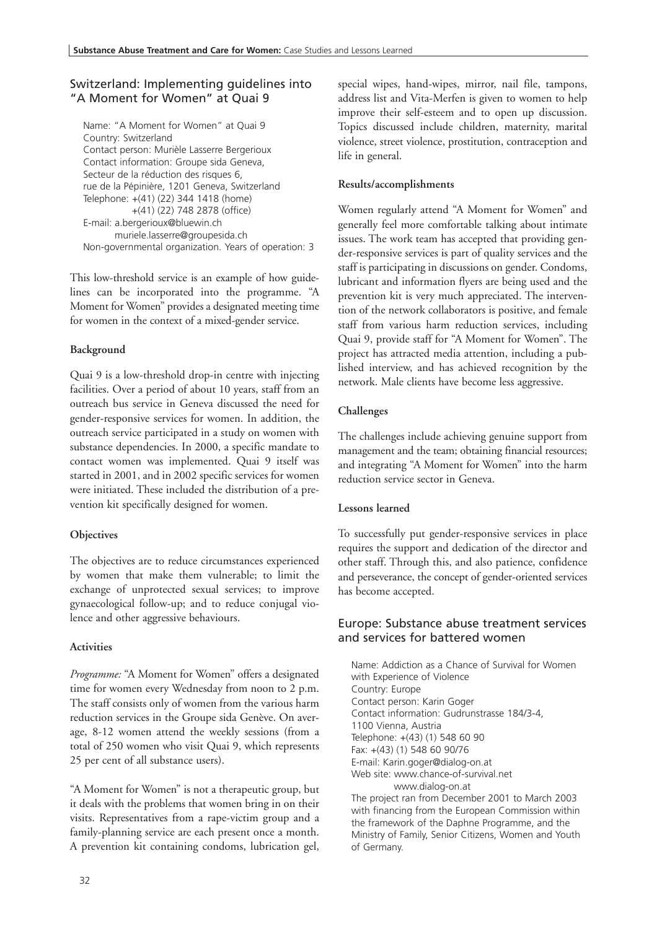# Switzerland: Implementing guidelines into "A Moment for Women" at Quai 9

Name: "A Moment for Women" at Quai 9 Country: Switzerland Contact person: Murièle Lasserre Bergerioux Contact information: Groupe sida Geneva, Secteur de la réduction des risques 6, rue de la Pépinière, 1201 Geneva, Switzerland Telephone: +(41) (22) 344 1418 (home) +(41) (22) 748 2878 (office) E-mail: a.bergerioux@bluewin.ch muriele.lasserre@groupesida.ch Non-governmental organization. Years of operation: 3

This low-threshold service is an example of how guidelines can be incorporated into the programme. "A Moment for Women" provides a designated meeting time for women in the context of a mixed-gender service.

## **Background**

Quai 9 is a low-threshold drop-in centre with injecting facilities. Over a period of about 10 years, staff from an outreach bus service in Geneva discussed the need for gender-responsive services for women. In addition, the outreach service participated in a study on women with substance dependencies. In 2000, a specific mandate to contact women was implemented. Quai 9 itself was started in 2001, and in 2002 specific services for women were initiated. These included the distribution of a prevention kit specifically designed for women.

## **Objectives**

The objectives are to reduce circumstances experienced by women that make them vulnerable; to limit the exchange of unprotected sexual services; to improve gynaecological follow-up; and to reduce conjugal violence and other aggressive behaviours.

## **Activities**

*Programme:* "A Moment for Women" offers a designated time for women every Wednesday from noon to 2 p.m. The staff consists only of women from the various harm reduction services in the Groupe sida Genève. On average, 8-12 women attend the weekly sessions (from a total of 250 women who visit Quai 9, which represents 25 per cent of all substance users).

"A Moment for Women" is not a therapeutic group, but it deals with the problems that women bring in on their visits. Representatives from a rape-victim group and a family-planning service are each present once a month. A prevention kit containing condoms, lubrication gel, special wipes, hand-wipes, mirror, nail file, tampons, address list and Vita-Merfen is given to women to help improve their self-esteem and to open up discussion. Topics discussed include children, maternity, marital violence, street violence, prostitution, contraception and life in general.

# **Results/accomplishments**

Women regularly attend "A Moment for Women" and generally feel more comfortable talking about intimate issues. The work team has accepted that providing gender-responsive services is part of quality services and the staff is participating in discussions on gender. Condoms, lubricant and information flyers are being used and the prevention kit is very much appreciated. The intervention of the network collaborators is positive, and female staff from various harm reduction services, including Quai 9, provide staff for "A Moment for Women". The project has attracted media attention, including a published interview, and has achieved recognition by the network. Male clients have become less aggressive.

# **Challenges**

The challenges include achieving genuine support from management and the team; obtaining financial resources; and integrating "A Moment for Women" into the harm reduction service sector in Geneva.

## **Lessons learned**

To successfully put gender-responsive services in place requires the support and dedication of the director and other staff. Through this, and also patience, confidence and perseverance, the concept of gender-oriented services has become accepted.

# Europe: Substance abuse treatment services and services for battered women

Name: Addiction as a Chance of Survival for Women with Experience of Violence Country: Europe Contact person: Karin Goger Contact information: Gudrunstrasse 184/3-4, 1100 Vienna, Austria Telephone: +(43) (1) 548 60 90 Fax: +(43) (1) 548 60 90/76 E-mail: Karin.goger@dialog-on.at Web site: www.chance-of-survival.net www.dialog-on.at

The project ran from December 2001 to March 2003 with financing from the European Commission within the framework of the Daphne Programme, and the Ministry of Family, Senior Citizens, Women and Youth of Germany.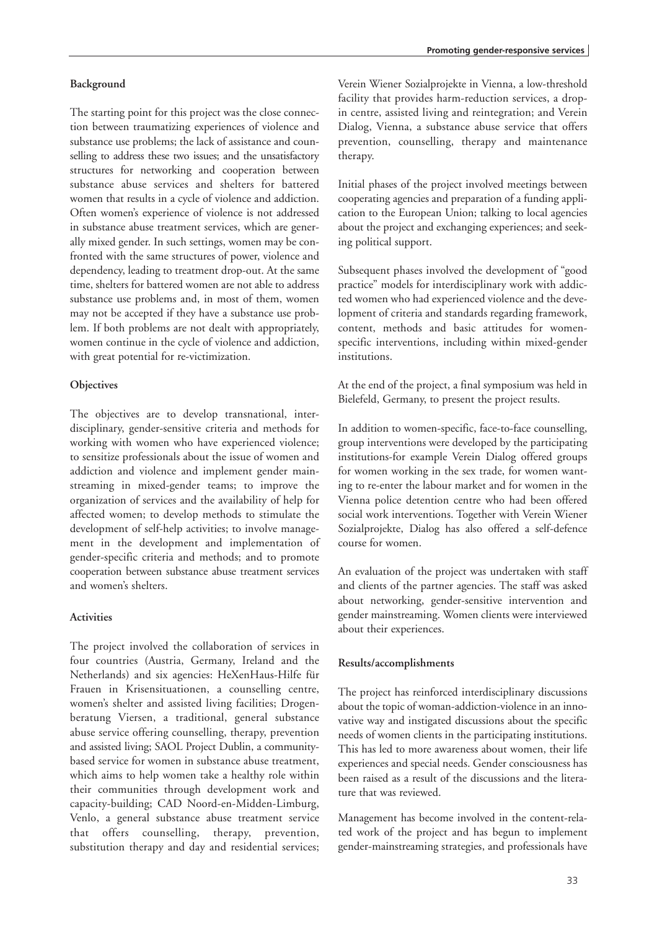#### **Background**

The starting point for this project was the close connection between traumatizing experiences of violence and substance use problems; the lack of assistance and counselling to address these two issues; and the unsatisfactory structures for networking and cooperation between substance abuse services and shelters for battered women that results in a cycle of violence and addiction. Often women's experience of violence is not addressed in substance abuse treatment services, which are generally mixed gender. In such settings, women may be confronted with the same structures of power, violence and dependency, leading to treatment drop-out. At the same time, shelters for battered women are not able to address substance use problems and, in most of them, women may not be accepted if they have a substance use problem. If both problems are not dealt with appropriately, women continue in the cycle of violence and addiction, with great potential for re-victimization.

## **Objectives**

The objectives are to develop transnational, interdisciplinary, gender-sensitive criteria and methods for working with women who have experienced violence; to sensitize professionals about the issue of women and addiction and violence and implement gender mainstreaming in mixed-gender teams; to improve the organization of services and the availability of help for affected women; to develop methods to stimulate the development of self-help activities; to involve management in the development and implementation of gender-specific criteria and methods; and to promote cooperation between substance abuse treatment services and women's shelters.

## **Activities**

The project involved the collaboration of services in four countries (Austria, Germany, Ireland and the Netherlands) and six agencies: HeXenHaus-Hilfe für Frauen in Krisensituationen, a counselling centre, women's shelter and assisted living facilities; Drogenberatung Viersen, a traditional, general substance abuse service offering counselling, therapy, prevention and assisted living; SAOL Project Dublin, a communitybased service for women in substance abuse treatment, which aims to help women take a healthy role within their communities through development work and capacity-building; CAD Noord-en-Midden-Limburg, Venlo, a general substance abuse treatment service that offers counselling, therapy, prevention, substitution therapy and day and residential services; Verein Wiener Sozialprojekte in Vienna, a low-threshold facility that provides harm-reduction services, a dropin centre, assisted living and reintegration; and Verein Dialog, Vienna, a substance abuse service that offers prevention, counselling, therapy and maintenance therapy.

Initial phases of the project involved meetings between cooperating agencies and preparation of a funding application to the European Union; talking to local agencies about the project and exchanging experiences; and seeking political support.

Subsequent phases involved the development of "good practice" models for interdisciplinary work with addicted women who had experienced violence and the development of criteria and standards regarding framework, content, methods and basic attitudes for womenspecific interventions, including within mixed-gender institutions.

At the end of the project, a final symposium was held in Bielefeld, Germany, to present the project results.

In addition to women-specific, face-to-face counselling, group interventions were developed by the participating institutions-for example Verein Dialog offered groups for women working in the sex trade, for women wanting to re-enter the labour market and for women in the Vienna police detention centre who had been offered social work interventions. Together with Verein Wiener Sozialprojekte, Dialog has also offered a self-defence course for women.

An evaluation of the project was undertaken with staff and clients of the partner agencies. The staff was asked about networking, gender-sensitive intervention and gender mainstreaming. Women clients were interviewed about their experiences.

## **Results/accomplishments**

The project has reinforced interdisciplinary discussions about the topic of woman-addiction-violence in an innovative way and instigated discussions about the specific needs of women clients in the participating institutions. This has led to more awareness about women, their life experiences and special needs. Gender consciousness has been raised as a result of the discussions and the literature that was reviewed.

Management has become involved in the content-related work of the project and has begun to implement gender-mainstreaming strategies, and professionals have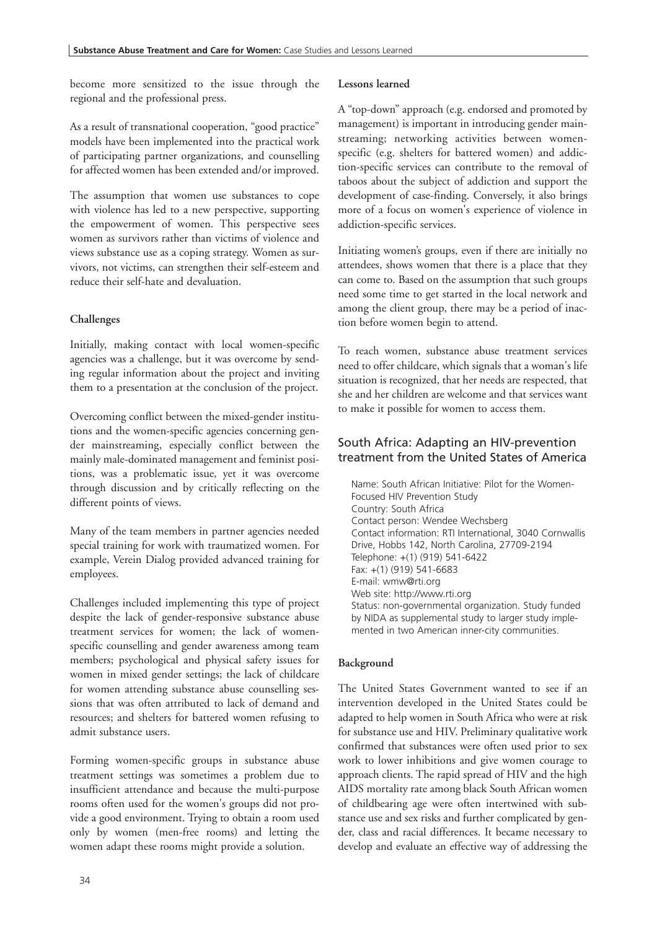become more sensitized to the issue through the regional and the professional press.

As a result of transnational cooperation, "good practice" models have been implemented into the practical work of participating partner organizations, and counselling for affected women has been extended and/or improved.

The assumption that women use substances to cope with violence has led to a new perspective, supporting the empowerment of women. This perspective sees women as survivors rather than victims of violence and views substance use as a coping strategy. Women as survivors, not victims, can strengthen their self-esteem and reduce their self-hate and devaluation.

## **Challenges**

Initially, making contact with local women-specific agencies was a challenge, but it was overcome by sending regular information about the project and inviting them to a presentation at the conclusion of the project.

Overcoming conflict between the mixed-gender institutions and the women-specific agencies concerning gender mainstreaming, especially conflict between the mainly male-dominated management and feminist positions, was a problematic issue, yet it was overcome through discussion and by critically reflecting on the different points of views.

Many of the team members in partner agencies needed special training for work with traumatized women. For example, Verein Dialog provided advanced training for employees.

Challenges included implementing this type of project despite the lack of gender-responsive substance abuse treatment services for women; the lack of womenspecific counselling and gender awareness among team members; psychological and physical safety issues for women in mixed gender settings; the lack of childcare for women attending substance abuse counselling sessions that was often attributed to lack of demand and resources; and shelters for battered women refusing to admit substance users.

Forming women-specific groups in substance abuse treatment settings was sometimes a problem due to insufficient attendance and because the multi-purpose rooms often used for the women's groups did not provide a good environment. Trying to obtain a room used only by women (men-free rooms) and letting the women adapt these rooms might provide a solution.

#### **Lessons learned**

A "top-down" approach (e.g. endorsed and promoted by management) is important in introducing gender mainstreaming; networking activities between womenspecific (e.g. shelters for battered women) and addiction-specific services can contribute to the removal of taboos about the subject of addiction and support the development of case-finding. Conversely, it also brings more of a focus on women's experience of violence in addiction-specific services.

Initiating women's groups, even if there are initially no attendees, shows women that there is a place that they can come to. Based on the assumption that such groups need some time to get started in the local network and among the client group, there may be a period of inaction before women begin to attend.

To reach women, substance abuse treatment services need to offer childcare, which signals that a woman's life situation is recognized, that her needs are respected, that she and her children are welcome and that services want to make it possible for women to access them.

# South Africa: Adapting an HIV-prevention treatment from the United States of America

Name: South African Initiative: Pilot for the Women-Focused HIV Prevention Study Country: South Africa Contact person: Wendee Wechsberg Contact information: RTI International, 3040 Cornwallis Drive, Hobbs 142, North Carolina, 27709-2194 Telephone: +(1) (919) 541-6422 Fax: +(1) (919) 541-6683 E-mail: wmw@rti.org Web site: http://www.rti.org Status: non-governmental organization. Study funded by NIDA as supplemental study to larger study implemented in two American inner-city communities.

## **Background**

The United States Government wanted to see if an intervention developed in the United States could be adapted to help women in South Africa who were at risk for substance use and HIV. Preliminary qualitative work confirmed that substances were often used prior to sex work to lower inhibitions and give women courage to approach clients. The rapid spread of HIV and the high AIDS mortality rate among black South African women of childbearing age were often intertwined with substance use and sex risks and further complicated by gender, class and racial differences. It became necessary to develop and evaluate an effective way of addressing the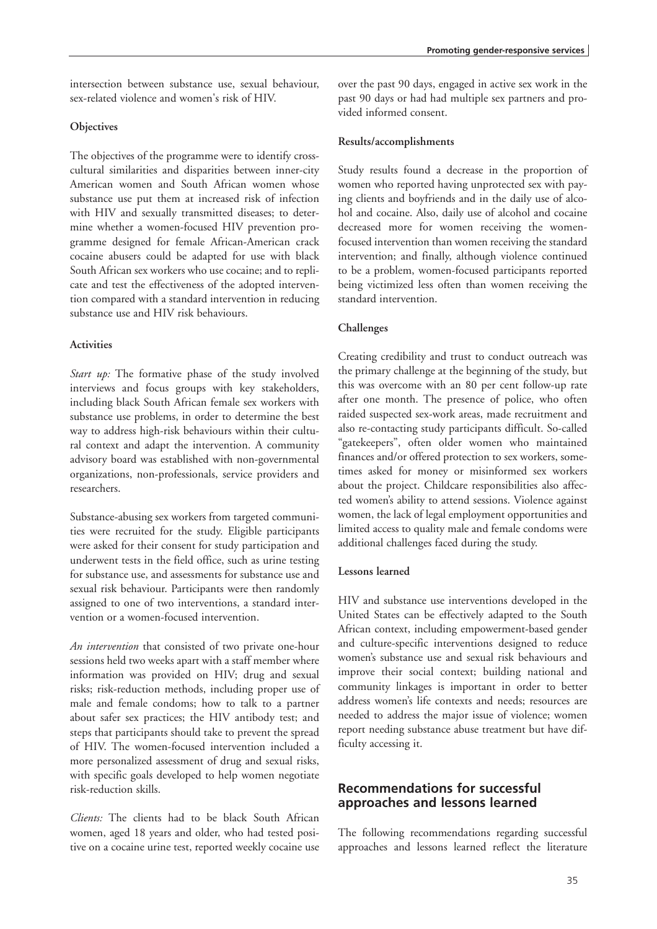intersection between substance use, sexual behaviour, sex-related violence and women's risk of HIV.

#### **Objectives**

The objectives of the programme were to identify crosscultural similarities and disparities between inner-city American women and South African women whose substance use put them at increased risk of infection with HIV and sexually transmitted diseases; to determine whether a women-focused HIV prevention programme designed for female African-American crack cocaine abusers could be adapted for use with black South African sex workers who use cocaine; and to replicate and test the effectiveness of the adopted intervention compared with a standard intervention in reducing substance use and HIV risk behaviours.

## **Activities**

*Start up:* The formative phase of the study involved interviews and focus groups with key stakeholders, including black South African female sex workers with substance use problems, in order to determine the best way to address high-risk behaviours within their cultural context and adapt the intervention. A community advisory board was established with non-governmental organizations, non-professionals, service providers and researchers.

Substance-abusing sex workers from targeted communities were recruited for the study. Eligible participants were asked for their consent for study participation and underwent tests in the field office, such as urine testing for substance use, and assessments for substance use and sexual risk behaviour. Participants were then randomly assigned to one of two interventions, a standard intervention or a women-focused intervention.

*An intervention* that consisted of two private one-hour sessions held two weeks apart with a staff member where information was provided on HIV; drug and sexual risks; risk-reduction methods, including proper use of male and female condoms; how to talk to a partner about safer sex practices; the HIV antibody test; and steps that participants should take to prevent the spread of HIV. The women-focused intervention included a more personalized assessment of drug and sexual risks, with specific goals developed to help women negotiate risk-reduction skills.

*Clients:* The clients had to be black South African women, aged 18 years and older, who had tested positive on a cocaine urine test, reported weekly cocaine use over the past 90 days, engaged in active sex work in the past 90 days or had had multiple sex partners and provided informed consent.

# **Results/accomplishments**

Study results found a decrease in the proportion of women who reported having unprotected sex with paying clients and boyfriends and in the daily use of alcohol and cocaine. Also, daily use of alcohol and cocaine decreased more for women receiving the womenfocused intervention than women receiving the standard intervention; and finally, although violence continued to be a problem, women-focused participants reported being victimized less often than women receiving the standard intervention.

# **Challenges**

Creating credibility and trust to conduct outreach was the primary challenge at the beginning of the study, but this was overcome with an 80 per cent follow-up rate after one month. The presence of police, who often raided suspected sex-work areas, made recruitment and also re-contacting study participants difficult. So-called "gatekeepers", often older women who maintained finances and/or offered protection to sex workers, sometimes asked for money or misinformed sex workers about the project. Childcare responsibilities also affected women's ability to attend sessions. Violence against women, the lack of legal employment opportunities and limited access to quality male and female condoms were additional challenges faced during the study.

## **Lessons learned**

HIV and substance use interventions developed in the United States can be effectively adapted to the South African context, including empowerment-based gender and culture-specific interventions designed to reduce women's substance use and sexual risk behaviours and improve their social context; building national and community linkages is important in order to better address women's life contexts and needs; resources are needed to address the major issue of violence; women report needing substance abuse treatment but have difficulty accessing it.

# **Recommendations for successful approaches and lessons learned**

The following recommendations regarding successful approaches and lessons learned reflect the literature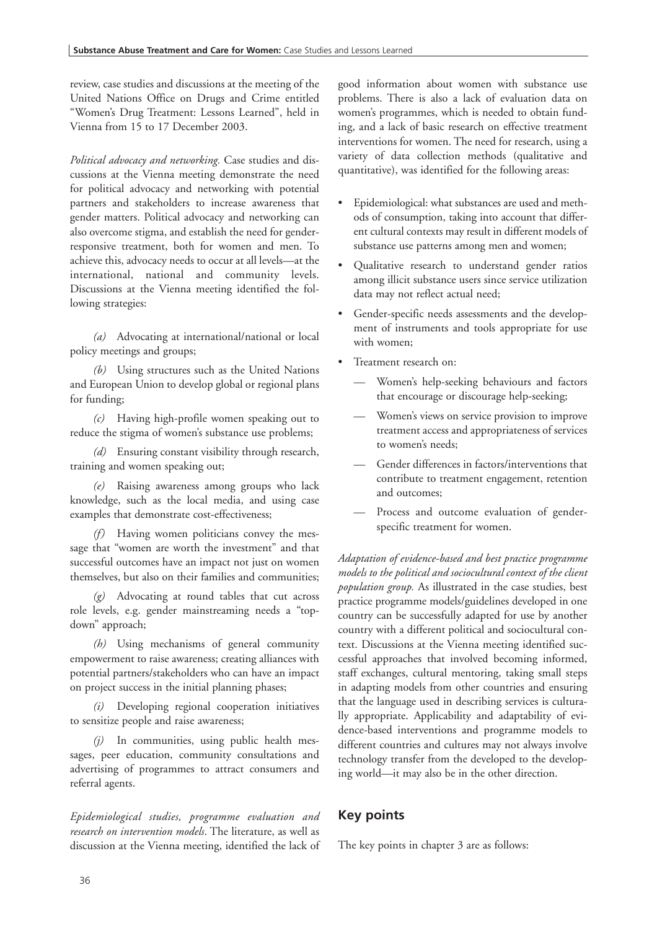review, case studies and discussions at the meeting of the United Nations Office on Drugs and Crime entitled "Women's Drug Treatment: Lessons Learned", held in Vienna from 15 to 17 December 2003.

*Political advocacy and networking.* Case studies and discussions at the Vienna meeting demonstrate the need for political advocacy and networking with potential partners and stakeholders to increase awareness that gender matters. Political advocacy and networking can also overcome stigma, and establish the need for genderresponsive treatment, both for women and men. To achieve this, advocacy needs to occur at all levels—at the international, national and community levels. Discussions at the Vienna meeting identified the following strategies:

*(a)* Advocating at international/national or local policy meetings and groups;

*(b)* Using structures such as the United Nations and European Union to develop global or regional plans for funding;

*(c)* Having high-profile women speaking out to reduce the stigma of women's substance use problems;

*(d)* Ensuring constant visibility through research, training and women speaking out;

*(e)* Raising awareness among groups who lack knowledge, such as the local media, and using case examples that demonstrate cost-effectiveness;

*(f)* Having women politicians convey the message that "women are worth the investment" and that successful outcomes have an impact not just on women themselves, but also on their families and communities;

*(g)* Advocating at round tables that cut across role levels, e.g. gender mainstreaming needs a "topdown" approach;

*(h)* Using mechanisms of general community empowerment to raise awareness; creating alliances with potential partners/stakeholders who can have an impact on project success in the initial planning phases;

*(i)* Developing regional cooperation initiatives to sensitize people and raise awareness;

*(j)* In communities, using public health messages, peer education, community consultations and advertising of programmes to attract consumers and referral agents.

*Epidemiological studies, programme evaluation and research on intervention models*. The literature, as well as discussion at the Vienna meeting, identified the lack of good information about women with substance use problems. There is also a lack of evaluation data on women's programmes, which is needed to obtain funding, and a lack of basic research on effective treatment interventions for women. The need for research, using a variety of data collection methods (qualitative and quantitative), was identified for the following areas:

- Epidemiological: what substances are used and methods of consumption, taking into account that different cultural contexts may result in different models of substance use patterns among men and women;
- Qualitative research to understand gender ratios among illicit substance users since service utilization data may not reflect actual need;
- Gender-specific needs assessments and the development of instruments and tools appropriate for use with women;
- Treatment research on:
	- Women's help-seeking behaviours and factors that encourage or discourage help-seeking;
	- Women's views on service provision to improve treatment access and appropriateness of services to women's needs;
	- Gender differences in factors/interventions that contribute to treatment engagement, retention and outcomes;
	- Process and outcome evaluation of genderspecific treatment for women.

*Adaptation of evidence-based and best practice programme models to the political and sociocultural context of the client population group.* As illustrated in the case studies, best practice programme models/guidelines developed in one country can be successfully adapted for use by another country with a different political and sociocultural context. Discussions at the Vienna meeting identified successful approaches that involved becoming informed, staff exchanges, cultural mentoring, taking small steps in adapting models from other countries and ensuring that the language used in describing services is culturally appropriate. Applicability and adaptability of evidence-based interventions and programme models to different countries and cultures may not always involve technology transfer from the developed to the developing world—it may also be in the other direction.

# **Key points**

The key points in chapter 3 are as follows: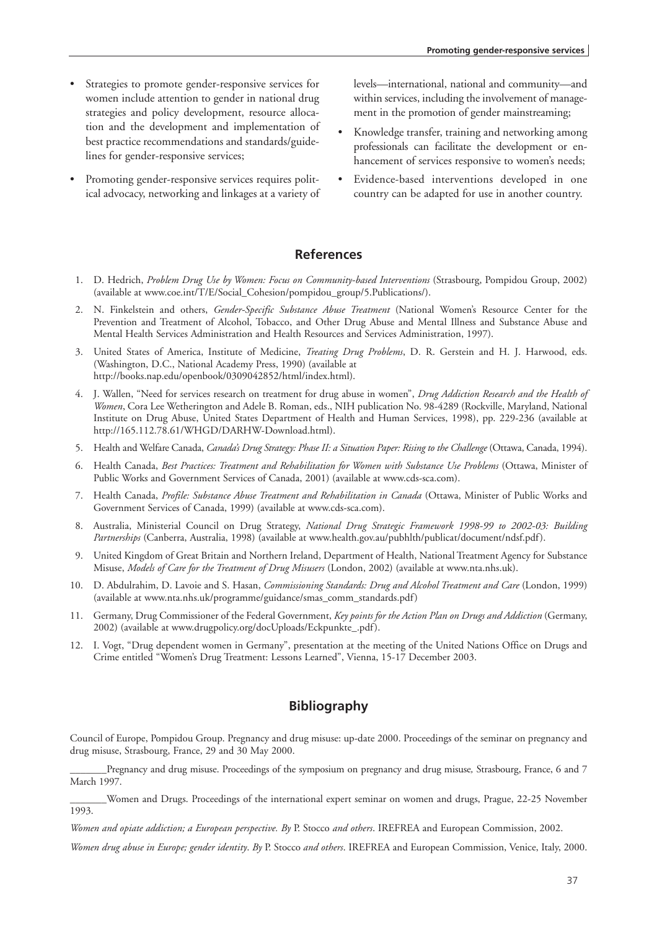- Strategies to promote gender-responsive services for women include attention to gender in national drug strategies and policy development, resource allocation and the development and implementation of best practice recommendations and standards/guidelines for gender-responsive services;
- Promoting gender-responsive services requires political advocacy, networking and linkages at a variety of

levels—international, national and community—and within services, including the involvement of management in the promotion of gender mainstreaming;

- Knowledge transfer, training and networking among professionals can facilitate the development or enhancement of services responsive to women's needs;
- Evidence-based interventions developed in one country can be adapted for use in another country.

# **References**

- 1. D. Hedrich, *Problem Drug Use by Women: Focus on Community-based Interventions* (Strasbourg, Pompidou Group, 2002) (available at www.coe.int/T/E/Social\_Cohesion/pompidou\_group/5.Publications/).
- 2. N. Finkelstein and others, *Gender-Specific Substance Abuse Treatment* (National Women's Resource Center for the Prevention and Treatment of Alcohol, Tobacco, and Other Drug Abuse and Mental Illness and Substance Abuse and Mental Health Services Administration and Health Resources and Services Administration, 1997).
- 3. United States of America, Institute of Medicine, *Treating Drug Problems*, D. R. Gerstein and H. J. Harwood, eds. (Washington, D.C., National Academy Press, 1990) (available at http://books.nap.edu/openbook/0309042852/html/index.html).
- 4. J. Wallen, "Need for services research on treatment for drug abuse in women", *Drug Addiction Research and the Health of Women*, Cora Lee Wetherington and Adele B. Roman, eds., NIH publication No. 98-4289 (Rockville, Maryland, National Institute on Drug Abuse, United States Department of Health and Human Services, 1998), pp. 229-236 (available at http://165.112.78.61/WHGD/DARHW-Download.html).
- 5. Health and Welfare Canada, *Canada's Drug Strategy: Phase II: a Situation Paper: Rising to the Challenge* (Ottawa, Canada, 1994).
- 6. Health Canada, *Best Practices: Treatment and Rehabilitation for Women with Substance Use Problems* (Ottawa, Minister of Public Works and Government Services of Canada, 2001) (available at www.cds-sca.com).
- 7. Health Canada, *Profile: Substance Abuse Treatment and Rehabilitation in Canada* (Ottawa, Minister of Public Works and Government Services of Canada, 1999) (available at www.cds-sca.com).
- 8. Australia, Ministerial Council on Drug Strategy, *National Drug Strategic Framework 1998-99 to 2002-03: Building Partnerships* (Canberra, Australia, 1998) (available at www.health.gov.au/pubhlth/publicat/document/ndsf.pdf).
- 9. United Kingdom of Great Britain and Northern Ireland, Department of Health, National Treatment Agency for Substance Misuse, *Models of Care for the Treatment of Drug Misusers* (London, 2002) (available at www.nta.nhs.uk).
- 10. D. Abdulrahim, D. Lavoie and S. Hasan, *Commissioning Standards: Drug and Alcohol Treatment and Care* (London, 1999) (available at www.nta.nhs.uk/programme/guidance/smas\_comm\_standards.pdf)
- 11. Germany, Drug Commissioner of the Federal Government, *Key points for the Action Plan on Drugs and Addiction* (Germany, 2002) (available at www.drugpolicy.org/docUploads/Eckpunkte\_.pdf).
- 12. I. Vogt, "Drug dependent women in Germany", presentation at the meeting of the United Nations Office on Drugs and Crime entitled "Women's Drug Treatment: Lessons Learned", Vienna, 15-17 December 2003.

# **Bibliography**

Council of Europe, Pompidou Group. Pregnancy and drug misuse: up-date 2000. Proceedings of the seminar on pregnancy and drug misuse, Strasbourg, France, 29 and 30 May 2000.

\_\_\_\_\_\_\_Pregnancy and drug misuse. Proceedings of the symposium on pregnancy and drug misuse*,* Strasbourg, France, 6 and 7 March 1997.

*Women drug abuse in Europe; gender identity*. *By* P. Stocco *and others*. IREFREA and European Commission, Venice, Italy, 2000.

\_\_\_\_\_\_\_Women and Drugs. Proceedings of the international expert seminar on women and drugs, Prague, 22-25 November 1993.

*Women and opiate addiction; a European perspective. By* P. Stocco *and others*. IREFREA and European Commission, 2002.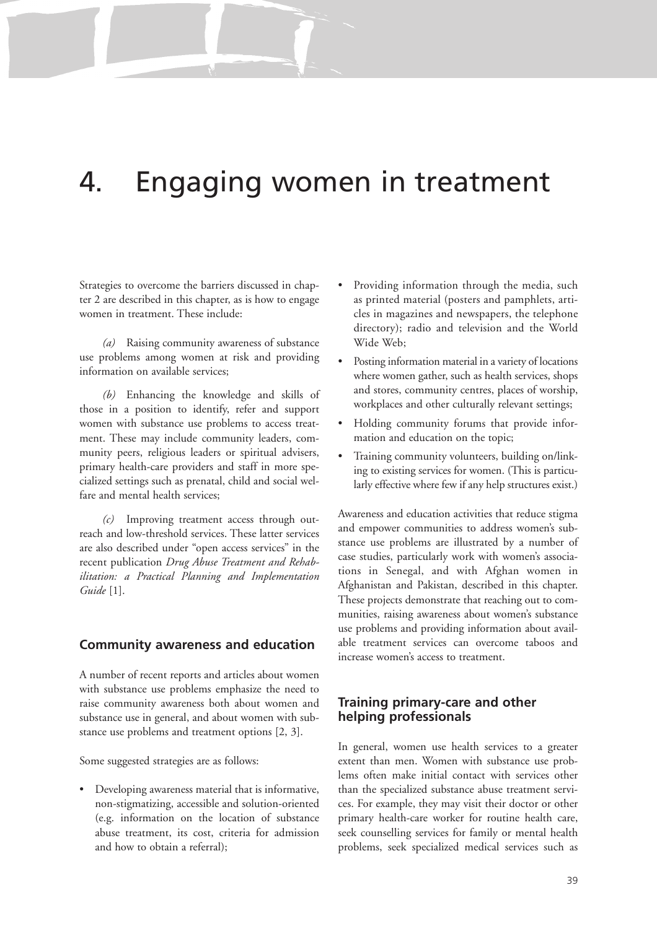# 4. Engaging women in treatment

Strategies to overcome the barriers discussed in chapter 2 are described in this chapter, as is how to engage women in treatment. These include:

*(a)* Raising community awareness of substance use problems among women at risk and providing information on available services;

*(b)* Enhancing the knowledge and skills of those in a position to identify, refer and support women with substance use problems to access treatment. These may include community leaders, community peers, religious leaders or spiritual advisers, primary health-care providers and staff in more specialized settings such as prenatal, child and social welfare and mental health services;

*(c)* Improving treatment access through outreach and low-threshold services. These latter services are also described under "open access services" in the recent publication *Drug Abuse Treatment and Rehabilitation: a Practical Planning and Implementation Guide* [1].

#### **Community awareness and education**

A number of recent reports and articles about women with substance use problems emphasize the need to raise community awareness both about women and substance use in general, and about women with substance use problems and treatment options [2, 3].

Some suggested strategies are as follows:

• Developing awareness material that is informative, non-stigmatizing, accessible and solution-oriented (e.g. information on the location of substance abuse treatment, its cost, criteria for admission and how to obtain a referral);

- Providing information through the media, such as printed material (posters and pamphlets, articles in magazines and newspapers, the telephone directory); radio and television and the World Wide Web;
- Posting information material in a variety of locations where women gather, such as health services, shops and stores, community centres, places of worship, workplaces and other culturally relevant settings;
- Holding community forums that provide information and education on the topic;
- Training community volunteers, building on/linking to existing services for women. (This is particularly effective where few if any help structures exist.)

Awareness and education activities that reduce stigma and empower communities to address women's substance use problems are illustrated by a number of case studies, particularly work with women's associations in Senegal, and with Afghan women in Afghanistan and Pakistan, described in this chapter. These projects demonstrate that reaching out to communities, raising awareness about women's substance use problems and providing information about available treatment services can overcome taboos and increase women's access to treatment.

# **Training primary-care and other helping professionals**

In general, women use health services to a greater extent than men. Women with substance use problems often make initial contact with services other than the specialized substance abuse treatment services. For example, they may visit their doctor or other primary health-care worker for routine health care, seek counselling services for family or mental health problems, seek specialized medical services such as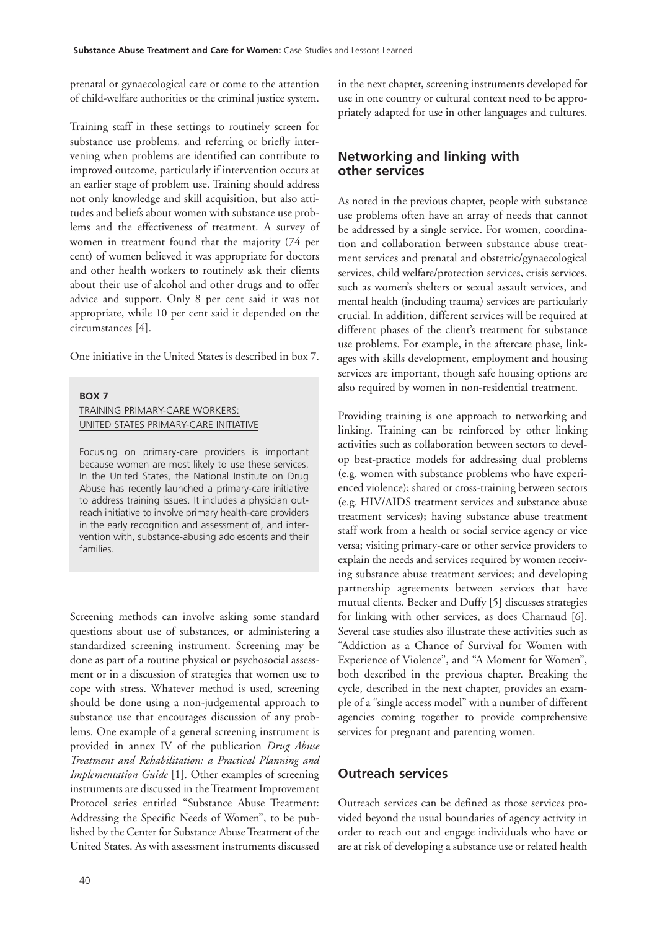prenatal or gynaecological care or come to the attention of child-welfare authorities or the criminal justice system.

Training staff in these settings to routinely screen for substance use problems, and referring or briefly intervening when problems are identified can contribute to improved outcome, particularly if intervention occurs at an earlier stage of problem use. Training should address not only knowledge and skill acquisition, but also attitudes and beliefs about women with substance use problems and the effectiveness of treatment. A survey of women in treatment found that the majority (74 per cent) of women believed it was appropriate for doctors and other health workers to routinely ask their clients about their use of alcohol and other drugs and to offer advice and support. Only 8 per cent said it was not appropriate, while 10 per cent said it depended on the circumstances [4].

One initiative in the United States is described in box 7.

## **BOX 7** TRAINING PRIMARY-CARE WORKERS: UNITED STATES PRIMARY-CARE INITIATIVE

Focusing on primary-care providers is important because women are most likely to use these services. In the United States, the National Institute on Drug Abuse has recently launched a primary-care initiative to address training issues. It includes a physician outreach initiative to involve primary health-care providers in the early recognition and assessment of, and intervention with, substance-abusing adolescents and their families.

Screening methods can involve asking some standard questions about use of substances, or administering a standardized screening instrument. Screening may be done as part of a routine physical or psychosocial assessment or in a discussion of strategies that women use to cope with stress. Whatever method is used, screening should be done using a non-judgemental approach to substance use that encourages discussion of any problems. One example of a general screening instrument is provided in annex IV of the publication *Drug Abuse Treatment and Rehabilitation: a Practical Planning and Implementation Guide* [1]. Other examples of screening instruments are discussed in the Treatment Improvement Protocol series entitled "Substance Abuse Treatment: Addressing the Specific Needs of Women", to be published by the Center for Substance Abuse Treatment of the United States. As with assessment instruments discussed

in the next chapter, screening instruments developed for use in one country or cultural context need to be appropriately adapted for use in other languages and cultures.

# **Networking and linking with other services**

As noted in the previous chapter, people with substance use problems often have an array of needs that cannot be addressed by a single service. For women, coordination and collaboration between substance abuse treatment services and prenatal and obstetric/gynaecological services, child welfare/protection services, crisis services, such as women's shelters or sexual assault services, and mental health (including trauma) services are particularly crucial. In addition, different services will be required at different phases of the client's treatment for substance use problems. For example, in the aftercare phase, linkages with skills development, employment and housing services are important, though safe housing options are also required by women in non-residential treatment.

Providing training is one approach to networking and linking. Training can be reinforced by other linking activities such as collaboration between sectors to develop best-practice models for addressing dual problems (e.g. women with substance problems who have experienced violence); shared or cross-training between sectors (e.g. HIV/AIDS treatment services and substance abuse treatment services); having substance abuse treatment staff work from a health or social service agency or vice versa; visiting primary-care or other service providers to explain the needs and services required by women receiving substance abuse treatment services; and developing partnership agreements between services that have mutual clients. Becker and Duffy [5] discusses strategies for linking with other services, as does Charnaud [6]. Several case studies also illustrate these activities such as "Addiction as a Chance of Survival for Women with Experience of Violence", and "A Moment for Women", both described in the previous chapter. Breaking the cycle, described in the next chapter, provides an example of a "single access model" with a number of different agencies coming together to provide comprehensive services for pregnant and parenting women.

# **Outreach services**

Outreach services can be defined as those services provided beyond the usual boundaries of agency activity in order to reach out and engage individuals who have or are at risk of developing a substance use or related health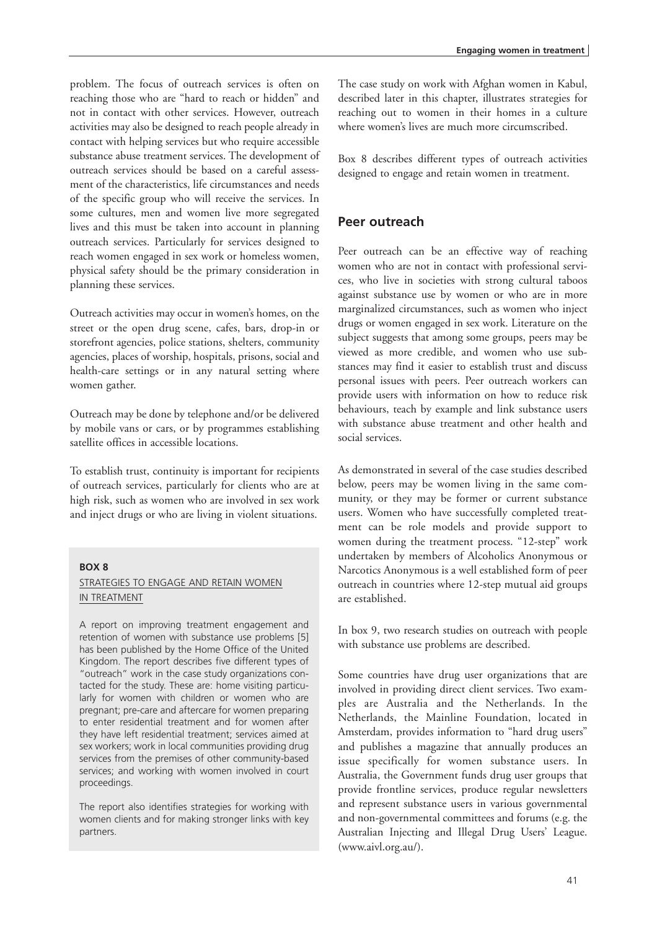problem. The focus of outreach services is often on reaching those who are "hard to reach or hidden" and not in contact with other services. However, outreach activities may also be designed to reach people already in contact with helping services but who require accessible substance abuse treatment services. The development of outreach services should be based on a careful assessment of the characteristics, life circumstances and needs of the specific group who will receive the services. In some cultures, men and women live more segregated lives and this must be taken into account in planning outreach services. Particularly for services designed to reach women engaged in sex work or homeless women, physical safety should be the primary consideration in planning these services.

Outreach activities may occur in women's homes, on the street or the open drug scene, cafes, bars, drop-in or storefront agencies, police stations, shelters, community agencies, places of worship, hospitals, prisons, social and health-care settings or in any natural setting where women gather.

Outreach may be done by telephone and/or be delivered by mobile vans or cars, or by programmes establishing satellite offices in accessible locations.

To establish trust, continuity is important for recipients of outreach services, particularly for clients who are at high risk, such as women who are involved in sex work and inject drugs or who are living in violent situations.

#### **BOX 8**

# STRATEGIES TO ENGAGE AND RETAIN WOMEN IN TREATMENT

A report on improving treatment engagement and retention of women with substance use problems [5] has been published by the Home Office of the United Kingdom. The report describes five different types of "outreach" work in the case study organizations contacted for the study. These are: home visiting particularly for women with children or women who are pregnant; pre-care and aftercare for women preparing to enter residential treatment and for women after they have left residential treatment; services aimed at sex workers; work in local communities providing drug services from the premises of other community-based services; and working with women involved in court proceedings.

The report also identifies strategies for working with women clients and for making stronger links with key partners.

The case study on work with Afghan women in Kabul, described later in this chapter, illustrates strategies for reaching out to women in their homes in a culture where women's lives are much more circumscribed.

Box 8 describes different types of outreach activities designed to engage and retain women in treatment.

# **Peer outreach**

Peer outreach can be an effective way of reaching women who are not in contact with professional services, who live in societies with strong cultural taboos against substance use by women or who are in more marginalized circumstances, such as women who inject drugs or women engaged in sex work. Literature on the subject suggests that among some groups, peers may be viewed as more credible, and women who use substances may find it easier to establish trust and discuss personal issues with peers. Peer outreach workers can provide users with information on how to reduce risk behaviours, teach by example and link substance users with substance abuse treatment and other health and social services.

As demonstrated in several of the case studies described below, peers may be women living in the same community, or they may be former or current substance users. Women who have successfully completed treatment can be role models and provide support to women during the treatment process. "12-step" work undertaken by members of Alcoholics Anonymous or Narcotics Anonymous is a well established form of peer outreach in countries where 12-step mutual aid groups are established.

In box 9, two research studies on outreach with people with substance use problems are described.

Some countries have drug user organizations that are involved in providing direct client services. Two examples are Australia and the Netherlands. In the Netherlands, the Mainline Foundation, located in Amsterdam, provides information to "hard drug users" and publishes a magazine that annually produces an issue specifically for women substance users. In Australia, the Government funds drug user groups that provide frontline services, produce regular newsletters and represent substance users in various governmental and non-governmental committees and forums (e.g. the Australian Injecting and Illegal Drug Users' League. (www.aivl.org.au/).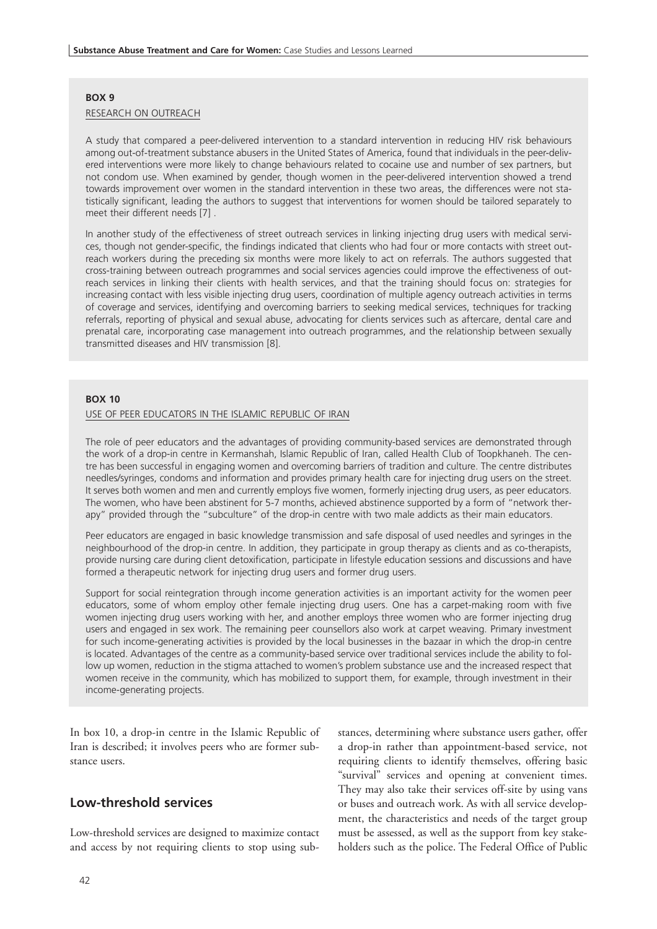#### **BOX 9**

#### RESEARCH ON OUTREACH

A study that compared a peer-delivered intervention to a standard intervention in reducing HIV risk behaviours among out-of-treatment substance abusers in the United States of America, found that individuals in the peer-delivered interventions were more likely to change behaviours related to cocaine use and number of sex partners, but not condom use. When examined by gender, though women in the peer-delivered intervention showed a trend towards improvement over women in the standard intervention in these two areas, the differences were not statistically significant, leading the authors to suggest that interventions for women should be tailored separately to meet their different needs [7] .

In another study of the effectiveness of street outreach services in linking injecting drug users with medical services, though not gender-specific, the findings indicated that clients who had four or more contacts with street outreach workers during the preceding six months were more likely to act on referrals. The authors suggested that cross-training between outreach programmes and social services agencies could improve the effectiveness of outreach services in linking their clients with health services, and that the training should focus on: strategies for increasing contact with less visible injecting drug users, coordination of multiple agency outreach activities in terms of coverage and services, identifying and overcoming barriers to seeking medical services, techniques for tracking referrals, reporting of physical and sexual abuse, advocating for clients services such as aftercare, dental care and prenatal care, incorporating case management into outreach programmes, and the relationship between sexually transmitted diseases and HIV transmission [8].

#### **BOX 10**

#### USE OF PEER EDUCATORS IN THE ISLAMIC REPUBLIC OF IRAN

The role of peer educators and the advantages of providing community-based services are demonstrated through the work of a drop-in centre in Kermanshah, Islamic Republic of Iran, called Health Club of Toopkhaneh. The centre has been successful in engaging women and overcoming barriers of tradition and culture. The centre distributes needles/syringes, condoms and information and provides primary health care for injecting drug users on the street. It serves both women and men and currently employs five women, formerly injecting drug users, as peer educators. The women, who have been abstinent for 5-7 months, achieved abstinence supported by a form of "network therapy" provided through the "subculture" of the drop-in centre with two male addicts as their main educators.

Peer educators are engaged in basic knowledge transmission and safe disposal of used needles and syringes in the neighbourhood of the drop-in centre. In addition, they participate in group therapy as clients and as co-therapists, provide nursing care during client detoxification, participate in lifestyle education sessions and discussions and have formed a therapeutic network for injecting drug users and former drug users.

Support for social reintegration through income generation activities is an important activity for the women peer educators, some of whom employ other female injecting drug users. One has a carpet-making room with five women injecting drug users working with her, and another employs three women who are former injecting drug users and engaged in sex work. The remaining peer counsellors also work at carpet weaving. Primary investment for such income-generating activities is provided by the local businesses in the bazaar in which the drop-in centre is located. Advantages of the centre as a community-based service over traditional services include the ability to follow up women, reduction in the stigma attached to women's problem substance use and the increased respect that women receive in the community, which has mobilized to support them, for example, through investment in their income-generating projects.

In box 10, a drop-in centre in the Islamic Republic of Iran is described; it involves peers who are former substance users.

# **Low-threshold services**

Low-threshold services are designed to maximize contact and access by not requiring clients to stop using substances, determining where substance users gather, offer a drop-in rather than appointment-based service, not requiring clients to identify themselves, offering basic "survival" services and opening at convenient times. They may also take their services off-site by using vans or buses and outreach work. As with all service development, the characteristics and needs of the target group must be assessed, as well as the support from key stakeholders such as the police. The Federal Office of Public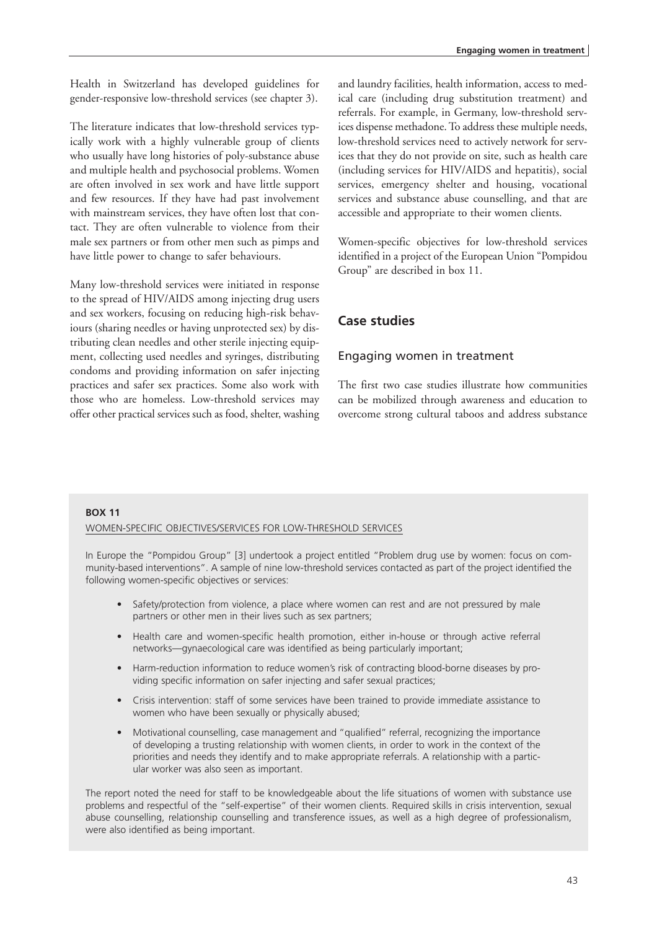Health in Switzerland has developed guidelines for gender-responsive low-threshold services (see chapter 3).

The literature indicates that low-threshold services typically work with a highly vulnerable group of clients who usually have long histories of poly-substance abuse and multiple health and psychosocial problems. Women are often involved in sex work and have little support and few resources. If they have had past involvement with mainstream services, they have often lost that contact. They are often vulnerable to violence from their male sex partners or from other men such as pimps and have little power to change to safer behaviours.

Many low-threshold services were initiated in response to the spread of HIV/AIDS among injecting drug users and sex workers, focusing on reducing high-risk behaviours (sharing needles or having unprotected sex) by distributing clean needles and other sterile injecting equipment, collecting used needles and syringes, distributing condoms and providing information on safer injecting practices and safer sex practices. Some also work with those who are homeless. Low-threshold services may offer other practical services such as food, shelter, washing

and laundry facilities, health information, access to medical care (including drug substitution treatment) and referrals. For example, in Germany, low-threshold services dispense methadone. To address these multiple needs, low-threshold services need to actively network for services that they do not provide on site, such as health care (including services for HIV/AIDS and hepatitis), social services, emergency shelter and housing, vocational services and substance abuse counselling, and that are accessible and appropriate to their women clients.

Women-specific objectives for low-threshold services identified in a project of the European Union "Pompidou Group" are described in box 11.

# **Case studies**

# Engaging women in treatment

The first two case studies illustrate how communities can be mobilized through awareness and education to overcome strong cultural taboos and address substance

#### **BOX 11** WOMEN-SPECIFIC OBJECTIVES/SERVICES FOR LOW-THRESHOLD SERVICES

In Europe the "Pompidou Group" [3] undertook a project entitled "Problem drug use by women: focus on community-based interventions". A sample of nine low-threshold services contacted as part of the project identified the following women-specific objectives or services:

- Safety/protection from violence, a place where women can rest and are not pressured by male partners or other men in their lives such as sex partners;
- Health care and women-specific health promotion, either in-house or through active referral networks—gynaecological care was identified as being particularly important;
- Harm-reduction information to reduce women's risk of contracting blood-borne diseases by providing specific information on safer injecting and safer sexual practices;
- Crisis intervention: staff of some services have been trained to provide immediate assistance to women who have been sexually or physically abused;
- Motivational counselling, case management and "qualified" referral, recognizing the importance of developing a trusting relationship with women clients, in order to work in the context of the priorities and needs they identify and to make appropriate referrals. A relationship with a particular worker was also seen as important.

The report noted the need for staff to be knowledgeable about the life situations of women with substance use problems and respectful of the "self-expertise" of their women clients. Required skills in crisis intervention, sexual abuse counselling, relationship counselling and transference issues, as well as a high degree of professionalism, were also identified as being important.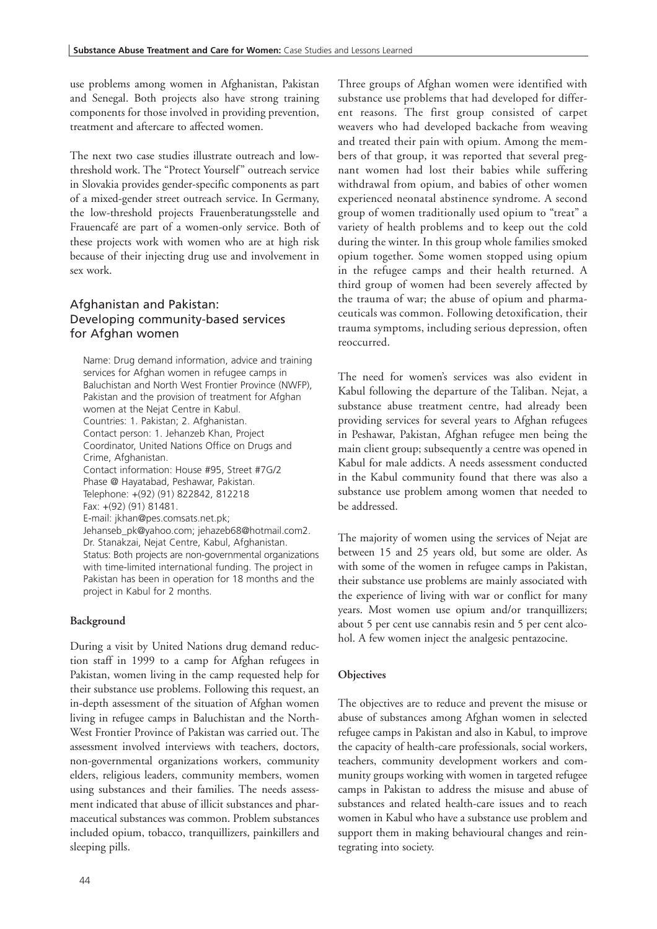use problems among women in Afghanistan, Pakistan and Senegal. Both projects also have strong training components for those involved in providing prevention, treatment and aftercare to affected women.

The next two case studies illustrate outreach and lowthreshold work. The "Protect Yourself" outreach service in Slovakia provides gender-specific components as part of a mixed-gender street outreach service. In Germany, the low-threshold projects Frauenberatungsstelle and Frauencafé are part of a women-only service. Both of these projects work with women who are at high risk because of their injecting drug use and involvement in sex work.

# Afghanistan and Pakistan: Developing community-based services for Afghan women

Name: Drug demand information, advice and training services for Afghan women in refugee camps in Baluchistan and North West Frontier Province (NWFP), Pakistan and the provision of treatment for Afghan women at the Nejat Centre in Kabul. Countries: 1. Pakistan; 2. Afghanistan. Contact person: 1. Jehanzeb Khan, Project Coordinator, United Nations Office on Drugs and Crime, Afghanistan. Contact information: House #95, Street #7G/2 Phase @ Hayatabad, Peshawar, Pakistan. Telephone: +(92) (91) 822842, 812218 Fax: +(92) (91) 81481. E-mail: jkhan@pes.comsats.net.pk; Jehanseb\_pk@yahoo.com; jehazeb68@hotmail.com2. Dr. Stanakzai, Nejat Centre, Kabul, Afghanistan. Status: Both projects are non-governmental organizations with time-limited international funding. The project in Pakistan has been in operation for 18 months and the project in Kabul for 2 months.

## **Background**

During a visit by United Nations drug demand reduction staff in 1999 to a camp for Afghan refugees in Pakistan, women living in the camp requested help for their substance use problems. Following this request, an in-depth assessment of the situation of Afghan women living in refugee camps in Baluchistan and the North-West Frontier Province of Pakistan was carried out. The assessment involved interviews with teachers, doctors, non-governmental organizations workers, community elders, religious leaders, community members, women using substances and their families. The needs assessment indicated that abuse of illicit substances and pharmaceutical substances was common. Problem substances included opium, tobacco, tranquillizers, painkillers and sleeping pills.

Three groups of Afghan women were identified with substance use problems that had developed for different reasons. The first group consisted of carpet weavers who had developed backache from weaving and treated their pain with opium. Among the members of that group, it was reported that several pregnant women had lost their babies while suffering withdrawal from opium, and babies of other women experienced neonatal abstinence syndrome. A second group of women traditionally used opium to "treat" a variety of health problems and to keep out the cold during the winter. In this group whole families smoked opium together. Some women stopped using opium in the refugee camps and their health returned. A third group of women had been severely affected by the trauma of war; the abuse of opium and pharmaceuticals was common. Following detoxification, their trauma symptoms, including serious depression, often reoccurred.

The need for women's services was also evident in Kabul following the departure of the Taliban. Nejat, a substance abuse treatment centre, had already been providing services for several years to Afghan refugees in Peshawar, Pakistan, Afghan refugee men being the main client group; subsequently a centre was opened in Kabul for male addicts. A needs assessment conducted in the Kabul community found that there was also a substance use problem among women that needed to be addressed.

The majority of women using the services of Nejat are between 15 and 25 years old, but some are older. As with some of the women in refugee camps in Pakistan, their substance use problems are mainly associated with the experience of living with war or conflict for many years. Most women use opium and/or tranquillizers; about 5 per cent use cannabis resin and 5 per cent alcohol. A few women inject the analgesic pentazocine.

# **Objectives**

The objectives are to reduce and prevent the misuse or abuse of substances among Afghan women in selected refugee camps in Pakistan and also in Kabul, to improve the capacity of health-care professionals, social workers, teachers, community development workers and community groups working with women in targeted refugee camps in Pakistan to address the misuse and abuse of substances and related health-care issues and to reach women in Kabul who have a substance use problem and support them in making behavioural changes and reintegrating into society.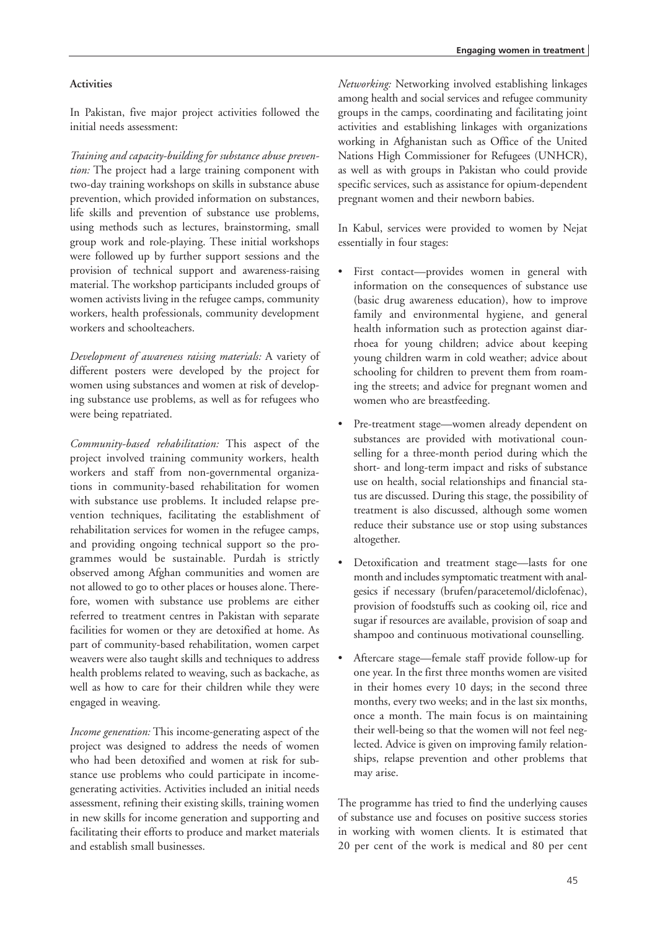# **Activities**

In Pakistan, five major project activities followed the initial needs assessment:

*Training and capacity-building for substance abuse prevention:* The project had a large training component with two-day training workshops on skills in substance abuse prevention, which provided information on substances, life skills and prevention of substance use problems, using methods such as lectures, brainstorming, small group work and role-playing. These initial workshops were followed up by further support sessions and the provision of technical support and awareness-raising material. The workshop participants included groups of women activists living in the refugee camps, community workers, health professionals, community development workers and schoolteachers.

*Development of awareness raising materials:* A variety of different posters were developed by the project for women using substances and women at risk of developing substance use problems, as well as for refugees who were being repatriated.

*Community-based rehabilitation:* This aspect of the project involved training community workers, health workers and staff from non-governmental organizations in community-based rehabilitation for women with substance use problems. It included relapse prevention techniques, facilitating the establishment of rehabilitation services for women in the refugee camps, and providing ongoing technical support so the programmes would be sustainable. Purdah is strictly observed among Afghan communities and women are not allowed to go to other places or houses alone. Therefore, women with substance use problems are either referred to treatment centres in Pakistan with separate facilities for women or they are detoxified at home. As part of community-based rehabilitation, women carpet weavers were also taught skills and techniques to address health problems related to weaving, such as backache, as well as how to care for their children while they were engaged in weaving.

*Income generation:* This income-generating aspect of the project was designed to address the needs of women who had been detoxified and women at risk for substance use problems who could participate in incomegenerating activities. Activities included an initial needs assessment, refining their existing skills, training women in new skills for income generation and supporting and facilitating their efforts to produce and market materials and establish small businesses.

*Networking:* Networking involved establishing linkages among health and social services and refugee community groups in the camps, coordinating and facilitating joint activities and establishing linkages with organizations working in Afghanistan such as Office of the United Nations High Commissioner for Refugees (UNHCR), as well as with groups in Pakistan who could provide specific services, such as assistance for opium-dependent pregnant women and their newborn babies.

In Kabul, services were provided to women by Nejat essentially in four stages:

- First contact—provides women in general with information on the consequences of substance use (basic drug awareness education), how to improve family and environmental hygiene, and general health information such as protection against diarrhoea for young children; advice about keeping young children warm in cold weather; advice about schooling for children to prevent them from roaming the streets; and advice for pregnant women and women who are breastfeeding.
- Pre-treatment stage—women already dependent on substances are provided with motivational counselling for a three-month period during which the short- and long-term impact and risks of substance use on health, social relationships and financial status are discussed. During this stage, the possibility of treatment is also discussed, although some women reduce their substance use or stop using substances altogether.
- Detoxification and treatment stage—lasts for one month and includes symptomatic treatment with analgesics if necessary (brufen/paracetemol/diclofenac), provision of foodstuffs such as cooking oil, rice and sugar if resources are available, provision of soap and shampoo and continuous motivational counselling.
- Aftercare stage—female staff provide follow-up for one year. In the first three months women are visited in their homes every 10 days; in the second three months, every two weeks; and in the last six months, once a month. The main focus is on maintaining their well-being so that the women will not feel neglected. Advice is given on improving family relationships, relapse prevention and other problems that may arise.

The programme has tried to find the underlying causes of substance use and focuses on positive success stories in working with women clients. It is estimated that 20 per cent of the work is medical and 80 per cent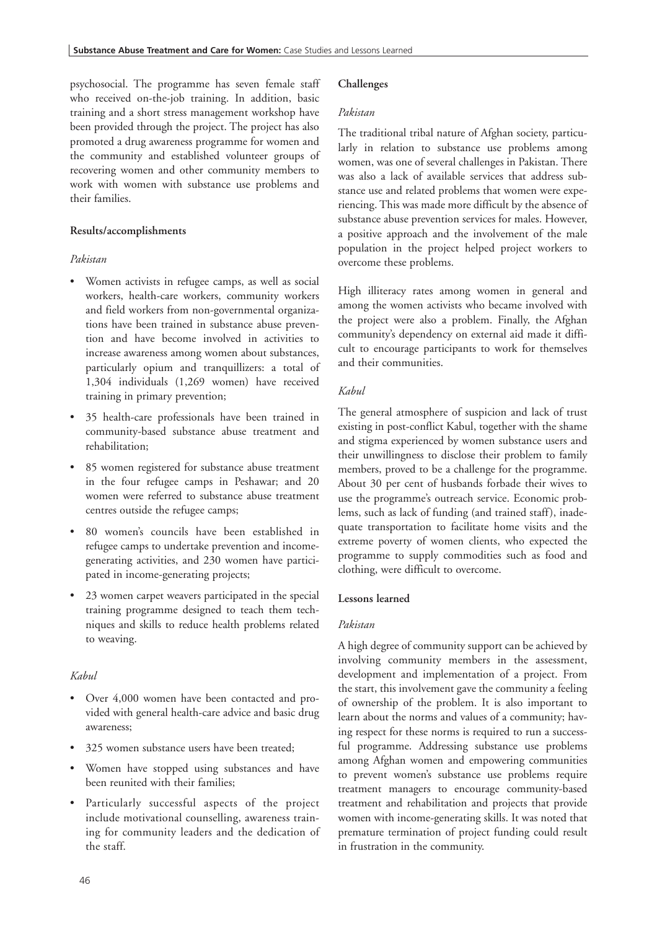psychosocial. The programme has seven female staff who received on-the-job training. In addition, basic training and a short stress management workshop have been provided through the project. The project has also promoted a drug awareness programme for women and the community and established volunteer groups of recovering women and other community members to work with women with substance use problems and their families.

#### **Results/accomplishments**

#### *Pakistan*

- Women activists in refugee camps, as well as social workers, health-care workers, community workers and field workers from non-governmental organizations have been trained in substance abuse prevention and have become involved in activities to increase awareness among women about substances, particularly opium and tranquillizers: a total of 1,304 individuals (1,269 women) have received training in primary prevention;
- 35 health-care professionals have been trained in community-based substance abuse treatment and rehabilitation;
- 85 women registered for substance abuse treatment in the four refugee camps in Peshawar; and 20 women were referred to substance abuse treatment centres outside the refugee camps;
- 80 women's councils have been established in refugee camps to undertake prevention and incomegenerating activities, and 230 women have participated in income-generating projects;
- 23 women carpet weavers participated in the special training programme designed to teach them techniques and skills to reduce health problems related to weaving.

## *Kabul*

- Over 4,000 women have been contacted and provided with general health-care advice and basic drug awareness;
- 325 women substance users have been treated;
- Women have stopped using substances and have been reunited with their families;
- Particularly successful aspects of the project include motivational counselling, awareness training for community leaders and the dedication of the staff.

## **Challenges**

#### *Pakistan*

The traditional tribal nature of Afghan society, particularly in relation to substance use problems among women, was one of several challenges in Pakistan. There was also a lack of available services that address substance use and related problems that women were experiencing. This was made more difficult by the absence of substance abuse prevention services for males. However, a positive approach and the involvement of the male population in the project helped project workers to overcome these problems.

High illiteracy rates among women in general and among the women activists who became involved with the project were also a problem. Finally, the Afghan community's dependency on external aid made it difficult to encourage participants to work for themselves and their communities.

## *Kabul*

The general atmosphere of suspicion and lack of trust existing in post-conflict Kabul, together with the shame and stigma experienced by women substance users and their unwillingness to disclose their problem to family members, proved to be a challenge for the programme. About 30 per cent of husbands forbade their wives to use the programme's outreach service. Economic problems, such as lack of funding (and trained staff), inadequate transportation to facilitate home visits and the extreme poverty of women clients, who expected the programme to supply commodities such as food and clothing, were difficult to overcome.

## **Lessons learned**

## *Pakistan*

A high degree of community support can be achieved by involving community members in the assessment, development and implementation of a project. From the start, this involvement gave the community a feeling of ownership of the problem. It is also important to learn about the norms and values of a community; having respect for these norms is required to run a successful programme. Addressing substance use problems among Afghan women and empowering communities to prevent women's substance use problems require treatment managers to encourage community-based treatment and rehabilitation and projects that provide women with income-generating skills. It was noted that premature termination of project funding could result in frustration in the community.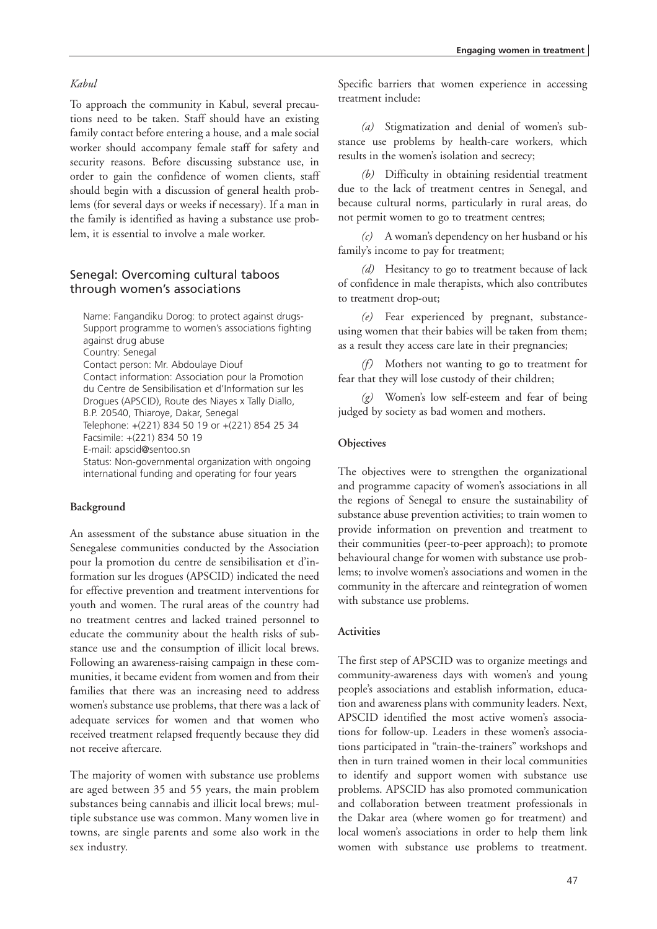#### *Kabul*

To approach the community in Kabul, several precautions need to be taken. Staff should have an existing family contact before entering a house, and a male social worker should accompany female staff for safety and security reasons. Before discussing substance use, in order to gain the confidence of women clients, staff should begin with a discussion of general health problems (for several days or weeks if necessary). If a man in the family is identified as having a substance use problem, it is essential to involve a male worker.

## Senegal: Overcoming cultural taboos through women's associations

Name: Fangandiku Dorog: to protect against drugs-Support programme to women's associations fighting against drug abuse Country: Senegal Contact person: Mr. Abdoulaye Diouf Contact information: Association pour la Promotion du Centre de Sensibilisation et d'Information sur les Drogues (APSCID), Route des Niayes x Tally Diallo, B.P. 20540, Thiaroye, Dakar, Senegal Telephone: +(221) 834 50 19 or +(221) 854 25 34 Facsimile: +(221) 834 50 19 E-mail: apscid@sentoo.sn Status: Non-governmental organization with ongoing international funding and operating for four years

## **Background**

An assessment of the substance abuse situation in the Senegalese communities conducted by the Association pour la promotion du centre de sensibilisation et d'information sur les drogues (APSCID) indicated the need for effective prevention and treatment interventions for youth and women. The rural areas of the country had no treatment centres and lacked trained personnel to educate the community about the health risks of substance use and the consumption of illicit local brews. Following an awareness-raising campaign in these communities, it became evident from women and from their families that there was an increasing need to address women's substance use problems, that there was a lack of adequate services for women and that women who received treatment relapsed frequently because they did not receive aftercare.

The majority of women with substance use problems are aged between 35 and 55 years, the main problem substances being cannabis and illicit local brews; multiple substance use was common. Many women live in towns, are single parents and some also work in the sex industry.

Specific barriers that women experience in accessing treatment include:

*(a)* Stigmatization and denial of women's substance use problems by health-care workers, which results in the women's isolation and secrecy;

*(b)* Difficulty in obtaining residential treatment due to the lack of treatment centres in Senegal, and because cultural norms, particularly in rural areas, do not permit women to go to treatment centres;

*(c)* A woman's dependency on her husband or his family's income to pay for treatment;

*(d)* Hesitancy to go to treatment because of lack of confidence in male therapists, which also contributes to treatment drop-out;

*(e)* Fear experienced by pregnant, substanceusing women that their babies will be taken from them; as a result they access care late in their pregnancies;

*(f)* Mothers not wanting to go to treatment for fear that they will lose custody of their children;

*(g)* Women's low self-esteem and fear of being judged by society as bad women and mothers.

#### **Objectives**

The objectives were to strengthen the organizational and programme capacity of women's associations in all the regions of Senegal to ensure the sustainability of substance abuse prevention activities; to train women to provide information on prevention and treatment to their communities (peer-to-peer approach); to promote behavioural change for women with substance use problems; to involve women's associations and women in the community in the aftercare and reintegration of women with substance use problems.

#### **Activities**

The first step of APSCID was to organize meetings and community-awareness days with women's and young people's associations and establish information, education and awareness plans with community leaders. Next, APSCID identified the most active women's associations for follow-up. Leaders in these women's associations participated in "train-the-trainers" workshops and then in turn trained women in their local communities to identify and support women with substance use problems. APSCID has also promoted communication and collaboration between treatment professionals in the Dakar area (where women go for treatment) and local women's associations in order to help them link women with substance use problems to treatment.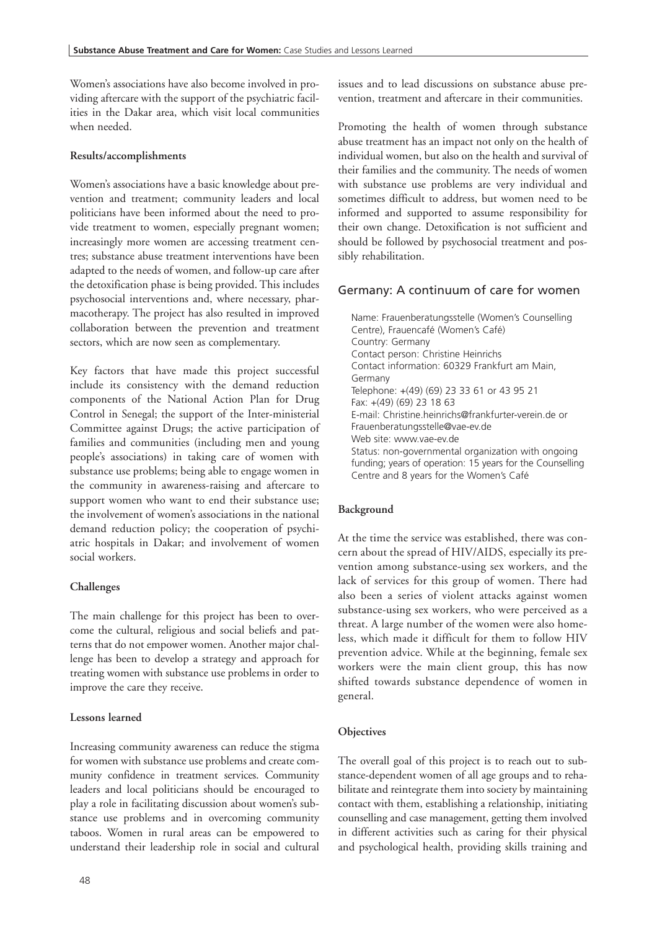Women's associations have also become involved in providing aftercare with the support of the psychiatric facilities in the Dakar area, which visit local communities when needed.

#### **Results/accomplishments**

Women's associations have a basic knowledge about prevention and treatment; community leaders and local politicians have been informed about the need to provide treatment to women, especially pregnant women; increasingly more women are accessing treatment centres; substance abuse treatment interventions have been adapted to the needs of women, and follow-up care after the detoxification phase is being provided. This includes psychosocial interventions and, where necessary, pharmacotherapy. The project has also resulted in improved collaboration between the prevention and treatment sectors, which are now seen as complementary.

Key factors that have made this project successful include its consistency with the demand reduction components of the National Action Plan for Drug Control in Senegal; the support of the Inter-ministerial Committee against Drugs; the active participation of families and communities (including men and young people's associations) in taking care of women with substance use problems; being able to engage women in the community in awareness-raising and aftercare to support women who want to end their substance use; the involvement of women's associations in the national demand reduction policy; the cooperation of psychiatric hospitals in Dakar; and involvement of women social workers.

## **Challenges**

The main challenge for this project has been to overcome the cultural, religious and social beliefs and patterns that do not empower women. Another major challenge has been to develop a strategy and approach for treating women with substance use problems in order to improve the care they receive.

## **Lessons learned**

Increasing community awareness can reduce the stigma for women with substance use problems and create community confidence in treatment services. Community leaders and local politicians should be encouraged to play a role in facilitating discussion about women's substance use problems and in overcoming community taboos. Women in rural areas can be empowered to understand their leadership role in social and cultural

issues and to lead discussions on substance abuse prevention, treatment and aftercare in their communities.

Promoting the health of women through substance abuse treatment has an impact not only on the health of individual women, but also on the health and survival of their families and the community. The needs of women with substance use problems are very individual and sometimes difficult to address, but women need to be informed and supported to assume responsibility for their own change. Detoxification is not sufficient and should be followed by psychosocial treatment and possibly rehabilitation.

# Germany: A continuum of care for women

Name: Frauenberatungsstelle (Women's Counselling Centre), Frauencafé (Women's Café) Country: Germany Contact person: Christine Heinrichs Contact information: 60329 Frankfurt am Main, Germany Telephone: +(49) (69) 23 33 61 or 43 95 21 Fax: +(49) (69) 23 18 63 E-mail: Christine.heinrichs@frankfurter-verein.de or Frauenberatungsstelle@vae-ev.de Web site: www.vae-ev.de Status: non-governmental organization with ongoing funding; years of operation: 15 years for the Counselling Centre and 8 years for the Women's Café

## **Background**

At the time the service was established, there was concern about the spread of HIV/AIDS, especially its prevention among substance-using sex workers, and the lack of services for this group of women. There had also been a series of violent attacks against women substance-using sex workers, who were perceived as a threat. A large number of the women were also homeless, which made it difficult for them to follow HIV prevention advice. While at the beginning, female sex workers were the main client group, this has now shifted towards substance dependence of women in general.

## **Objectives**

The overall goal of this project is to reach out to substance-dependent women of all age groups and to rehabilitate and reintegrate them into society by maintaining contact with them, establishing a relationship, initiating counselling and case management, getting them involved in different activities such as caring for their physical and psychological health, providing skills training and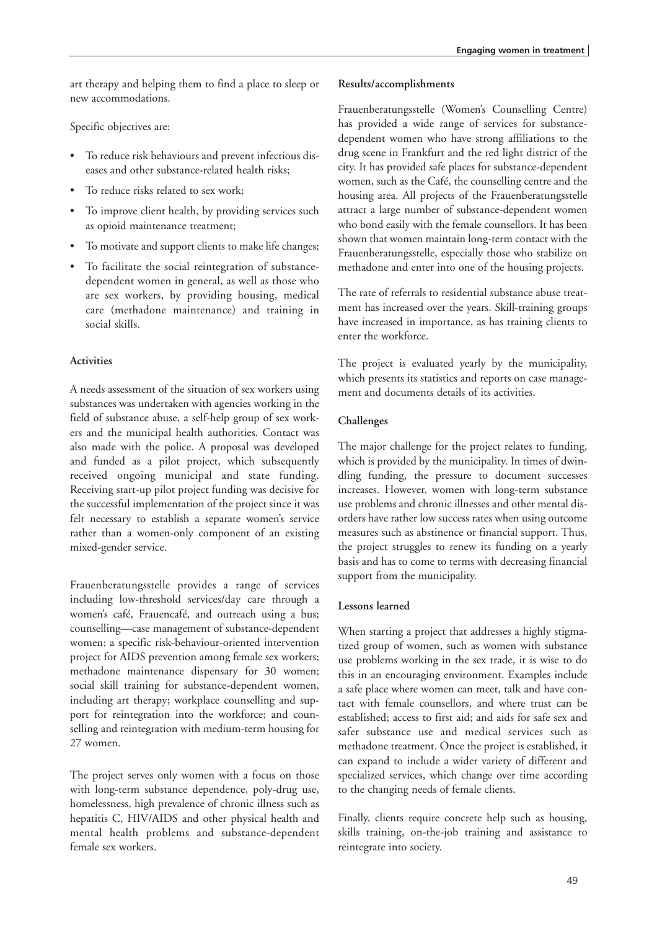art therapy and helping them to find a place to sleep or new accommodations.

Specific objectives are:

- To reduce risk behaviours and prevent infectious diseases and other substance-related health risks;
- To reduce risks related to sex work;
- To improve client health, by providing services such as opioid maintenance treatment;
- To motivate and support clients to make life changes;
- To facilitate the social reintegration of substancedependent women in general, as well as those who are sex workers, by providing housing, medical care (methadone maintenance) and training in social skills.

# **Activities**

A needs assessment of the situation of sex workers using substances was undertaken with agencies working in the field of substance abuse, a self-help group of sex workers and the municipal health authorities. Contact was also made with the police. A proposal was developed and funded as a pilot project, which subsequently received ongoing municipal and state funding. Receiving start-up pilot project funding was decisive for the successful implementation of the project since it was felt necessary to establish a separate women's service rather than a women-only component of an existing mixed-gender service.

Frauenberatungsstelle provides a range of services including low-threshold services/day care through a women's café, Frauencafé, and outreach using a bus; counselling—case management of substance-dependent women; a specific risk-behaviour-oriented intervention project for AIDS prevention among female sex workers; methadone maintenance dispensary for 30 women; social skill training for substance-dependent women, including art therapy; workplace counselling and support for reintegration into the workforce; and counselling and reintegration with medium-term housing for 27 women.

The project serves only women with a focus on those with long-term substance dependence, poly-drug use, homelessness, high prevalence of chronic illness such as hepatitis C, HIV/AIDS and other physical health and mental health problems and substance-dependent female sex workers.

# **Results/accomplishments**

Frauenberatungsstelle (Women's Counselling Centre) has provided a wide range of services for substancedependent women who have strong affiliations to the drug scene in Frankfurt and the red light district of the city. It has provided safe places for substance-dependent women, such as the Café, the counselling centre and the housing area. All projects of the Frauenberatungsstelle attract a large number of substance-dependent women who bond easily with the female counsellors. It has been shown that women maintain long-term contact with the Frauenberatungsstelle, especially those who stabilize on methadone and enter into one of the housing projects.

The rate of referrals to residential substance abuse treatment has increased over the years. Skill-training groups have increased in importance, as has training clients to enter the workforce.

The project is evaluated yearly by the municipality, which presents its statistics and reports on case management and documents details of its activities.

# **Challenges**

The major challenge for the project relates to funding, which is provided by the municipality. In times of dwindling funding, the pressure to document successes increases. However, women with long-term substance use problems and chronic illnesses and other mental disorders have rather low success rates when using outcome measures such as abstinence or financial support. Thus, the project struggles to renew its funding on a yearly basis and has to come to terms with decreasing financial support from the municipality.

## **Lessons learned**

When starting a project that addresses a highly stigmatized group of women, such as women with substance use problems working in the sex trade, it is wise to do this in an encouraging environment. Examples include a safe place where women can meet, talk and have contact with female counsellors, and where trust can be established; access to first aid; and aids for safe sex and safer substance use and medical services such as methadone treatment. Once the project is established, it can expand to include a wider variety of different and specialized services, which change over time according to the changing needs of female clients.

Finally, clients require concrete help such as housing, skills training, on-the-job training and assistance to reintegrate into society.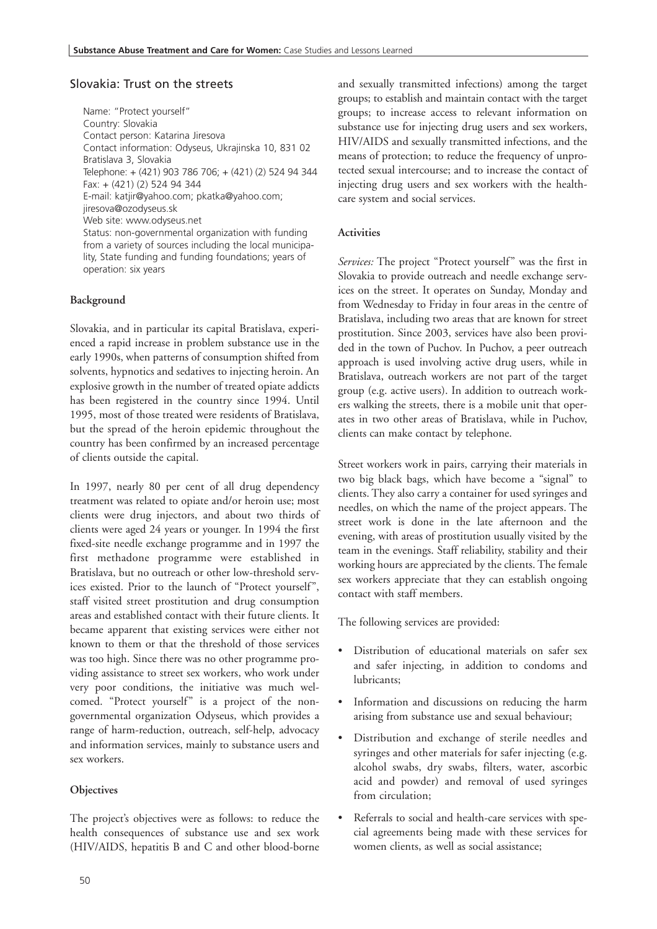## Slovakia: Trust on the streets

Name: "Protect yourself" Country: Slovakia Contact person: Katarina Jiresova Contact information: Odyseus, Ukrajinska 10, 831 02 Bratislava 3, Slovakia Telephone: + (421) 903 786 706; + (421) (2) 524 94 344 Fax: + (421) (2) 524 94 344 E-mail: katjir@yahoo.com; pkatka@yahoo.com; jiresova@ozodyseus.sk Web site: www.odyseus.net Status: non-governmental organization with funding from a variety of sources including the local municipality, State funding and funding foundations; years of operation: six years

#### **Background**

Slovakia, and in particular its capital Bratislava, experienced a rapid increase in problem substance use in the early 1990s, when patterns of consumption shifted from solvents, hypnotics and sedatives to injecting heroin. An explosive growth in the number of treated opiate addicts has been registered in the country since 1994. Until 1995, most of those treated were residents of Bratislava, but the spread of the heroin epidemic throughout the country has been confirmed by an increased percentage of clients outside the capital.

In 1997, nearly 80 per cent of all drug dependency treatment was related to opiate and/or heroin use; most clients were drug injectors, and about two thirds of clients were aged 24 years or younger. In 1994 the first fixed-site needle exchange programme and in 1997 the first methadone programme were established in Bratislava, but no outreach or other low-threshold services existed. Prior to the launch of "Protect yourself", staff visited street prostitution and drug consumption areas and established contact with their future clients. It became apparent that existing services were either not known to them or that the threshold of those services was too high. Since there was no other programme providing assistance to street sex workers, who work under very poor conditions, the initiative was much welcomed. "Protect yourself" is a project of the nongovernmental organization Odyseus, which provides a range of harm-reduction, outreach, self-help, advocacy and information services, mainly to substance users and sex workers.

#### **Objectives**

The project's objectives were as follows: to reduce the health consequences of substance use and sex work (HIV/AIDS, hepatitis B and C and other blood-borne and sexually transmitted infections) among the target groups; to establish and maintain contact with the target groups; to increase access to relevant information on substance use for injecting drug users and sex workers, HIV/AIDS and sexually transmitted infections, and the means of protection; to reduce the frequency of unprotected sexual intercourse; and to increase the contact of injecting drug users and sex workers with the healthcare system and social services.

#### **Activities**

*Services:* The project "Protect yourself" was the first in Slovakia to provide outreach and needle exchange services on the street. It operates on Sunday, Monday and from Wednesday to Friday in four areas in the centre of Bratislava, including two areas that are known for street prostitution. Since 2003, services have also been provided in the town of Puchov. In Puchov, a peer outreach approach is used involving active drug users, while in Bratislava, outreach workers are not part of the target group (e.g. active users). In addition to outreach workers walking the streets, there is a mobile unit that operates in two other areas of Bratislava, while in Puchov, clients can make contact by telephone.

Street workers work in pairs, carrying their materials in two big black bags, which have become a "signal" to clients. They also carry a container for used syringes and needles, on which the name of the project appears. The street work is done in the late afternoon and the evening, with areas of prostitution usually visited by the team in the evenings. Staff reliability, stability and their working hours are appreciated by the clients. The female sex workers appreciate that they can establish ongoing contact with staff members.

The following services are provided:

- Distribution of educational materials on safer sex and safer injecting, in addition to condoms and lubricants;
- Information and discussions on reducing the harm arising from substance use and sexual behaviour;
- Distribution and exchange of sterile needles and syringes and other materials for safer injecting (e.g. alcohol swabs, dry swabs, filters, water, ascorbic acid and powder) and removal of used syringes from circulation;
- Referrals to social and health-care services with special agreements being made with these services for women clients, as well as social assistance;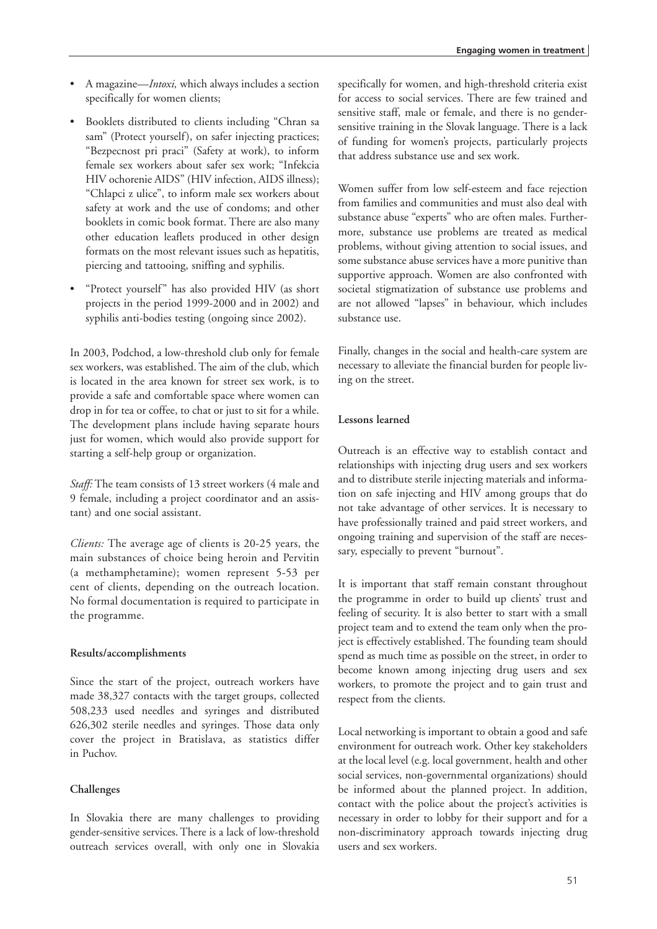- A magazine—*Intoxi,* which always includes a section specifically for women clients;
- Booklets distributed to clients including "Chran sa sam" (Protect yourself), on safer injecting practices; "Bezpecnost pri praci" (Safety at work), to inform female sex workers about safer sex work; "Infekcia HIV ochorenie AIDS" (HIV infection, AIDS illness); "Chlapci z ulice", to inform male sex workers about safety at work and the use of condoms; and other booklets in comic book format. There are also many other education leaflets produced in other design formats on the most relevant issues such as hepatitis, piercing and tattooing, sniffing and syphilis.
- "Protect yourself" has also provided HIV (as short projects in the period 1999-2000 and in 2002) and syphilis anti-bodies testing (ongoing since 2002).

In 2003, Podchod, a low-threshold club only for female sex workers, was established. The aim of the club, which is located in the area known for street sex work, is to provide a safe and comfortable space where women can drop in for tea or coffee, to chat or just to sit for a while. The development plans include having separate hours just for women, which would also provide support for starting a self-help group or organization.

*Staff:* The team consists of 13 street workers (4 male and 9 female, including a project coordinator and an assistant) and one social assistant.

*Clients:* The average age of clients is 20-25 years, the main substances of choice being heroin and Pervitin (a methamphetamine); women represent 5-53 per cent of clients, depending on the outreach location. No formal documentation is required to participate in the programme.

# **Results/accomplishments**

Since the start of the project, outreach workers have made 38,327 contacts with the target groups, collected 508,233 used needles and syringes and distributed 626,302 sterile needles and syringes. Those data only cover the project in Bratislava, as statistics differ in Puchov.

# **Challenges**

In Slovakia there are many challenges to providing gender-sensitive services. There is a lack of low-threshold outreach services overall, with only one in Slovakia specifically for women, and high-threshold criteria exist for access to social services. There are few trained and sensitive staff, male or female, and there is no gendersensitive training in the Slovak language. There is a lack of funding for women's projects, particularly projects that address substance use and sex work.

Women suffer from low self-esteem and face rejection from families and communities and must also deal with substance abuse "experts" who are often males. Furthermore, substance use problems are treated as medical problems, without giving attention to social issues, and some substance abuse services have a more punitive than supportive approach. Women are also confronted with societal stigmatization of substance use problems and are not allowed "lapses" in behaviour, which includes substance use.

Finally, changes in the social and health-care system are necessary to alleviate the financial burden for people living on the street.

# **Lessons learned**

Outreach is an effective way to establish contact and relationships with injecting drug users and sex workers and to distribute sterile injecting materials and information on safe injecting and HIV among groups that do not take advantage of other services. It is necessary to have professionally trained and paid street workers, and ongoing training and supervision of the staff are necessary, especially to prevent "burnout".

It is important that staff remain constant throughout the programme in order to build up clients' trust and feeling of security. It is also better to start with a small project team and to extend the team only when the project is effectively established. The founding team should spend as much time as possible on the street, in order to become known among injecting drug users and sex workers, to promote the project and to gain trust and respect from the clients.

Local networking is important to obtain a good and safe environment for outreach work. Other key stakeholders at the local level (e.g. local government, health and other social services, non-governmental organizations) should be informed about the planned project. In addition, contact with the police about the project's activities is necessary in order to lobby for their support and for a non-discriminatory approach towards injecting drug users and sex workers.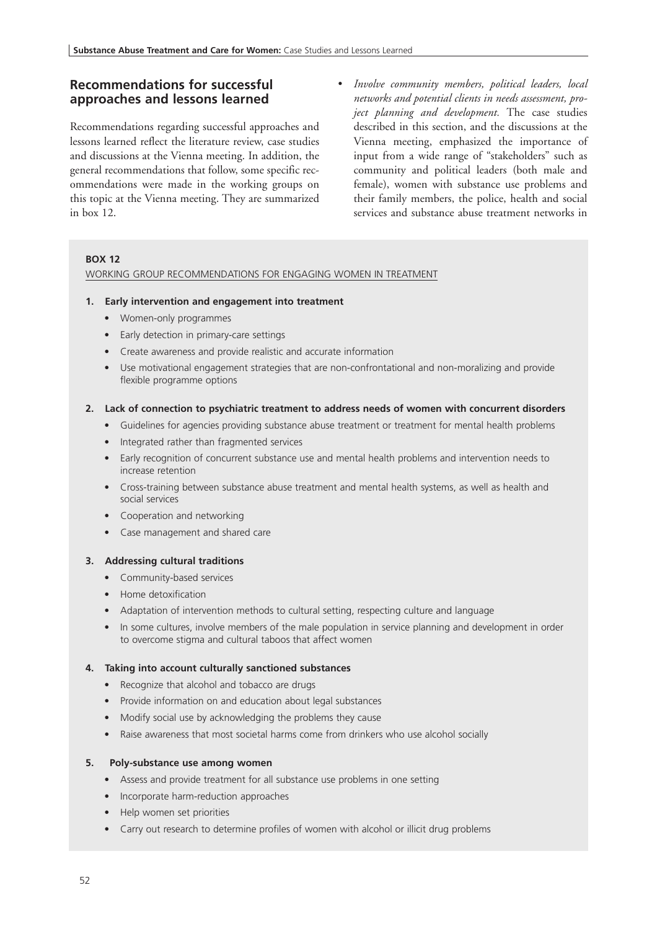# **Recommendations for successful approaches and lessons learned**

Recommendations regarding successful approaches and lessons learned reflect the literature review, case studies and discussions at the Vienna meeting. In addition, the general recommendations that follow, some specific recommendations were made in the working groups on this topic at the Vienna meeting. They are summarized in box 12.

• *Involve community members, political leaders, local networks and potential clients in needs assessment, project planning and development.* The case studies described in this section, and the discussions at the Vienna meeting, emphasized the importance of input from a wide range of "stakeholders" such as community and political leaders (both male and female), women with substance use problems and their family members, the police, health and social services and substance abuse treatment networks in

## **BOX 12**

#### WORKING GROUP RECOMMENDATIONS FOR ENGAGING WOMEN IN TREATMENT

#### **1. Early intervention and engagement into treatment**

- Women-only programmes
- Early detection in primary-care settings
- Create awareness and provide realistic and accurate information
- Use motivational engagement strategies that are non-confrontational and non-moralizing and provide flexible programme options

#### **2. Lack of connection to psychiatric treatment to address needs of women with concurrent disorders**

- Guidelines for agencies providing substance abuse treatment or treatment for mental health problems
- Integrated rather than fragmented services
- Early recognition of concurrent substance use and mental health problems and intervention needs to increase retention
- Cross-training between substance abuse treatment and mental health systems, as well as health and social services
- Cooperation and networking
- Case management and shared care

#### **3. Addressing cultural traditions**

- Community-based services
- Home detoxification
- Adaptation of intervention methods to cultural setting, respecting culture and language
- In some cultures, involve members of the male population in service planning and development in order to overcome stigma and cultural taboos that affect women

#### **4. Taking into account culturally sanctioned substances**

- Recognize that alcohol and tobacco are drugs
- Provide information on and education about legal substances
- Modify social use by acknowledging the problems they cause
- Raise awareness that most societal harms come from drinkers who use alcohol socially

#### **5. Poly-substance use among women**

- Assess and provide treatment for all substance use problems in one setting
- Incorporate harm-reduction approaches
- Help women set priorities
- Carry out research to determine profiles of women with alcohol or illicit drug problems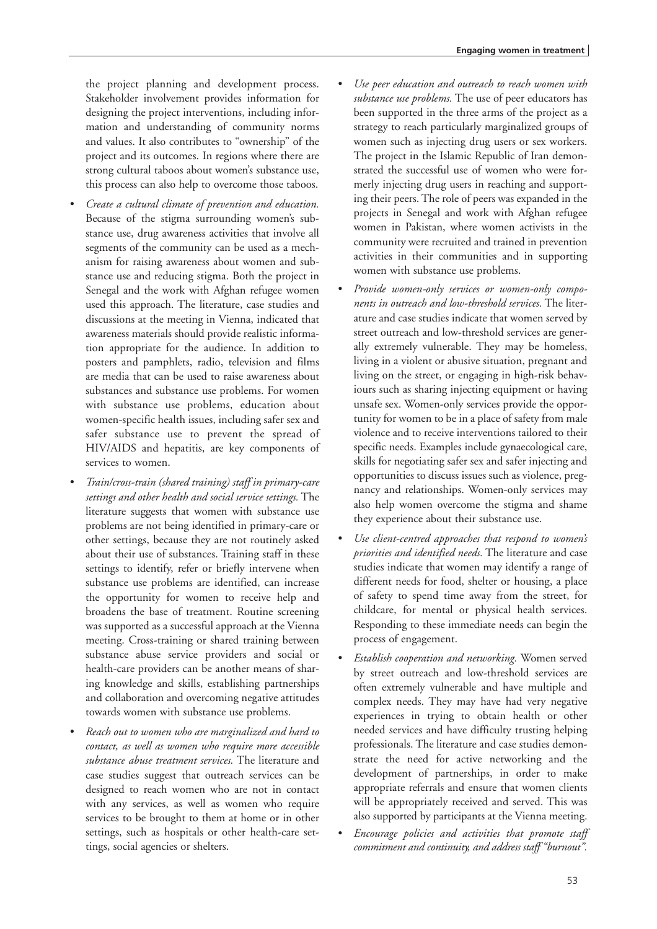the project planning and development process. Stakeholder involvement provides information for designing the project interventions, including information and understanding of community norms and values. It also contributes to "ownership" of the project and its outcomes. In regions where there are strong cultural taboos about women's substance use, this process can also help to overcome those taboos.

- *Create a cultural climate of prevention and education.* Because of the stigma surrounding women's substance use, drug awareness activities that involve all segments of the community can be used as a mechanism for raising awareness about women and substance use and reducing stigma. Both the project in Senegal and the work with Afghan refugee women used this approach. The literature, case studies and discussions at the meeting in Vienna, indicated that awareness materials should provide realistic information appropriate for the audience. In addition to posters and pamphlets, radio, television and films are media that can be used to raise awareness about substances and substance use problems. For women with substance use problems, education about women-specific health issues, including safer sex and safer substance use to prevent the spread of HIV/AIDS and hepatitis, are key components of services to women.
- *Train/cross-train (shared training) staff in primary-care settings and other health and social service settings.* The literature suggests that women with substance use problems are not being identified in primary-care or other settings, because they are not routinely asked about their use of substances. Training staff in these settings to identify, refer or briefly intervene when substance use problems are identified, can increase the opportunity for women to receive help and broadens the base of treatment. Routine screening was supported as a successful approach at the Vienna meeting. Cross-training or shared training between substance abuse service providers and social or health-care providers can be another means of sharing knowledge and skills, establishing partnerships and collaboration and overcoming negative attitudes towards women with substance use problems.
- *Reach out to women who are marginalized and hard to contact, as well as women who require more accessible substance abuse treatment services.* The literature and case studies suggest that outreach services can be designed to reach women who are not in contact with any services, as well as women who require services to be brought to them at home or in other settings, such as hospitals or other health-care settings, social agencies or shelters.
- *Use peer education and outreach to reach women with substance use problems.* The use of peer educators has been supported in the three arms of the project as a strategy to reach particularly marginalized groups of women such as injecting drug users or sex workers. The project in the Islamic Republic of Iran demonstrated the successful use of women who were formerly injecting drug users in reaching and supporting their peers. The role of peers was expanded in the projects in Senegal and work with Afghan refugee women in Pakistan, where women activists in the community were recruited and trained in prevention activities in their communities and in supporting women with substance use problems.
- *Provide women-only services or women-only components in outreach and low-threshold services.* The literature and case studies indicate that women served by street outreach and low-threshold services are generally extremely vulnerable. They may be homeless, living in a violent or abusive situation, pregnant and living on the street, or engaging in high-risk behaviours such as sharing injecting equipment or having unsafe sex. Women-only services provide the opportunity for women to be in a place of safety from male violence and to receive interventions tailored to their specific needs. Examples include gynaecological care, skills for negotiating safer sex and safer injecting and opportunities to discuss issues such as violence, pregnancy and relationships. Women-only services may also help women overcome the stigma and shame they experience about their substance use.
- *Use client-centred approaches that respond to women's priorities and identified needs.* The literature and case studies indicate that women may identify a range of different needs for food, shelter or housing, a place of safety to spend time away from the street, for childcare, for mental or physical health services. Responding to these immediate needs can begin the process of engagement.
- *Establish cooperation and networking.* Women served by street outreach and low-threshold services are often extremely vulnerable and have multiple and complex needs. They may have had very negative experiences in trying to obtain health or other needed services and have difficulty trusting helping professionals. The literature and case studies demonstrate the need for active networking and the development of partnerships, in order to make appropriate referrals and ensure that women clients will be appropriately received and served. This was also supported by participants at the Vienna meeting.
- *Encourage policies and activities that promote staff commitment and continuity, and address staff "burnout".*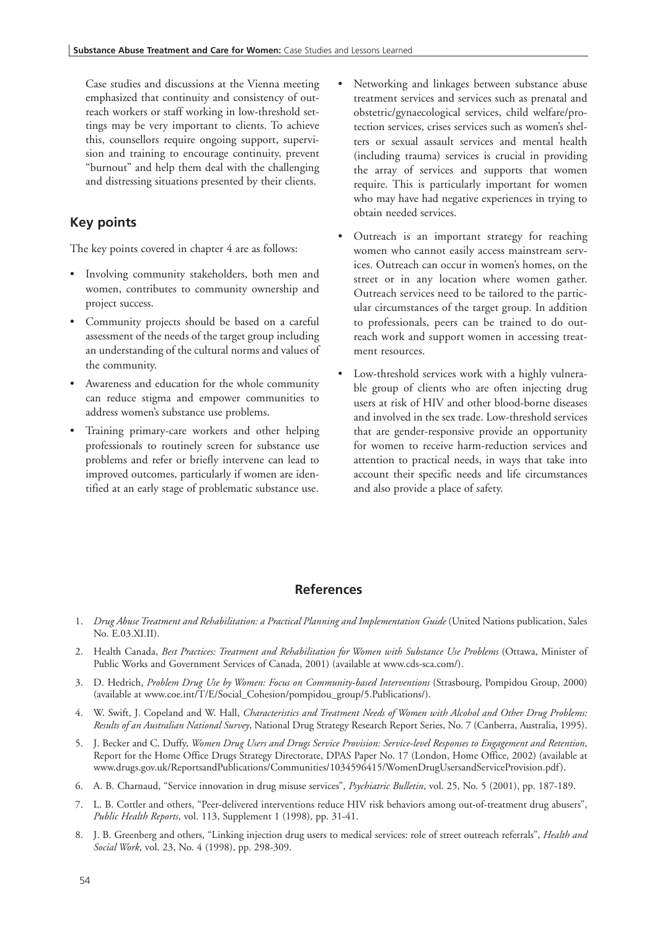Case studies and discussions at the Vienna meeting emphasized that continuity and consistency of outreach workers or staff working in low-threshold settings may be very important to clients. To achieve this, counsellors require ongoing support, supervision and training to encourage continuity, prevent "burnout" and help them deal with the challenging and distressing situations presented by their clients.

# **Key points**

The key points covered in chapter 4 are as follows:

- Involving community stakeholders, both men and women, contributes to community ownership and project success.
- Community projects should be based on a careful assessment of the needs of the target group including an understanding of the cultural norms and values of the community.
- Awareness and education for the whole community can reduce stigma and empower communities to address women's substance use problems.
- Training primary-care workers and other helping professionals to routinely screen for substance use problems and refer or briefly intervene can lead to improved outcomes, particularly if women are identified at an early stage of problematic substance use.
- Networking and linkages between substance abuse treatment services and services such as prenatal and obstetric/gynaecological services, child welfare/protection services, crises services such as women's shelters or sexual assault services and mental health (including trauma) services is crucial in providing the array of services and supports that women require. This is particularly important for women who may have had negative experiences in trying to obtain needed services.
- Outreach is an important strategy for reaching women who cannot easily access mainstream services. Outreach can occur in women's homes, on the street or in any location where women gather. Outreach services need to be tailored to the particular circumstances of the target group. In addition to professionals, peers can be trained to do outreach work and support women in accessing treatment resources.
- Low-threshold services work with a highly vulnerable group of clients who are often injecting drug users at risk of HIV and other blood-borne diseases and involved in the sex trade. Low-threshold services that are gender-responsive provide an opportunity for women to receive harm-reduction services and attention to practical needs, in ways that take into account their specific needs and life circumstances and also provide a place of safety.

# **References**

- 1. *Drug Abuse Treatment and Rehabilitation: a Practical Planning and Implementation Guide* (United Nations publication, Sales No. E.03.XI.II).
- 2. Health Canada, *Best Practices: Treatment and Rehabilitation for Women with Substance Use Problems* (Ottawa, Minister of Public Works and Government Services of Canada, 2001) (available at www.cds-sca.com/).
- 3. D. Hedrich, *Problem Drug Use by Women: Focus on Community-based Interventions* (Strasbourg, Pompidou Group, 2000) (available at www.coe.int/T/E/Social\_Cohesion/pompidou\_group/5.Publications/).
- 4. W. Swift, J. Copeland and W. Hall, *Characteristics and Treatment Needs of Women with Alcohol and Other Drug Problems: Results of an Australian National Survey*, National Drug Strategy Research Report Series, No. 7 (Canberra, Australia, 1995).
- 5. J. Becker and C. Duffy, *Women Drug Users and Drugs Service Provision: Service-level Responses to Engagement and Retention*, Report for the Home Office Drugs Strategy Directorate, DPAS Paper No. 17 (London, Home Office, 2002) (available at www.drugs.gov.uk/ReportsandPublications/Communities/1034596415/WomenDrugUsersandServiceProvision.pdf).
- 6. A. B. Charnaud, "Service innovation in drug misuse services", *Psychiatric Bulletin*, vol. 25, No. 5 (2001), pp. 187-189.
- 7. L. B. Cottler and others, "Peer-delivered interventions reduce HIV risk behaviors among out-of-treatment drug abusers", *Public Health Reports*, vol. 113, Supplement 1 (1998), pp. 31-41.
- 8. J. B. Greenberg and others, "Linking injection drug users to medical services: role of street outreach referrals", *Health and Social Work*, vol. 23, No. 4 (1998), pp. 298-309.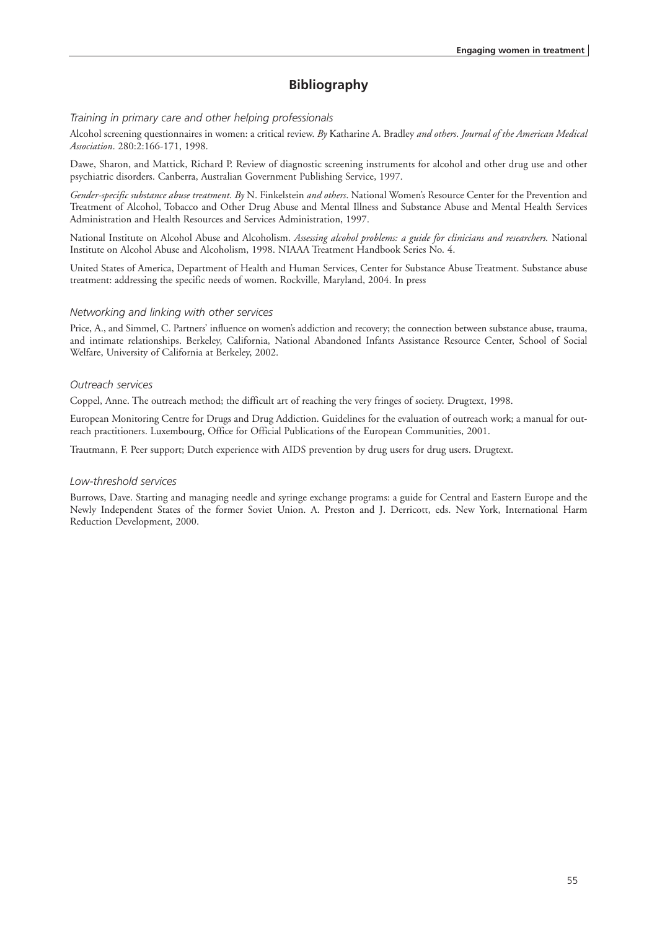# **Bibliography**

*Training in primary care and other helping professionals*

Alcohol screening questionnaires in women: a critical review. *By* Katharine A. Bradley *and others*. *Journal of the American Medical Association*. 280:2:166-171, 1998.

Dawe, Sharon, and Mattick, Richard P. Review of diagnostic screening instruments for alcohol and other drug use and other psychiatric disorders. Canberra, Australian Government Publishing Service, 1997.

*Gender-specific substance abuse treatment*. *By* N. Finkelstein *and others*. National Women's Resource Center for the Prevention and Treatment of Alcohol, Tobacco and Other Drug Abuse and Mental Illness and Substance Abuse and Mental Health Services Administration and Health Resources and Services Administration, 1997.

National Institute on Alcohol Abuse and Alcoholism. *Assessing alcohol problems: a guide for clinicians and researchers.* National Institute on Alcohol Abuse and Alcoholism, 1998. NIAAA Treatment Handbook Series No. 4.

United States of America, Department of Health and Human Services, Center for Substance Abuse Treatment. Substance abuse treatment: addressing the specific needs of women. Rockville, Maryland, 2004. In press

#### *Networking and linking with other services*

Price, A., and Simmel, C. Partners' influence on women's addiction and recovery; the connection between substance abuse, trauma, and intimate relationships. Berkeley, California, National Abandoned Infants Assistance Resource Center, School of Social Welfare, University of California at Berkeley, 2002.

#### *Outreach services*

Coppel, Anne. The outreach method; the difficult art of reaching the very fringes of society. Drugtext, 1998.

European Monitoring Centre for Drugs and Drug Addiction. Guidelines for the evaluation of outreach work; a manual for outreach practitioners. Luxembourg, Office for Official Publications of the European Communities, 2001.

Trautmann, F. Peer support; Dutch experience with AIDS prevention by drug users for drug users. Drugtext.

#### *Low-threshold services*

Burrows, Dave. Starting and managing needle and syringe exchange programs: a guide for Central and Eastern Europe and the Newly Independent States of the former Soviet Union. A. Preston and J. Derricott, eds. New York, International Harm Reduction Development, 2000.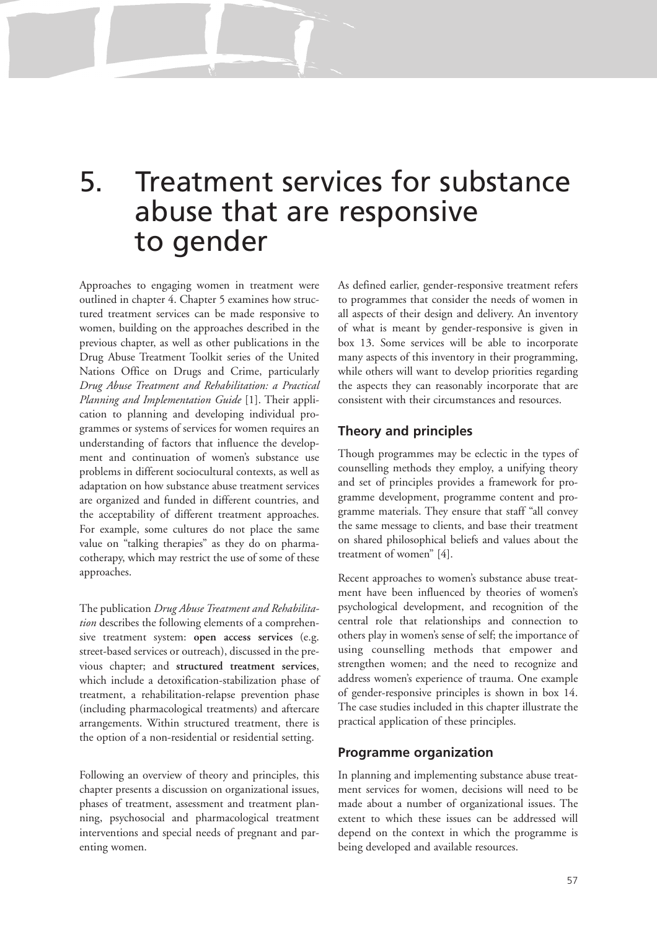# 5. Treatment services for substance abuse that are responsive to gender

Approaches to engaging women in treatment were outlined in chapter 4. Chapter 5 examines how structured treatment services can be made responsive to women, building on the approaches described in the previous chapter, as well as other publications in the Drug Abuse Treatment Toolkit series of the United Nations Office on Drugs and Crime, particularly *Drug Abuse Treatment and Rehabilitation: a Practical Planning and Implementation Guide* [1]. Their application to planning and developing individual programmes or systems of services for women requires an understanding of factors that influence the development and continuation of women's substance use problems in different sociocultural contexts, as well as adaptation on how substance abuse treatment services are organized and funded in different countries, and the acceptability of different treatment approaches. For example, some cultures do not place the same value on "talking therapies" as they do on pharmacotherapy, which may restrict the use of some of these approaches.

The publication *Drug Abuse Treatment and Rehabilitation* describes the following elements of a comprehensive treatment system: **open access services** (e.g. street-based services or outreach), discussed in the previous chapter; and **structured treatment services**, which include a detoxification-stabilization phase of treatment, a rehabilitation-relapse prevention phase (including pharmacological treatments) and aftercare arrangements. Within structured treatment, there is the option of a non-residential or residential setting.

Following an overview of theory and principles, this chapter presents a discussion on organizational issues, phases of treatment, assessment and treatment planning, psychosocial and pharmacological treatment interventions and special needs of pregnant and parenting women.

As defined earlier, gender-responsive treatment refers to programmes that consider the needs of women in all aspects of their design and delivery. An inventory of what is meant by gender-responsive is given in box 13. Some services will be able to incorporate many aspects of this inventory in their programming, while others will want to develop priorities regarding the aspects they can reasonably incorporate that are consistent with their circumstances and resources.

# **Theory and principles**

Though programmes may be eclectic in the types of counselling methods they employ, a unifying theory and set of principles provides a framework for programme development, programme content and programme materials. They ensure that staff "all convey the same message to clients, and base their treatment on shared philosophical beliefs and values about the treatment of women" [4].

Recent approaches to women's substance abuse treatment have been influenced by theories of women's psychological development, and recognition of the central role that relationships and connection to others play in women's sense of self; the importance of using counselling methods that empower and strengthen women; and the need to recognize and address women's experience of trauma. One example of gender-responsive principles is shown in box 14. The case studies included in this chapter illustrate the practical application of these principles.

# **Programme organization**

In planning and implementing substance abuse treatment services for women, decisions will need to be made about a number of organizational issues. The extent to which these issues can be addressed will depend on the context in which the programme is being developed and available resources.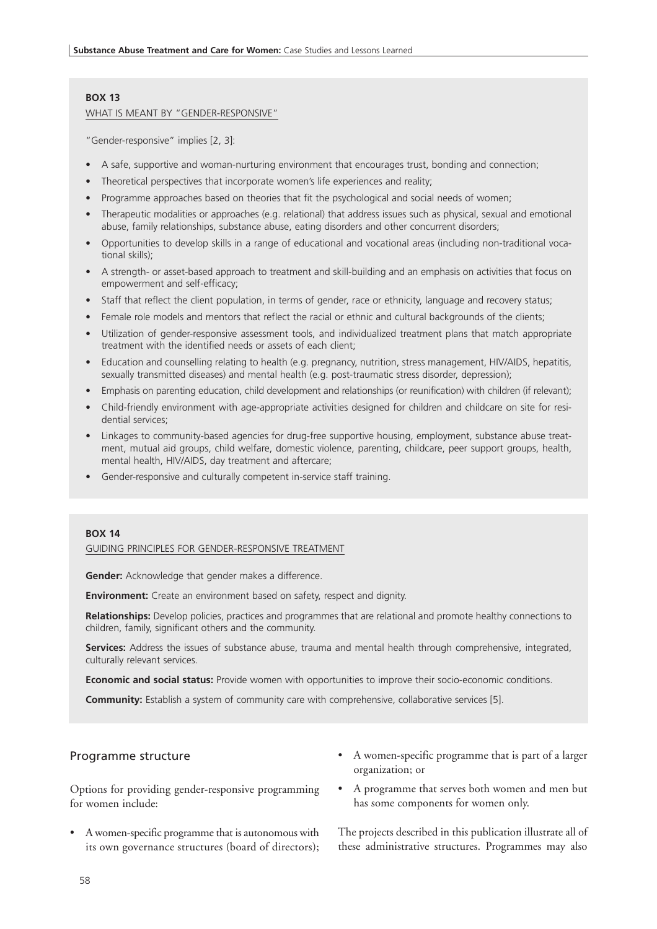#### **BOX 13**

WHAT IS MEANT BY "GENDER-RESPONSIVE"

"Gender-responsive" implies [2, 3]:

- A safe, supportive and woman-nurturing environment that encourages trust, bonding and connection;
- Theoretical perspectives that incorporate women's life experiences and reality;
- Programme approaches based on theories that fit the psychological and social needs of women;
- Therapeutic modalities or approaches (e.g. relational) that address issues such as physical, sexual and emotional abuse, family relationships, substance abuse, eating disorders and other concurrent disorders;
- Opportunities to develop skills in a range of educational and vocational areas (including non-traditional vocational skills);
- A strength- or asset-based approach to treatment and skill-building and an emphasis on activities that focus on empowerment and self-efficacy;
- Staff that reflect the client population, in terms of gender, race or ethnicity, language and recovery status;
- Female role models and mentors that reflect the racial or ethnic and cultural backgrounds of the clients;
- Utilization of gender-responsive assessment tools, and individualized treatment plans that match appropriate treatment with the identified needs or assets of each client;
- Education and counselling relating to health (e.g. pregnancy, nutrition, stress management, HIV/AIDS, hepatitis, sexually transmitted diseases) and mental health (e.g. post-traumatic stress disorder, depression);
- Emphasis on parenting education, child development and relationships (or reunification) with children (if relevant);
- Child-friendly environment with age-appropriate activities designed for children and childcare on site for residential services;
- Linkages to community-based agencies for drug-free supportive housing, employment, substance abuse treatment, mutual aid groups, child welfare, domestic violence, parenting, childcare, peer support groups, health, mental health, HIV/AIDS, day treatment and aftercare;
- Gender-responsive and culturally competent in-service staff training.

#### **BOX 14**

#### GUIDING PRINCIPLES FOR GENDER-RESPONSIVE TREATMENT

**Gender:** Acknowledge that gender makes a difference.

**Environment:** Create an environment based on safety, respect and dignity.

**Relationships:** Develop policies, practices and programmes that are relational and promote healthy connections to children, family, significant others and the community.

**Services:** Address the issues of substance abuse, trauma and mental health through comprehensive, integrated, culturally relevant services.

**Economic and social status:** Provide women with opportunities to improve their socio-economic conditions.

**Community:** Establish a system of community care with comprehensive, collaborative services [5].

#### Programme structure

Options for providing gender-responsive programming for women include:

- A women-specific programme that is autonomous with its own governance structures (board of directors);
- A women-specific programme that is part of a larger organization; or
- A programme that serves both women and men but has some components for women only.

The projects described in this publication illustrate all of these administrative structures. Programmes may also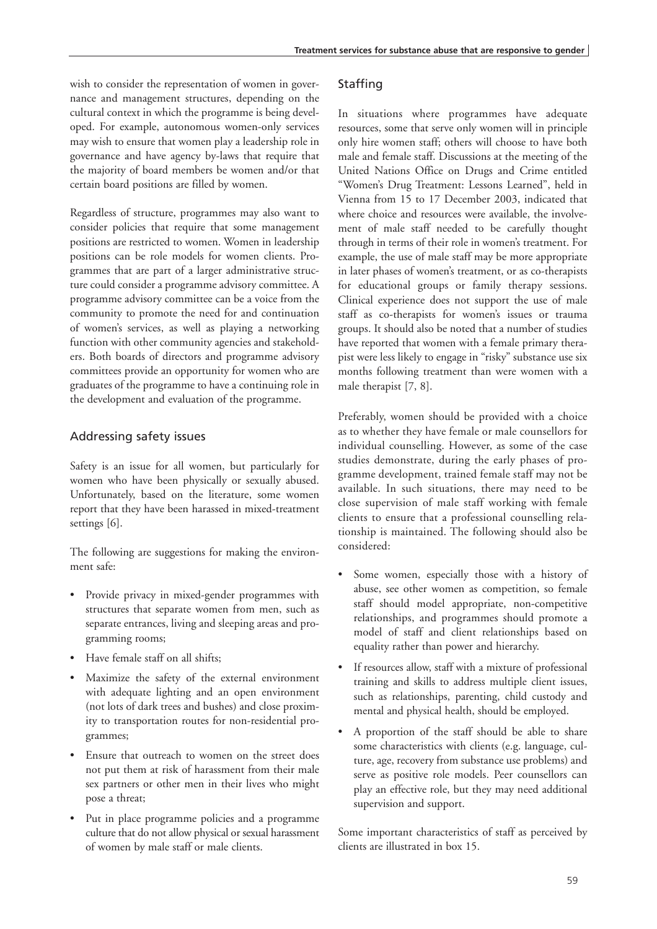wish to consider the representation of women in governance and management structures, depending on the cultural context in which the programme is being developed. For example, autonomous women-only services may wish to ensure that women play a leadership role in governance and have agency by-laws that require that the majority of board members be women and/or that certain board positions are filled by women.

Regardless of structure, programmes may also want to consider policies that require that some management positions are restricted to women. Women in leadership positions can be role models for women clients. Programmes that are part of a larger administrative structure could consider a programme advisory committee. A programme advisory committee can be a voice from the community to promote the need for and continuation of women's services, as well as playing a networking function with other community agencies and stakeholders. Both boards of directors and programme advisory committees provide an opportunity for women who are graduates of the programme to have a continuing role in the development and evaluation of the programme.

# Addressing safety issues

Safety is an issue for all women, but particularly for women who have been physically or sexually abused. Unfortunately, based on the literature, some women report that they have been harassed in mixed-treatment settings [6].

The following are suggestions for making the environment safe:

- Provide privacy in mixed-gender programmes with structures that separate women from men, such as separate entrances, living and sleeping areas and programming rooms;
- Have female staff on all shifts;
- Maximize the safety of the external environment with adequate lighting and an open environment (not lots of dark trees and bushes) and close proximity to transportation routes for non-residential programmes;
- Ensure that outreach to women on the street does not put them at risk of harassment from their male sex partners or other men in their lives who might pose a threat;
- Put in place programme policies and a programme culture that do not allow physical or sexual harassment of women by male staff or male clients.

# **Staffing**

In situations where programmes have adequate resources, some that serve only women will in principle only hire women staff; others will choose to have both male and female staff. Discussions at the meeting of the United Nations Office on Drugs and Crime entitled "Women's Drug Treatment: Lessons Learned", held in Vienna from 15 to 17 December 2003, indicated that where choice and resources were available, the involvement of male staff needed to be carefully thought through in terms of their role in women's treatment. For example, the use of male staff may be more appropriate in later phases of women's treatment, or as co-therapists for educational groups or family therapy sessions. Clinical experience does not support the use of male staff as co-therapists for women's issues or trauma groups. It should also be noted that a number of studies have reported that women with a female primary therapist were less likely to engage in "risky" substance use six months following treatment than were women with a male therapist [7, 8].

Preferably, women should be provided with a choice as to whether they have female or male counsellors for individual counselling. However, as some of the case studies demonstrate, during the early phases of programme development, trained female staff may not be available. In such situations, there may need to be close supervision of male staff working with female clients to ensure that a professional counselling relationship is maintained. The following should also be considered:

- Some women, especially those with a history of abuse, see other women as competition, so female staff should model appropriate, non-competitive relationships, and programmes should promote a model of staff and client relationships based on equality rather than power and hierarchy.
- If resources allow, staff with a mixture of professional training and skills to address multiple client issues, such as relationships, parenting, child custody and mental and physical health, should be employed.
- A proportion of the staff should be able to share some characteristics with clients (e.g. language, culture, age, recovery from substance use problems) and serve as positive role models. Peer counsellors can play an effective role, but they may need additional supervision and support.

Some important characteristics of staff as perceived by clients are illustrated in box 15.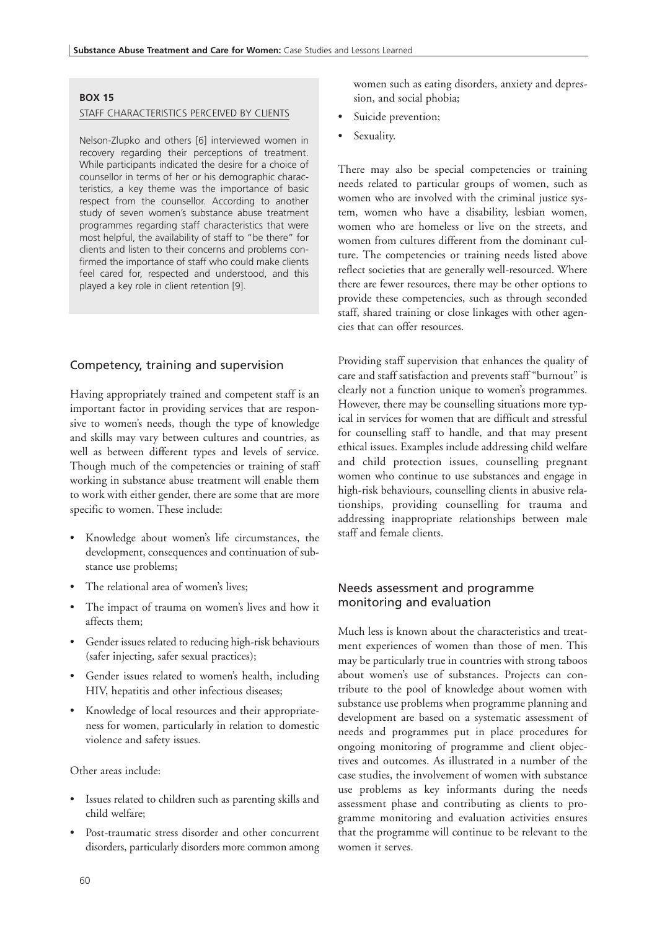#### **BOX 15**

#### STAFF CHARACTERISTICS PERCEIVED BY CLIENTS

Nelson-Zlupko and others [6] interviewed women in recovery regarding their perceptions of treatment. While participants indicated the desire for a choice of counsellor in terms of her or his demographic characteristics, a key theme was the importance of basic respect from the counsellor. According to another study of seven women's substance abuse treatment programmes regarding staff characteristics that were most helpful, the availability of staff to "be there" for clients and listen to their concerns and problems confirmed the importance of staff who could make clients feel cared for, respected and understood, and this played a key role in client retention [9].

#### Competency, training and supervision

Having appropriately trained and competent staff is an important factor in providing services that are responsive to women's needs, though the type of knowledge and skills may vary between cultures and countries, as well as between different types and levels of service. Though much of the competencies or training of staff working in substance abuse treatment will enable them to work with either gender, there are some that are more specific to women. These include:

- Knowledge about women's life circumstances, the development, consequences and continuation of substance use problems;
- The relational area of women's lives;
- The impact of trauma on women's lives and how it affects them;
- Gender issues related to reducing high-risk behaviours (safer injecting, safer sexual practices);
- Gender issues related to women's health, including HIV, hepatitis and other infectious diseases;
- Knowledge of local resources and their appropriateness for women, particularly in relation to domestic violence and safety issues.

Other areas include:

- Issues related to children such as parenting skills and child welfare;
- Post-traumatic stress disorder and other concurrent disorders, particularly disorders more common among

women such as eating disorders, anxiety and depression, and social phobia;

- Suicide prevention;
- Sexuality.

There may also be special competencies or training needs related to particular groups of women, such as women who are involved with the criminal justice system, women who have a disability, lesbian women, women who are homeless or live on the streets, and women from cultures different from the dominant culture. The competencies or training needs listed above reflect societies that are generally well-resourced. Where there are fewer resources, there may be other options to provide these competencies, such as through seconded staff, shared training or close linkages with other agencies that can offer resources.

Providing staff supervision that enhances the quality of care and staff satisfaction and prevents staff "burnout" is clearly not a function unique to women's programmes. However, there may be counselling situations more typical in services for women that are difficult and stressful for counselling staff to handle, and that may present ethical issues. Examples include addressing child welfare and child protection issues, counselling pregnant women who continue to use substances and engage in high-risk behaviours, counselling clients in abusive relationships, providing counselling for trauma and addressing inappropriate relationships between male staff and female clients.

## Needs assessment and programme monitoring and evaluation

Much less is known about the characteristics and treatment experiences of women than those of men. This may be particularly true in countries with strong taboos about women's use of substances. Projects can contribute to the pool of knowledge about women with substance use problems when programme planning and development are based on a systematic assessment of needs and programmes put in place procedures for ongoing monitoring of programme and client objectives and outcomes. As illustrated in a number of the case studies, the involvement of women with substance use problems as key informants during the needs assessment phase and contributing as clients to programme monitoring and evaluation activities ensures that the programme will continue to be relevant to the women it serves.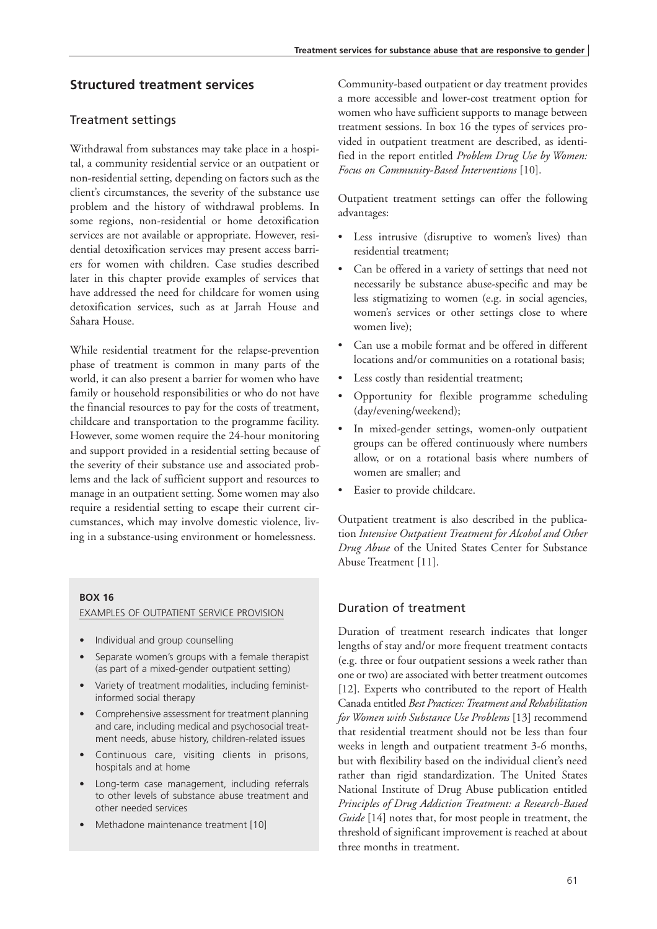# **Structured treatment services**

# Treatment settings

Withdrawal from substances may take place in a hospital, a community residential service or an outpatient or non-residential setting, depending on factors such as the client's circumstances, the severity of the substance use problem and the history of withdrawal problems. In some regions, non-residential or home detoxification services are not available or appropriate. However, residential detoxification services may present access barriers for women with children. Case studies described later in this chapter provide examples of services that have addressed the need for childcare for women using detoxification services, such as at Jarrah House and Sahara House.

While residential treatment for the relapse-prevention phase of treatment is common in many parts of the world, it can also present a barrier for women who have family or household responsibilities or who do not have the financial resources to pay for the costs of treatment, childcare and transportation to the programme facility. However, some women require the 24-hour monitoring and support provided in a residential setting because of the severity of their substance use and associated problems and the lack of sufficient support and resources to manage in an outpatient setting. Some women may also require a residential setting to escape their current circumstances, which may involve domestic violence, living in a substance-using environment or homelessness.

#### **BOX 16**

#### EXAMPLES OF OUTPATIENT SERVICE PROVISION

- Individual and group counselling
- Separate women's groups with a female therapist (as part of a mixed-gender outpatient setting)
- Variety of treatment modalities, including feministinformed social therapy
- Comprehensive assessment for treatment planning and care, including medical and psychosocial treatment needs, abuse history, children-related issues
- Continuous care, visiting clients in prisons, hospitals and at home
- Long-term case management, including referrals to other levels of substance abuse treatment and other needed services
- Methadone maintenance treatment [10]

Community-based outpatient or day treatment provides a more accessible and lower-cost treatment option for women who have sufficient supports to manage between treatment sessions. In box 16 the types of services provided in outpatient treatment are described, as identified in the report entitled *Problem Drug Use by Women: Focus on Community-Based Interventions* [10].

Outpatient treatment settings can offer the following advantages:

- Less intrusive (disruptive to women's lives) than residential treatment;
- Can be offered in a variety of settings that need not necessarily be substance abuse-specific and may be less stigmatizing to women (e.g. in social agencies, women's services or other settings close to where women live);
- Can use a mobile format and be offered in different locations and/or communities on a rotational basis;
- Less costly than residential treatment;
- Opportunity for flexible programme scheduling (day/evening/weekend);
- In mixed-gender settings, women-only outpatient groups can be offered continuously where numbers allow, or on a rotational basis where numbers of women are smaller; and
- Easier to provide childcare.

Outpatient treatment is also described in the publication *Intensive Outpatient Treatment for Alcohol and Other Drug Abuse* of the United States Center for Substance Abuse Treatment [11].

## Duration of treatment

Duration of treatment research indicates that longer lengths of stay and/or more frequent treatment contacts (e.g. three or four outpatient sessions a week rather than one or two) are associated with better treatment outcomes [12]. Experts who contributed to the report of Health Canada entitled *Best Practices: Treatment and Rehabilitation for Women with Substance Use Problems* [13] recommend that residential treatment should not be less than four weeks in length and outpatient treatment 3-6 months, but with flexibility based on the individual client's need rather than rigid standardization. The United States National Institute of Drug Abuse publication entitled *Principles of Drug Addiction Treatment: a Research-Based Guide* [14] notes that, for most people in treatment, the threshold of significant improvement is reached at about three months in treatment.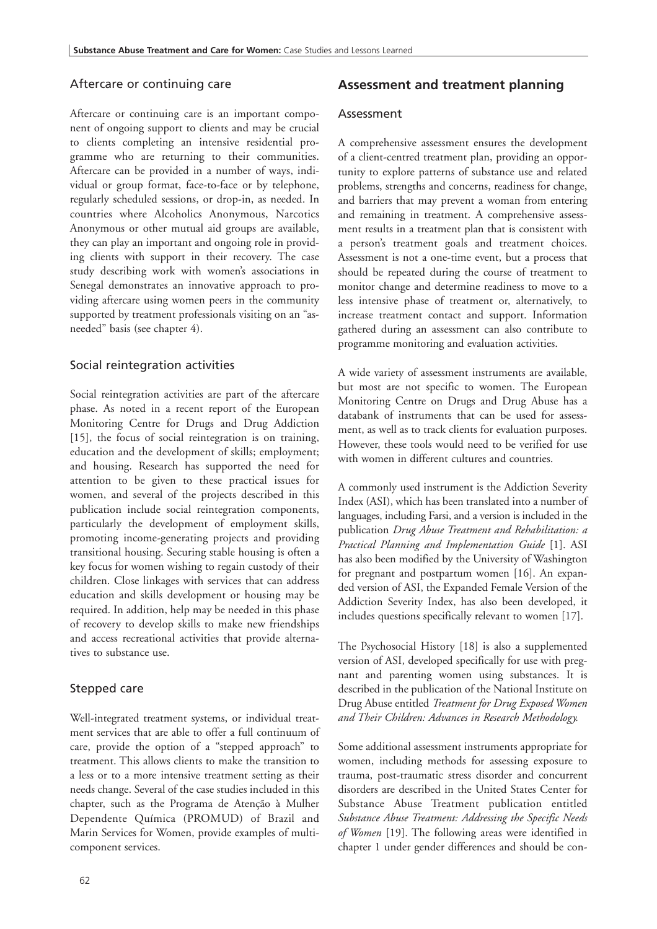#### Aftercare or continuing care

Aftercare or continuing care is an important component of ongoing support to clients and may be crucial to clients completing an intensive residential programme who are returning to their communities. Aftercare can be provided in a number of ways, individual or group format, face-to-face or by telephone, regularly scheduled sessions, or drop-in, as needed. In countries where Alcoholics Anonymous, Narcotics Anonymous or other mutual aid groups are available, they can play an important and ongoing role in providing clients with support in their recovery. The case study describing work with women's associations in Senegal demonstrates an innovative approach to providing aftercare using women peers in the community supported by treatment professionals visiting on an "asneeded" basis (see chapter 4).

#### Social reintegration activities

Social reintegration activities are part of the aftercare phase. As noted in a recent report of the European Monitoring Centre for Drugs and Drug Addiction [15], the focus of social reintegration is on training, education and the development of skills; employment; and housing. Research has supported the need for attention to be given to these practical issues for women, and several of the projects described in this publication include social reintegration components, particularly the development of employment skills, promoting income-generating projects and providing transitional housing. Securing stable housing is often a key focus for women wishing to regain custody of their children. Close linkages with services that can address education and skills development or housing may be required. In addition, help may be needed in this phase of recovery to develop skills to make new friendships and access recreational activities that provide alternatives to substance use.

#### Stepped care

Well-integrated treatment systems, or individual treatment services that are able to offer a full continuum of care, provide the option of a "stepped approach" to treatment. This allows clients to make the transition to a less or to a more intensive treatment setting as their needs change. Several of the case studies included in this chapter, such as the Programa de Atenção à Mulher Dependente Química (PROMUD) of Brazil and Marin Services for Women, provide examples of multicomponent services.

#### Assessment

A comprehensive assessment ensures the development of a client-centred treatment plan, providing an opportunity to explore patterns of substance use and related problems, strengths and concerns, readiness for change, and barriers that may prevent a woman from entering and remaining in treatment. A comprehensive assessment results in a treatment plan that is consistent with a person's treatment goals and treatment choices. Assessment is not a one-time event, but a process that should be repeated during the course of treatment to monitor change and determine readiness to move to a less intensive phase of treatment or, alternatively, to increase treatment contact and support. Information gathered during an assessment can also contribute to programme monitoring and evaluation activities.

A wide variety of assessment instruments are available, but most are not specific to women. The European Monitoring Centre on Drugs and Drug Abuse has a databank of instruments that can be used for assessment, as well as to track clients for evaluation purposes. However, these tools would need to be verified for use with women in different cultures and countries.

A commonly used instrument is the Addiction Severity Index (ASI), which has been translated into a number of languages, including Farsi, and a version is included in the publication *Drug Abuse Treatment and Rehabilitation: a Practical Planning and Implementation Guide* [1]. ASI has also been modified by the University of Washington for pregnant and postpartum women [16]. An expanded version of ASI, the Expanded Female Version of the Addiction Severity Index, has also been developed, it includes questions specifically relevant to women [17].

The Psychosocial History [18] is also a supplemented version of ASI, developed specifically for use with pregnant and parenting women using substances. It is described in the publication of the National Institute on Drug Abuse entitled *Treatment for Drug Exposed Women and Their Children: Advances in Research Methodology.* 

Some additional assessment instruments appropriate for women, including methods for assessing exposure to trauma, post-traumatic stress disorder and concurrent disorders are described in the United States Center for Substance Abuse Treatment publication entitled *Substance Abuse Treatment: Addressing the Specific Needs of Women* [19]. The following areas were identified in chapter 1 under gender differences and should be con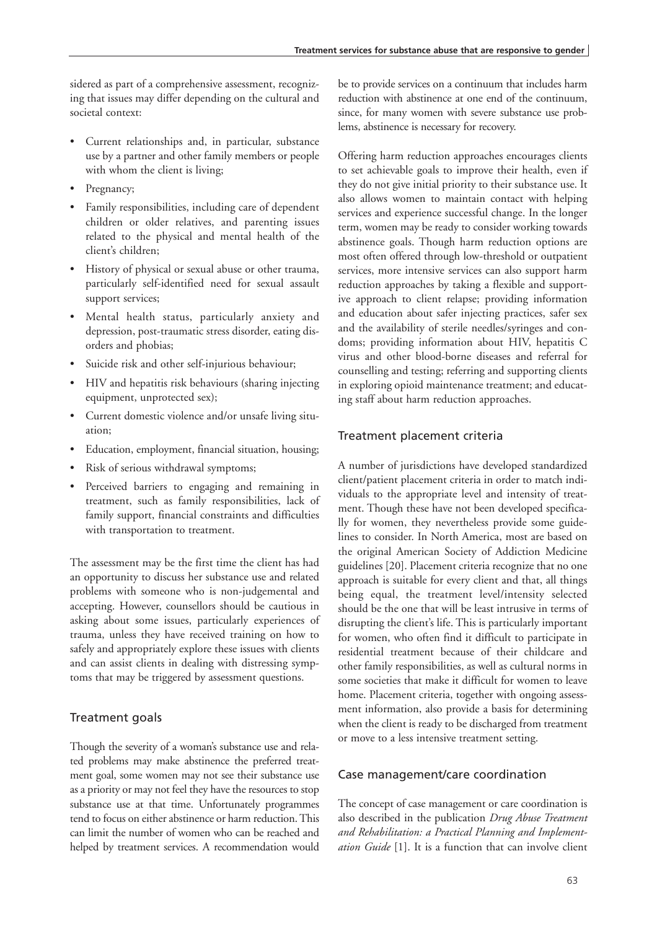sidered as part of a comprehensive assessment, recognizing that issues may differ depending on the cultural and societal context:

- Current relationships and, in particular, substance use by a partner and other family members or people with whom the client is living;
- Pregnancy;
- Family responsibilities, including care of dependent children or older relatives, and parenting issues related to the physical and mental health of the client's children;
- History of physical or sexual abuse or other trauma, particularly self-identified need for sexual assault support services;
- Mental health status, particularly anxiety and depression, post-traumatic stress disorder, eating disorders and phobias;
- Suicide risk and other self-injurious behaviour;
- HIV and hepatitis risk behaviours (sharing injecting equipment, unprotected sex);
- Current domestic violence and/or unsafe living situation;
- Education, employment, financial situation, housing;
- Risk of serious withdrawal symptoms;
- Perceived barriers to engaging and remaining in treatment, such as family responsibilities, lack of family support, financial constraints and difficulties with transportation to treatment.

The assessment may be the first time the client has had an opportunity to discuss her substance use and related problems with someone who is non-judgemental and accepting. However, counsellors should be cautious in asking about some issues, particularly experiences of trauma, unless they have received training on how to safely and appropriately explore these issues with clients and can assist clients in dealing with distressing symptoms that may be triggered by assessment questions.

## Treatment goals

Though the severity of a woman's substance use and related problems may make abstinence the preferred treatment goal, some women may not see their substance use as a priority or may not feel they have the resources to stop substance use at that time. Unfortunately programmes tend to focus on either abstinence or harm reduction. This can limit the number of women who can be reached and helped by treatment services. A recommendation would

be to provide services on a continuum that includes harm reduction with abstinence at one end of the continuum, since, for many women with severe substance use problems, abstinence is necessary for recovery.

Offering harm reduction approaches encourages clients to set achievable goals to improve their health, even if they do not give initial priority to their substance use. It also allows women to maintain contact with helping services and experience successful change. In the longer term, women may be ready to consider working towards abstinence goals. Though harm reduction options are most often offered through low-threshold or outpatient services, more intensive services can also support harm reduction approaches by taking a flexible and supportive approach to client relapse; providing information and education about safer injecting practices, safer sex and the availability of sterile needles/syringes and condoms; providing information about HIV, hepatitis C virus and other blood-borne diseases and referral for counselling and testing; referring and supporting clients in exploring opioid maintenance treatment; and educating staff about harm reduction approaches.

#### Treatment placement criteria

A number of jurisdictions have developed standardized client/patient placement criteria in order to match individuals to the appropriate level and intensity of treatment. Though these have not been developed specifically for women, they nevertheless provide some guidelines to consider. In North America, most are based on the original American Society of Addiction Medicine guidelines [20]. Placement criteria recognize that no one approach is suitable for every client and that, all things being equal, the treatment level/intensity selected should be the one that will be least intrusive in terms of disrupting the client's life. This is particularly important for women, who often find it difficult to participate in residential treatment because of their childcare and other family responsibilities, as well as cultural norms in some societies that make it difficult for women to leave home. Placement criteria, together with ongoing assessment information, also provide a basis for determining when the client is ready to be discharged from treatment or move to a less intensive treatment setting.

#### Case management/care coordination

The concept of case management or care coordination is also described in the publication *Drug Abuse Treatment and Rehabilitation: a Practical Planning and Implementation Guide* [1]. It is a function that can involve client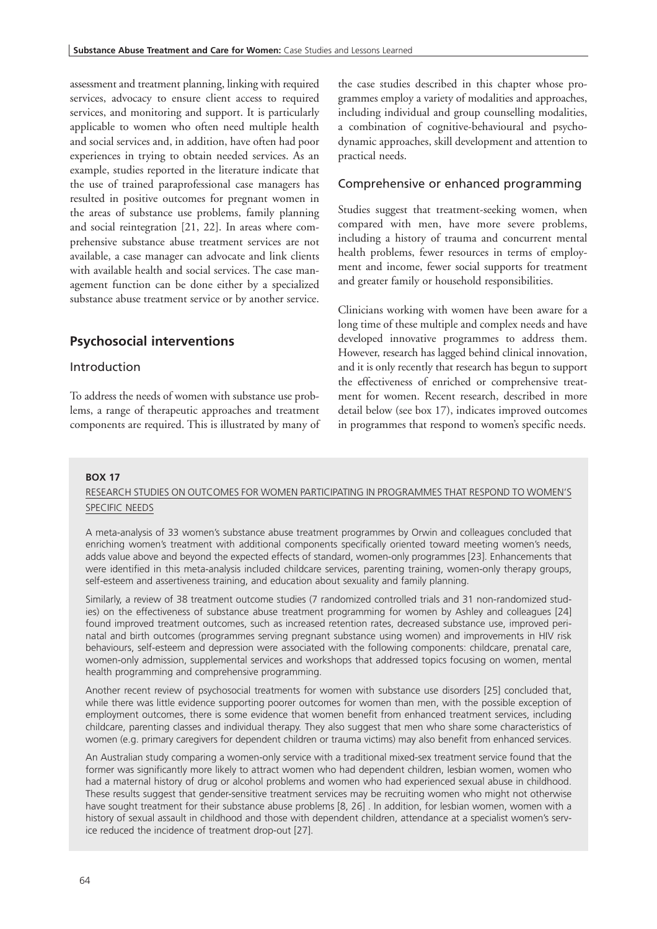assessment and treatment planning, linking with required services, advocacy to ensure client access to required services, and monitoring and support. It is particularly applicable to women who often need multiple health and social services and, in addition, have often had poor experiences in trying to obtain needed services. As an example, studies reported in the literature indicate that the use of trained paraprofessional case managers has resulted in positive outcomes for pregnant women in the areas of substance use problems, family planning and social reintegration [21, 22]. In areas where comprehensive substance abuse treatment services are not available, a case manager can advocate and link clients with available health and social services. The case management function can be done either by a specialized substance abuse treatment service or by another service.

# **Psychosocial interventions**

## Introduction

To address the needs of women with substance use problems, a range of therapeutic approaches and treatment components are required. This is illustrated by many of the case studies described in this chapter whose programmes employ a variety of modalities and approaches, including individual and group counselling modalities, a combination of cognitive-behavioural and psychodynamic approaches, skill development and attention to practical needs.

## Comprehensive or enhanced programming

Studies suggest that treatment-seeking women, when compared with men, have more severe problems, including a history of trauma and concurrent mental health problems, fewer resources in terms of employment and income, fewer social supports for treatment and greater family or household responsibilities.

Clinicians working with women have been aware for a long time of these multiple and complex needs and have developed innovative programmes to address them. However, research has lagged behind clinical innovation, and it is only recently that research has begun to support the effectiveness of enriched or comprehensive treatment for women. Recent research, described in more detail below (see box 17), indicates improved outcomes in programmes that respond to women's specific needs.

#### **BOX 17**

## RESEARCH STUDIES ON OUTCOMES FOR WOMEN PARTICIPATING IN PROGRAMMES THAT RESPOND TO WOMEN'S SPECIFIC NEEDS

A meta-analysis of 33 women's substance abuse treatment programmes by Orwin and colleagues concluded that enriching women's treatment with additional components specifically oriented toward meeting women's needs, adds value above and beyond the expected effects of standard, women-only programmes [23]. Enhancements that were identified in this meta-analysis included childcare services, parenting training, women-only therapy groups, self-esteem and assertiveness training, and education about sexuality and family planning.

Similarly, a review of 38 treatment outcome studies (7 randomized controlled trials and 31 non-randomized studies) on the effectiveness of substance abuse treatment programming for women by Ashley and colleagues [24] found improved treatment outcomes, such as increased retention rates, decreased substance use, improved perinatal and birth outcomes (programmes serving pregnant substance using women) and improvements in HIV risk behaviours, self-esteem and depression were associated with the following components: childcare, prenatal care, women-only admission, supplemental services and workshops that addressed topics focusing on women, mental health programming and comprehensive programming.

Another recent review of psychosocial treatments for women with substance use disorders [25] concluded that, while there was little evidence supporting poorer outcomes for women than men, with the possible exception of employment outcomes, there is some evidence that women benefit from enhanced treatment services, including childcare, parenting classes and individual therapy. They also suggest that men who share some characteristics of women (e.g. primary caregivers for dependent children or trauma victims) may also benefit from enhanced services.

An Australian study comparing a women-only service with a traditional mixed-sex treatment service found that the former was significantly more likely to attract women who had dependent children, lesbian women, women who had a maternal history of drug or alcohol problems and women who had experienced sexual abuse in childhood. These results suggest that gender-sensitive treatment services may be recruiting women who might not otherwise have sought treatment for their substance abuse problems [8, 26] . In addition, for lesbian women, women with a history of sexual assault in childhood and those with dependent children, attendance at a specialist women's service reduced the incidence of treatment drop-out [27].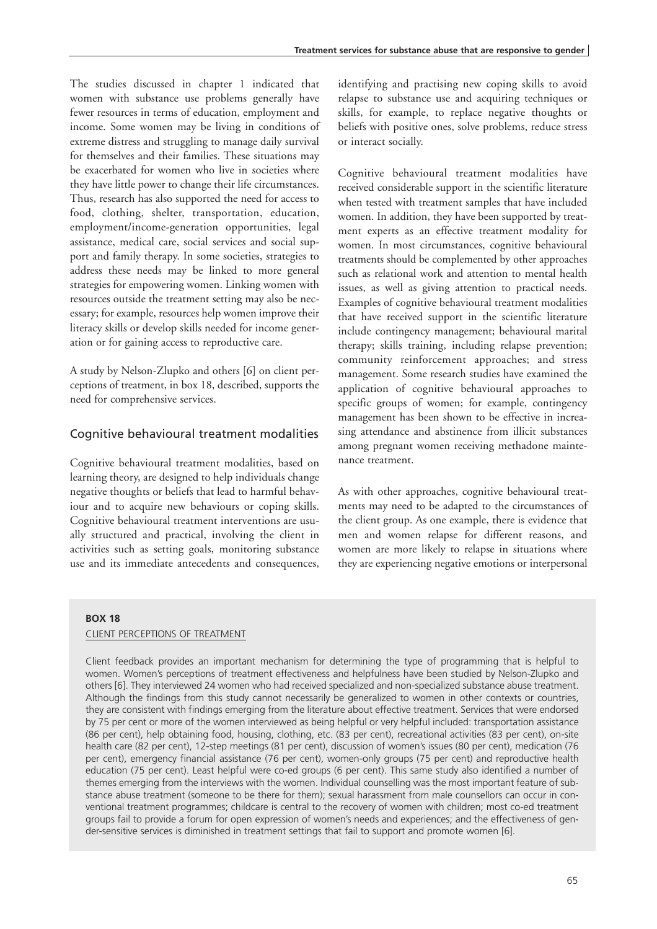The studies discussed in chapter 1 indicated that women with substance use problems generally have fewer resources in terms of education, employment and income. Some women may be living in conditions of extreme distress and struggling to manage daily survival for themselves and their families. These situations may be exacerbated for women who live in societies where they have little power to change their life circumstances. Thus, research has also supported the need for access to food, clothing, shelter, transportation, education, employment/income-generation opportunities, legal assistance, medical care, social services and social support and family therapy. In some societies, strategies to address these needs may be linked to more general strategies for empowering women. Linking women with resources outside the treatment setting may also be necessary; for example, resources help women improve their literacy skills or develop skills needed for income generation or for gaining access to reproductive care.

A study by Nelson-Zlupko and others [6] on client perceptions of treatment, in box 18, described, supports the need for comprehensive services.

# Cognitive behavioural treatment modalities

Cognitive behavioural treatment modalities, based on learning theory, are designed to help individuals change negative thoughts or beliefs that lead to harmful behaviour and to acquire new behaviours or coping skills. Cognitive behavioural treatment interventions are usually structured and practical, involving the client in activities such as setting goals, monitoring substance use and its immediate antecedents and consequences,

identifying and practising new coping skills to avoid relapse to substance use and acquiring techniques or skills, for example, to replace negative thoughts or beliefs with positive ones, solve problems, reduce stress or interact socially.

Cognitive behavioural treatment modalities have received considerable support in the scientific literature when tested with treatment samples that have included women. In addition, they have been supported by treatment experts as an effective treatment modality for women. In most circumstances, cognitive behavioural treatments should be complemented by other approaches such as relational work and attention to mental health issues, as well as giving attention to practical needs. Examples of cognitive behavioural treatment modalities that have received support in the scientific literature include contingency management; behavioural marital therapy; skills training, including relapse prevention; community reinforcement approaches; and stress management. Some research studies have examined the application of cognitive behavioural approaches to specific groups of women; for example, contingency management has been shown to be effective in increasing attendance and abstinence from illicit substances among pregnant women receiving methadone maintenance treatment.

As with other approaches, cognitive behavioural treatments may need to be adapted to the circumstances of the client group. As one example, there is evidence that men and women relapse for different reasons, and women are more likely to relapse in situations where they are experiencing negative emotions or interpersonal

#### **BOX 18**

#### CLIENT PERCEPTIONS OF TREATMENT

Client feedback provides an important mechanism for determining the type of programming that is helpful to women. Women's perceptions of treatment effectiveness and helpfulness have been studied by Nelson-Zlupko and others [6]. They interviewed 24 women who had received specialized and non-specialized substance abuse treatment. Although the findings from this study cannot necessarily be generalized to women in other contexts or countries, they are consistent with findings emerging from the literature about effective treatment. Services that were endorsed by 75 per cent or more of the women interviewed as being helpful or very helpful included: transportation assistance (86 per cent), help obtaining food, housing, clothing, etc. (83 per cent), recreational activities (83 per cent), on-site health care (82 per cent), 12-step meetings (81 per cent), discussion of women's issues (80 per cent), medication (76 per cent), emergency financial assistance (76 per cent), women-only groups (75 per cent) and reproductive health education (75 per cent). Least helpful were co-ed groups (6 per cent). This same study also identified a number of themes emerging from the interviews with the women. Individual counselling was the most important feature of substance abuse treatment (someone to be there for them); sexual harassment from male counsellors can occur in conventional treatment programmes; childcare is central to the recovery of women with children; most co-ed treatment groups fail to provide a forum for open expression of women's needs and experiences; and the effectiveness of gender-sensitive services is diminished in treatment settings that fail to support and promote women [6].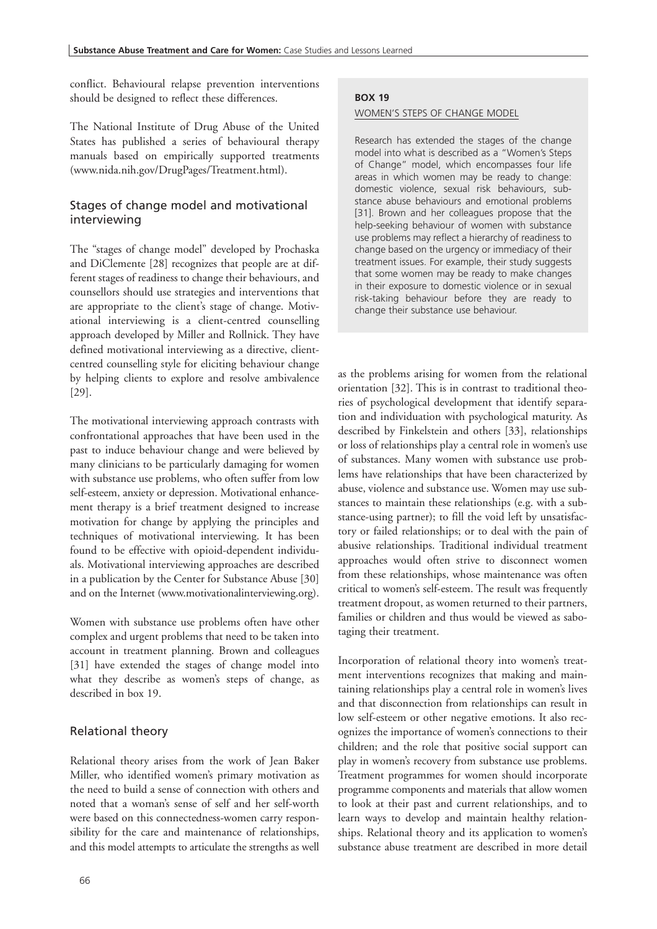conflict. Behavioural relapse prevention interventions should be designed to reflect these differences.

The National Institute of Drug Abuse of the United States has published a series of behavioural therapy manuals based on empirically supported treatments (www.nida.nih.gov/DrugPages/Treatment.html).

## Stages of change model and motivational interviewing

The "stages of change model" developed by Prochaska and DiClemente [28] recognizes that people are at different stages of readiness to change their behaviours, and counsellors should use strategies and interventions that are appropriate to the client's stage of change. Motivational interviewing is a client-centred counselling approach developed by Miller and Rollnick. They have defined motivational interviewing as a directive, clientcentred counselling style for eliciting behaviour change by helping clients to explore and resolve ambivalence [29].

The motivational interviewing approach contrasts with confrontational approaches that have been used in the past to induce behaviour change and were believed by many clinicians to be particularly damaging for women with substance use problems, who often suffer from low self-esteem, anxiety or depression. Motivational enhancement therapy is a brief treatment designed to increase motivation for change by applying the principles and techniques of motivational interviewing. It has been found to be effective with opioid-dependent individuals. Motivational interviewing approaches are described in a publication by the Center for Substance Abuse [30] and on the Internet (www.motivationalinterviewing.org).

Women with substance use problems often have other complex and urgent problems that need to be taken into account in treatment planning. Brown and colleagues [31] have extended the stages of change model into what they describe as women's steps of change, as described in box 19.

## Relational theory

Relational theory arises from the work of Jean Baker Miller, who identified women's primary motivation as the need to build a sense of connection with others and noted that a woman's sense of self and her self-worth were based on this connectedness-women carry responsibility for the care and maintenance of relationships, and this model attempts to articulate the strengths as well

66

#### **BOX 19**

#### WOMEN'S STEPS OF CHANGE MODEL

Research has extended the stages of the change model into what is described as a "Women's Steps of Change" model, which encompasses four life areas in which women may be ready to change: domestic violence, sexual risk behaviours, substance abuse behaviours and emotional problems [31]. Brown and her colleagues propose that the help-seeking behaviour of women with substance use problems may reflect a hierarchy of readiness to change based on the urgency or immediacy of their treatment issues. For example, their study suggests that some women may be ready to make changes in their exposure to domestic violence or in sexual risk-taking behaviour before they are ready to change their substance use behaviour.

as the problems arising for women from the relational orientation [32]. This is in contrast to traditional theories of psychological development that identify separation and individuation with psychological maturity. As described by Finkelstein and others [33], relationships or loss of relationships play a central role in women's use of substances. Many women with substance use problems have relationships that have been characterized by abuse, violence and substance use. Women may use substances to maintain these relationships (e.g. with a substance-using partner); to fill the void left by unsatisfactory or failed relationships; or to deal with the pain of abusive relationships. Traditional individual treatment approaches would often strive to disconnect women from these relationships, whose maintenance was often critical to women's self-esteem. The result was frequently treatment dropout, as women returned to their partners, families or children and thus would be viewed as sabotaging their treatment.

Incorporation of relational theory into women's treatment interventions recognizes that making and maintaining relationships play a central role in women's lives and that disconnection from relationships can result in low self-esteem or other negative emotions. It also recognizes the importance of women's connections to their children; and the role that positive social support can play in women's recovery from substance use problems. Treatment programmes for women should incorporate programme components and materials that allow women to look at their past and current relationships, and to learn ways to develop and maintain healthy relationships. Relational theory and its application to women's substance abuse treatment are described in more detail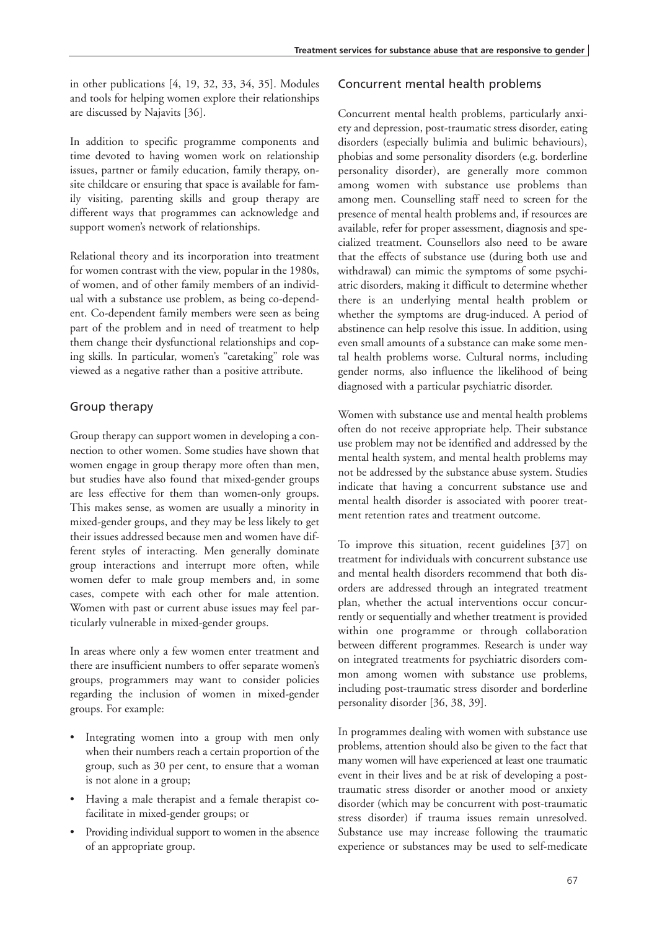in other publications [4, 19, 32, 33, 34, 35]. Modules and tools for helping women explore their relationships are discussed by Najavits [36].

In addition to specific programme components and time devoted to having women work on relationship issues, partner or family education, family therapy, onsite childcare or ensuring that space is available for family visiting, parenting skills and group therapy are different ways that programmes can acknowledge and support women's network of relationships.

Relational theory and its incorporation into treatment for women contrast with the view, popular in the 1980s, of women, and of other family members of an individual with a substance use problem, as being co-dependent. Co-dependent family members were seen as being part of the problem and in need of treatment to help them change their dysfunctional relationships and coping skills. In particular, women's "caretaking" role was viewed as a negative rather than a positive attribute.

## Group therapy

Group therapy can support women in developing a connection to other women. Some studies have shown that women engage in group therapy more often than men, but studies have also found that mixed-gender groups are less effective for them than women-only groups. This makes sense, as women are usually a minority in mixed-gender groups, and they may be less likely to get their issues addressed because men and women have different styles of interacting. Men generally dominate group interactions and interrupt more often, while women defer to male group members and, in some cases, compete with each other for male attention. Women with past or current abuse issues may feel particularly vulnerable in mixed-gender groups.

In areas where only a few women enter treatment and there are insufficient numbers to offer separate women's groups, programmers may want to consider policies regarding the inclusion of women in mixed-gender groups. For example:

- Integrating women into a group with men only when their numbers reach a certain proportion of the group, such as 30 per cent, to ensure that a woman is not alone in a group;
- Having a male therapist and a female therapist cofacilitate in mixed-gender groups; or
- Providing individual support to women in the absence of an appropriate group.

#### Concurrent mental health problems

Concurrent mental health problems, particularly anxiety and depression, post-traumatic stress disorder, eating disorders (especially bulimia and bulimic behaviours), phobias and some personality disorders (e.g. borderline personality disorder), are generally more common among women with substance use problems than among men. Counselling staff need to screen for the presence of mental health problems and, if resources are available, refer for proper assessment, diagnosis and specialized treatment. Counsellors also need to be aware that the effects of substance use (during both use and withdrawal) can mimic the symptoms of some psychiatric disorders, making it difficult to determine whether there is an underlying mental health problem or whether the symptoms are drug-induced. A period of abstinence can help resolve this issue. In addition, using even small amounts of a substance can make some mental health problems worse. Cultural norms, including gender norms, also influence the likelihood of being diagnosed with a particular psychiatric disorder.

Women with substance use and mental health problems often do not receive appropriate help. Their substance use problem may not be identified and addressed by the mental health system, and mental health problems may not be addressed by the substance abuse system. Studies indicate that having a concurrent substance use and mental health disorder is associated with poorer treatment retention rates and treatment outcome.

To improve this situation, recent guidelines [37] on treatment for individuals with concurrent substance use and mental health disorders recommend that both disorders are addressed through an integrated treatment plan, whether the actual interventions occur concurrently or sequentially and whether treatment is provided within one programme or through collaboration between different programmes. Research is under way on integrated treatments for psychiatric disorders common among women with substance use problems, including post-traumatic stress disorder and borderline personality disorder [36, 38, 39].

In programmes dealing with women with substance use problems, attention should also be given to the fact that many women will have experienced at least one traumatic event in their lives and be at risk of developing a posttraumatic stress disorder or another mood or anxiety disorder (which may be concurrent with post-traumatic stress disorder) if trauma issues remain unresolved. Substance use may increase following the traumatic experience or substances may be used to self-medicate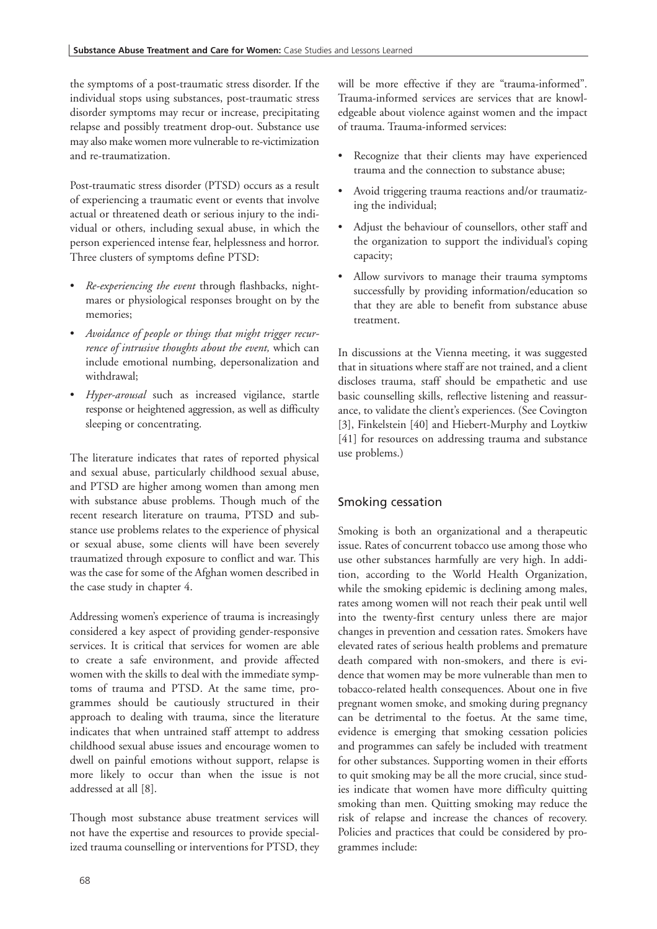the symptoms of a post-traumatic stress disorder. If the individual stops using substances, post-traumatic stress disorder symptoms may recur or increase, precipitating relapse and possibly treatment drop-out. Substance use may also make women more vulnerable to re-victimization and re-traumatization.

Post-traumatic stress disorder (PTSD) occurs as a result of experiencing a traumatic event or events that involve actual or threatened death or serious injury to the individual or others, including sexual abuse, in which the person experienced intense fear, helplessness and horror. Three clusters of symptoms define PTSD:

- *Re-experiencing the event* through flashbacks, nightmares or physiological responses brought on by the memories;
- *Avoidance of people or things that might trigger recurrence of intrusive thoughts about the event,* which can include emotional numbing, depersonalization and withdrawal;
- *Hyper-arousal* such as increased vigilance, startle response or heightened aggression, as well as difficulty sleeping or concentrating.

The literature indicates that rates of reported physical and sexual abuse, particularly childhood sexual abuse, and PTSD are higher among women than among men with substance abuse problems. Though much of the recent research literature on trauma, PTSD and substance use problems relates to the experience of physical or sexual abuse, some clients will have been severely traumatized through exposure to conflict and war. This was the case for some of the Afghan women described in the case study in chapter 4.

Addressing women's experience of trauma is increasingly considered a key aspect of providing gender-responsive services. It is critical that services for women are able to create a safe environment, and provide affected women with the skills to deal with the immediate symptoms of trauma and PTSD. At the same time, programmes should be cautiously structured in their approach to dealing with trauma, since the literature indicates that when untrained staff attempt to address childhood sexual abuse issues and encourage women to dwell on painful emotions without support, relapse is more likely to occur than when the issue is not addressed at all [8].

Though most substance abuse treatment services will not have the expertise and resources to provide specialized trauma counselling or interventions for PTSD, they will be more effective if they are "trauma-informed". Trauma-informed services are services that are knowledgeable about violence against women and the impact of trauma. Trauma-informed services:

- Recognize that their clients may have experienced trauma and the connection to substance abuse;
- Avoid triggering trauma reactions and/or traumatizing the individual;
- Adjust the behaviour of counsellors, other staff and the organization to support the individual's coping capacity;
- Allow survivors to manage their trauma symptoms successfully by providing information/education so that they are able to benefit from substance abuse treatment.

In discussions at the Vienna meeting, it was suggested that in situations where staff are not trained, and a client discloses trauma, staff should be empathetic and use basic counselling skills, reflective listening and reassurance, to validate the client's experiences. (See Covington [3], Finkelstein [40] and Hiebert-Murphy and Loytkiw [41] for resources on addressing trauma and substance use problems.)

## Smoking cessation

Smoking is both an organizational and a therapeutic issue. Rates of concurrent tobacco use among those who use other substances harmfully are very high. In addition, according to the World Health Organization, while the smoking epidemic is declining among males, rates among women will not reach their peak until well into the twenty-first century unless there are major changes in prevention and cessation rates. Smokers have elevated rates of serious health problems and premature death compared with non-smokers, and there is evidence that women may be more vulnerable than men to tobacco-related health consequences. About one in five pregnant women smoke, and smoking during pregnancy can be detrimental to the foetus. At the same time, evidence is emerging that smoking cessation policies and programmes can safely be included with treatment for other substances. Supporting women in their efforts to quit smoking may be all the more crucial, since studies indicate that women have more difficulty quitting smoking than men. Quitting smoking may reduce the risk of relapse and increase the chances of recovery. Policies and practices that could be considered by programmes include: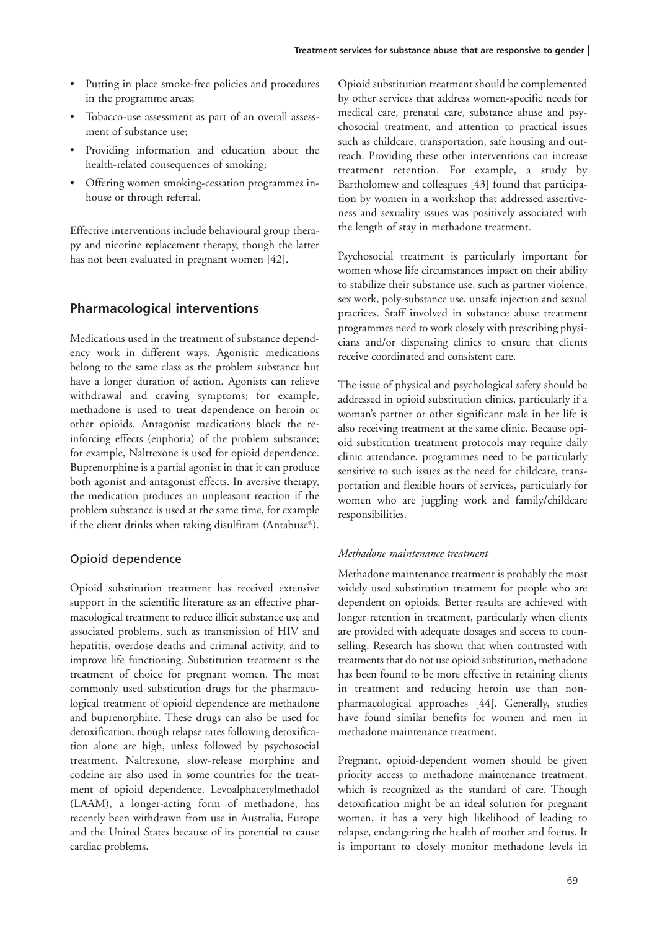- Putting in place smoke-free policies and procedures in the programme areas;
- Tobacco-use assessment as part of an overall assessment of substance use;
- Providing information and education about the health-related consequences of smoking;
- Offering women smoking-cessation programmes inhouse or through referral.

Effective interventions include behavioural group therapy and nicotine replacement therapy, though the latter has not been evaluated in pregnant women [42].

# **Pharmacological interventions**

Medications used in the treatment of substance dependency work in different ways. Agonistic medications belong to the same class as the problem substance but have a longer duration of action. Agonists can relieve withdrawal and craving symptoms; for example, methadone is used to treat dependence on heroin or other opioids. Antagonist medications block the reinforcing effects (euphoria) of the problem substance; for example, Naltrexone is used for opioid dependence. Buprenorphine is a partial agonist in that it can produce both agonist and antagonist effects. In aversive therapy, the medication produces an unpleasant reaction if the problem substance is used at the same time, for example if the client drinks when taking disulfiram (Antabuse®).

## Opioid dependence

Opioid substitution treatment has received extensive support in the scientific literature as an effective pharmacological treatment to reduce illicit substance use and associated problems, such as transmission of HIV and hepatitis, overdose deaths and criminal activity, and to improve life functioning. Substitution treatment is the treatment of choice for pregnant women. The most commonly used substitution drugs for the pharmacological treatment of opioid dependence are methadone and buprenorphine. These drugs can also be used for detoxification, though relapse rates following detoxification alone are high, unless followed by psychosocial treatment. Naltrexone, slow-release morphine and codeine are also used in some countries for the treatment of opioid dependence. Levoalphacetylmethadol (LAAM), a longer-acting form of methadone, has recently been withdrawn from use in Australia, Europe and the United States because of its potential to cause cardiac problems.

Opioid substitution treatment should be complemented by other services that address women-specific needs for medical care, prenatal care, substance abuse and psychosocial treatment, and attention to practical issues such as childcare, transportation, safe housing and outreach. Providing these other interventions can increase treatment retention. For example, a study by Bartholomew and colleagues [43] found that participation by women in a workshop that addressed assertiveness and sexuality issues was positively associated with the length of stay in methadone treatment.

Psychosocial treatment is particularly important for women whose life circumstances impact on their ability to stabilize their substance use, such as partner violence, sex work, poly-substance use, unsafe injection and sexual practices. Staff involved in substance abuse treatment programmes need to work closely with prescribing physicians and/or dispensing clinics to ensure that clients receive coordinated and consistent care.

The issue of physical and psychological safety should be addressed in opioid substitution clinics, particularly if a woman's partner or other significant male in her life is also receiving treatment at the same clinic. Because opioid substitution treatment protocols may require daily clinic attendance, programmes need to be particularly sensitive to such issues as the need for childcare, transportation and flexible hours of services, particularly for women who are juggling work and family/childcare responsibilities.

## *Methadone maintenance treatment*

Methadone maintenance treatment is probably the most widely used substitution treatment for people who are dependent on opioids. Better results are achieved with longer retention in treatment, particularly when clients are provided with adequate dosages and access to counselling. Research has shown that when contrasted with treatments that do not use opioid substitution, methadone has been found to be more effective in retaining clients in treatment and reducing heroin use than nonpharmacological approaches [44]. Generally, studies have found similar benefits for women and men in methadone maintenance treatment.

Pregnant, opioid-dependent women should be given priority access to methadone maintenance treatment, which is recognized as the standard of care. Though detoxification might be an ideal solution for pregnant women, it has a very high likelihood of leading to relapse, endangering the health of mother and foetus. It is important to closely monitor methadone levels in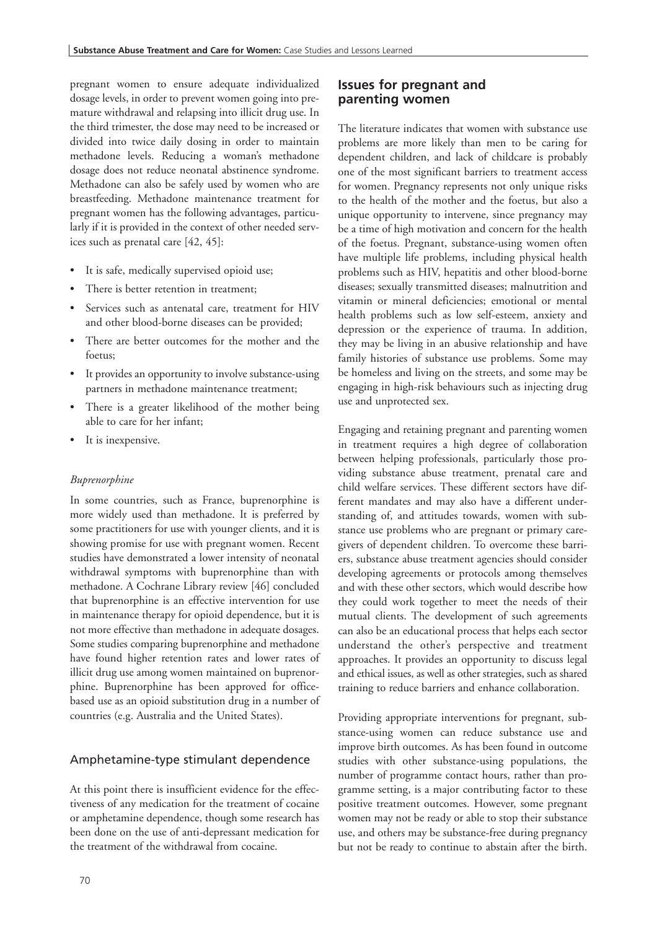pregnant women to ensure adequate individualized dosage levels, in order to prevent women going into premature withdrawal and relapsing into illicit drug use. In the third trimester, the dose may need to be increased or divided into twice daily dosing in order to maintain methadone levels. Reducing a woman's methadone dosage does not reduce neonatal abstinence syndrome. Methadone can also be safely used by women who are breastfeeding. Methadone maintenance treatment for pregnant women has the following advantages, particularly if it is provided in the context of other needed services such as prenatal care [42, 45]:

- It is safe, medically supervised opioid use;
- There is better retention in treatment;
- Services such as antenatal care, treatment for HIV and other blood-borne diseases can be provided;
- There are better outcomes for the mother and the foetus;
- It provides an opportunity to involve substance-using partners in methadone maintenance treatment;
- There is a greater likelihood of the mother being able to care for her infant;
- It is inexpensive.

#### *Buprenorphine*

In some countries, such as France, buprenorphine is more widely used than methadone. It is preferred by some practitioners for use with younger clients, and it is showing promise for use with pregnant women. Recent studies have demonstrated a lower intensity of neonatal withdrawal symptoms with buprenorphine than with methadone. A Cochrane Library review [46] concluded that buprenorphine is an effective intervention for use in maintenance therapy for opioid dependence, but it is not more effective than methadone in adequate dosages. Some studies comparing buprenorphine and methadone have found higher retention rates and lower rates of illicit drug use among women maintained on buprenorphine. Buprenorphine has been approved for officebased use as an opioid substitution drug in a number of countries (e.g. Australia and the United States).

## Amphetamine-type stimulant dependence

At this point there is insufficient evidence for the effectiveness of any medication for the treatment of cocaine or amphetamine dependence, though some research has been done on the use of anti-depressant medication for the treatment of the withdrawal from cocaine.

## **Issues for pregnant and parenting women**

The literature indicates that women with substance use problems are more likely than men to be caring for dependent children, and lack of childcare is probably one of the most significant barriers to treatment access for women. Pregnancy represents not only unique risks to the health of the mother and the foetus, but also a unique opportunity to intervene, since pregnancy may be a time of high motivation and concern for the health of the foetus. Pregnant, substance-using women often have multiple life problems, including physical health problems such as HIV, hepatitis and other blood-borne diseases; sexually transmitted diseases; malnutrition and vitamin or mineral deficiencies; emotional or mental health problems such as low self-esteem, anxiety and depression or the experience of trauma. In addition, they may be living in an abusive relationship and have family histories of substance use problems. Some may be homeless and living on the streets, and some may be engaging in high-risk behaviours such as injecting drug use and unprotected sex.

Engaging and retaining pregnant and parenting women in treatment requires a high degree of collaboration between helping professionals, particularly those providing substance abuse treatment, prenatal care and child welfare services. These different sectors have different mandates and may also have a different understanding of, and attitudes towards, women with substance use problems who are pregnant or primary caregivers of dependent children. To overcome these barriers, substance abuse treatment agencies should consider developing agreements or protocols among themselves and with these other sectors, which would describe how they could work together to meet the needs of their mutual clients. The development of such agreements can also be an educational process that helps each sector understand the other's perspective and treatment approaches. It provides an opportunity to discuss legal and ethical issues, as well as other strategies, such as shared training to reduce barriers and enhance collaboration.

Providing appropriate interventions for pregnant, substance-using women can reduce substance use and improve birth outcomes. As has been found in outcome studies with other substance-using populations, the number of programme contact hours, rather than programme setting, is a major contributing factor to these positive treatment outcomes. However, some pregnant women may not be ready or able to stop their substance use, and others may be substance-free during pregnancy but not be ready to continue to abstain after the birth.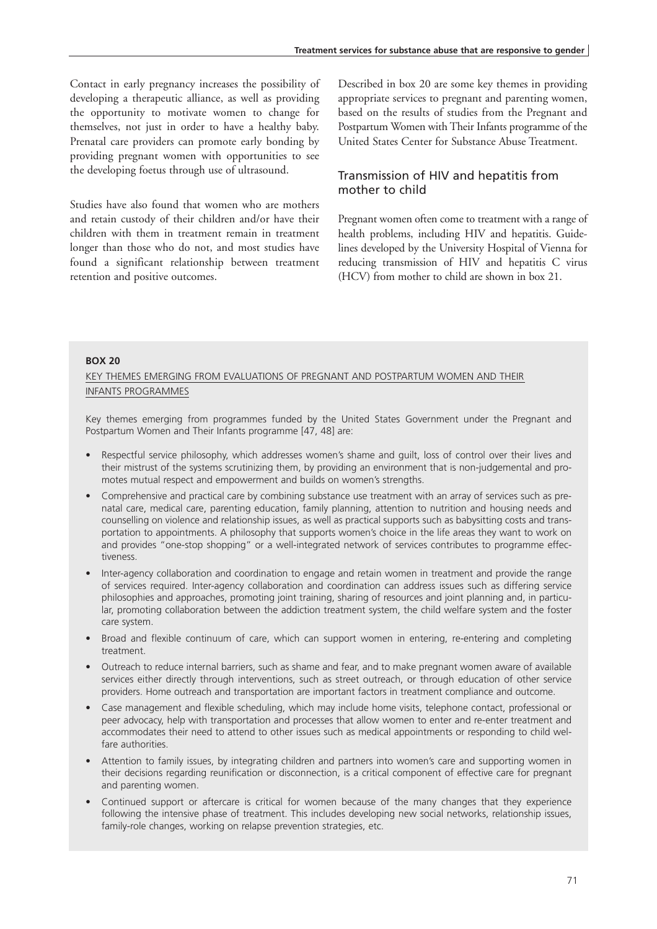Contact in early pregnancy increases the possibility of developing a therapeutic alliance, as well as providing the opportunity to motivate women to change for themselves, not just in order to have a healthy baby. Prenatal care providers can promote early bonding by providing pregnant women with opportunities to see the developing foetus through use of ultrasound.

Studies have also found that women who are mothers and retain custody of their children and/or have their children with them in treatment remain in treatment longer than those who do not, and most studies have found a significant relationship between treatment retention and positive outcomes.

Described in box 20 are some key themes in providing appropriate services to pregnant and parenting women, based on the results of studies from the Pregnant and Postpartum Women with Their Infants programme of the United States Center for Substance Abuse Treatment.

# Transmission of HIV and hepatitis from mother to child

Pregnant women often come to treatment with a range of health problems, including HIV and hepatitis. Guidelines developed by the University Hospital of Vienna for reducing transmission of HIV and hepatitis C virus (HCV) from mother to child are shown in box 21.

#### **BOX 20**

### KEY THEMES EMERGING FROM EVALUATIONS OF PREGNANT AND POSTPARTUM WOMEN AND THEIR INFANTS PROGRAMMES

Key themes emerging from programmes funded by the United States Government under the Pregnant and Postpartum Women and Their Infants programme [47, 48] are:

- Respectful service philosophy, which addresses women's shame and guilt, loss of control over their lives and their mistrust of the systems scrutinizing them, by providing an environment that is non-judgemental and promotes mutual respect and empowerment and builds on women's strengths.
- Comprehensive and practical care by combining substance use treatment with an array of services such as prenatal care, medical care, parenting education, family planning, attention to nutrition and housing needs and counselling on violence and relationship issues, as well as practical supports such as babysitting costs and transportation to appointments. A philosophy that supports women's choice in the life areas they want to work on and provides "one-stop shopping" or a well-integrated network of services contributes to programme effectiveness.
- Inter-agency collaboration and coordination to engage and retain women in treatment and provide the range of services required. Inter-agency collaboration and coordination can address issues such as differing service philosophies and approaches, promoting joint training, sharing of resources and joint planning and, in particular, promoting collaboration between the addiction treatment system, the child welfare system and the foster care system.
- Broad and flexible continuum of care, which can support women in entering, re-entering and completing treatment.
- Outreach to reduce internal barriers, such as shame and fear, and to make pregnant women aware of available services either directly through interventions, such as street outreach, or through education of other service providers. Home outreach and transportation are important factors in treatment compliance and outcome.
- Case management and flexible scheduling, which may include home visits, telephone contact, professional or peer advocacy, help with transportation and processes that allow women to enter and re-enter treatment and accommodates their need to attend to other issues such as medical appointments or responding to child welfare authorities.
- Attention to family issues, by integrating children and partners into women's care and supporting women in their decisions regarding reunification or disconnection, is a critical component of effective care for pregnant and parenting women.
- Continued support or aftercare is critical for women because of the many changes that they experience following the intensive phase of treatment. This includes developing new social networks, relationship issues, family-role changes, working on relapse prevention strategies, etc.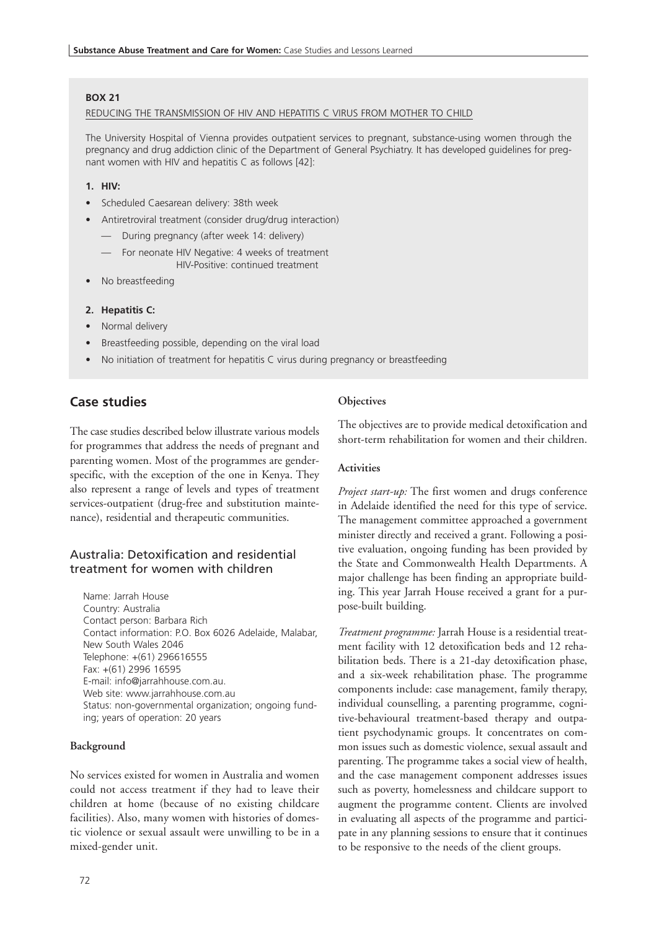#### **BOX 21**

#### REDUCING THE TRANSMISSION OF HIV AND HEPATITIS C VIRUS FROM MOTHER TO CHILD

The University Hospital of Vienna provides outpatient services to pregnant, substance-using women through the pregnancy and drug addiction clinic of the Department of General Psychiatry. It has developed guidelines for pregnant women with HIV and hepatitis C as follows [42]:

#### **1. HIV:**

- Scheduled Caesarean delivery: 38th week
- Antiretroviral treatment (consider drug/drug interaction)
	- During pregnancy (after week 14: delivery)
	- For neonate HIV Negative: 4 weeks of treatment HIV-Positive: continued treatment
- No breastfeeding
- **2. Hepatitis C:**
- Normal delivery
- Breastfeeding possible, depending on the viral load
- No initiation of treatment for hepatitis C virus during pregnancy or breastfeeding

## **Case studies**

The case studies described below illustrate various models for programmes that address the needs of pregnant and parenting women. Most of the programmes are genderspecific, with the exception of the one in Kenya. They also represent a range of levels and types of treatment services-outpatient (drug-free and substitution maintenance), residential and therapeutic communities.

## Australia: Detoxification and residential treatment for women with children

Name: Jarrah House Country: Australia Contact person: Barbara Rich Contact information: P.O. Box 6026 Adelaide, Malabar, New South Wales 2046 Telephone: +(61) 296616555 Fax: +(61) 2996 16595 E-mail: info@jarrahhouse.com.au. Web site: www.jarrahhouse.com.au Status: non-governmental organization; ongoing funding; years of operation: 20 years

#### **Background**

No services existed for women in Australia and women could not access treatment if they had to leave their children at home (because of no existing childcare facilities). Also, many women with histories of domestic violence or sexual assault were unwilling to be in a mixed-gender unit.

#### **Objectives**

The objectives are to provide medical detoxification and short-term rehabilitation for women and their children.

#### **Activities**

*Project start-up:* The first women and drugs conference in Adelaide identified the need for this type of service. The management committee approached a government minister directly and received a grant. Following a positive evaluation, ongoing funding has been provided by the State and Commonwealth Health Departments. A major challenge has been finding an appropriate building. This year Jarrah House received a grant for a purpose-built building.

*Treatment programme:* Jarrah House is a residential treatment facility with 12 detoxification beds and 12 rehabilitation beds. There is a 21-day detoxification phase, and a six-week rehabilitation phase. The programme components include: case management, family therapy, individual counselling, a parenting programme, cognitive-behavioural treatment-based therapy and outpatient psychodynamic groups. It concentrates on common issues such as domestic violence, sexual assault and parenting. The programme takes a social view of health, and the case management component addresses issues such as poverty, homelessness and childcare support to augment the programme content. Clients are involved in evaluating all aspects of the programme and participate in any planning sessions to ensure that it continues to be responsive to the needs of the client groups.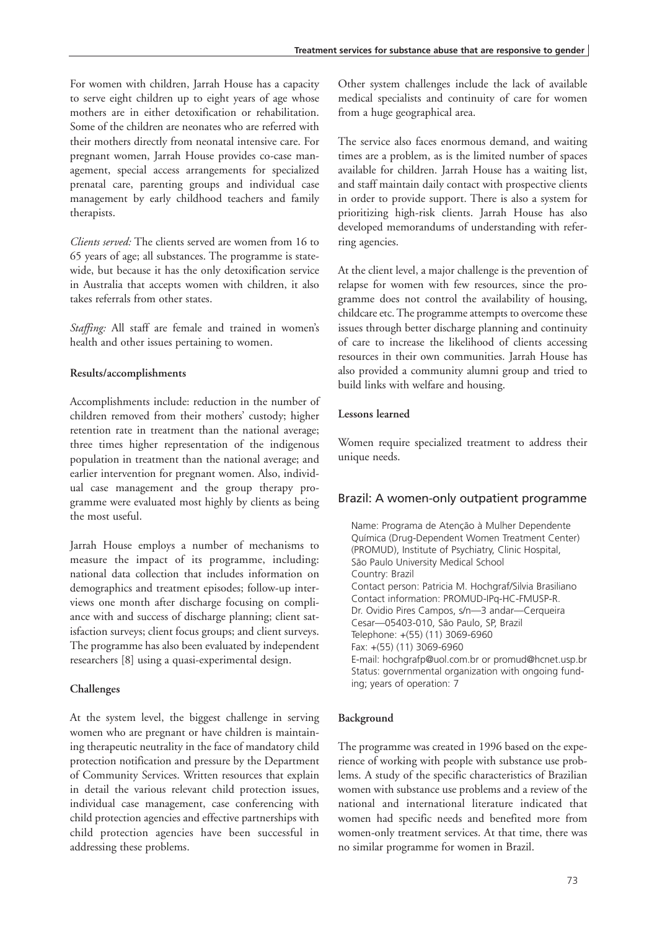For women with children, Jarrah House has a capacity to serve eight children up to eight years of age whose mothers are in either detoxification or rehabilitation. Some of the children are neonates who are referred with their mothers directly from neonatal intensive care. For pregnant women, Jarrah House provides co-case management, special access arrangements for specialized prenatal care, parenting groups and individual case management by early childhood teachers and family therapists.

*Clients served:* The clients served are women from 16 to 65 years of age; all substances. The programme is statewide, but because it has the only detoxification service in Australia that accepts women with children, it also takes referrals from other states.

*Staffing:* All staff are female and trained in women's health and other issues pertaining to women.

## **Results/accomplishments**

Accomplishments include: reduction in the number of children removed from their mothers' custody; higher retention rate in treatment than the national average; three times higher representation of the indigenous population in treatment than the national average; and earlier intervention for pregnant women. Also, individual case management and the group therapy programme were evaluated most highly by clients as being the most useful.

Jarrah House employs a number of mechanisms to measure the impact of its programme, including: national data collection that includes information on demographics and treatment episodes; follow-up interviews one month after discharge focusing on compliance with and success of discharge planning; client satisfaction surveys; client focus groups; and client surveys. The programme has also been evaluated by independent researchers [8] using a quasi-experimental design.

## **Challenges**

At the system level, the biggest challenge in serving women who are pregnant or have children is maintaining therapeutic neutrality in the face of mandatory child protection notification and pressure by the Department of Community Services. Written resources that explain in detail the various relevant child protection issues, individual case management, case conferencing with child protection agencies and effective partnerships with child protection agencies have been successful in addressing these problems.

Other system challenges include the lack of available medical specialists and continuity of care for women from a huge geographical area.

The service also faces enormous demand, and waiting times are a problem, as is the limited number of spaces available for children. Jarrah House has a waiting list, and staff maintain daily contact with prospective clients in order to provide support. There is also a system for prioritizing high-risk clients. Jarrah House has also developed memorandums of understanding with referring agencies.

At the client level, a major challenge is the prevention of relapse for women with few resources, since the programme does not control the availability of housing, childcare etc. The programme attempts to overcome these issues through better discharge planning and continuity of care to increase the likelihood of clients accessing resources in their own communities. Jarrah House has also provided a community alumni group and tried to build links with welfare and housing.

### **Lessons learned**

Women require specialized treatment to address their unique needs.

## Brazil: A women-only outpatient programme

Name: Programa de Atenção à Mulher Dependente Química (Drug-Dependent Women Treatment Center) (PROMUD), Institute of Psychiatry, Clinic Hospital, São Paulo University Medical School Country: Brazil Contact person: Patricia M. Hochgraf/Silvia Brasiliano Contact information: PROMUD-IPq-HC-FMUSP-R. Dr. Ovidio Pires Campos, s/n—3 andar—Cerqueira Cesar—05403-010, São Paulo, SP, Brazil Telephone: +(55) (11) 3069-6960 Fax: +(55) (11) 3069-6960 E-mail: hochgrafp@uol.com.br or promud@hcnet.usp.br Status: governmental organization with ongoing funding; years of operation: 7

## **Background**

The programme was created in 1996 based on the experience of working with people with substance use problems. A study of the specific characteristics of Brazilian women with substance use problems and a review of the national and international literature indicated that women had specific needs and benefited more from women-only treatment services. At that time, there was no similar programme for women in Brazil.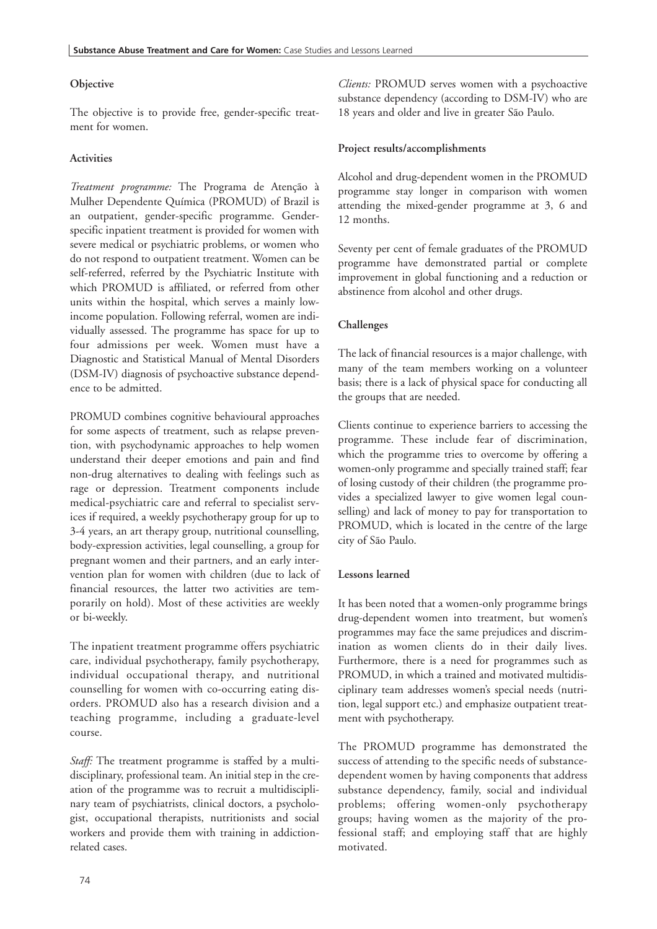### **Objective**

The objective is to provide free, gender-specific treatment for women.

## **Activities**

*Treatment programme:* The Programa de Atenção à Mulher Dependente Química (PROMUD) of Brazil is an outpatient, gender-specific programme. Genderspecific inpatient treatment is provided for women with severe medical or psychiatric problems, or women who do not respond to outpatient treatment. Women can be self-referred, referred by the Psychiatric Institute with which PROMUD is affiliated, or referred from other units within the hospital, which serves a mainly lowincome population. Following referral, women are individually assessed. The programme has space for up to four admissions per week. Women must have a Diagnostic and Statistical Manual of Mental Disorders (DSM-IV) diagnosis of psychoactive substance dependence to be admitted.

PROMUD combines cognitive behavioural approaches for some aspects of treatment, such as relapse prevention, with psychodynamic approaches to help women understand their deeper emotions and pain and find non-drug alternatives to dealing with feelings such as rage or depression. Treatment components include medical-psychiatric care and referral to specialist services if required, a weekly psychotherapy group for up to 3-4 years, an art therapy group, nutritional counselling, body-expression activities, legal counselling, a group for pregnant women and their partners, and an early intervention plan for women with children (due to lack of financial resources, the latter two activities are temporarily on hold). Most of these activities are weekly or bi-weekly.

The inpatient treatment programme offers psychiatric care, individual psychotherapy, family psychotherapy, individual occupational therapy, and nutritional counselling for women with co-occurring eating disorders. PROMUD also has a research division and a teaching programme, including a graduate-level course.

*Staff:* The treatment programme is staffed by a multidisciplinary, professional team. An initial step in the creation of the programme was to recruit a multidisciplinary team of psychiatrists, clinical doctors, a psychologist, occupational therapists, nutritionists and social workers and provide them with training in addictionrelated cases.

*Clients:* PROMUD serves women with a psychoactive substance dependency (according to DSM-IV) who are 18 years and older and live in greater São Paulo.

### **Project results/accomplishments**

Alcohol and drug-dependent women in the PROMUD programme stay longer in comparison with women attending the mixed-gender programme at 3, 6 and 12 months.

Seventy per cent of female graduates of the PROMUD programme have demonstrated partial or complete improvement in global functioning and a reduction or abstinence from alcohol and other drugs.

### **Challenges**

The lack of financial resources is a major challenge, with many of the team members working on a volunteer basis; there is a lack of physical space for conducting all the groups that are needed.

Clients continue to experience barriers to accessing the programme. These include fear of discrimination, which the programme tries to overcome by offering a women-only programme and specially trained staff; fear of losing custody of their children (the programme provides a specialized lawyer to give women legal counselling) and lack of money to pay for transportation to PROMUD, which is located in the centre of the large city of São Paulo.

#### **Lessons learned**

It has been noted that a women-only programme brings drug-dependent women into treatment, but women's programmes may face the same prejudices and discrimination as women clients do in their daily lives. Furthermore, there is a need for programmes such as PROMUD, in which a trained and motivated multidisciplinary team addresses women's special needs (nutrition, legal support etc.) and emphasize outpatient treatment with psychotherapy.

The PROMUD programme has demonstrated the success of attending to the specific needs of substancedependent women by having components that address substance dependency, family, social and individual problems; offering women-only psychotherapy groups; having women as the majority of the professional staff; and employing staff that are highly motivated.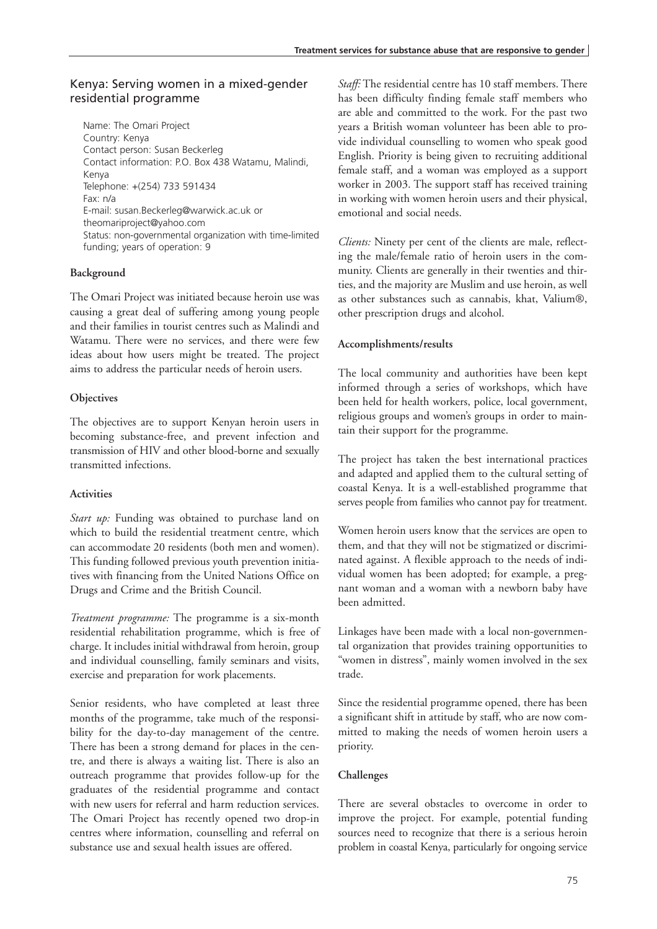### Kenya: Serving women in a mixed-gender residential programme

Name: The Omari Project Country: Kenya Contact person: Susan Beckerleg Contact information: P.O. Box 438 Watamu, Malindi, Kenya Telephone: +(254) 733 591434 Fax: n/a E-mail: susan.Beckerleg@warwick.ac.uk or theomariproject@yahoo.com Status: non-governmental organization with time-limited funding; years of operation: 9

### **Background**

The Omari Project was initiated because heroin use was causing a great deal of suffering among young people and their families in tourist centres such as Malindi and Watamu. There were no services, and there were few ideas about how users might be treated. The project aims to address the particular needs of heroin users.

### **Objectives**

The objectives are to support Kenyan heroin users in becoming substance-free, and prevent infection and transmission of HIV and other blood-borne and sexually transmitted infections.

#### **Activities**

*Start up:* Funding was obtained to purchase land on which to build the residential treatment centre, which can accommodate 20 residents (both men and women). This funding followed previous youth prevention initiatives with financing from the United Nations Office on Drugs and Crime and the British Council.

*Treatment programme:* The programme is a six-month residential rehabilitation programme, which is free of charge. It includes initial withdrawal from heroin, group and individual counselling, family seminars and visits, exercise and preparation for work placements.

Senior residents, who have completed at least three months of the programme, take much of the responsibility for the day-to-day management of the centre. There has been a strong demand for places in the centre, and there is always a waiting list. There is also an outreach programme that provides follow-up for the graduates of the residential programme and contact with new users for referral and harm reduction services. The Omari Project has recently opened two drop-in centres where information, counselling and referral on substance use and sexual health issues are offered.

*Staff:* The residential centre has 10 staff members. There has been difficulty finding female staff members who are able and committed to the work. For the past two years a British woman volunteer has been able to provide individual counselling to women who speak good English. Priority is being given to recruiting additional female staff, and a woman was employed as a support worker in 2003. The support staff has received training in working with women heroin users and their physical, emotional and social needs.

*Clients:* Ninety per cent of the clients are male, reflecting the male/female ratio of heroin users in the community. Clients are generally in their twenties and thirties, and the majority are Muslim and use heroin, as well as other substances such as cannabis, khat, Valium®, other prescription drugs and alcohol.

### **Accomplishments/results**

The local community and authorities have been kept informed through a series of workshops, which have been held for health workers, police, local government, religious groups and women's groups in order to maintain their support for the programme.

The project has taken the best international practices and adapted and applied them to the cultural setting of coastal Kenya. It is a well-established programme that serves people from families who cannot pay for treatment.

Women heroin users know that the services are open to them, and that they will not be stigmatized or discriminated against. A flexible approach to the needs of individual women has been adopted; for example, a pregnant woman and a woman with a newborn baby have been admitted.

Linkages have been made with a local non-governmental organization that provides training opportunities to "women in distress", mainly women involved in the sex trade.

Since the residential programme opened, there has been a significant shift in attitude by staff, who are now committed to making the needs of women heroin users a priority.

#### **Challenges**

There are several obstacles to overcome in order to improve the project. For example, potential funding sources need to recognize that there is a serious heroin problem in coastal Kenya, particularly for ongoing service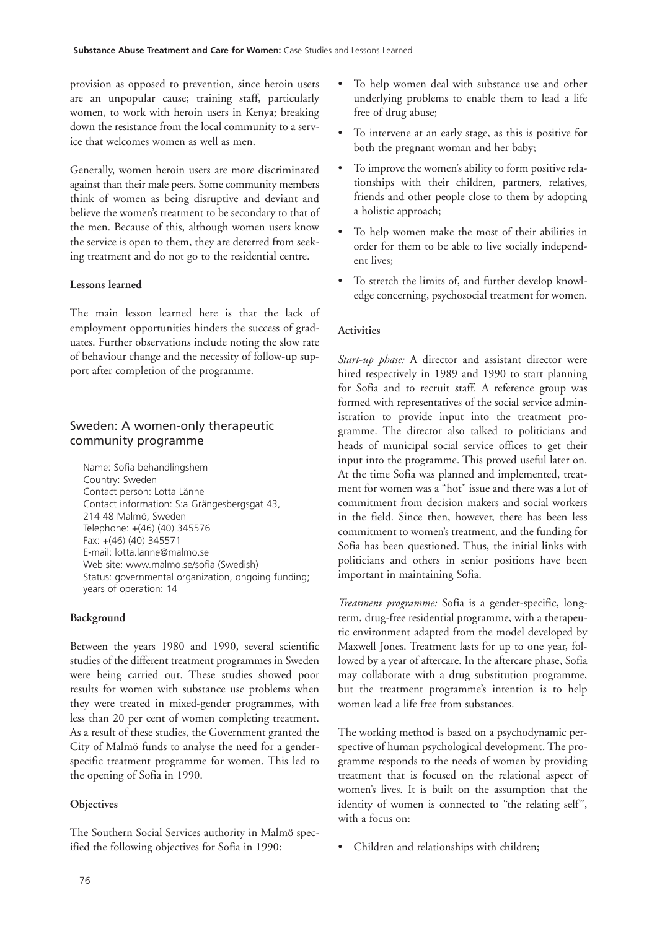provision as opposed to prevention, since heroin users are an unpopular cause; training staff, particularly women, to work with heroin users in Kenya; breaking down the resistance from the local community to a service that welcomes women as well as men.

Generally, women heroin users are more discriminated against than their male peers. Some community members think of women as being disruptive and deviant and believe the women's treatment to be secondary to that of the men. Because of this, although women users know the service is open to them, they are deterred from seeking treatment and do not go to the residential centre.

### **Lessons learned**

The main lesson learned here is that the lack of employment opportunities hinders the success of graduates. Further observations include noting the slow rate of behaviour change and the necessity of follow-up support after completion of the programme.

## Sweden: A women-only therapeutic community programme

Name: Sofia behandlingshem Country: Sweden Contact person: Lotta Länne Contact information: S:a Grängesbergsgat 43, 214 48 Malmö, Sweden Telephone: +(46) (40) 345576 Fax: +(46) (40) 345571 E-mail: lotta.lanne@malmo.se Web site: www.malmo.se/sofia (Swedish) Status: governmental organization, ongoing funding; years of operation: 14

## **Background**

Between the years 1980 and 1990, several scientific studies of the different treatment programmes in Sweden were being carried out. These studies showed poor results for women with substance use problems when they were treated in mixed-gender programmes, with less than 20 per cent of women completing treatment. As a result of these studies, the Government granted the City of Malmö funds to analyse the need for a genderspecific treatment programme for women. This led to the opening of Sofia in 1990.

## **Objectives**

The Southern Social Services authority in Malmö specified the following objectives for Sofia in 1990:

- To help women deal with substance use and other underlying problems to enable them to lead a life free of drug abuse;
- To intervene at an early stage, as this is positive for both the pregnant woman and her baby;
- To improve the women's ability to form positive relationships with their children, partners, relatives, friends and other people close to them by adopting a holistic approach;
- To help women make the most of their abilities in order for them to be able to live socially independent lives;
- To stretch the limits of, and further develop knowledge concerning, psychosocial treatment for women.

#### **Activities**

*Start-up phase:* A director and assistant director were hired respectively in 1989 and 1990 to start planning for Sofia and to recruit staff. A reference group was formed with representatives of the social service administration to provide input into the treatment programme. The director also talked to politicians and heads of municipal social service offices to get their input into the programme. This proved useful later on. At the time Sofia was planned and implemented, treatment for women was a "hot" issue and there was a lot of commitment from decision makers and social workers in the field. Since then, however, there has been less commitment to women's treatment, and the funding for Sofia has been questioned. Thus, the initial links with politicians and others in senior positions have been important in maintaining Sofia.

*Treatment programme:* Sofia is a gender-specific, longterm, drug-free residential programme, with a therapeutic environment adapted from the model developed by Maxwell Jones. Treatment lasts for up to one year, followed by a year of aftercare. In the aftercare phase, Sofia may collaborate with a drug substitution programme, but the treatment programme's intention is to help women lead a life free from substances.

The working method is based on a psychodynamic perspective of human psychological development. The programme responds to the needs of women by providing treatment that is focused on the relational aspect of women's lives. It is built on the assumption that the identity of women is connected to "the relating self", with a focus on:

• Children and relationships with children;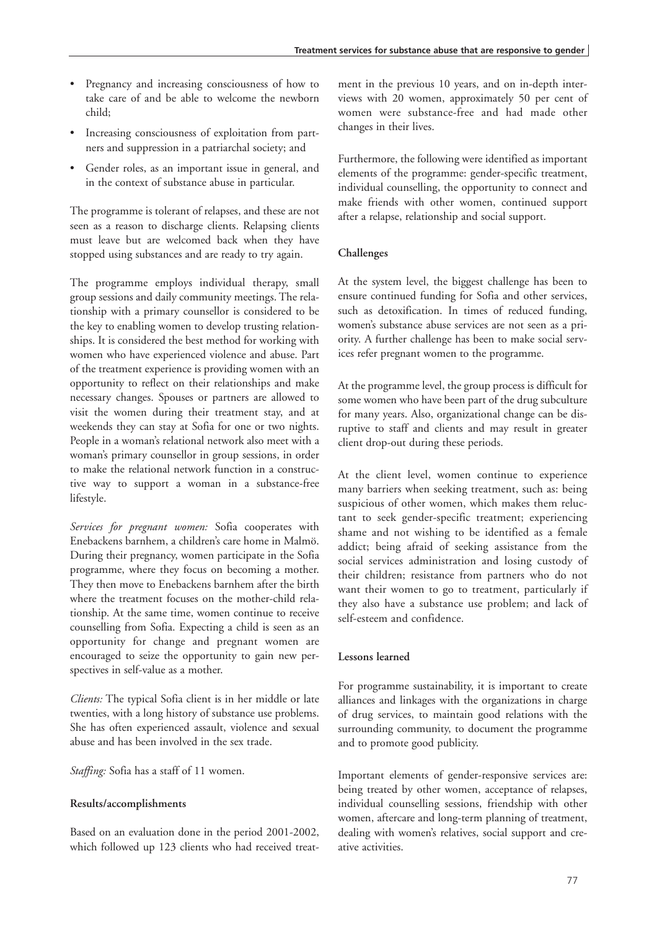- Pregnancy and increasing consciousness of how to take care of and be able to welcome the newborn child;
- Increasing consciousness of exploitation from partners and suppression in a patriarchal society; and
- Gender roles, as an important issue in general, and in the context of substance abuse in particular.

The programme is tolerant of relapses, and these are not seen as a reason to discharge clients. Relapsing clients must leave but are welcomed back when they have stopped using substances and are ready to try again.

The programme employs individual therapy, small group sessions and daily community meetings. The relationship with a primary counsellor is considered to be the key to enabling women to develop trusting relationships. It is considered the best method for working with women who have experienced violence and abuse. Part of the treatment experience is providing women with an opportunity to reflect on their relationships and make necessary changes. Spouses or partners are allowed to visit the women during their treatment stay, and at weekends they can stay at Sofia for one or two nights. People in a woman's relational network also meet with a woman's primary counsellor in group sessions, in order to make the relational network function in a constructive way to support a woman in a substance-free lifestyle.

*Services for pregnant women:* Sofia cooperates with Enebackens barnhem, a children's care home in Malmö. During their pregnancy, women participate in the Sofia programme, where they focus on becoming a mother. They then move to Enebackens barnhem after the birth where the treatment focuses on the mother-child relationship. At the same time, women continue to receive counselling from Sofia. Expecting a child is seen as an opportunity for change and pregnant women are encouraged to seize the opportunity to gain new perspectives in self-value as a mother.

*Clients:* The typical Sofia client is in her middle or late twenties, with a long history of substance use problems. She has often experienced assault, violence and sexual abuse and has been involved in the sex trade.

*Staffing:* Sofia has a staff of 11 women.

#### **Results/accomplishments**

Based on an evaluation done in the period 2001-2002, which followed up 123 clients who had received treatment in the previous 10 years, and on in-depth interviews with 20 women, approximately 50 per cent of women were substance-free and had made other changes in their lives.

Furthermore, the following were identified as important elements of the programme: gender-specific treatment, individual counselling, the opportunity to connect and make friends with other women, continued support after a relapse, relationship and social support.

#### **Challenges**

At the system level, the biggest challenge has been to ensure continued funding for Sofia and other services, such as detoxification. In times of reduced funding, women's substance abuse services are not seen as a priority. A further challenge has been to make social services refer pregnant women to the programme.

At the programme level, the group process is difficult for some women who have been part of the drug subculture for many years. Also, organizational change can be disruptive to staff and clients and may result in greater client drop-out during these periods.

At the client level, women continue to experience many barriers when seeking treatment, such as: being suspicious of other women, which makes them reluctant to seek gender-specific treatment; experiencing shame and not wishing to be identified as a female addict; being afraid of seeking assistance from the social services administration and losing custody of their children; resistance from partners who do not want their women to go to treatment, particularly if they also have a substance use problem; and lack of self-esteem and confidence.

### **Lessons learned**

For programme sustainability, it is important to create alliances and linkages with the organizations in charge of drug services, to maintain good relations with the surrounding community, to document the programme and to promote good publicity.

Important elements of gender-responsive services are: being treated by other women, acceptance of relapses, individual counselling sessions, friendship with other women, aftercare and long-term planning of treatment, dealing with women's relatives, social support and creative activities.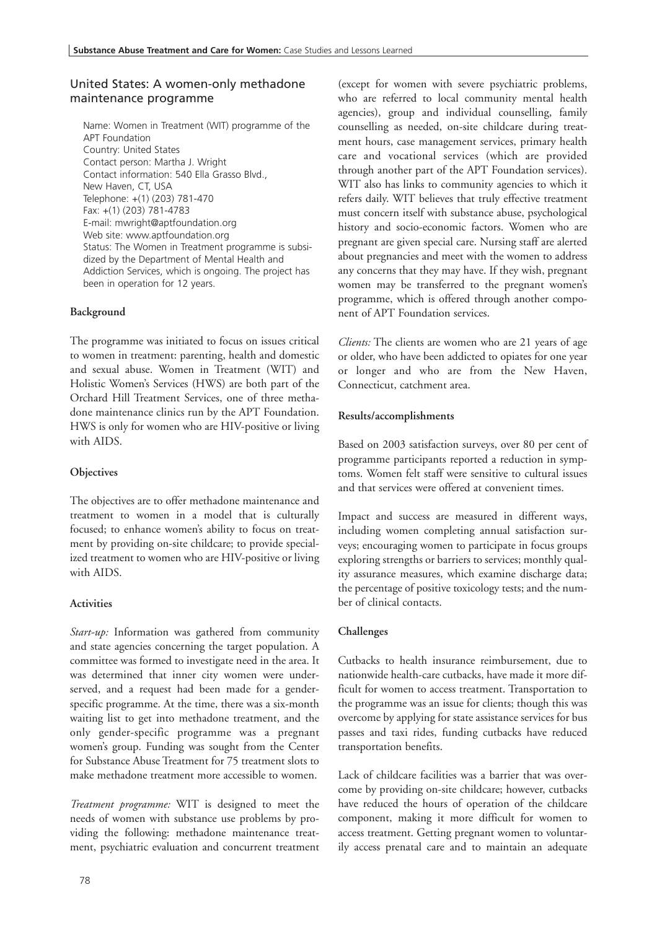## United States: A women-only methadone maintenance programme

Name: Women in Treatment (WIT) programme of the APT Foundation Country: United States Contact person: Martha J. Wright Contact information: 540 Ella Grasso Blvd., New Haven, CT, USA Telephone: +(1) (203) 781-470 Fax: +(1) (203) 781-4783 E-mail: mwright@aptfoundation.org Web site: www.aptfoundation.org Status: The Women in Treatment programme is subsidized by the Department of Mental Health and Addiction Services, which is ongoing. The project has been in operation for 12 years.

## **Background**

The programme was initiated to focus on issues critical to women in treatment: parenting, health and domestic and sexual abuse. Women in Treatment (WIT) and Holistic Women's Services (HWS) are both part of the Orchard Hill Treatment Services, one of three methadone maintenance clinics run by the APT Foundation. HWS is only for women who are HIV-positive or living with AIDS.

## **Objectives**

The objectives are to offer methadone maintenance and treatment to women in a model that is culturally focused; to enhance women's ability to focus on treatment by providing on-site childcare; to provide specialized treatment to women who are HIV-positive or living with AIDS.

## **Activities**

*Start-up:* Information was gathered from community and state agencies concerning the target population. A committee was formed to investigate need in the area. It was determined that inner city women were underserved, and a request had been made for a genderspecific programme. At the time, there was a six-month waiting list to get into methadone treatment, and the only gender-specific programme was a pregnant women's group. Funding was sought from the Center for Substance Abuse Treatment for 75 treatment slots to make methadone treatment more accessible to women.

*Treatment programme:* WIT is designed to meet the needs of women with substance use problems by providing the following: methadone maintenance treatment, psychiatric evaluation and concurrent treatment (except for women with severe psychiatric problems, who are referred to local community mental health agencies), group and individual counselling, family counselling as needed, on-site childcare during treatment hours, case management services, primary health care and vocational services (which are provided through another part of the APT Foundation services). WIT also has links to community agencies to which it refers daily. WIT believes that truly effective treatment must concern itself with substance abuse, psychological history and socio-economic factors. Women who are pregnant are given special care. Nursing staff are alerted about pregnancies and meet with the women to address any concerns that they may have. If they wish, pregnant women may be transferred to the pregnant women's programme, which is offered through another component of APT Foundation services.

*Clients:* The clients are women who are 21 years of age or older, who have been addicted to opiates for one year or longer and who are from the New Haven, Connecticut, catchment area.

### **Results/accomplishments**

Based on 2003 satisfaction surveys, over 80 per cent of programme participants reported a reduction in symptoms. Women felt staff were sensitive to cultural issues and that services were offered at convenient times.

Impact and success are measured in different ways, including women completing annual satisfaction surveys; encouraging women to participate in focus groups exploring strengths or barriers to services; monthly quality assurance measures, which examine discharge data; the percentage of positive toxicology tests; and the number of clinical contacts.

## **Challenges**

Cutbacks to health insurance reimbursement, due to nationwide health-care cutbacks, have made it more difficult for women to access treatment. Transportation to the programme was an issue for clients; though this was overcome by applying for state assistance services for bus passes and taxi rides, funding cutbacks have reduced transportation benefits.

Lack of childcare facilities was a barrier that was overcome by providing on-site childcare; however, cutbacks have reduced the hours of operation of the childcare component, making it more difficult for women to access treatment. Getting pregnant women to voluntarily access prenatal care and to maintain an adequate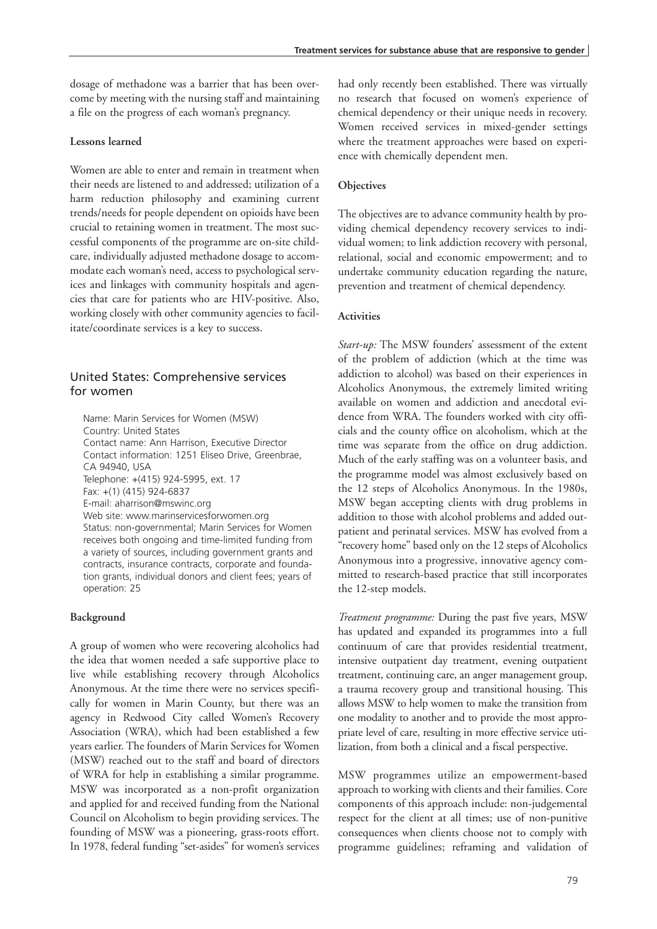dosage of methadone was a barrier that has been overcome by meeting with the nursing staff and maintaining a file on the progress of each woman's pregnancy.

#### **Lessons learned**

Women are able to enter and remain in treatment when their needs are listened to and addressed; utilization of a harm reduction philosophy and examining current trends/needs for people dependent on opioids have been crucial to retaining women in treatment. The most successful components of the programme are on-site childcare, individually adjusted methadone dosage to accommodate each woman's need, access to psychological services and linkages with community hospitals and agencies that care for patients who are HIV-positive. Also, working closely with other community agencies to facilitate/coordinate services is a key to success.

### United States: Comprehensive services for women

Name: Marin Services for Women (MSW) Country: United States Contact name: Ann Harrison, Executive Director Contact information: 1251 Eliseo Drive, Greenbrae, CA 94940, USA Telephone: +(415) 924-5995, ext. 17 Fax: +(1) (415) 924-6837 E-mail: aharrison@mswinc.org Web site: www.marinservicesforwomen.org Status: non-governmental; Marin Services for Women receives both ongoing and time-limited funding from a variety of sources, including government grants and contracts, insurance contracts, corporate and foundation grants, individual donors and client fees; years of operation: 25

#### **Background**

A group of women who were recovering alcoholics had the idea that women needed a safe supportive place to live while establishing recovery through Alcoholics Anonymous. At the time there were no services specifically for women in Marin County, but there was an agency in Redwood City called Women's Recovery Association (WRA), which had been established a few years earlier. The founders of Marin Services for Women (MSW) reached out to the staff and board of directors of WRA for help in establishing a similar programme. MSW was incorporated as a non-profit organization and applied for and received funding from the National Council on Alcoholism to begin providing services. The founding of MSW was a pioneering, grass-roots effort. In 1978, federal funding "set-asides" for women's services

had only recently been established. There was virtually no research that focused on women's experience of chemical dependency or their unique needs in recovery. Women received services in mixed-gender settings where the treatment approaches were based on experience with chemically dependent men.

#### **Objectives**

The objectives are to advance community health by providing chemical dependency recovery services to individual women; to link addiction recovery with personal, relational, social and economic empowerment; and to undertake community education regarding the nature, prevention and treatment of chemical dependency.

#### **Activities**

*Start-up:* The MSW founders' assessment of the extent of the problem of addiction (which at the time was addiction to alcohol) was based on their experiences in Alcoholics Anonymous, the extremely limited writing available on women and addiction and anecdotal evidence from WRA. The founders worked with city officials and the county office on alcoholism, which at the time was separate from the office on drug addiction. Much of the early staffing was on a volunteer basis, and the programme model was almost exclusively based on the 12 steps of Alcoholics Anonymous. In the 1980s, MSW began accepting clients with drug problems in addition to those with alcohol problems and added outpatient and perinatal services. MSW has evolved from a "recovery home" based only on the 12 steps of Alcoholics Anonymous into a progressive, innovative agency committed to research-based practice that still incorporates the 12-step models.

*Treatment programme:* During the past five years, MSW has updated and expanded its programmes into a full continuum of care that provides residential treatment, intensive outpatient day treatment, evening outpatient treatment, continuing care, an anger management group, a trauma recovery group and transitional housing. This allows MSW to help women to make the transition from one modality to another and to provide the most appropriate level of care, resulting in more effective service utilization, from both a clinical and a fiscal perspective.

MSW programmes utilize an empowerment-based approach to working with clients and their families. Core components of this approach include: non-judgemental respect for the client at all times; use of non-punitive consequences when clients choose not to comply with programme guidelines; reframing and validation of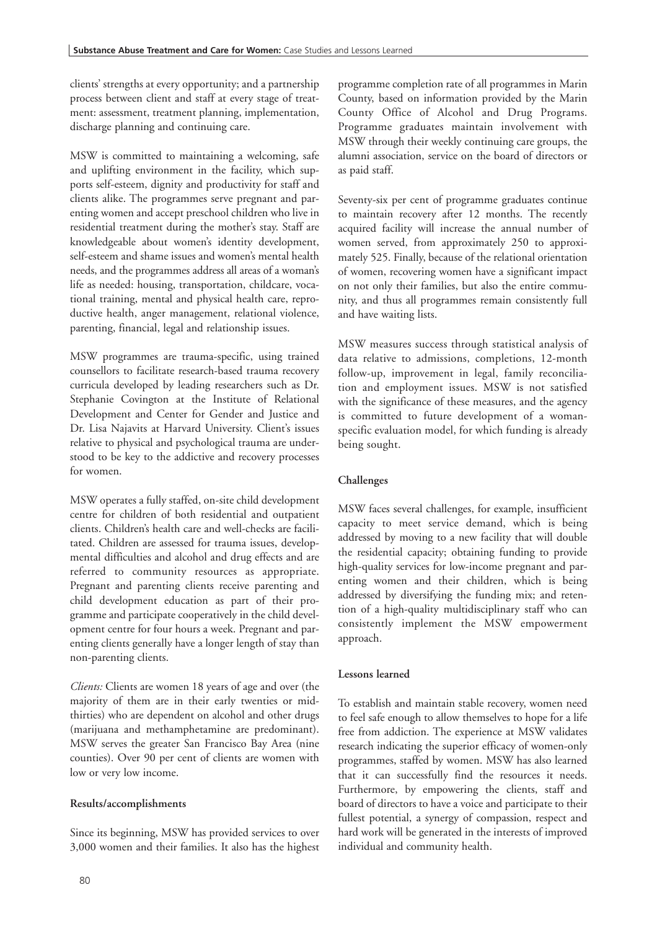clients' strengths at every opportunity; and a partnership process between client and staff at every stage of treatment: assessment, treatment planning, implementation, discharge planning and continuing care.

MSW is committed to maintaining a welcoming, safe and uplifting environment in the facility, which supports self-esteem, dignity and productivity for staff and clients alike. The programmes serve pregnant and parenting women and accept preschool children who live in residential treatment during the mother's stay. Staff are knowledgeable about women's identity development, self-esteem and shame issues and women's mental health needs, and the programmes address all areas of a woman's life as needed: housing, transportation, childcare, vocational training, mental and physical health care, reproductive health, anger management, relational violence, parenting, financial, legal and relationship issues.

MSW programmes are trauma-specific, using trained counsellors to facilitate research-based trauma recovery curricula developed by leading researchers such as Dr. Stephanie Covington at the Institute of Relational Development and Center for Gender and Justice and Dr. Lisa Najavits at Harvard University. Client's issues relative to physical and psychological trauma are understood to be key to the addictive and recovery processes for women.

MSW operates a fully staffed, on-site child development centre for children of both residential and outpatient clients. Children's health care and well-checks are facilitated. Children are assessed for trauma issues, developmental difficulties and alcohol and drug effects and are referred to community resources as appropriate. Pregnant and parenting clients receive parenting and child development education as part of their programme and participate cooperatively in the child development centre for four hours a week. Pregnant and parenting clients generally have a longer length of stay than non-parenting clients.

*Clients:* Clients are women 18 years of age and over (the majority of them are in their early twenties or midthirties) who are dependent on alcohol and other drugs (marijuana and methamphetamine are predominant). MSW serves the greater San Francisco Bay Area (nine counties). Over 90 per cent of clients are women with low or very low income.

## **Results/accomplishments**

Since its beginning, MSW has provided services to over 3,000 women and their families. It also has the highest programme completion rate of all programmes in Marin County, based on information provided by the Marin County Office of Alcohol and Drug Programs. Programme graduates maintain involvement with MSW through their weekly continuing care groups, the alumni association, service on the board of directors or as paid staff.

Seventy-six per cent of programme graduates continue to maintain recovery after 12 months. The recently acquired facility will increase the annual number of women served, from approximately 250 to approximately 525. Finally, because of the relational orientation of women, recovering women have a significant impact on not only their families, but also the entire community, and thus all programmes remain consistently full and have waiting lists.

MSW measures success through statistical analysis of data relative to admissions, completions, 12-month follow-up, improvement in legal, family reconciliation and employment issues. MSW is not satisfied with the significance of these measures, and the agency is committed to future development of a womanspecific evaluation model, for which funding is already being sought.

## **Challenges**

MSW faces several challenges, for example, insufficient capacity to meet service demand, which is being addressed by moving to a new facility that will double the residential capacity; obtaining funding to provide high-quality services for low-income pregnant and parenting women and their children, which is being addressed by diversifying the funding mix; and retention of a high-quality multidisciplinary staff who can consistently implement the MSW empowerment approach.

## **Lessons learned**

To establish and maintain stable recovery, women need to feel safe enough to allow themselves to hope for a life free from addiction. The experience at MSW validates research indicating the superior efficacy of women-only programmes, staffed by women. MSW has also learned that it can successfully find the resources it needs. Furthermore, by empowering the clients, staff and board of directors to have a voice and participate to their fullest potential, a synergy of compassion, respect and hard work will be generated in the interests of improved individual and community health.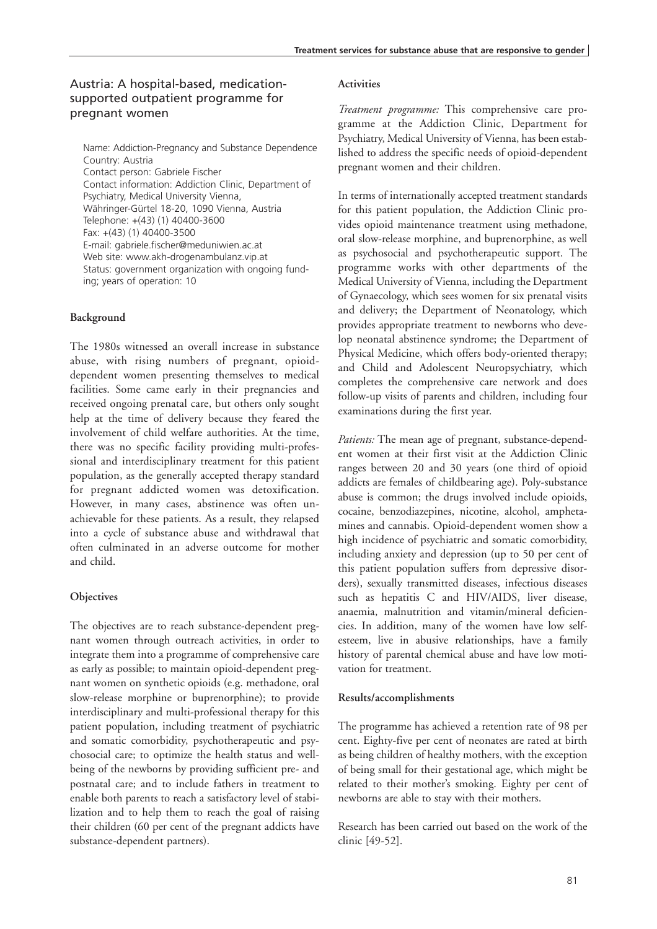## Austria: A hospital-based, medicationsupported outpatient programme for pregnant women

Name: Addiction-Pregnancy and Substance Dependence Country: Austria Contact person: Gabriele Fischer Contact information: Addiction Clinic, Department of Psychiatry, Medical University Vienna, Währinger-Gürtel 18-20, 1090 Vienna, Austria Telephone: +(43) (1) 40400-3600 Fax: +(43) (1) 40400-3500 E-mail: gabriele.fischer@meduniwien.ac.at Web site: www.akh-drogenambulanz.vip.at Status: government organization with ongoing funding; years of operation: 10

## **Background**

The 1980s witnessed an overall increase in substance abuse, with rising numbers of pregnant, opioiddependent women presenting themselves to medical facilities. Some came early in their pregnancies and received ongoing prenatal care, but others only sought help at the time of delivery because they feared the involvement of child welfare authorities. At the time, there was no specific facility providing multi-professional and interdisciplinary treatment for this patient population, as the generally accepted therapy standard for pregnant addicted women was detoxification. However, in many cases, abstinence was often unachievable for these patients. As a result, they relapsed into a cycle of substance abuse and withdrawal that often culminated in an adverse outcome for mother and child.

## **Objectives**

The objectives are to reach substance-dependent pregnant women through outreach activities, in order to integrate them into a programme of comprehensive care as early as possible; to maintain opioid-dependent pregnant women on synthetic opioids (e.g. methadone, oral slow-release morphine or buprenorphine); to provide interdisciplinary and multi-professional therapy for this patient population, including treatment of psychiatric and somatic comorbidity, psychotherapeutic and psychosocial care; to optimize the health status and wellbeing of the newborns by providing sufficient pre- and postnatal care; and to include fathers in treatment to enable both parents to reach a satisfactory level of stabilization and to help them to reach the goal of raising their children (60 per cent of the pregnant addicts have substance-dependent partners).

## **Activities**

*Treatment programme:* This comprehensive care programme at the Addiction Clinic, Department for Psychiatry, Medical University of Vienna, has been established to address the specific needs of opioid-dependent pregnant women and their children.

In terms of internationally accepted treatment standards for this patient population, the Addiction Clinic provides opioid maintenance treatment using methadone, oral slow-release morphine, and buprenorphine, as well as psychosocial and psychotherapeutic support. The programme works with other departments of the Medical University of Vienna, including the Department of Gynaecology, which sees women for six prenatal visits and delivery; the Department of Neonatology, which provides appropriate treatment to newborns who develop neonatal abstinence syndrome; the Department of Physical Medicine, which offers body-oriented therapy; and Child and Adolescent Neuropsychiatry, which completes the comprehensive care network and does follow-up visits of parents and children, including four examinations during the first year.

*Patients:* The mean age of pregnant, substance-dependent women at their first visit at the Addiction Clinic ranges between 20 and 30 years (one third of opioid addicts are females of childbearing age). Poly-substance abuse is common; the drugs involved include opioids, cocaine, benzodiazepines, nicotine, alcohol, amphetamines and cannabis. Opioid-dependent women show a high incidence of psychiatric and somatic comorbidity, including anxiety and depression (up to 50 per cent of this patient population suffers from depressive disorders), sexually transmitted diseases, infectious diseases such as hepatitis C and HIV/AIDS, liver disease, anaemia, malnutrition and vitamin/mineral deficiencies. In addition, many of the women have low selfesteem, live in abusive relationships, have a family history of parental chemical abuse and have low motivation for treatment.

## **Results/accomplishments**

The programme has achieved a retention rate of 98 per cent. Eighty-five per cent of neonates are rated at birth as being children of healthy mothers, with the exception of being small for their gestational age, which might be related to their mother's smoking. Eighty per cent of newborns are able to stay with their mothers.

Research has been carried out based on the work of the clinic [49-52].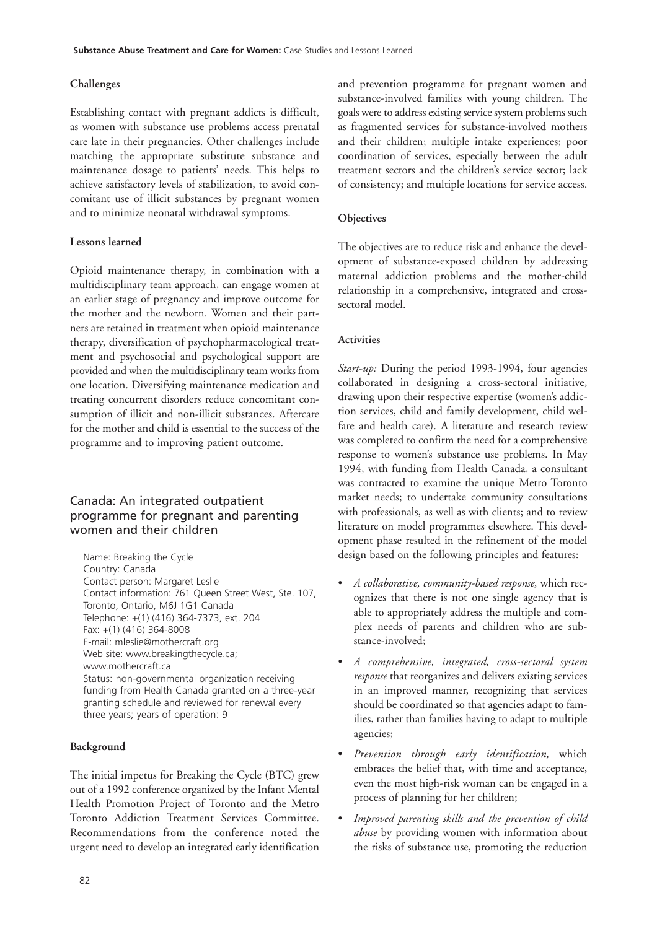### **Challenges**

Establishing contact with pregnant addicts is difficult, as women with substance use problems access prenatal care late in their pregnancies. Other challenges include matching the appropriate substitute substance and maintenance dosage to patients' needs. This helps to achieve satisfactory levels of stabilization, to avoid concomitant use of illicit substances by pregnant women and to minimize neonatal withdrawal symptoms.

### **Lessons learned**

Opioid maintenance therapy, in combination with a multidisciplinary team approach, can engage women at an earlier stage of pregnancy and improve outcome for the mother and the newborn. Women and their partners are retained in treatment when opioid maintenance therapy, diversification of psychopharmacological treatment and psychosocial and psychological support are provided and when the multidisciplinary team works from one location. Diversifying maintenance medication and treating concurrent disorders reduce concomitant consumption of illicit and non-illicit substances. Aftercare for the mother and child is essential to the success of the programme and to improving patient outcome.

## Canada: An integrated outpatient programme for pregnant and parenting women and their children

Name: Breaking the Cycle Country: Canada Contact person: Margaret Leslie Contact information: 761 Queen Street West, Ste. 107, Toronto, Ontario, M6J 1G1 Canada Telephone: +(1) (416) 364-7373, ext. 204 Fax: +(1) (416) 364-8008 E-mail: mleslie@mothercraft.org Web site: www.breakingthecycle.ca; www.mothercraft.ca Status: non-governmental organization receiving funding from Health Canada granted on a three-year granting schedule and reviewed for renewal every three years; years of operation: 9

## **Background**

The initial impetus for Breaking the Cycle (BTC) grew out of a 1992 conference organized by the Infant Mental Health Promotion Project of Toronto and the Metro Toronto Addiction Treatment Services Committee. Recommendations from the conference noted the urgent need to develop an integrated early identification and prevention programme for pregnant women and substance-involved families with young children. The goals were to address existing service system problems such as fragmented services for substance-involved mothers and their children; multiple intake experiences; poor coordination of services, especially between the adult treatment sectors and the children's service sector; lack of consistency; and multiple locations for service access.

#### **Objectives**

The objectives are to reduce risk and enhance the development of substance-exposed children by addressing maternal addiction problems and the mother-child relationship in a comprehensive, integrated and crosssectoral model.

### **Activities**

*Start-up:* During the period 1993-1994, four agencies collaborated in designing a cross-sectoral initiative, drawing upon their respective expertise (women's addiction services, child and family development, child welfare and health care). A literature and research review was completed to confirm the need for a comprehensive response to women's substance use problems. In May 1994, with funding from Health Canada, a consultant was contracted to examine the unique Metro Toronto market needs; to undertake community consultations with professionals, as well as with clients; and to review literature on model programmes elsewhere. This development phase resulted in the refinement of the model design based on the following principles and features:

- *A collaborative, community-based response,* which recognizes that there is not one single agency that is able to appropriately address the multiple and complex needs of parents and children who are substance-involved;
- *A comprehensive, integrated, cross-sectoral system response* that reorganizes and delivers existing services in an improved manner, recognizing that services should be coordinated so that agencies adapt to families, rather than families having to adapt to multiple agencies;
- *Prevention through early identification,* which embraces the belief that, with time and acceptance, even the most high-risk woman can be engaged in a process of planning for her children;
- *Improved parenting skills and the prevention of child abuse* by providing women with information about the risks of substance use, promoting the reduction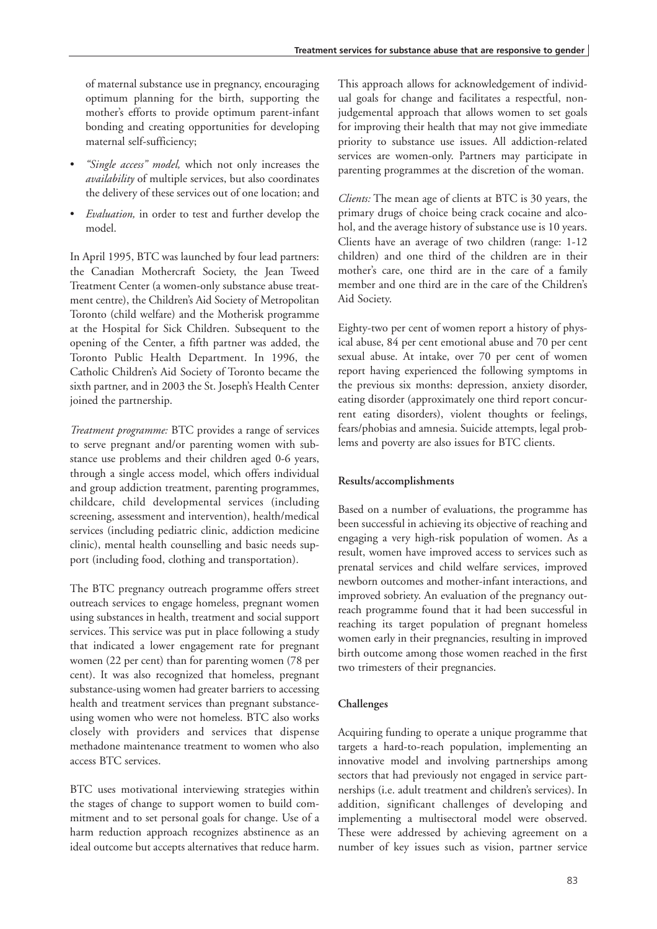of maternal substance use in pregnancy, encouraging optimum planning for the birth, supporting the mother's efforts to provide optimum parent-infant bonding and creating opportunities for developing maternal self-sufficiency;

- *"Single access" model,* which not only increases the *availability* of multiple services, but also coordinates the delivery of these services out of one location; and
- *Evaluation,* in order to test and further develop the model.

In April 1995, BTC was launched by four lead partners: the Canadian Mothercraft Society, the Jean Tweed Treatment Center (a women-only substance abuse treatment centre), the Children's Aid Society of Metropolitan Toronto (child welfare) and the Motherisk programme at the Hospital for Sick Children. Subsequent to the opening of the Center, a fifth partner was added, the Toronto Public Health Department. In 1996, the Catholic Children's Aid Society of Toronto became the sixth partner, and in 2003 the St. Joseph's Health Center joined the partnership.

*Treatment programme:* BTC provides a range of services to serve pregnant and/or parenting women with substance use problems and their children aged 0-6 years, through a single access model, which offers individual and group addiction treatment, parenting programmes, childcare, child developmental services (including screening, assessment and intervention), health/medical services (including pediatric clinic, addiction medicine clinic), mental health counselling and basic needs support (including food, clothing and transportation).

The BTC pregnancy outreach programme offers street outreach services to engage homeless, pregnant women using substances in health, treatment and social support services. This service was put in place following a study that indicated a lower engagement rate for pregnant women (22 per cent) than for parenting women (78 per cent). It was also recognized that homeless, pregnant substance-using women had greater barriers to accessing health and treatment services than pregnant substanceusing women who were not homeless. BTC also works closely with providers and services that dispense methadone maintenance treatment to women who also access BTC services.

BTC uses motivational interviewing strategies within the stages of change to support women to build commitment and to set personal goals for change. Use of a harm reduction approach recognizes abstinence as an ideal outcome but accepts alternatives that reduce harm. This approach allows for acknowledgement of individual goals for change and facilitates a respectful, nonjudgemental approach that allows women to set goals for improving their health that may not give immediate priority to substance use issues. All addiction-related services are women-only. Partners may participate in parenting programmes at the discretion of the woman.

*Clients:* The mean age of clients at BTC is 30 years, the primary drugs of choice being crack cocaine and alcohol, and the average history of substance use is 10 years. Clients have an average of two children (range: 1-12 children) and one third of the children are in their mother's care, one third are in the care of a family member and one third are in the care of the Children's Aid Society.

Eighty-two per cent of women report a history of physical abuse, 84 per cent emotional abuse and 70 per cent sexual abuse. At intake, over 70 per cent of women report having experienced the following symptoms in the previous six months: depression, anxiety disorder, eating disorder (approximately one third report concurrent eating disorders), violent thoughts or feelings, fears/phobias and amnesia. Suicide attempts, legal problems and poverty are also issues for BTC clients.

## **Results/accomplishments**

Based on a number of evaluations, the programme has been successful in achieving its objective of reaching and engaging a very high-risk population of women. As a result, women have improved access to services such as prenatal services and child welfare services, improved newborn outcomes and mother-infant interactions, and improved sobriety. An evaluation of the pregnancy outreach programme found that it had been successful in reaching its target population of pregnant homeless women early in their pregnancies, resulting in improved birth outcome among those women reached in the first two trimesters of their pregnancies.

## **Challenges**

Acquiring funding to operate a unique programme that targets a hard-to-reach population, implementing an innovative model and involving partnerships among sectors that had previously not engaged in service partnerships (i.e. adult treatment and children's services). In addition, significant challenges of developing and implementing a multisectoral model were observed. These were addressed by achieving agreement on a number of key issues such as vision, partner service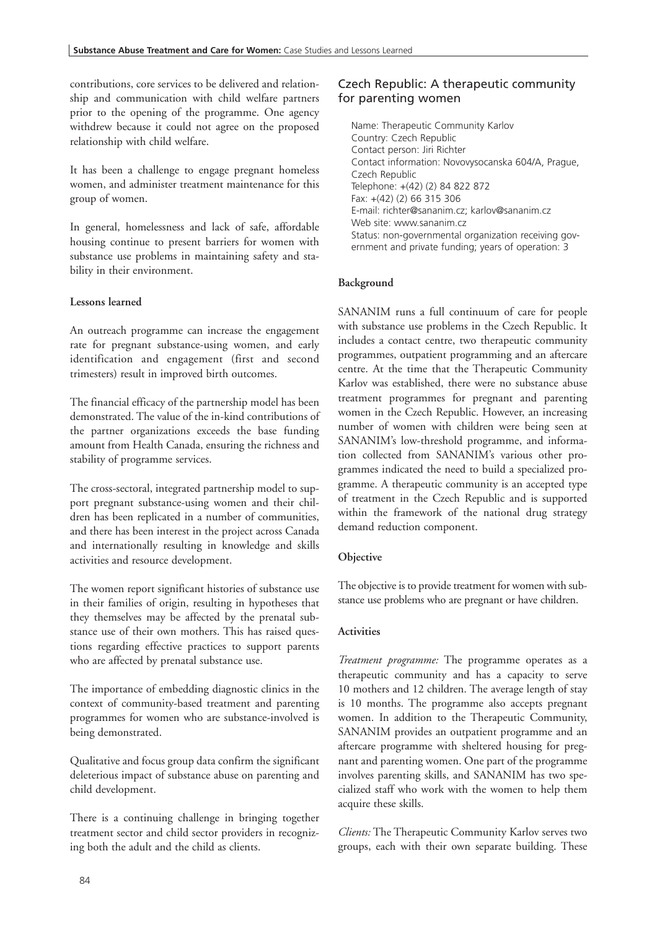contributions, core services to be delivered and relationship and communication with child welfare partners prior to the opening of the programme. One agency withdrew because it could not agree on the proposed relationship with child welfare.

It has been a challenge to engage pregnant homeless women, and administer treatment maintenance for this group of women.

In general, homelessness and lack of safe, affordable housing continue to present barriers for women with substance use problems in maintaining safety and stability in their environment.

#### **Lessons learned**

An outreach programme can increase the engagement rate for pregnant substance-using women, and early identification and engagement (first and second trimesters) result in improved birth outcomes.

The financial efficacy of the partnership model has been demonstrated. The value of the in-kind contributions of the partner organizations exceeds the base funding amount from Health Canada, ensuring the richness and stability of programme services.

The cross-sectoral, integrated partnership model to support pregnant substance-using women and their children has been replicated in a number of communities, and there has been interest in the project across Canada and internationally resulting in knowledge and skills activities and resource development.

The women report significant histories of substance use in their families of origin, resulting in hypotheses that they themselves may be affected by the prenatal substance use of their own mothers. This has raised questions regarding effective practices to support parents who are affected by prenatal substance use.

The importance of embedding diagnostic clinics in the context of community-based treatment and parenting programmes for women who are substance-involved is being demonstrated.

Qualitative and focus group data confirm the significant deleterious impact of substance abuse on parenting and child development.

There is a continuing challenge in bringing together treatment sector and child sector providers in recognizing both the adult and the child as clients.

## Czech Republic: A therapeutic community for parenting women

Name: Therapeutic Community Karlov Country: Czech Republic Contact person: Jiri Richter Contact information: Novovysocanska 604/A, Prague, Czech Republic Telephone: +(42) (2) 84 822 872 Fax: +(42) (2) 66 315 306 E-mail: richter@sananim.cz; karlov@sananim.cz Web site: www.sananim.cz Status: non-governmental organization receiving government and private funding; years of operation: 3

### **Background**

SANANIM runs a full continuum of care for people with substance use problems in the Czech Republic. It includes a contact centre, two therapeutic community programmes, outpatient programming and an aftercare centre. At the time that the Therapeutic Community Karlov was established, there were no substance abuse treatment programmes for pregnant and parenting women in the Czech Republic. However, an increasing number of women with children were being seen at SANANIM's low-threshold programme, and information collected from SANANIM's various other programmes indicated the need to build a specialized programme. A therapeutic community is an accepted type of treatment in the Czech Republic and is supported within the framework of the national drug strategy demand reduction component.

#### **Objective**

The objective is to provide treatment for women with substance use problems who are pregnant or have children.

#### **Activities**

*Treatment programme:* The programme operates as a therapeutic community and has a capacity to serve 10 mothers and 12 children. The average length of stay is 10 months. The programme also accepts pregnant women. In addition to the Therapeutic Community, SANANIM provides an outpatient programme and an aftercare programme with sheltered housing for pregnant and parenting women. One part of the programme involves parenting skills, and SANANIM has two specialized staff who work with the women to help them acquire these skills.

*Clients:* The Therapeutic Community Karlov serves two groups, each with their own separate building. These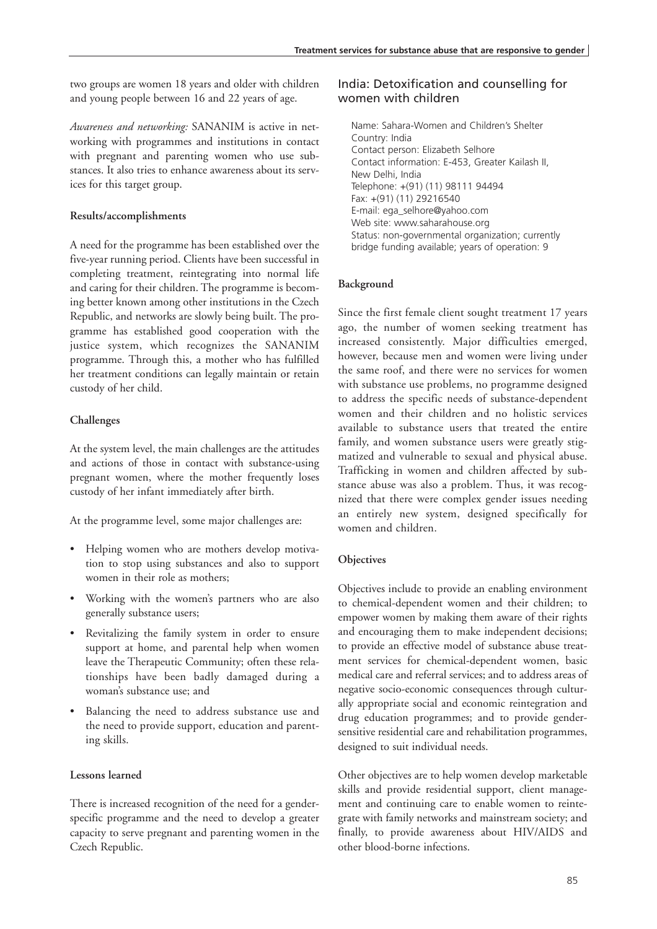two groups are women 18 years and older with children and young people between 16 and 22 years of age.

*Awareness and networking:* SANANIM is active in networking with programmes and institutions in contact with pregnant and parenting women who use substances. It also tries to enhance awareness about its services for this target group.

## **Results/accomplishments**

A need for the programme has been established over the five-year running period. Clients have been successful in completing treatment, reintegrating into normal life and caring for their children. The programme is becoming better known among other institutions in the Czech Republic, and networks are slowly being built. The programme has established good cooperation with the justice system, which recognizes the SANANIM programme. Through this, a mother who has fulfilled her treatment conditions can legally maintain or retain custody of her child.

## **Challenges**

At the system level, the main challenges are the attitudes and actions of those in contact with substance-using pregnant women, where the mother frequently loses custody of her infant immediately after birth.

At the programme level, some major challenges are:

- Helping women who are mothers develop motivation to stop using substances and also to support women in their role as mothers;
- Working with the women's partners who are also generally substance users;
- Revitalizing the family system in order to ensure support at home, and parental help when women leave the Therapeutic Community; often these relationships have been badly damaged during a woman's substance use; and
- Balancing the need to address substance use and the need to provide support, education and parenting skills.

## **Lessons learned**

There is increased recognition of the need for a genderspecific programme and the need to develop a greater capacity to serve pregnant and parenting women in the Czech Republic.

## India: Detoxification and counselling for women with children

Name: Sahara-Women and Children's Shelter Country: India Contact person: Elizabeth Selhore Contact information: E-453, Greater Kailash II, New Delhi, India Telephone: +(91) (11) 98111 94494 Fax: +(91) (11) 29216540 E-mail: ega\_selhore@yahoo.com Web site: www.saharahouse.org Status: non-governmental organization; currently bridge funding available; years of operation: 9

## **Background**

Since the first female client sought treatment 17 years ago, the number of women seeking treatment has increased consistently. Major difficulties emerged, however, because men and women were living under the same roof, and there were no services for women with substance use problems, no programme designed to address the specific needs of substance-dependent women and their children and no holistic services available to substance users that treated the entire family, and women substance users were greatly stigmatized and vulnerable to sexual and physical abuse. Trafficking in women and children affected by substance abuse was also a problem. Thus, it was recognized that there were complex gender issues needing an entirely new system, designed specifically for women and children.

## **Objectives**

Objectives include to provide an enabling environment to chemical-dependent women and their children; to empower women by making them aware of their rights and encouraging them to make independent decisions; to provide an effective model of substance abuse treatment services for chemical-dependent women, basic medical care and referral services; and to address areas of negative socio-economic consequences through culturally appropriate social and economic reintegration and drug education programmes; and to provide gendersensitive residential care and rehabilitation programmes, designed to suit individual needs.

Other objectives are to help women develop marketable skills and provide residential support, client management and continuing care to enable women to reintegrate with family networks and mainstream society; and finally, to provide awareness about HIV/AIDS and other blood-borne infections.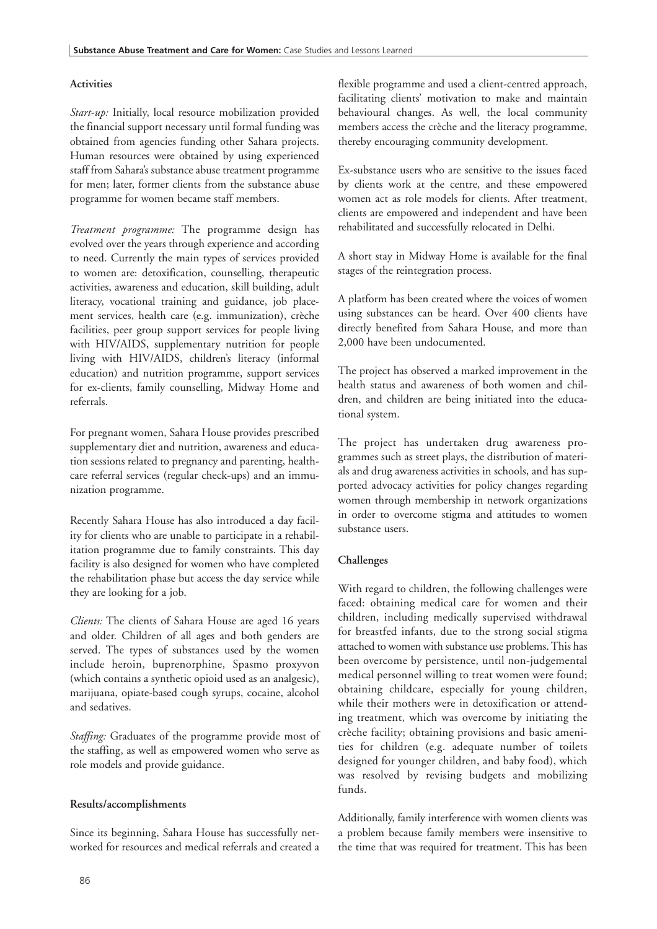#### **Activities**

*Start-up:* Initially, local resource mobilization provided the financial support necessary until formal funding was obtained from agencies funding other Sahara projects. Human resources were obtained by using experienced staff from Sahara's substance abuse treatment programme for men; later, former clients from the substance abuse programme for women became staff members.

*Treatment programme:* The programme design has evolved over the years through experience and according to need. Currently the main types of services provided to women are: detoxification, counselling, therapeutic activities, awareness and education, skill building, adult literacy, vocational training and guidance, job placement services, health care (e.g. immunization), crèche facilities, peer group support services for people living with HIV/AIDS, supplementary nutrition for people living with HIV/AIDS, children's literacy (informal education) and nutrition programme, support services for ex-clients, family counselling, Midway Home and referrals.

For pregnant women, Sahara House provides prescribed supplementary diet and nutrition, awareness and education sessions related to pregnancy and parenting, healthcare referral services (regular check-ups) and an immunization programme.

Recently Sahara House has also introduced a day facility for clients who are unable to participate in a rehabilitation programme due to family constraints. This day facility is also designed for women who have completed the rehabilitation phase but access the day service while they are looking for a job.

*Clients:* The clients of Sahara House are aged 16 years and older. Children of all ages and both genders are served. The types of substances used by the women include heroin, buprenorphine, Spasmo proxyvon (which contains a synthetic opioid used as an analgesic), marijuana, opiate-based cough syrups, cocaine, alcohol and sedatives.

*Staffing:* Graduates of the programme provide most of the staffing, as well as empowered women who serve as role models and provide guidance.

#### **Results/accomplishments**

Since its beginning, Sahara House has successfully networked for resources and medical referrals and created a flexible programme and used a client-centred approach, facilitating clients' motivation to make and maintain behavioural changes. As well, the local community members access the crèche and the literacy programme, thereby encouraging community development.

Ex-substance users who are sensitive to the issues faced by clients work at the centre, and these empowered women act as role models for clients. After treatment, clients are empowered and independent and have been rehabilitated and successfully relocated in Delhi.

A short stay in Midway Home is available for the final stages of the reintegration process.

A platform has been created where the voices of women using substances can be heard. Over 400 clients have directly benefited from Sahara House, and more than 2,000 have been undocumented.

The project has observed a marked improvement in the health status and awareness of both women and children, and children are being initiated into the educational system.

The project has undertaken drug awareness programmes such as street plays, the distribution of materials and drug awareness activities in schools, and has supported advocacy activities for policy changes regarding women through membership in network organizations in order to overcome stigma and attitudes to women substance users.

#### **Challenges**

With regard to children, the following challenges were faced: obtaining medical care for women and their children, including medically supervised withdrawal for breastfed infants, due to the strong social stigma attached to women with substance use problems. This has been overcome by persistence, until non-judgemental medical personnel willing to treat women were found; obtaining childcare, especially for young children, while their mothers were in detoxification or attending treatment, which was overcome by initiating the crèche facility; obtaining provisions and basic amenities for children (e.g. adequate number of toilets designed for younger children, and baby food), which was resolved by revising budgets and mobilizing funds.

Additionally, family interference with women clients was a problem because family members were insensitive to the time that was required for treatment. This has been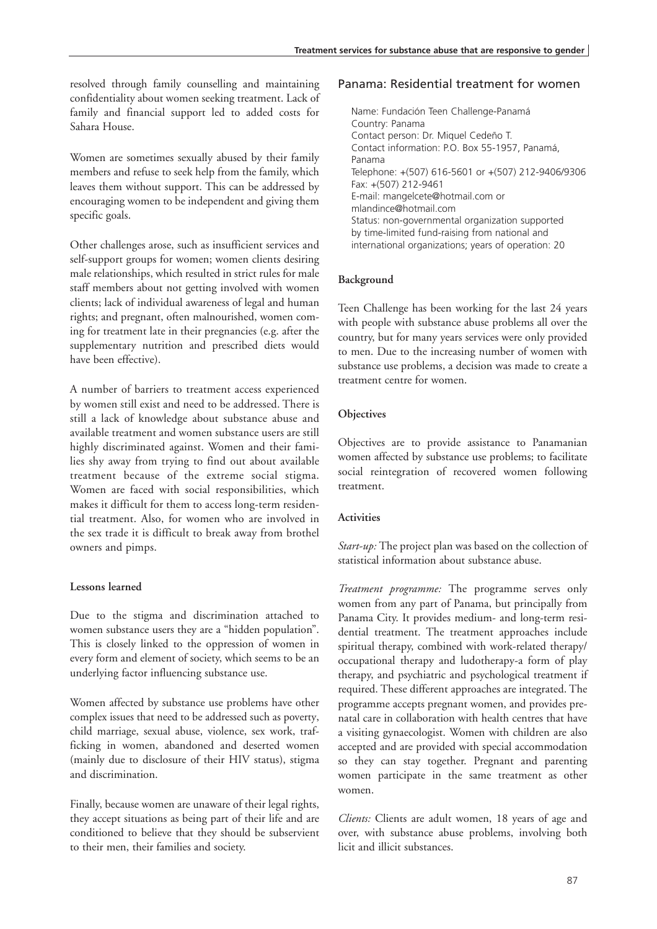resolved through family counselling and maintaining confidentiality about women seeking treatment. Lack of family and financial support led to added costs for Sahara House.

Women are sometimes sexually abused by their family members and refuse to seek help from the family, which leaves them without support. This can be addressed by encouraging women to be independent and giving them specific goals.

Other challenges arose, such as insufficient services and self-support groups for women; women clients desiring male relationships, which resulted in strict rules for male staff members about not getting involved with women clients; lack of individual awareness of legal and human rights; and pregnant, often malnourished, women coming for treatment late in their pregnancies (e.g. after the supplementary nutrition and prescribed diets would have been effective).

A number of barriers to treatment access experienced by women still exist and need to be addressed. There is still a lack of knowledge about substance abuse and available treatment and women substance users are still highly discriminated against. Women and their families shy away from trying to find out about available treatment because of the extreme social stigma. Women are faced with social responsibilities, which makes it difficult for them to access long-term residential treatment. Also, for women who are involved in the sex trade it is difficult to break away from brothel owners and pimps.

## **Lessons learned**

Due to the stigma and discrimination attached to women substance users they are a "hidden population". This is closely linked to the oppression of women in every form and element of society, which seems to be an underlying factor influencing substance use.

Women affected by substance use problems have other complex issues that need to be addressed such as poverty, child marriage, sexual abuse, violence, sex work, trafficking in women, abandoned and deserted women (mainly due to disclosure of their HIV status), stigma and discrimination.

Finally, because women are unaware of their legal rights, they accept situations as being part of their life and are conditioned to believe that they should be subservient to their men, their families and society.

### Panama: Residential treatment for women

Name: Fundación Teen Challenge-Panamá Country: Panama Contact person: Dr. Miquel Cedeño T. Contact information: P.O. Box 55-1957, Panamá, Panama Telephone: +(507) 616-5601 or +(507) 212-9406/9306 Fax: +(507) 212-9461 E-mail: mangelcete@hotmail.com or mlandince@hotmail.com Status: non-governmental organization supported by time-limited fund-raising from national and international organizations; years of operation: 20

## **Background**

Teen Challenge has been working for the last 24 years with people with substance abuse problems all over the country, but for many years services were only provided to men. Due to the increasing number of women with substance use problems, a decision was made to create a treatment centre for women.

## **Objectives**

Objectives are to provide assistance to Panamanian women affected by substance use problems; to facilitate social reintegration of recovered women following treatment.

#### **Activities**

*Start-up:* The project plan was based on the collection of statistical information about substance abuse.

*Treatment programme:* The programme serves only women from any part of Panama, but principally from Panama City. It provides medium- and long-term residential treatment. The treatment approaches include spiritual therapy, combined with work-related therapy/ occupational therapy and ludotherapy-a form of play therapy, and psychiatric and psychological treatment if required. These different approaches are integrated. The programme accepts pregnant women, and provides prenatal care in collaboration with health centres that have a visiting gynaecologist. Women with children are also accepted and are provided with special accommodation so they can stay together. Pregnant and parenting women participate in the same treatment as other women.

*Clients:* Clients are adult women, 18 years of age and over, with substance abuse problems, involving both licit and illicit substances.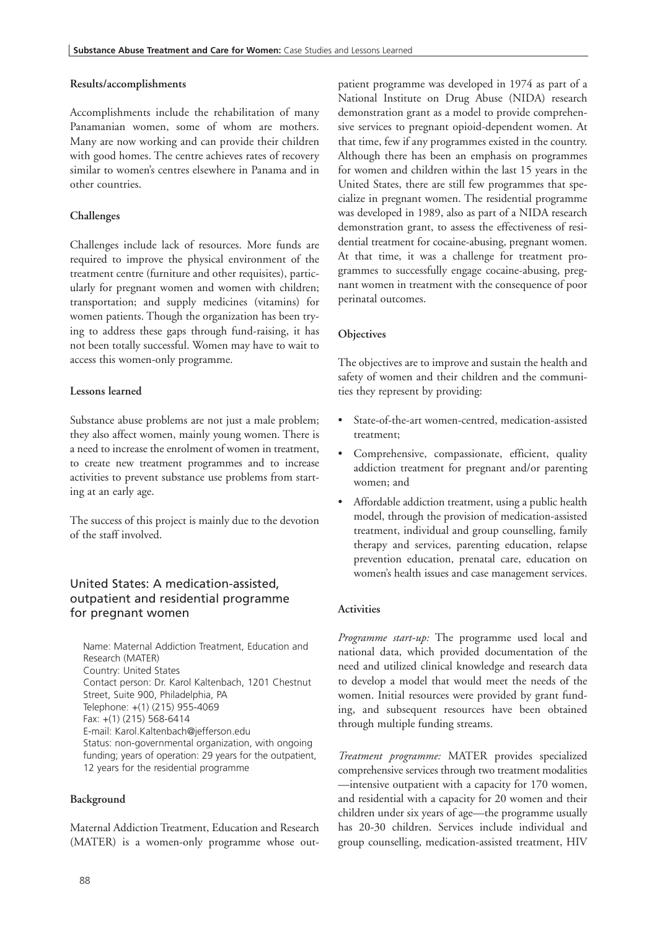#### **Results/accomplishments**

Accomplishments include the rehabilitation of many Panamanian women, some of whom are mothers. Many are now working and can provide their children with good homes. The centre achieves rates of recovery similar to women's centres elsewhere in Panama and in other countries.

#### **Challenges**

Challenges include lack of resources. More funds are required to improve the physical environment of the treatment centre (furniture and other requisites), particularly for pregnant women and women with children; transportation; and supply medicines (vitamins) for women patients. Though the organization has been trying to address these gaps through fund-raising, it has not been totally successful. Women may have to wait to access this women-only programme.

#### **Lessons learned**

Substance abuse problems are not just a male problem; they also affect women, mainly young women. There is a need to increase the enrolment of women in treatment, to create new treatment programmes and to increase activities to prevent substance use problems from starting at an early age.

The success of this project is mainly due to the devotion of the staff involved.

## United States: A medication-assisted, outpatient and residential programme for pregnant women

Name: Maternal Addiction Treatment, Education and Research (MATER) Country: United States Contact person: Dr. Karol Kaltenbach, 1201 Chestnut Street, Suite 900, Philadelphia, PA Telephone: +(1) (215) 955-4069 Fax: +(1) (215) 568-6414 E-mail: Karol.Kaltenbach@jefferson.edu Status: non-governmental organization, with ongoing funding; years of operation: 29 years for the outpatient, 12 years for the residential programme

#### **Background**

Maternal Addiction Treatment, Education and Research (MATER) is a women-only programme whose outpatient programme was developed in 1974 as part of a National Institute on Drug Abuse (NIDA) research demonstration grant as a model to provide comprehensive services to pregnant opioid-dependent women. At that time, few if any programmes existed in the country. Although there has been an emphasis on programmes for women and children within the last 15 years in the United States, there are still few programmes that specialize in pregnant women. The residential programme was developed in 1989, also as part of a NIDA research demonstration grant, to assess the effectiveness of residential treatment for cocaine-abusing, pregnant women. At that time, it was a challenge for treatment programmes to successfully engage cocaine-abusing, pregnant women in treatment with the consequence of poor perinatal outcomes.

#### **Objectives**

The objectives are to improve and sustain the health and safety of women and their children and the communities they represent by providing:

- State-of-the-art women-centred, medication-assisted treatment;
- Comprehensive, compassionate, efficient, quality addiction treatment for pregnant and/or parenting women; and
- Affordable addiction treatment, using a public health model, through the provision of medication-assisted treatment, individual and group counselling, family therapy and services, parenting education, relapse prevention education, prenatal care, education on women's health issues and case management services.

#### **Activities**

*Programme start-up:* The programme used local and national data, which provided documentation of the need and utilized clinical knowledge and research data to develop a model that would meet the needs of the women. Initial resources were provided by grant funding, and subsequent resources have been obtained through multiple funding streams.

*Treatment programme:* MATER provides specialized comprehensive services through two treatment modalities —intensive outpatient with a capacity for 170 women, and residential with a capacity for 20 women and their children under six years of age—the programme usually has 20-30 children. Services include individual and group counselling, medication-assisted treatment, HIV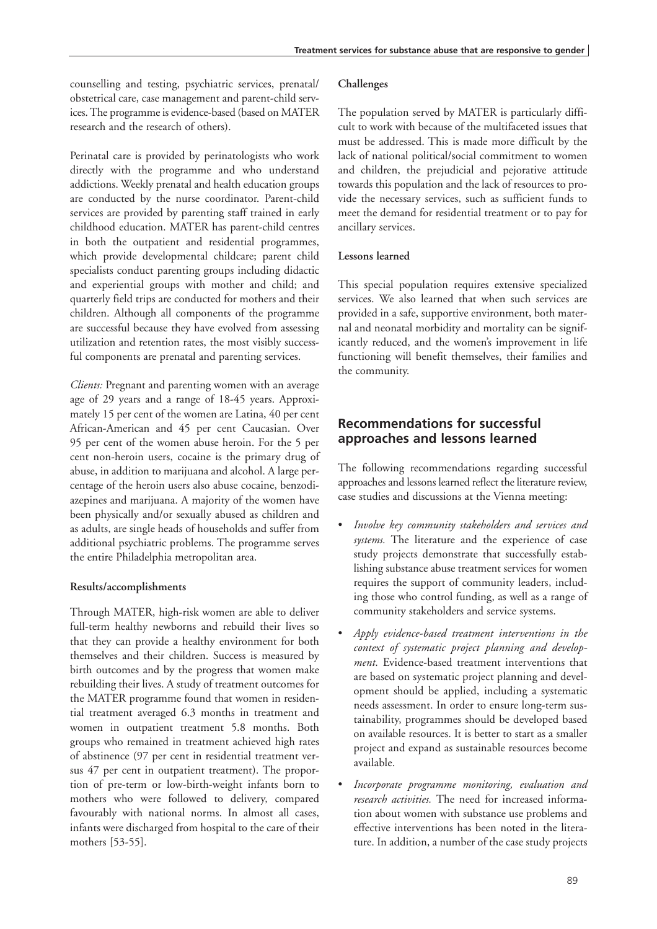counselling and testing, psychiatric services, prenatal/ obstetrical care, case management and parent-child services. The programme is evidence-based (based on MATER research and the research of others).

Perinatal care is provided by perinatologists who work directly with the programme and who understand addictions. Weekly prenatal and health education groups are conducted by the nurse coordinator. Parent-child services are provided by parenting staff trained in early childhood education. MATER has parent-child centres in both the outpatient and residential programmes, which provide developmental childcare; parent child specialists conduct parenting groups including didactic and experiential groups with mother and child; and quarterly field trips are conducted for mothers and their children. Although all components of the programme are successful because they have evolved from assessing utilization and retention rates, the most visibly successful components are prenatal and parenting services.

*Clients:* Pregnant and parenting women with an average age of 29 years and a range of 18-45 years. Approximately 15 per cent of the women are Latina, 40 per cent African-American and 45 per cent Caucasian. Over 95 per cent of the women abuse heroin. For the 5 per cent non-heroin users, cocaine is the primary drug of abuse, in addition to marijuana and alcohol. A large percentage of the heroin users also abuse cocaine, benzodiazepines and marijuana. A majority of the women have been physically and/or sexually abused as children and as adults, are single heads of households and suffer from additional psychiatric problems. The programme serves the entire Philadelphia metropolitan area.

## **Results/accomplishments**

Through MATER, high-risk women are able to deliver full-term healthy newborns and rebuild their lives so that they can provide a healthy environment for both themselves and their children. Success is measured by birth outcomes and by the progress that women make rebuilding their lives. A study of treatment outcomes for the MATER programme found that women in residential treatment averaged 6.3 months in treatment and women in outpatient treatment 5.8 months. Both groups who remained in treatment achieved high rates of abstinence (97 per cent in residential treatment versus 47 per cent in outpatient treatment). The proportion of pre-term or low-birth-weight infants born to mothers who were followed to delivery, compared favourably with national norms. In almost all cases, infants were discharged from hospital to the care of their mothers [53-55].

## **Challenges**

The population served by MATER is particularly difficult to work with because of the multifaceted issues that must be addressed. This is made more difficult by the lack of national political/social commitment to women and children, the prejudicial and pejorative attitude towards this population and the lack of resources to provide the necessary services, such as sufficient funds to meet the demand for residential treatment or to pay for ancillary services.

## **Lessons learned**

This special population requires extensive specialized services. We also learned that when such services are provided in a safe, supportive environment, both maternal and neonatal morbidity and mortality can be significantly reduced, and the women's improvement in life functioning will benefit themselves, their families and the community.

# **Recommendations for successful approaches and lessons learned**

The following recommendations regarding successful approaches and lessons learned reflect the literature review, case studies and discussions at the Vienna meeting:

- *Involve key community stakeholders and services and systems.* The literature and the experience of case study projects demonstrate that successfully establishing substance abuse treatment services for women requires the support of community leaders, including those who control funding, as well as a range of community stakeholders and service systems.
- *Apply evidence-based treatment interventions in the context of systematic project planning and development.* Evidence-based treatment interventions that are based on systematic project planning and development should be applied, including a systematic needs assessment. In order to ensure long-term sustainability, programmes should be developed based on available resources. It is better to start as a smaller project and expand as sustainable resources become available.
- *Incorporate programme monitoring, evaluation and research activities.* The need for increased information about women with substance use problems and effective interventions has been noted in the literature. In addition, a number of the case study projects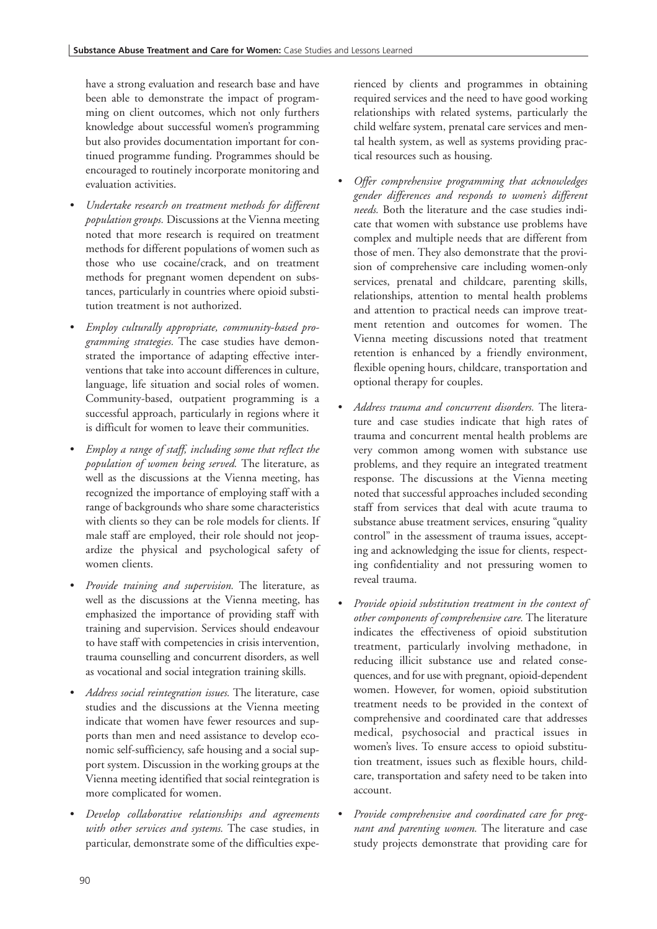have a strong evaluation and research base and have been able to demonstrate the impact of programming on client outcomes, which not only furthers knowledge about successful women's programming but also provides documentation important for continued programme funding. Programmes should be encouraged to routinely incorporate monitoring and evaluation activities.

- *Undertake research on treatment methods for different population groups.* Discussions at the Vienna meeting noted that more research is required on treatment methods for different populations of women such as those who use cocaine/crack, and on treatment methods for pregnant women dependent on substances, particularly in countries where opioid substitution treatment is not authorized.
- *Employ culturally appropriate, community-based programming strategies.* The case studies have demonstrated the importance of adapting effective interventions that take into account differences in culture, language, life situation and social roles of women. Community-based, outpatient programming is a successful approach, particularly in regions where it is difficult for women to leave their communities.
- *Employ a range of staff, including some that reflect the population of women being served.* The literature, as well as the discussions at the Vienna meeting, has recognized the importance of employing staff with a range of backgrounds who share some characteristics with clients so they can be role models for clients. If male staff are employed, their role should not jeopardize the physical and psychological safety of women clients.
- *Provide training and supervision.* The literature, as well as the discussions at the Vienna meeting, has emphasized the importance of providing staff with training and supervision. Services should endeavour to have staff with competencies in crisis intervention, trauma counselling and concurrent disorders, as well as vocational and social integration training skills.
- *Address social reintegration issues.* The literature, case studies and the discussions at the Vienna meeting indicate that women have fewer resources and supports than men and need assistance to develop economic self-sufficiency, safe housing and a social support system. Discussion in the working groups at the Vienna meeting identified that social reintegration is more complicated for women.
- *Develop collaborative relationships and agreements with other services and systems.* The case studies, in particular, demonstrate some of the difficulties expe-

rienced by clients and programmes in obtaining required services and the need to have good working relationships with related systems, particularly the child welfare system, prenatal care services and mental health system, as well as systems providing practical resources such as housing.

- *Offer comprehensive programming that acknowledges gender differences and responds to women's different needs.* Both the literature and the case studies indicate that women with substance use problems have complex and multiple needs that are different from those of men. They also demonstrate that the provision of comprehensive care including women-only services, prenatal and childcare, parenting skills, relationships, attention to mental health problems and attention to practical needs can improve treatment retention and outcomes for women. The Vienna meeting discussions noted that treatment retention is enhanced by a friendly environment, flexible opening hours, childcare, transportation and optional therapy for couples.
- *Address trauma and concurrent disorders.* The literature and case studies indicate that high rates of trauma and concurrent mental health problems are very common among women with substance use problems, and they require an integrated treatment response. The discussions at the Vienna meeting noted that successful approaches included seconding staff from services that deal with acute trauma to substance abuse treatment services, ensuring "quality control" in the assessment of trauma issues, accepting and acknowledging the issue for clients, respecting confidentiality and not pressuring women to reveal trauma.
- *Provide opioid substitution treatment in the context of other components of comprehensive care.* The literature indicates the effectiveness of opioid substitution treatment, particularly involving methadone, in reducing illicit substance use and related consequences, and for use with pregnant, opioid-dependent women. However, for women, opioid substitution treatment needs to be provided in the context of comprehensive and coordinated care that addresses medical, psychosocial and practical issues in women's lives. To ensure access to opioid substitution treatment, issues such as flexible hours, childcare, transportation and safety need to be taken into account.
- *Provide comprehensive and coordinated care for pregnant and parenting women.* The literature and case study projects demonstrate that providing care for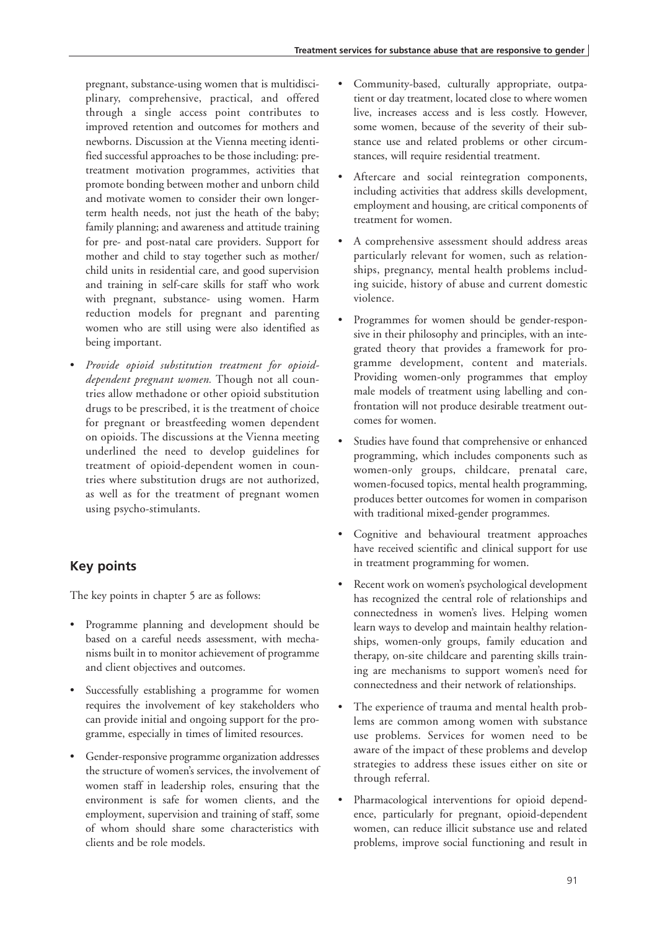pregnant, substance-using women that is multidisciplinary, comprehensive, practical, and offered through a single access point contributes to improved retention and outcomes for mothers and newborns. Discussion at the Vienna meeting identified successful approaches to be those including: pretreatment motivation programmes, activities that promote bonding between mother and unborn child and motivate women to consider their own longerterm health needs, not just the heath of the baby; family planning; and awareness and attitude training for pre- and post-natal care providers. Support for mother and child to stay together such as mother/ child units in residential care, and good supervision and training in self-care skills for staff who work with pregnant, substance- using women. Harm reduction models for pregnant and parenting women who are still using were also identified as being important.

• *Provide opioid substitution treatment for opioiddependent pregnant women.* Though not all countries allow methadone or other opioid substitution drugs to be prescribed, it is the treatment of choice for pregnant or breastfeeding women dependent on opioids. The discussions at the Vienna meeting underlined the need to develop guidelines for treatment of opioid-dependent women in countries where substitution drugs are not authorized, as well as for the treatment of pregnant women using psycho-stimulants.

# **Key points**

The key points in chapter 5 are as follows:

- Programme planning and development should be based on a careful needs assessment, with mechanisms built in to monitor achievement of programme and client objectives and outcomes.
- Successfully establishing a programme for women requires the involvement of key stakeholders who can provide initial and ongoing support for the programme, especially in times of limited resources.
- Gender-responsive programme organization addresses the structure of women's services, the involvement of women staff in leadership roles, ensuring that the environment is safe for women clients, and the employment, supervision and training of staff, some of whom should share some characteristics with clients and be role models.
- Community-based, culturally appropriate, outpatient or day treatment, located close to where women live, increases access and is less costly. However, some women, because of the severity of their substance use and related problems or other circumstances, will require residential treatment.
- Aftercare and social reintegration components, including activities that address skills development, employment and housing, are critical components of treatment for women.
- A comprehensive assessment should address areas particularly relevant for women, such as relationships, pregnancy, mental health problems including suicide, history of abuse and current domestic violence.
- Programmes for women should be gender-responsive in their philosophy and principles, with an integrated theory that provides a framework for programme development, content and materials. Providing women-only programmes that employ male models of treatment using labelling and confrontation will not produce desirable treatment outcomes for women.
- Studies have found that comprehensive or enhanced programming, which includes components such as women-only groups, childcare, prenatal care, women-focused topics, mental health programming, produces better outcomes for women in comparison with traditional mixed-gender programmes.
- Cognitive and behavioural treatment approaches have received scientific and clinical support for use in treatment programming for women.
- Recent work on women's psychological development has recognized the central role of relationships and connectedness in women's lives. Helping women learn ways to develop and maintain healthy relationships, women-only groups, family education and therapy, on-site childcare and parenting skills training are mechanisms to support women's need for connectedness and their network of relationships.
- The experience of trauma and mental health problems are common among women with substance use problems. Services for women need to be aware of the impact of these problems and develop strategies to address these issues either on site or through referral.
- Pharmacological interventions for opioid dependence, particularly for pregnant, opioid-dependent women, can reduce illicit substance use and related problems, improve social functioning and result in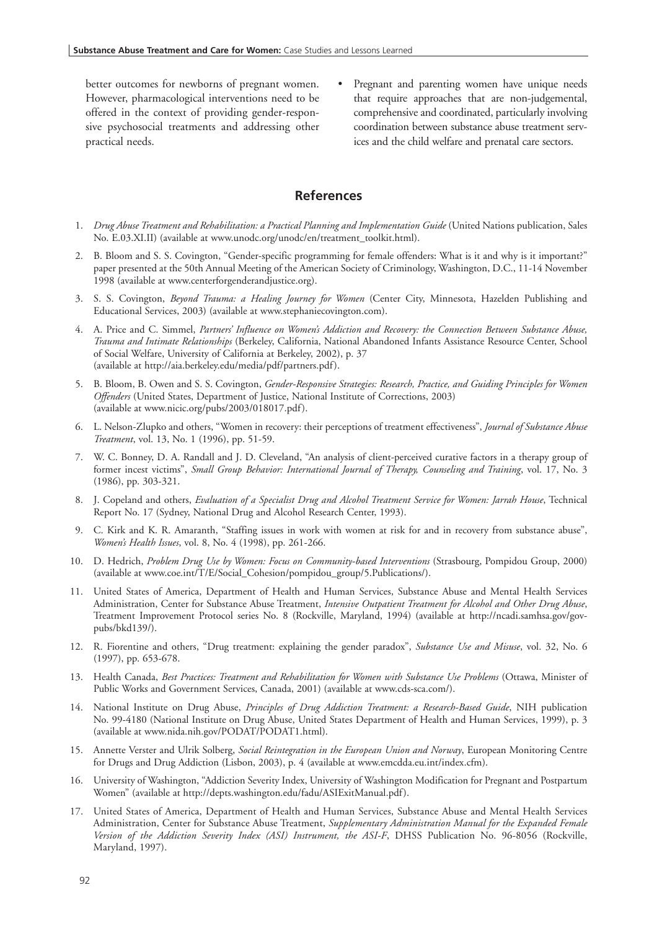better outcomes for newborns of pregnant women. However, pharmacological interventions need to be offered in the context of providing gender-responsive psychosocial treatments and addressing other practical needs.

Pregnant and parenting women have unique needs that require approaches that are non-judgemental, comprehensive and coordinated, particularly involving coordination between substance abuse treatment services and the child welfare and prenatal care sectors.

## **References**

- 1. *Drug Abuse Treatment and Rehabilitation: a Practical Planning and Implementation Guide* (United Nations publication, Sales No. E.03.XI.II) (available at www.unodc.org/unodc/en/treatment\_toolkit.html).
- 2. B. Bloom and S. S. Covington, "Gender-specific programming for female offenders: What is it and why is it important?" paper presented at the 50th Annual Meeting of the American Society of Criminology, Washington, D.C., 11-14 November 1998 (available at www.centerforgenderandjustice.org).
- 3. S. S. Covington, *Beyond Trauma: a Healing Journey for Women* (Center City, Minnesota, Hazelden Publishing and Educational Services, 2003) (available at www.stephaniecovington.com).
- 4. A. Price and C. Simmel, *Partners' Influence on Women's Addiction and Recovery: the Connection Between Substance Abuse, Trauma and Intimate Relationships* (Berkeley, California, National Abandoned Infants Assistance Resource Center, School of Social Welfare, University of California at Berkeley, 2002), p. 37 (available at http://aia.berkeley.edu/media/pdf/partners.pdf).
- 5. B. Bloom, B. Owen and S. S. Covington, *Gender-Responsive Strategies: Research, Practice, and Guiding Principles for Women Offenders* (United States, Department of Justice, National Institute of Corrections, 2003) (available at www.nicic.org/pubs/2003/018017.pdf).
- 6. L. Nelson-Zlupko and others, "Women in recovery: their perceptions of treatment effectiveness", *Journal of Substance Abuse Treatment*, vol. 13, No. 1 (1996), pp. 51-59.
- 7. W. C. Bonney, D. A. Randall and J. D. Cleveland, "An analysis of client-perceived curative factors in a therapy group of former incest victims", *Small Group Behavior: International Journal of Therapy, Counseling and Training*, vol. 17, No. 3 (1986), pp. 303-321.
- 8. J. Copeland and others, *Evaluation of a Specialist Drug and Alcohol Treatment Service for Women: Jarrah House*, Technical Report No. 17 (Sydney, National Drug and Alcohol Research Center, 1993).
- 9. C. Kirk and K. R. Amaranth, "Staffing issues in work with women at risk for and in recovery from substance abuse", *Women's Health Issues*, vol. 8, No. 4 (1998), pp. 261-266.
- 10. D. Hedrich, *Problem Drug Use by Women: Focus on Community-based Interventions* (Strasbourg, Pompidou Group, 2000) (available at www.coe.int/T/E/Social\_Cohesion/pompidou\_group/5.Publications/).
- 11. United States of America, Department of Health and Human Services, Substance Abuse and Mental Health Services Administration, Center for Substance Abuse Treatment, *Intensive Outpatient Treatment for Alcohol and Other Drug Abuse*, Treatment Improvement Protocol series No. 8 (Rockville, Maryland, 1994) (available at http://ncadi.samhsa.gov/govpubs/bkd139/).
- 12. R. Fiorentine and others, "Drug treatment: explaining the gender paradox", *Substance Use and Misuse*, vol. 32, No. 6 (1997), pp. 653-678.
- 13. Health Canada, *Best Practices: Treatment and Rehabilitation for Women with Substance Use Problems* (Ottawa, Minister of Public Works and Government Services, Canada, 2001) (available at www.cds-sca.com/).
- 14. National Institute on Drug Abuse, *Principles of Drug Addiction Treatment: a Research-Based Guide*, NIH publication No. 99-4180 (National Institute on Drug Abuse, United States Department of Health and Human Services, 1999), p. 3 (available at www.nida.nih.gov/PODAT/PODAT1.html).
- 15. Annette Verster and Ulrik Solberg, *Social Reintegration in the European Union and Norway*, European Monitoring Centre for Drugs and Drug Addiction (Lisbon, 2003), p. 4 (available at www.emcdda.eu.int/index.cfm).
- 16. University of Washington, "Addiction Severity Index, University of Washington Modification for Pregnant and Postpartum Women" (available at http://depts.washington.edu/fadu/ASIExitManual.pdf).
- 17. United States of America, Department of Health and Human Services, Substance Abuse and Mental Health Services Administration, Center for Substance Abuse Treatment, *Supplementary Administration Manual for the Expanded Female Version of the Addiction Severity Index (ASI) Instrument, the ASI-F*, DHSS Publication No. 96-8056 (Rockville, Maryland, 1997).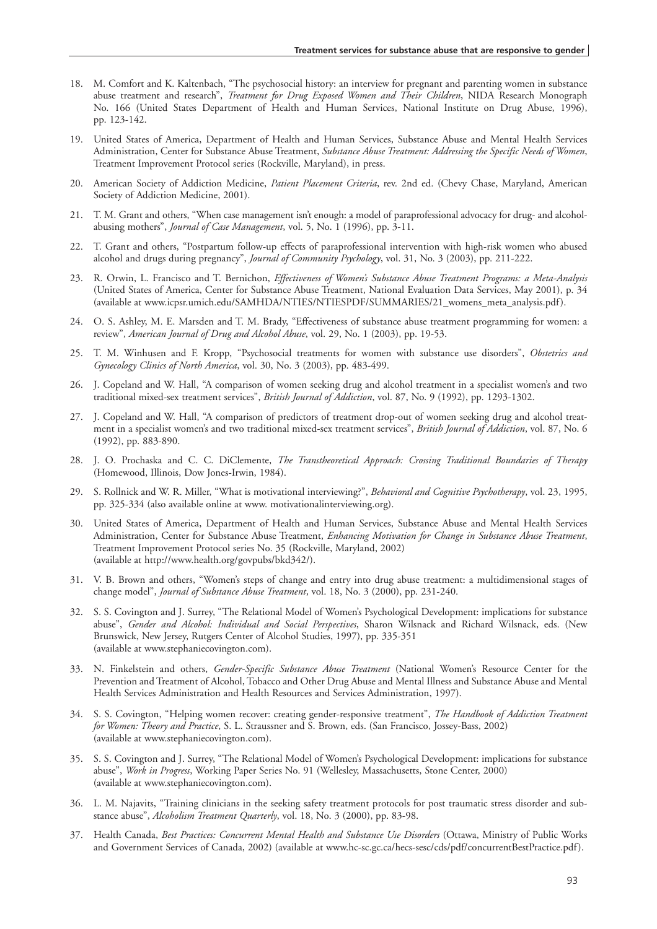- 18. M. Comfort and K. Kaltenbach, "The psychosocial history: an interview for pregnant and parenting women in substance abuse treatment and research", *Treatment for Drug Exposed Women and Their Children*, NIDA Research Monograph No. 166 (United States Department of Health and Human Services, National Institute on Drug Abuse, 1996), pp. 123-142.
- 19. United States of America, Department of Health and Human Services, Substance Abuse and Mental Health Services Administration, Center for Substance Abuse Treatment, *Substance Abuse Treatment: Addressing the Specific Needs of Women*, Treatment Improvement Protocol series (Rockville, Maryland), in press.
- 20. American Society of Addiction Medicine, *Patient Placement Criteria*, rev. 2nd ed. (Chevy Chase, Maryland, American Society of Addiction Medicine, 2001).
- 21. T. M. Grant and others, "When case management isn't enough: a model of paraprofessional advocacy for drug- and alcoholabusing mothers", *Journal of Case Management*, vol. 5, No. 1 (1996), pp. 3-11.
- 22. T. Grant and others, "Postpartum follow-up effects of paraprofessional intervention with high-risk women who abused alcohol and drugs during pregnancy", *Journal of Community Psychology*, vol. 31, No. 3 (2003), pp. 211-222.
- 23. R. Orwin, L. Francisco and T. Bernichon, *Effectiveness of Women's Substance Abuse Treatment Programs: a Meta-Analysis* (United States of America, Center for Substance Abuse Treatment, National Evaluation Data Services, May 2001), p. 34 (available at www.icpsr.umich.edu/SAMHDA/NTIES/NTIESPDF/SUMMARIES/21\_womens\_meta\_analysis.pdf).
- 24. O. S. Ashley, M. E. Marsden and T. M. Brady, "Effectiveness of substance abuse treatment programming for women: a review", *American Journal of Drug and Alcohol Abuse*, vol. 29, No. 1 (2003), pp. 19-53.
- 25. T. M. Winhusen and F. Kropp, "Psychosocial treatments for women with substance use disorders", *Obstetrics and Gynecology Clinics of North America*, vol. 30, No. 3 (2003), pp. 483-499.
- 26. J. Copeland and W. Hall, "A comparison of women seeking drug and alcohol treatment in a specialist women's and two traditional mixed-sex treatment services", *British Journal of Addiction*, vol. 87, No. 9 (1992), pp. 1293-1302.
- 27. J. Copeland and W. Hall, "A comparison of predictors of treatment drop-out of women seeking drug and alcohol treatment in a specialist women's and two traditional mixed-sex treatment services", *British Journal of Addiction*, vol. 87, No. 6 (1992), pp. 883-890.
- 28. J. O. Prochaska and C. C. DiClemente, *The Transtheoretical Approach: Crossing Traditional Boundaries of Therapy* (Homewood, Illinois, Dow Jones-Irwin, 1984).
- 29. S. Rollnick and W. R. Miller, "What is motivational interviewing?", *Behavioral and Cognitive Psychotherapy*, vol. 23, 1995, pp. 325-334 (also available online at www. motivationalinterviewing.org).
- 30. United States of America, Department of Health and Human Services, Substance Abuse and Mental Health Services Administration, Center for Substance Abuse Treatment, *Enhancing Motivation for Change in Substance Abuse Treatment*, Treatment Improvement Protocol series No. 35 (Rockville, Maryland, 2002) (available at http://www.health.org/govpubs/bkd342/).
- 31. V. B. Brown and others, "Women's steps of change and entry into drug abuse treatment: a multidimensional stages of change model", *Journal of Substance Abuse Treatment*, vol. 18, No. 3 (2000), pp. 231-240.
- 32. S. S. Covington and J. Surrey, "The Relational Model of Women's Psychological Development: implications for substance abuse", *Gender and Alcohol: Individual and Social Perspectives*, Sharon Wilsnack and Richard Wilsnack, eds. (New Brunswick, New Jersey, Rutgers Center of Alcohol Studies, 1997), pp. 335-351 (available at www.stephaniecovington.com).
- 33. N. Finkelstein and others, *Gender-Specific Substance Abuse Treatment* (National Women's Resource Center for the Prevention and Treatment of Alcohol, Tobacco and Other Drug Abuse and Mental Illness and Substance Abuse and Mental Health Services Administration and Health Resources and Services Administration, 1997).
- 34. S. S. Covington, "Helping women recover: creating gender-responsive treatment", *The Handbook of Addiction Treatment for Women: Theory and Practice*, S. L. Straussner and S. Brown, eds. (San Francisco, Jossey-Bass, 2002) (available at www.stephaniecovington.com).
- 35. S. S. Covington and J. Surrey, "The Relational Model of Women's Psychological Development: implications for substance abuse", *Work in Progress*, Working Paper Series No. 91 (Wellesley, Massachusetts, Stone Center, 2000) (available at www.stephaniecovington.com).
- 36. L. M. Najavits, "Training clinicians in the seeking safety treatment protocols for post traumatic stress disorder and substance abuse", *Alcoholism Treatment Quarterly*, vol. 18, No. 3 (2000), pp. 83-98.
- 37. Health Canada, *Best Practices: Concurrent Mental Health and Substance Use Disorders* (Ottawa, Ministry of Public Works and Government Services of Canada, 2002) (available at www.hc-sc.gc.ca/hecs-sesc/cds/pdf/concurrentBestPractice.pdf).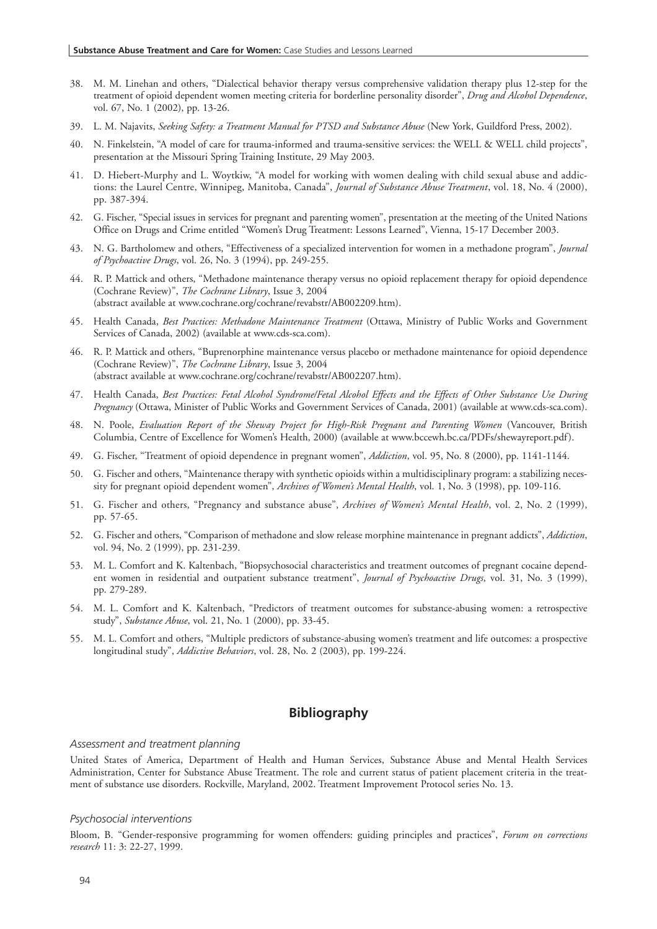- 38. M. M. Linehan and others, "Dialectical behavior therapy versus comprehensive validation therapy plus 12-step for the treatment of opioid dependent women meeting criteria for borderline personality disorder", *Drug and Alcohol Dependence*, vol. 67, No. 1 (2002), pp. 13-26.
- 39. L. M. Najavits, *Seeking Safety: a Treatment Manual for PTSD and Substance Abuse* (New York, Guildford Press, 2002).
- 40. N. Finkelstein, "A model of care for trauma-informed and trauma-sensitive services: the WELL & WELL child projects", presentation at the Missouri Spring Training Institute, 29 May 2003.
- 41. D. Hiebert-Murphy and L. Woytkiw, "A model for working with women dealing with child sexual abuse and addictions: the Laurel Centre, Winnipeg, Manitoba, Canada", *Journal of Substance Abuse Treatment*, vol. 18, No. 4 (2000), pp. 387-394.
- 42. G. Fischer, "Special issues in services for pregnant and parenting women", presentation at the meeting of the United Nations Office on Drugs and Crime entitled "Women's Drug Treatment: Lessons Learned", Vienna, 15-17 December 2003.
- 43. N. G. Bartholomew and others, "Effectiveness of a specialized intervention for women in a methadone program", *Journal of Psychoactive Drugs*, vol. 26, No. 3 (1994), pp. 249-255.
- 44. R. P. Mattick and others, "Methadone maintenance therapy versus no opioid replacement therapy for opioid dependence (Cochrane Review)", *The Cochrane Library*, Issue 3, 2004 (abstract available at www.cochrane.org/cochrane/revabstr/AB002209.htm).
- 45. Health Canada, *Best Practices: Methadone Maintenance Treatment* (Ottawa, Ministry of Public Works and Government Services of Canada, 2002) (available at www.cds-sca.com).
- 46. R. P. Mattick and others, "Buprenorphine maintenance versus placebo or methadone maintenance for opioid dependence (Cochrane Review)", *The Cochrane Library*, Issue 3, 2004 (abstract available at www.cochrane.org/cochrane/revabstr/AB002207.htm).
- 47. Health Canada, *Best Practices: Fetal Alcohol Syndrome/Fetal Alcohol Effects and the Effects of Other Substance Use During Pregnancy* (Ottawa, Minister of Public Works and Government Services of Canada, 2001) (available at www.cds-sca.com).
- 48. N. Poole, *Evaluation Report of the Sheway Project for High-Risk Pregnant and Parenting Women* (Vancouver, British Columbia, Centre of Excellence for Women's Health, 2000) (available at www.bccewh.bc.ca/PDFs/shewayreport.pdf).
- 49. G. Fischer, "Treatment of opioid dependence in pregnant women", *Addiction*, vol. 95, No. 8 (2000), pp. 1141-1144.
- 50. G. Fischer and others, "Maintenance therapy with synthetic opioids within a multidisciplinary program: a stabilizing necessity for pregnant opioid dependent women", *Archives of Women's Mental Health*, vol. 1, No. 3 (1998), pp. 109-116.
- 51. G. Fischer and others, "Pregnancy and substance abuse", *Archives of Women's Mental Health*, vol. 2, No. 2 (1999), pp. 57-65.
- 52. G. Fischer and others, "Comparison of methadone and slow release morphine maintenance in pregnant addicts", *Addiction*, vol. 94, No. 2 (1999), pp. 231-239.
- 53. M. L. Comfort and K. Kaltenbach, "Biopsychosocial characteristics and treatment outcomes of pregnant cocaine dependent women in residential and outpatient substance treatment", *Journal of Psychoactive Drugs*, vol. 31, No. 3 (1999), pp. 279-289.
- 54. M. L. Comfort and K. Kaltenbach, "Predictors of treatment outcomes for substance-abusing women: a retrospective study", *Substance Abuse*, vol. 21, No. 1 (2000), pp. 33-45.
- 55. M. L. Comfort and others, "Multiple predictors of substance-abusing women's treatment and life outcomes: a prospective longitudinal study", *Addictive Behaviors*, vol. 28, No. 2 (2003), pp. 199-224.

## **Bibliography**

#### *Assessment and treatment planning*

United States of America, Department of Health and Human Services, Substance Abuse and Mental Health Services Administration, Center for Substance Abuse Treatment. The role and current status of patient placement criteria in the treatment of substance use disorders. Rockville, Maryland, 2002. Treatment Improvement Protocol series No. 13.

#### *Psychosocial interventions*

Bloom, B. "Gender-responsive programming for women offenders: guiding principles and practices", *Forum on corrections research* 11: 3: 22-27, 1999.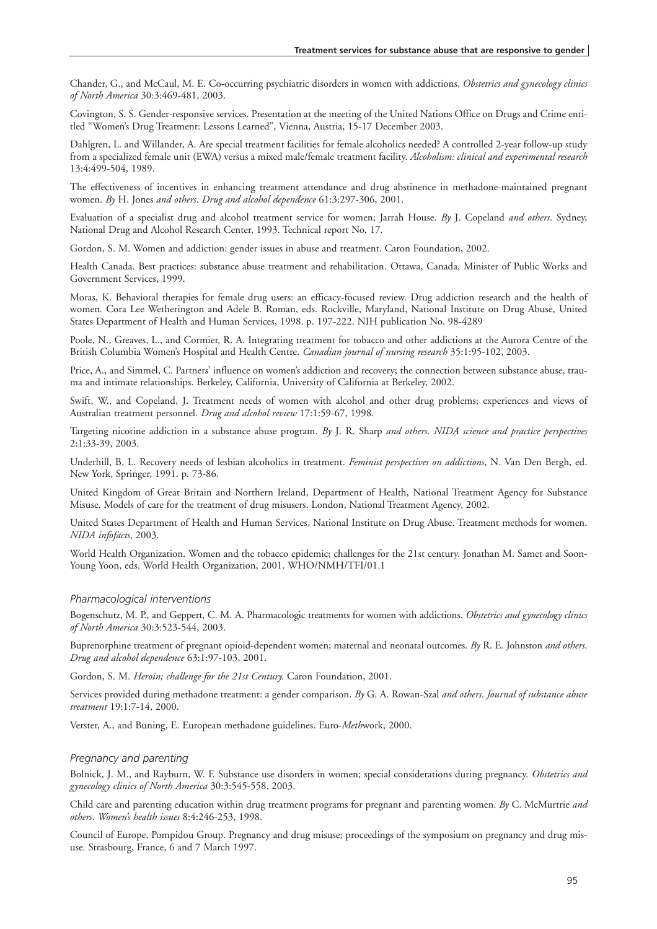Chander, G., and McCaul, M. E. Co-occurring psychiatric disorders in women with addictions, *Obstetrics and gynecology clinics of North America* 30:3:469-481, 2003.

Covington, S. S. Gender-responsive services. Presentation at the meeting of the United Nations Office on Drugs and Crime entitled "Women's Drug Treatment: Lessons Learned", Vienna, Austria, 15-17 December 2003.

Dahlgren, L. and Willander, A. Are special treatment facilities for female alcoholics needed? A controlled 2-year follow-up study from a specialized female unit (EWA) versus a mixed male/female treatment facility. *Alcoholism: clinical and experimental research* 13:4:499-504, 1989.

The effectiveness of incentives in enhancing treatment attendance and drug abstinence in methadone-maintained pregnant women. *By* H. Jones *and others*. *Drug and alcohol dependence* 61:3:297-306, 2001.

Evaluation of a specialist drug and alcohol treatment service for women; Jarrah House. *By* J. Copeland *and others*. Sydney, National Drug and Alcohol Research Center, 1993. Technical report No. 17.

Gordon, S. M. Women and addiction: gender issues in abuse and treatment. Caron Foundation, 2002.

Health Canada. Best practices: substance abuse treatment and rehabilitation. Ottawa, Canada, Minister of Public Works and Government Services, 1999.

Moras, K. Behavioral therapies for female drug users: an efficacy-focused review. Drug addiction research and the health of women*.* Cora Lee Wetherington and Adele B. Roman, eds. Rockville, Maryland, National Institute on Drug Abuse, United States Department of Health and Human Services, 1998. p. 197-222. NIH publication No. 98-4289

Poole, N., Greaves, L., and Cormier, R. A. Integrating treatment for tobacco and other addictions at the Aurora Centre of the British Columbia Women's Hospital and Health Centre. *Canadian journal of nursing research* 35:1:95-102, 2003.

Price, A., and Simmel, C. Partners' influence on women's addiction and recovery; the connection between substance abuse, trauma and intimate relationships. Berkeley, California, University of California at Berkeley, 2002.

Swift, W., and Copeland, J. Treatment needs of women with alcohol and other drug problems; experiences and views of Australian treatment personnel. *Drug and alcohol review* 17:1:59-67, 1998.

Targeting nicotine addiction in a substance abuse program. *By* J. R. Sharp *and others*. *NIDA science and practice perspectives* 2:1:33-39, 2003.

Underhill, B. L. Recovery needs of lesbian alcoholics in treatment. *Feminist perspectives on addictions*, N. Van Den Bergh, ed. New York, Springer, 1991. p. 73-86.

United Kingdom of Great Britain and Northern Ireland, Department of Health, National Treatment Agency for Substance Misuse. Models of care for the treatment of drug misusers. London, National Treatment Agency, 2002.

United States Department of Health and Human Services, National Institute on Drug Abuse. Treatment methods for women. *NIDA infofacts*, 2003.

World Health Organization. Women and the tobacco epidemic; challenges for the 21st century. Jonathan M. Samet and Soon-Young Yoon, eds. World Health Organization, 2001. WHO/NMH/TFI/01.1

#### *Pharmacological interventions*

Bogenschutz, M. P., and Geppert, C. M. A. Pharmacologic treatments for women with addictions. *Obstetrics and gynecology clinics of North America* 30:3:523-544, 2003.

Buprenorphine treatment of pregnant opioid-dependent women; maternal and neonatal outcomes. *By* R. E. Johnston *and others*. *Drug and alcohol dependence* 63:1:97-103, 2001.

Gordon, S. M. *Heroin; challenge for the 21st Century.* Caron Foundation, 2001.

Services provided during methadone treatment: a gender comparison. *By* G. A. Rowan-Szal *and others*. *Journal of substance abuse treatment* 19:1:7-14, 2000.

Verster, A., and Buning, E. European methadone guidelines. Euro-*Meth*work, 2000.

#### *Pregnancy and parenting*

Bolnick, J. M., and Rayburn, W. F. Substance use disorders in women; special considerations during pregnancy. *Obstetrics and gynecology clinics of North America* 30:3:545-558, 2003.

Child care and parenting education within drug treatment programs for pregnant and parenting women. *By* C. McMurtrie *and others*. *Women's health issues* 8:4:246-253, 1998.

Council of Europe, Pompidou Group. Pregnancy and drug misuse; proceedings of the symposium on pregnancy and drug misuse*.* Strasbourg, France, 6 and 7 March 1997.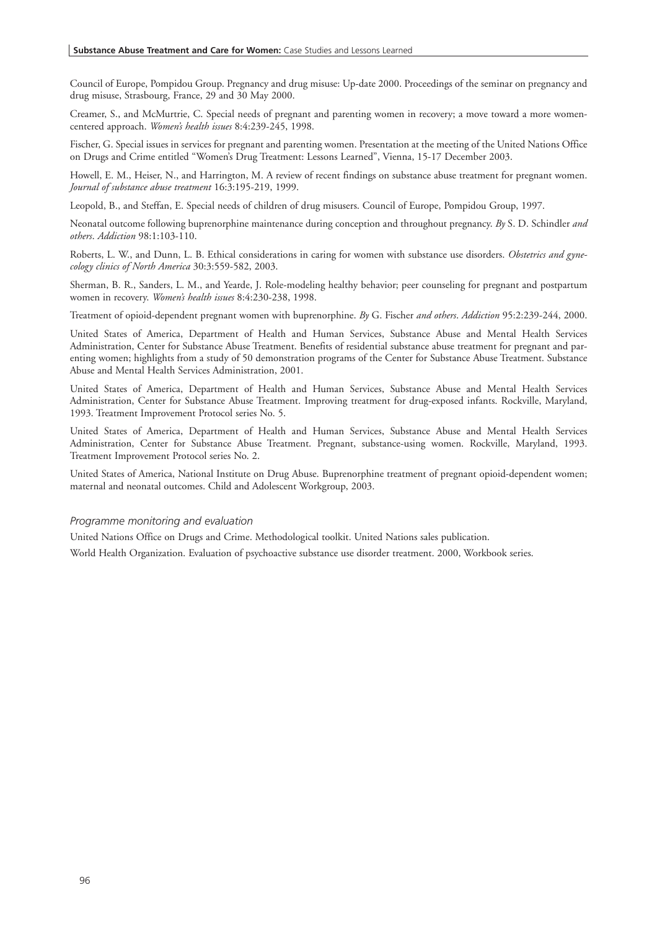Council of Europe, Pompidou Group. Pregnancy and drug misuse: Up-date 2000. Proceedings of the seminar on pregnancy and drug misuse, Strasbourg, France, 29 and 30 May 2000.

Creamer, S., and McMurtrie, C. Special needs of pregnant and parenting women in recovery; a move toward a more womencentered approach. *Women's health issues* 8:4:239-245, 1998.

Fischer, G. Special issues in services for pregnant and parenting women. Presentation at the meeting of the United Nations Office on Drugs and Crime entitled "Women's Drug Treatment: Lessons Learned", Vienna, 15-17 December 2003.

Howell, E. M., Heiser, N., and Harrington, M. A review of recent findings on substance abuse treatment for pregnant women. *Journal of substance abuse treatment* 16:3:195-219, 1999.

Leopold, B., and Steffan, E. Special needs of children of drug misusers. Council of Europe, Pompidou Group, 1997.

Neonatal outcome following buprenorphine maintenance during conception and throughout pregnancy. *By* S. D. Schindler *and others*. *Addiction* 98:1:103-110.

Roberts, L. W., and Dunn, L. B. Ethical considerations in caring for women with substance use disorders. *Obstetrics and gynecology clinics of North America* 30:3:559-582, 2003.

Sherman, B. R., Sanders, L. M., and Yearde, J. Role-modeling healthy behavior; peer counseling for pregnant and postpartum women in recovery. *Women's health issues* 8:4:230-238, 1998.

Treatment of opioid-dependent pregnant women with buprenorphine. *By* G. Fischer *and others*. *Addiction* 95:2:239-244, 2000.

United States of America, Department of Health and Human Services, Substance Abuse and Mental Health Services Administration, Center for Substance Abuse Treatment. Benefits of residential substance abuse treatment for pregnant and parenting women; highlights from a study of 50 demonstration programs of the Center for Substance Abuse Treatment. Substance Abuse and Mental Health Services Administration, 2001.

United States of America, Department of Health and Human Services, Substance Abuse and Mental Health Services Administration, Center for Substance Abuse Treatment. Improving treatment for drug-exposed infants. Rockville, Maryland, 1993. Treatment Improvement Protocol series No. 5.

United States of America, Department of Health and Human Services, Substance Abuse and Mental Health Services Administration, Center for Substance Abuse Treatment. Pregnant, substance-using women. Rockville, Maryland, 1993. Treatment Improvement Protocol series No. 2.

United States of America, National Institute on Drug Abuse. Buprenorphine treatment of pregnant opioid-dependent women; maternal and neonatal outcomes. Child and Adolescent Workgroup, 2003.

#### *Programme monitoring and evaluation*

United Nations Office on Drugs and Crime. Methodological toolkit. United Nations sales publication.

World Health Organization. Evaluation of psychoactive substance use disorder treatment. 2000, Workbook series.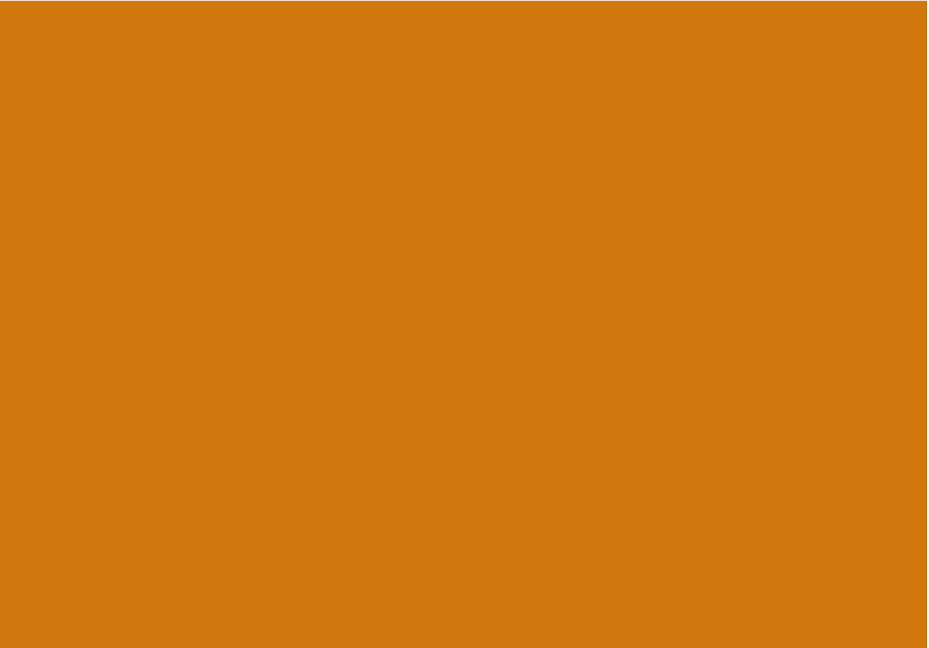